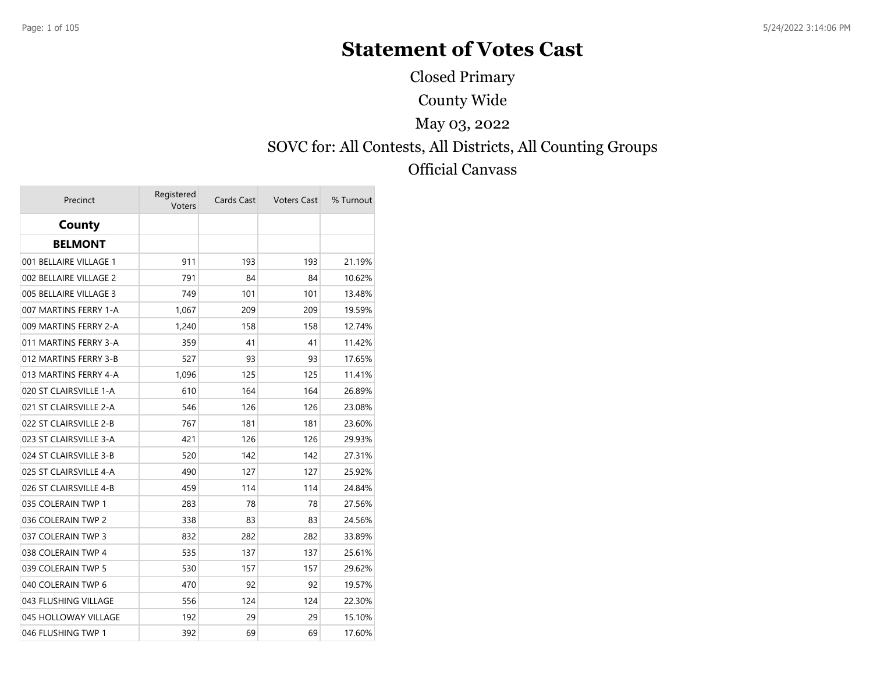# **Statement of Votes Cast**

County Wide SOVC for: All Contests, All Districts, All Counting Groups Official Canvass May 03, 2022 Closed Primary

| Precinct               | Registered<br>Voters | Cards Cast | <b>Voters Cast</b> | % Turnout |
|------------------------|----------------------|------------|--------------------|-----------|
| County                 |                      |            |                    |           |
| <b>BELMONT</b>         |                      |            |                    |           |
| 001 BELLAIRE VILLAGE 1 | 911                  | 193        | 193                | 21.19%    |
| 002 BELLAIRE VILLAGE 2 | 791                  | 84         | 84                 | 10.62%    |
| 005 BELLAIRE VILLAGE 3 | 749                  | 101        | 101                | 13.48%    |
| 007 MARTINS FERRY 1-A  | 1,067                | 209        | 209                | 19.59%    |
| 009 MARTINS FERRY 2-A  | 1,240                | 158        | 158                | 12.74%    |
| 011 MARTINS FERRY 3-A  | 359                  | 41         | 41                 | 11.42%    |
| 012 MARTINS FERRY 3-B  | 527                  | 93         | 93                 | 17.65%    |
| 013 MARTINS FERRY 4-A  | 1,096                | 125        | 125                | 11.41%    |
| 020 ST CLAIRSVILLE 1-A | 610                  | 164        | 164                | 26.89%    |
| 021 ST CLAIRSVILLE 2-A | 546                  | 126        | 126                | 23.08%    |
| 022 ST CLAIRSVILLE 2-B | 767                  | 181        | 181                | 23.60%    |
| 023 ST CLAIRSVILLE 3-A | 421                  | 126        | 126                | 29.93%    |
| 024 ST CLAIRSVILLE 3-B | 520                  | 142        | 142                | 27.31%    |
| 025 ST CLAIRSVILLE 4-A | 490                  | 127        | 127                | 25.92%    |
| 026 ST CLAIRSVILLE 4-B | 459                  | 114        | 114                | 24.84%    |
| 035 COLERAIN TWP 1     | 283                  | 78         | 78                 | 27.56%    |
| 036 COLERAIN TWP 2     | 338                  | 83         | 83                 | 24.56%    |
| 037 COLERAIN TWP 3     | 832                  | 282        | 282                | 33.89%    |
| 038 COLERAIN TWP 4     | 535                  | 137        | 137                | 25.61%    |
| 039 COLERAIN TWP 5     | 530                  | 157        | 157                | 29.62%    |
| 040 COLERAIN TWP 6     | 470                  | 92         | 92                 | 19.57%    |
| 043 FLUSHING VILLAGE   | 556                  | 124        | 124                | 22.30%    |
| 045 HOLLOWAY VILLAGE   | 192                  | 29         | 29                 | 15.10%    |
| 046 FLUSHING TWP 1     | 392                  | 69         | 69                 | 17.60%    |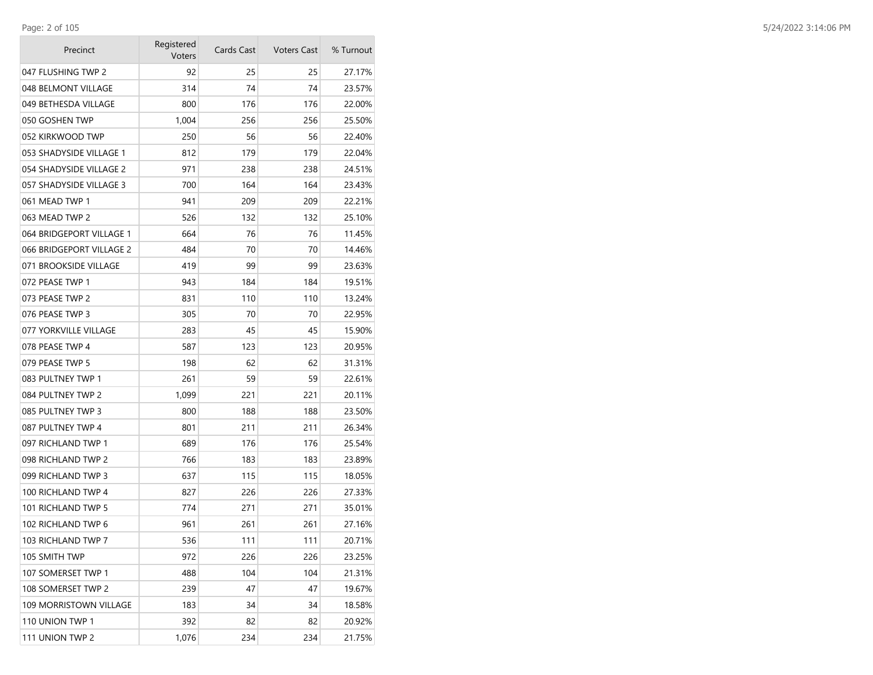**College** 

| Precinct                 | Registered<br>Voters | Cards Cast | <b>Voters Cast</b> | % Turnout |
|--------------------------|----------------------|------------|--------------------|-----------|
| 047 FLUSHING TWP 2       | 92                   | 25         | 25                 | 27.17%    |
| 048 BELMONT VILLAGE      | 314                  | 74         | 74                 | 23.57%    |
| 049 BETHESDA VILLAGE     | 800                  | 176        | 176                | 22.00%    |
| 050 GOSHEN TWP           | 1,004                | 256        | 256                | 25.50%    |
| 052 KIRKWOOD TWP         | 250                  | 56         | 56                 | 22.40%    |
| 053 SHADYSIDE VILLAGE 1  | 812                  | 179        | 179                | 22.04%    |
| 054 SHADYSIDE VILLAGE 2  | 971                  | 238        | 238                | 24.51%    |
| 057 SHADYSIDE VILLAGE 3  | 700                  | 164        | 164                | 23.43%    |
| 061 MEAD TWP 1           | 941                  | 209        | 209                | 22.21%    |
| 063 MEAD TWP 2           | 526                  | 132        | 132                | 25.10%    |
| 064 BRIDGEPORT VILLAGE 1 | 664                  | 76         | 76                 | 11.45%    |
| 066 BRIDGEPORT VILLAGE 2 | 484                  | 70         | 70                 | 14.46%    |
| 071 BROOKSIDE VILLAGE    | 419                  | 99         | 99                 | 23.63%    |
| 072 PEASE TWP 1          | 943                  | 184        | 184                | 19.51%    |
| 073 PEASE TWP 2          | 831                  | 110        | 110                | 13.24%    |
| 076 PEASE TWP 3          | 305                  | 70         | 70                 | 22.95%    |
| 077 YORKVILLE VILLAGE    | 283                  | 45         | 45                 | 15.90%    |
| 078 PEASE TWP 4          | 587                  | 123        | 123                | 20.95%    |
| 079 PEASE TWP 5          | 198                  | 62         | 62                 | 31.31%    |
| 083 PULTNEY TWP 1        | 261                  | 59         | 59                 | 22.61%    |
| 084 PULTNEY TWP 2        | 1,099                | 221        | 221                | 20.11%    |
| 085 PULTNEY TWP 3        | 800                  | 188        | 188                | 23.50%    |
| 087 PULTNEY TWP 4        | 801                  | 211        | 211                | 26.34%    |
| 097 RICHLAND TWP 1       | 689                  | 176        | 176                | 25.54%    |
| 098 RICHLAND TWP 2       | 766                  | 183        | 183                | 23.89%    |
| 099 RICHLAND TWP 3       | 637                  | 115        | 115                | 18.05%    |
| 100 RICHLAND TWP 4       | 827                  | 226        | 226                | 27.33%    |
| 101 RICHLAND TWP 5       | 774                  | 271        | 271                | 35.01%    |
| 102 RICHLAND TWP 6       | 961                  | 261        | 261                | 27.16%    |
| 103 RICHLAND TWP 7       | 536                  | 111        | 111                | 20.71%    |
| 105 SMITH TWP            | 972                  | 226        | 226                | 23.25%    |
| 107 SOMERSET TWP 1       | 488                  | 104        | 104                | 21.31%    |
| 108 SOMERSET TWP 2       | 239                  | 47         | 47                 | 19.67%    |
| 109 MORRISTOWN VILLAGE   | 183                  | 34         | 34                 | 18.58%    |
| 110 UNION TWP 1          | 392                  | 82         | 82                 | 20.92%    |
| 111 UNION TWP 2          | 1,076                | 234        | 234                | 21.75%    |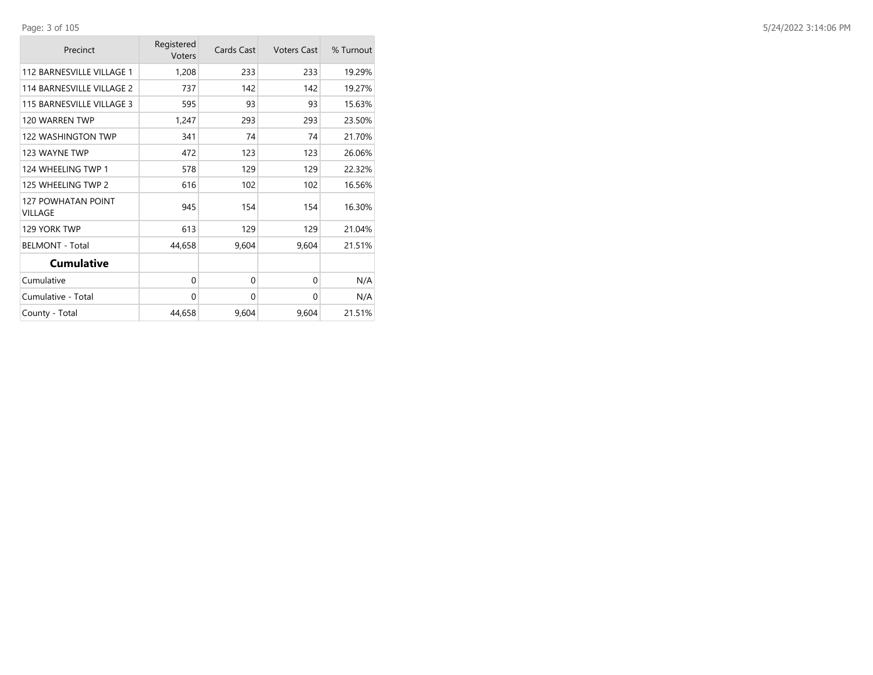| Precinct                                    | Registered<br>Voters | Cards Cast | <b>Voters Cast</b> | % Turnout |
|---------------------------------------------|----------------------|------------|--------------------|-----------|
| 112 BARNESVILLE VILLAGE 1                   | 1,208                | 233        | 233                | 19.29%    |
| 114 BARNESVILLE VILLAGE 2                   | 737                  | 142        | 142                | 19.27%    |
| 115 BARNESVILLE VILLAGE 3                   | 595                  | 93         | 93                 | 15.63%    |
| 120 WARREN TWP                              | 1,247                | 293        | 293                | 23.50%    |
| 122 WASHINGTON TWP                          | 341                  | 74         | 74                 | 21.70%    |
| 123 WAYNE TWP                               | 472                  | 123        | 123                | 26.06%    |
| 124 WHEELING TWP 1                          | 578                  | 129        | 129                | 22.32%    |
| 125 WHEELING TWP 2                          | 616                  | 102        | 102                | 16.56%    |
| <b>127 POWHATAN POINT</b><br><b>VILLAGE</b> | 945                  | 154        | 154                | 16.30%    |
| 129 YORK TWP                                | 613                  | 129        | 129                | 21.04%    |
| <b>BELMONT - Total</b>                      | 44,658               | 9,604      | 9,604              | 21.51%    |
| <b>Cumulative</b>                           |                      |            |                    |           |
| Cumulative                                  | 0                    | 0          | $\Omega$           | N/A       |
| Cumulative - Total                          | 0                    | $\Omega$   | $\Omega$           | N/A       |
| County - Total                              | 44,658               | 9,604      | 9,604              | 21.51%    |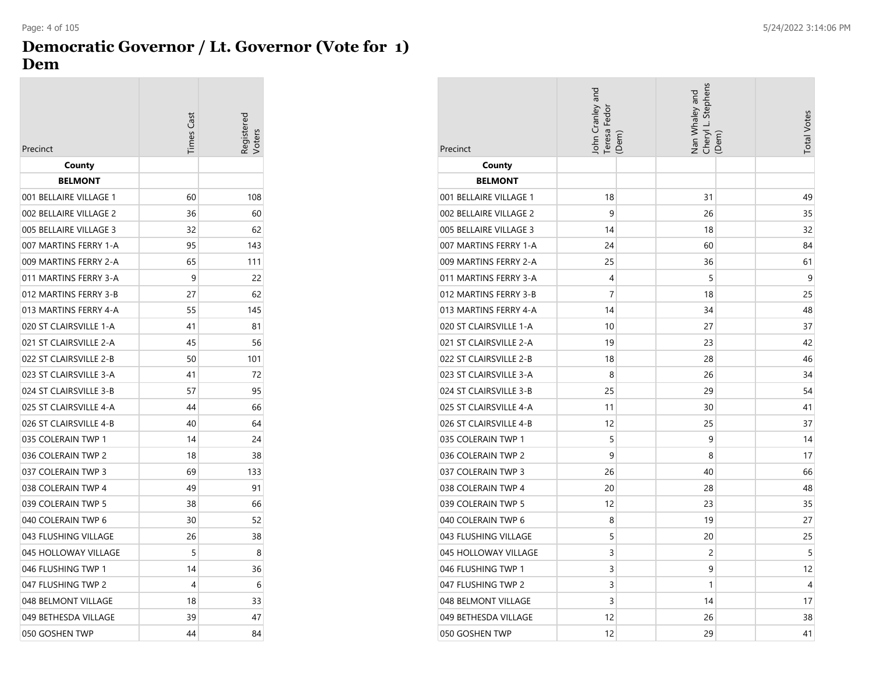## **Democratic Governor / Lt. Governor (Vote for 1) Dem**

|                        | <b>Times Cast</b> | eqistered |
|------------------------|-------------------|-----------|
| Precinct               |                   |           |
| County                 |                   |           |
| <b>BELMONT</b>         |                   |           |
| 001 BELLAIRE VILLAGE 1 | 60                | 108       |
| 002 BELLAIRE VILLAGE 2 | 36                | 60        |
| 005 BELLAIRE VILLAGE 3 | 32                | 62        |
| 007 MARTINS FERRY 1-A  | 95                | 143       |
| 009 MARTINS FERRY 2-A  | 65                | 111       |
| 011 MARTINS FERRY 3-A  | 9                 | 22        |
| 012 MARTINS FERRY 3-B  | 27                | 62        |
| 013 MARTINS FERRY 4-A  | 55                | 145       |
| 020 ST CLAIRSVILLE 1-A | 41                | 81        |
| 021 ST CLAIRSVILLE 2-A | 45                | 56        |
| 022 ST CLAIRSVILLE 2-B | 50                | 101       |
| 023 ST CLAIRSVILLE 3-A | 41                | 72        |
| 024 ST CLAIRSVILLE 3-B | 57                | 95        |
| 025 ST CLAIRSVILLE 4-A | 44                | 66        |
| 026 ST CLAIRSVILLE 4-B | 40                | 64        |
| 035 COLERAIN TWP 1     | 14                | 24        |
| 036 COLERAIN TWP 2     | 18                | 38        |
| 037 COLERAIN TWP 3     | 69                | 133       |
| 038 COLERAIN TWP 4     | 49                | 91        |
| 039 COLERAIN TWP 5     | 38                | 66        |
| 040 COLERAIN TWP 6     | 30                | 52        |
| 043 FLUSHING VILLAGE   | 26                | 38        |
| 045 HOLLOWAY VILLAGE   | 5                 | 8         |
| 046 FLUSHING TWP 1     | 14                | 36        |
| 047 FLUSHING TWP 2     | 4                 | 6         |
| 048 BELMONT VILLAGE    | 18                | 33        |
| 049 BETHESDA VILLAGE   | 39                | 47        |
| 050 GOSHEN TWP         | 44                | 84        |

| Precinct               | John Cranley and<br>Teresa Fedor | (Dem) | Cheryl L. Stephens<br>Nan Whaley and | (Dem) | <b>Total Votes</b> |
|------------------------|----------------------------------|-------|--------------------------------------|-------|--------------------|
| County                 |                                  |       |                                      |       |                    |
| <b>BELMONT</b>         |                                  |       |                                      |       |                    |
| 001 BELLAIRE VILLAGE 1 | 18                               |       | 31                                   |       | 49                 |
| 002 BELLAIRE VILLAGE 2 | 9                                |       | 26                                   |       | 35                 |
| 005 BELLAIRE VILLAGE 3 | 14                               |       | 18                                   |       | 32                 |
| 007 MARTINS FERRY 1-A  | 24                               |       | 60                                   |       | 84                 |
| 009 MARTINS FERRY 2-A  | 25                               |       | 36                                   |       | 61                 |
| 011 MARTINS FERRY 3-A  | 4                                |       | 5                                    |       | 9                  |
| 012 MARTINS FERRY 3-B  | 7                                |       | 18                                   |       | 25                 |
| 013 MARTINS FERRY 4-A  | 14                               |       | 34                                   |       | 48                 |
| 020 ST CLAIRSVILLE 1-A | 10                               |       | 27                                   |       | 37                 |
| 021 ST CLAIRSVILLE 2-A | 19                               |       | 23                                   |       | 42                 |
| 022 ST CLAIRSVILLE 2-B | 18                               |       | 28                                   |       | 46                 |
| 023 ST CLAIRSVILLE 3-A | 8                                |       | 26                                   |       | 34                 |
| 024 ST CLAIRSVILLE 3-B | 25                               |       | 29                                   |       | 54                 |
| 025 ST CLAIRSVILLE 4-A | 11                               |       | 30                                   |       | 41                 |
| 026 ST CLAIRSVILLE 4-B | 12                               |       | 25                                   |       | 37                 |
| 035 COLERAIN TWP 1     | 5                                |       | 9                                    |       | 14                 |
| 036 COLERAIN TWP 2     | 9                                |       | 8                                    |       | 17                 |
| 037 COLERAIN TWP 3     | 26                               |       | 40                                   |       | 66                 |
| 038 COLERAIN TWP 4     | 20                               |       | 28                                   |       | 48                 |
| 039 COLERAIN TWP 5     | 12                               |       | 23                                   |       | 35                 |
| 040 COLERAIN TWP 6     | 8                                |       | 19                                   |       | 27                 |
| 043 FLUSHING VILLAGE   | 5                                |       | 20                                   |       | 25                 |
| 045 HOLLOWAY VILLAGE   | 3                                |       | 2                                    |       | 5                  |
| 046 FLUSHING TWP 1     | 3                                |       | 9                                    |       | 12                 |
| 047 FLUSHING TWP 2     | 3                                |       | 1                                    |       | 4                  |
| 048 BELMONT VILLAGE    | 3                                |       | 14                                   |       | 17                 |
| 049 BETHESDA VILLAGE   | 12                               |       | 26                                   |       | 38                 |
| 050 GOSHEN TWP         | 12                               |       | 29                                   |       | 41                 |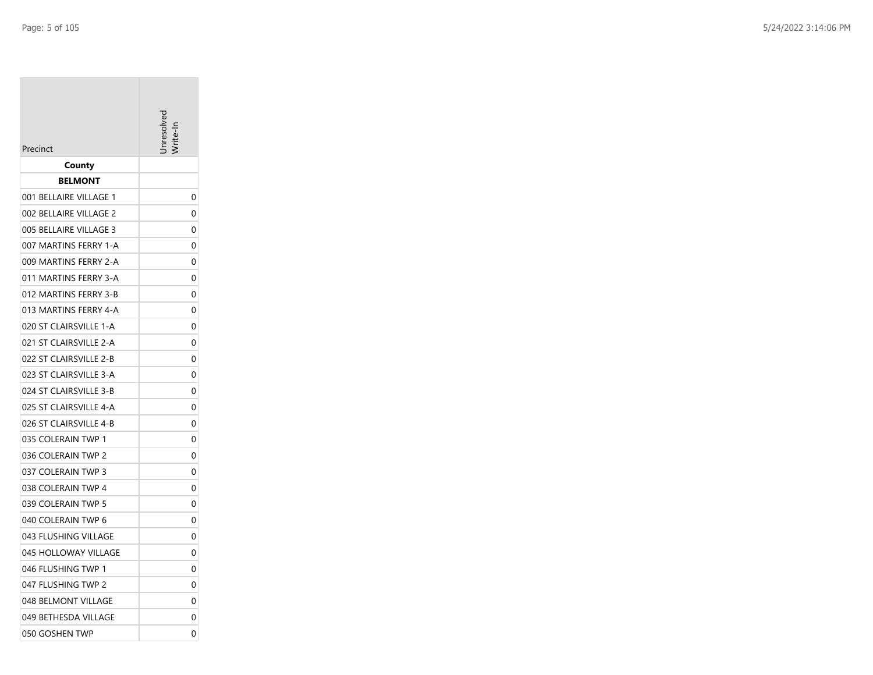|                        | nresolv |
|------------------------|---------|
| Precinct               |         |
| County                 |         |
| BELMONT                |         |
| 001 BELLAIRE VILLAGE 1 | 0       |
| 002 BELLAIRE VILLAGE 2 | 0       |
| 005 BELLAIRE VILLAGE 3 | 0       |
| 007 MARTINS FERRY 1-A  | 0       |
| 009 MARTINS FERRY 2-A  | 0       |
| 011 MARTINS FERRY 3-A  | 0       |
| 012 MARTINS FERRY 3-B  | 0       |
| 013 MARTINS FERRY 4-A  | 0       |
| 020 ST CLAIRSVILLE 1-A | 0       |
| 021 ST CLAIRSVILLE 2-A | 0       |
| 022 ST CLAIRSVILLE 2-B | 0       |
| 023 ST CLAIRSVILLE 3-A | 0       |
| 024 ST CLAIRSVILLE 3-B | 0       |
| 025 ST CLAIRSVILLE 4-A | 0       |
| 026 ST CLAIRSVILLE 4-B | 0       |
| 035 COLERAIN TWP 1     | 0       |
| 036 COLERAIN TWP 2     | 0       |
| 037 COLERAIN TWP 3     | 0       |
| 038 COLERAIN TWP 4     | 0       |
| 039 COLERAIN TWP 5     | 0       |
| 040 COLERAIN TWP 6     | 0       |
| 043 FLUSHING VILLAGE   | 0       |
| 045 HOLLOWAY VILLAGE   | 0       |
| 046 FLUSHING TWP 1     | 0       |
| 047 FLUSHING TWP 2     | 0       |
| 048 BELMONT VILLAGE    | 0       |
| 049 BETHESDA VILLAGE   | 0       |
| 050 GOSHEN TWP         | 0       |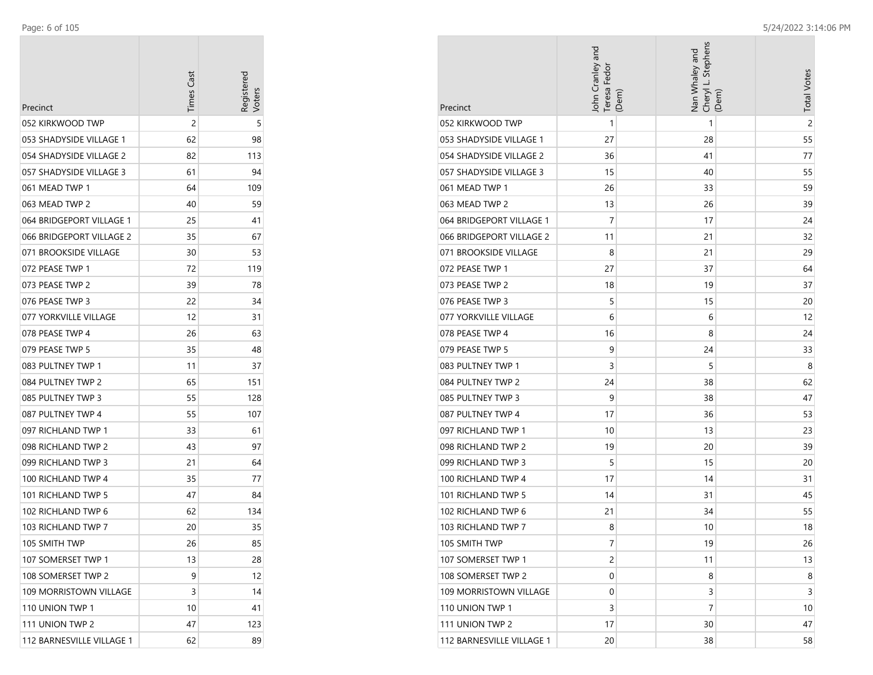| Precinct                  | <b>Times Cast</b> | Registerec |
|---------------------------|-------------------|------------|
| 052 KIRKWOOD TWP          | $\overline{c}$    | 5          |
| 053 SHADYSIDE VILLAGE 1   | 62                | 98         |
| 054 SHADYSIDE VILLAGE 2   | 82                | 113        |
| 057 SHADYSIDE VILLAGE 3   | 61                | 94         |
| 061 MEAD TWP 1            | 64                | 109        |
| 063 MEAD TWP 2            | 40                | 59         |
| 064 BRIDGEPORT VILLAGE 1  | 25                | 41         |
| 066 BRIDGEPORT VILLAGE 2  | 35                | 67         |
| 071 BROOKSIDE VILLAGE     | 30                | 53         |
| 072 PEASE TWP 1           | 72                | 119        |
| 073 PEASE TWP 2           | 39                | 78         |
| 076 PEASE TWP 3           | 22                | 34         |
| 077 YORKVILLE VILLAGE     | 12                | 31         |
| 078 PEASE TWP 4           | 26                | 63         |
| 079 PEASE TWP 5           | 35                | 48         |
| 083 PULTNEY TWP 1         | 11                | 37         |
| 084 PULTNEY TWP 2         | 65                | 151        |
| 085 PULTNEY TWP 3         | 55                | 128        |
| 087 PULTNEY TWP 4         | 55                | 107        |
| 097 RICHLAND TWP 1        | 33                | 61         |
| 098 RICHLAND TWP 2        | 43                | 97         |
| 099 RICHLAND TWP 3        | 21                | 64         |
| 100 RICHLAND TWP 4        | 35                | 77         |
| 101 RICHLAND TWP 5        | 47                | 84         |
| 102 RICHLAND TWP 6        | 62                | 134        |
| 103 RICHLAND TWP 7        | 20                | 35         |
| 105 SMITH TWP             | 26                | 85         |
| 107 SOMERSET TWP 1        | 13                | 28         |
| 108 SOMERSET TWP 2        | 9                 | 12         |
| 109 MORRISTOWN VILLAGE    | 3                 | 14         |
| 110 UNION TWP 1           | 10                | 41         |
| 111 UNION TWP 2           | 47                | 123        |
| 112 BARNESVILLE VILLAGE 1 | 62                | 89         |

|                              | John Cranley and<br>Teresa Fedor<br>(Dem) | Cheryl L. Stephens<br>Nan Whaley and<br>(Dem) | <b>Total Votes</b> |
|------------------------------|-------------------------------------------|-----------------------------------------------|--------------------|
| Precinct<br>052 KIRKWOOD TWP | $\mathbf{1}$                              | 1                                             | $\overline{c}$     |
| 053 SHADYSIDE VILLAGE 1      | 27                                        | 28                                            | 55                 |
| 054 SHADYSIDE VILLAGE 2      | 36                                        | 41                                            | 77                 |
| 057 SHADYSIDE VILLAGE 3      | 15                                        | 40                                            | 55                 |
| 061 MEAD TWP 1               | 26                                        | 33                                            | 59                 |
| 063 MEAD TWP 2               | 13                                        | 26                                            | 39                 |
| 064 BRIDGEPORT VILLAGE 1     | 7                                         | 17                                            | 24                 |
| 066 BRIDGEPORT VILLAGE 2     | 11                                        | 21                                            | 32                 |
| 071 BROOKSIDE VILLAGE        | 8                                         | 21                                            | 29                 |
| 072 PEASE TWP 1              | 27                                        | 37                                            | 64                 |
| 073 PEASE TWP 2              | 18                                        | 19                                            | 37                 |
| 076 PEASE TWP 3              | 5                                         | 15                                            | 20                 |
| 077 YORKVILLE VILLAGE        | 6                                         | 6                                             | 12                 |
| 078 PEASE TWP 4              | 16                                        | 8                                             | 24                 |
| 079 PEASE TWP 5              | 9                                         | 24                                            | 33                 |
| 083 PULTNEY TWP 1            | 3                                         | 5                                             | 8                  |
| 084 PULTNEY TWP 2            | 24                                        | 38                                            | 62                 |
| 085 PULTNEY TWP 3            | 9                                         | 38                                            | 47                 |
| 087 PULTNEY TWP 4            | 17                                        | 36                                            | 53                 |
| 097 RICHLAND TWP 1           | 10                                        | 13                                            | 23                 |
| 098 RICHLAND TWP 2           | 19                                        | 20                                            | 39                 |
| 099 RICHLAND TWP 3           | 5                                         | 15                                            | 20                 |
| 100 RICHLAND TWP 4           | 17                                        | 14                                            | 31                 |
| 101 RICHLAND TWP 5           | 14                                        | 31                                            | 45                 |
| 102 RICHLAND TWP 6           | 21                                        | 34                                            | 55                 |
| 103 RICHLAND TWP 7           | 8                                         | 10                                            | 18                 |
| 105 SMITH TWP                | 7                                         | 19                                            | 26                 |
| 107 SOMERSET TWP 1           | $\overline{2}$                            | 11                                            | 13                 |
| 108 SOMERSET TWP 2           | 0                                         | 8                                             | 8                  |
| 109 MORRISTOWN VILLAGE       | 0                                         | 3                                             | 3                  |
| 110 UNION TWP 1              | 3                                         | 7                                             | 10                 |
| 111 UNION TWP 2              | 17                                        | 30                                            | 47                 |
| 112 BARNESVILLE VILLAGE 1    | 20                                        | 38                                            | 58                 |

m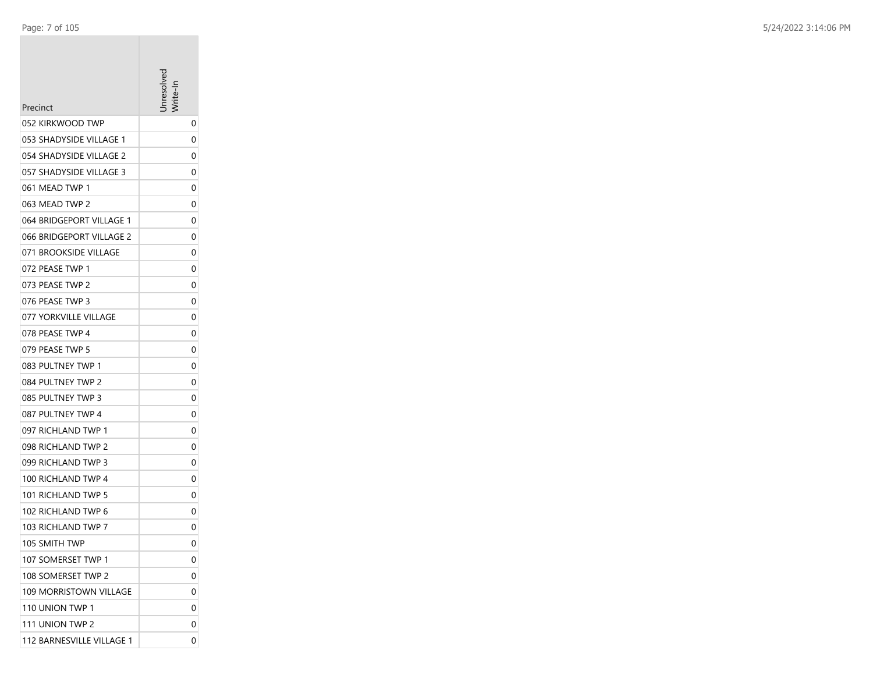| Precinct                  | nresolve |
|---------------------------|----------|
| 052 KIRKWOOD TWP          | 0        |
| 053 SHADYSIDE VILLAGE 1   | 0        |
| 054 SHADYSIDE VILLAGE 2   | 0        |
| 057 SHADYSIDE VILLAGE 3   | 0        |
| 061 MEAD TWP 1            | 0        |
| 063 MEAD TWP 2            | 0        |
| 064 BRIDGEPORT VILLAGE 1  | 0        |
| 066 BRIDGEPORT VILLAGE 2  | 0        |
| 071 BROOKSIDE VILLAGE     | 0        |
| 072 PEASE TWP 1           | 0        |
| 073 PEASE TWP 2           | 0        |
| 076 PEASE TWP 3           | 0        |
| 077 YORKVILLE VILLAGE     | 0        |
| 078 PEASE TWP 4           | 0        |
| 079 PEASE TWP 5           | 0        |
| 083 PULTNEY TWP 1         | 0        |
| 084 PULTNEY TWP 2         | 0        |
| 085 PULTNEY TWP 3         | 0        |
| 087 PULTNEY TWP 4         | 0        |
| 097 RICHLAND TWP 1        | 0        |
| 098 RICHLAND TWP 2        | 0        |
| 099 RICHLAND TWP 3        | 0        |
| 100 RICHLAND TWP 4        | 0        |
| 101 RICHLAND TWP 5        | 0        |
| 102 RICHLAND TWP 6        | 0        |
| 103 RICHLAND TWP 7        | 0        |
| 105 SMITH TWP             | 0        |
| 107 SOMERSET TWP 1        | 0        |
| 108 SOMERSET TWP 2        | 0        |
| 109 MORRISTOWN VILLAGE    | 0        |
| 110 UNION TWP 1           | 0        |
| 111 UNION TWP 2           | 0        |
| 112 BARNESVILLE VILLAGE 1 | 0        |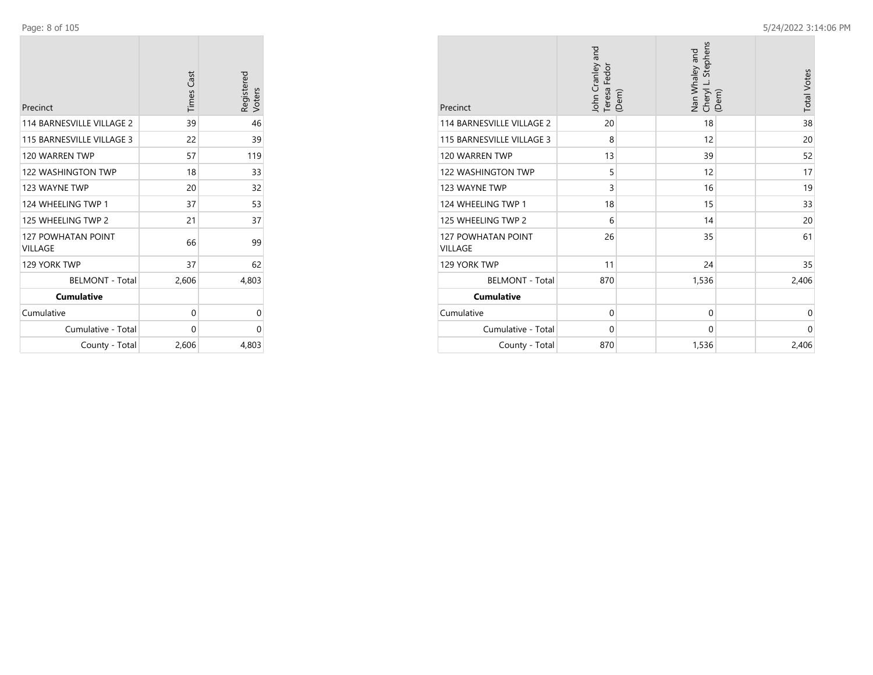**College** 

| Precinct                             | <b>Times Cast</b> | Registered<br>Voters |
|--------------------------------------|-------------------|----------------------|
| 114 BARNESVILLE VILLAGE 2            | 39                | 46                   |
| 115 BARNESVILLE VILLAGE 3            | 22                | 39                   |
| 120 WARREN TWP                       | 57                | 119                  |
| 122 WASHINGTON TWP                   | 18                | 33                   |
| 123 WAYNE TWP                        | 20                | 32                   |
| 124 WHEELING TWP 1                   | 37                | 53                   |
| 125 WHEELING TWP 2                   | 21                | 37                   |
| <b>127 POWHATAN POINT</b><br>VILLAGE | 66                | 99                   |
| 129 YORK TWP                         | 37                | 62                   |
| <b>BELMONT - Total</b>               | 2,606             | 4,803                |
| <b>Cumulative</b>                    |                   |                      |
| Cumulative                           | 0                 | 0                    |
| Cumulative - Total                   | 0                 | 0                    |
| County - Total                       | 2,606             | 4,803                |

| Precinct                                    | John Cranley and<br>Teresa Fedor | (Dem) | Stephens<br>Nan Whaley and<br>Cheryl L. | (Dem) | <b>Total Votes</b> |
|---------------------------------------------|----------------------------------|-------|-----------------------------------------|-------|--------------------|
| 114 BARNESVILLE VILLAGE 2                   | 20                               |       | 18                                      |       | 38                 |
| 115 BARNESVILLE VILLAGE 3                   | 8                                |       | 12                                      |       | 20                 |
| 120 WARREN TWP                              | 13                               |       | 39                                      |       | 52                 |
| 122 WASHINGTON TWP                          | 5                                |       | 12                                      |       | 17                 |
| 123 WAYNE TWP                               | 3                                |       | 16                                      |       | 19                 |
| 124 WHEELING TWP 1                          | 18                               |       | 15                                      |       | 33                 |
| 125 WHEELING TWP 2                          | 6                                |       | 14                                      |       | 20                 |
| <b>127 POWHATAN POINT</b><br><b>VILLAGE</b> | 26                               |       | 35                                      |       | 61                 |
| 129 YORK TWP                                | 11                               |       | 24                                      |       | 35                 |
| <b>BELMONT - Total</b>                      | 870                              |       | 1,536                                   |       | 2,406              |
| <b>Cumulative</b>                           |                                  |       |                                         |       |                    |
| Cumulative                                  | $\mathbf 0$                      |       | $\Omega$                                |       | 0                  |
| Cumulative - Total                          | 0                                |       | $\Omega$                                |       | $\Omega$           |
| County - Total                              | 870                              |       | 1,536                                   |       | 2,406              |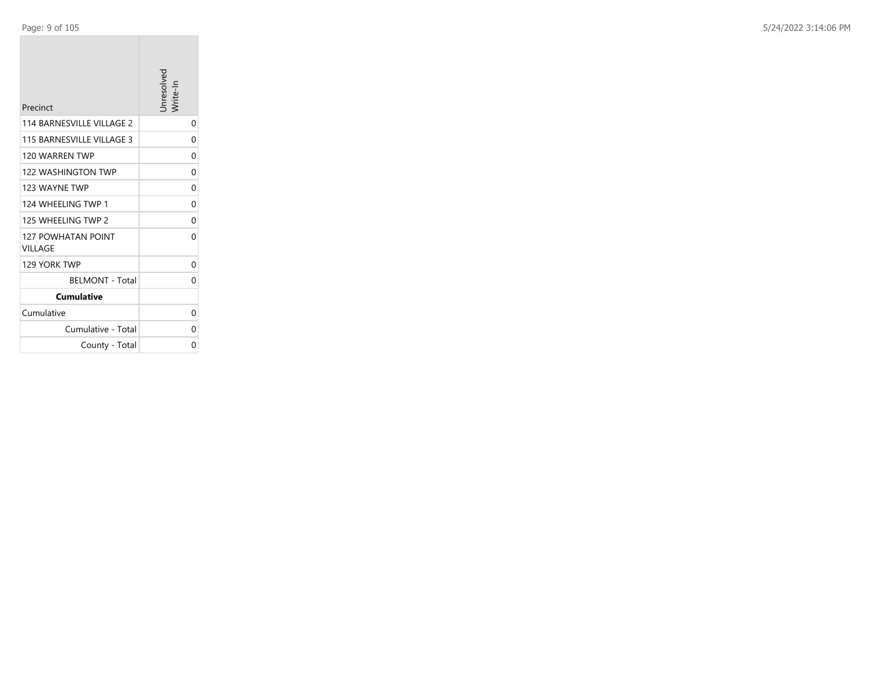| Precinct                             | Jnresolved<br>'rite-ln |
|--------------------------------------|------------------------|
| 114 BARNESVILLE VILLAGE 2            | 0                      |
| 115 BARNESVILLE VILLAGE 3            | 0                      |
| 120 WARRFN TWP                       | 0                      |
| 122 WASHINGTON TWP                   | 0                      |
| 123 WAYNE TWP                        | 0                      |
| 124 WHEFI ING TWP 1                  | 0                      |
| 125 WHEELING TWP 2                   | 0                      |
| <b>127 POWHATAN POINT</b><br>VILLAGE | 0                      |
| 129 YORK TWP                         | 0                      |
| <b>BELMONT - Total</b>               | 0                      |
| <b>Cumulative</b>                    |                        |
| Cumulative                           | 0                      |
| Cumulative - Total                   | 0                      |
| County - Total                       | 0                      |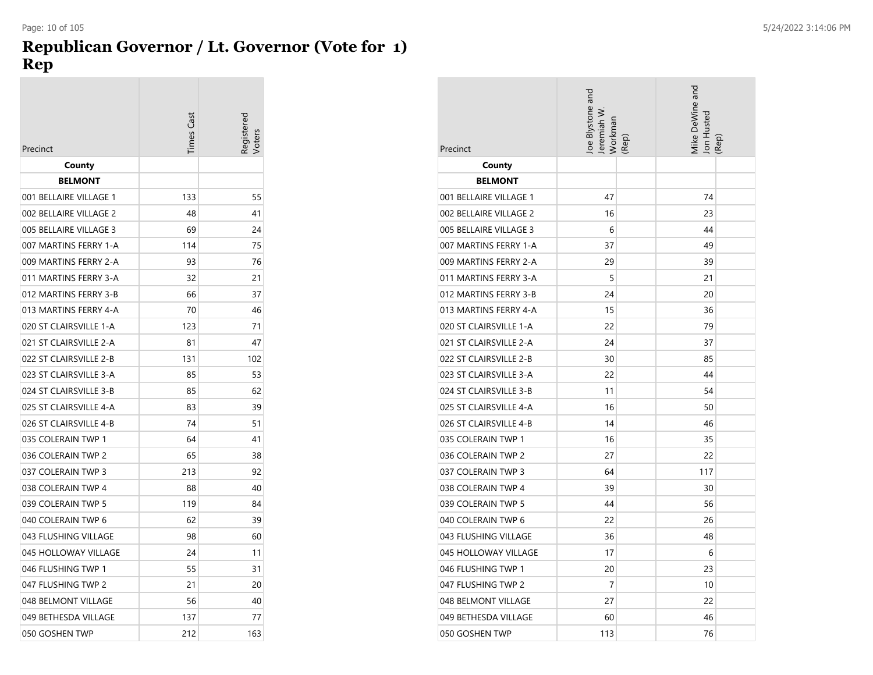#### **Republican Governor / Lt. Governor (Vote for 1) Rep**

| Precinct               | <b>Times</b> Cast | Registerec<br>/oters |
|------------------------|-------------------|----------------------|
| County                 |                   |                      |
| <b>BELMONT</b>         |                   |                      |
| 001 BELLAIRE VILLAGE 1 | 133               | 55                   |
| 002 BELLAIRE VILLAGE 2 | 48                | 41                   |
| 005 BELLAIRE VILLAGE 3 | 69                | 24                   |
| 007 MARTINS FERRY 1-A  | 114               | 75                   |
| 009 MARTINS FERRY 2-A  | 93                | 76                   |
| 011 MARTINS FERRY 3-A  | 32                | 21                   |
| 012 MARTINS FERRY 3-B  | 66                | 37                   |
| 013 MARTINS FERRY 4-A  | 70                | 46                   |
| 020 ST CLAIRSVILLE 1-A | 123               | 71                   |
| 021 ST CLAIRSVILLE 2-A | 81                | 47                   |
| 022 ST CLAIRSVILLE 2-B | 131               | 102                  |
| 023 ST CLAIRSVILLE 3-A | 85                | 53                   |
| 024 ST CLAIRSVILLE 3-B | 85                | 62                   |
| 025 ST CLAIRSVILLE 4-A | 83                | 39                   |
| 026 ST CLAIRSVILLE 4-B | 74                | 51                   |
| 035 COLERAIN TWP 1     | 64                | 41                   |
| 036 COLERAIN TWP 2     | 65                | 38                   |
| 037 COLERAIN TWP 3     | 213               | 92                   |
| 038 COLERAIN TWP 4     | 88                | 40                   |
| 039 COLERAIN TWP 5     | 119               | 84                   |
| 040 COLERAIN TWP 6     | 62                | 39                   |
| 043 FLUSHING VILLAGE   | 98                | 60                   |
| 045 HOLLOWAY VILLAGE   | 24                | 11                   |
| 046 FLUSHING TWP 1     | 55                | 31                   |
| 047 FLUSHING TWP 2     | 21                | 20                   |
| 048 BELMONT VILLAGE    | 56                | 40                   |
| 049 BETHESDA VILLAGE   | 137               | 77                   |
| 050 GOSHEN TWP         | 212               | 163                  |

| Precinct               | loe Blystone and<br>Jeremiah W<br>Workman<br>(Rep) | Mike DeWine and<br>Jon Hustec<br>(Rep) |
|------------------------|----------------------------------------------------|----------------------------------------|
| County                 |                                                    |                                        |
| <b>BELMONT</b>         |                                                    |                                        |
| 001 BELLAIRE VILLAGE 1 | 47                                                 | 74                                     |
| 002 BELLAIRE VILLAGE 2 | 16                                                 | 23                                     |
| 005 BELLAIRE VILLAGE 3 | 6                                                  | 44                                     |
| 007 MARTINS FERRY 1-A  | 37                                                 | 49                                     |
| 009 MARTINS FERRY 2-A  | 29                                                 | 39                                     |
| 011 MARTINS FERRY 3-A  | 5                                                  | 21                                     |
| 012 MARTINS FERRY 3-B  | 24                                                 | 20                                     |
| 013 MARTINS FERRY 4-A  | 15                                                 | 36                                     |
| 020 ST CLAIRSVILLE 1-A | 22                                                 | 79                                     |
| 021 ST CLAIRSVILLE 2-A | 24                                                 | 37                                     |
| 022 ST CLAIRSVILLE 2-B | 30                                                 | 85                                     |
| 023 ST CLAIRSVILLE 3-A | 22                                                 | 44                                     |
| 024 ST CLAIRSVILLE 3-B | 11                                                 | 54                                     |
| 025 ST CLAIRSVILLE 4-A | 16                                                 | 50                                     |
| 026 ST CLAIRSVILLE 4-B | 14                                                 | 46                                     |
| 035 COLERAIN TWP 1     | 16                                                 | 35                                     |
| 036 COLERAIN TWP 2     | 27                                                 | 22                                     |
| 037 COLERAIN TWP 3     | 64                                                 | 117                                    |
| 038 COLERAIN TWP 4     | 39                                                 | 30                                     |
| 039 COLERAIN TWP 5     | 44                                                 | 56                                     |
| 040 COLERAIN TWP 6     | 22                                                 | 26                                     |
| 043 FLUSHING VILLAGE   | 36                                                 | 48                                     |
| 045 HOLLOWAY VILLAGE   | 17                                                 | 6                                      |
| 046 FLUSHING TWP 1     | 20                                                 | 23                                     |
| 047 FLUSHING TWP 2     | 7                                                  | 10                                     |
| 048 BELMONT VILLAGE    | 27                                                 | 22                                     |
| 049 BETHESDA VILLAGE   | 60                                                 | 46                                     |
| 050 GOSHEN TWP         | 113                                                | 76                                     |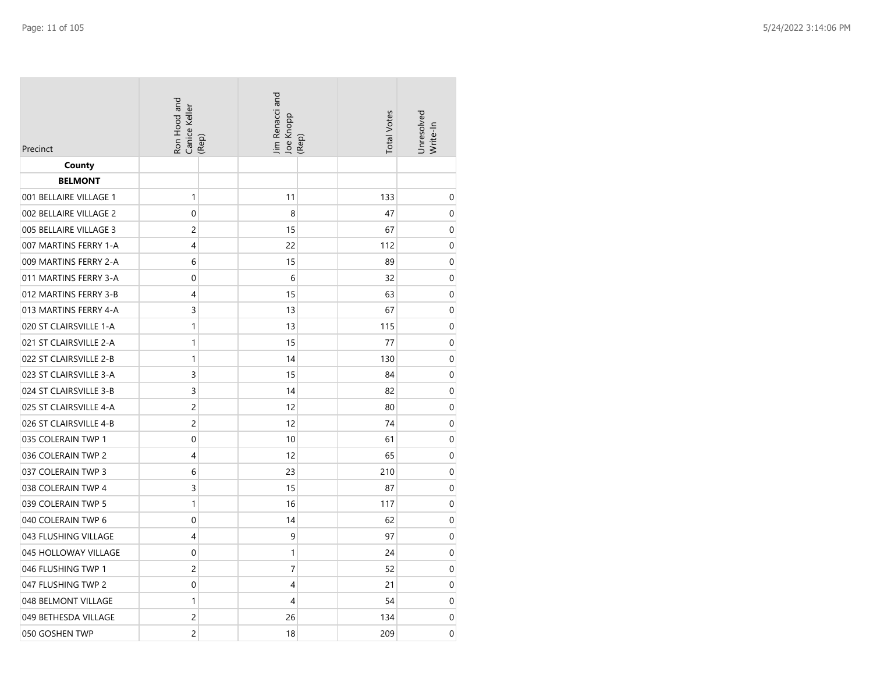| Precinct               | Ron Hood and<br>Canice Keller | Jim Renacci and<br>Joe Knopp<br>(Rep) | <b>Total Votes</b><br>(Rep) | Unresolved<br>Write-In |
|------------------------|-------------------------------|---------------------------------------|-----------------------------|------------------------|
| County                 |                               |                                       |                             |                        |
| <b>BELMONT</b>         |                               |                                       |                             |                        |
| 001 BELLAIRE VILLAGE 1 | 1                             | 11                                    | 133                         | $\mathbf 0$            |
| 002 BELLAIRE VILLAGE 2 | 0                             | 8                                     | 47                          | $\mathbf 0$            |
| 005 BELLAIRE VILLAGE 3 | 2                             | 15                                    | 67                          | $\boldsymbol{0}$       |
| 007 MARTINS FERRY 1-A  | 4                             | 22                                    | 112                         | $\mathbf 0$            |
| 009 MARTINS FERRY 2-A  | 6                             | 15                                    | 89                          | $\boldsymbol{0}$       |
| 011 MARTINS FERRY 3-A  | 0                             | 6                                     | 32                          | $\mathbf 0$            |
| 012 MARTINS FERRY 3-B  | 4                             | 15                                    | 63                          | $\mathbf 0$            |
| 013 MARTINS FERRY 4-A  | 3                             | 13                                    | 67                          | $\mathbf 0$            |
| 020 ST CLAIRSVILLE 1-A | $\mathbf{1}$                  | 13                                    | 115                         | $\mathbf 0$            |
| 021 ST CLAIRSVILLE 2-A | $\mathbf{1}$                  | 15                                    | 77                          | $\mathbf 0$            |
| 022 ST CLAIRSVILLE 2-B | 1                             | 14                                    | 130                         | $\mathbf 0$            |
| 023 ST CLAIRSVILLE 3-A | 3                             | 15                                    | 84                          | $\mathbf 0$            |
| 024 ST CLAIRSVILLE 3-B | 3                             | 14                                    | 82                          | $\mathbf 0$            |
| 025 ST CLAIRSVILLE 4-A | $\overline{c}$                | 12                                    | 80                          | $\boldsymbol{0}$       |
| 026 ST CLAIRSVILLE 4-B | $\overline{c}$                | 12                                    | 74                          | $\boldsymbol{0}$       |
| 035 COLERAIN TWP 1     | 0                             | 10                                    | 61                          | $\boldsymbol{0}$       |
| 036 COLERAIN TWP 2     | 4                             | 12                                    | 65                          | $\mathbf 0$            |
| 037 COLERAIN TWP 3     | 6                             | 23                                    | 210                         | $\mathbf 0$            |
| 038 COLERAIN TWP 4     | 3                             | 15                                    | 87                          | $\mathbf 0$            |
| 039 COLERAIN TWP 5     | $\mathbf{1}$                  | 16                                    | 117                         | $\mathbf 0$            |
| 040 COLERAIN TWP 6     | 0                             | 14                                    | 62                          | $\mathbf 0$            |
| 043 FLUSHING VILLAGE   | 4                             | 9                                     | 97                          | $\mathbf 0$            |
| 045 HOLLOWAY VILLAGE   | 0                             | 1                                     | 24                          | $\mathbf 0$            |
| 046 FLUSHING TWP 1     | $\overline{c}$                | $\overline{7}$                        | 52                          | $\mathbf 0$            |
| 047 FLUSHING TWP 2     | 0                             | 4                                     | 21                          | $\mathbf 0$            |
| 048 BELMONT VILLAGE    | $\mathbf{1}$                  | 4                                     | 54                          | $\mathbf 0$            |
| 049 BETHESDA VILLAGE   | 2                             | 26                                    | 134                         | $\mathbf 0$            |
| 050 GOSHEN TWP         | $\overline{c}$                | 18                                    | 209                         | $\mathbf 0$            |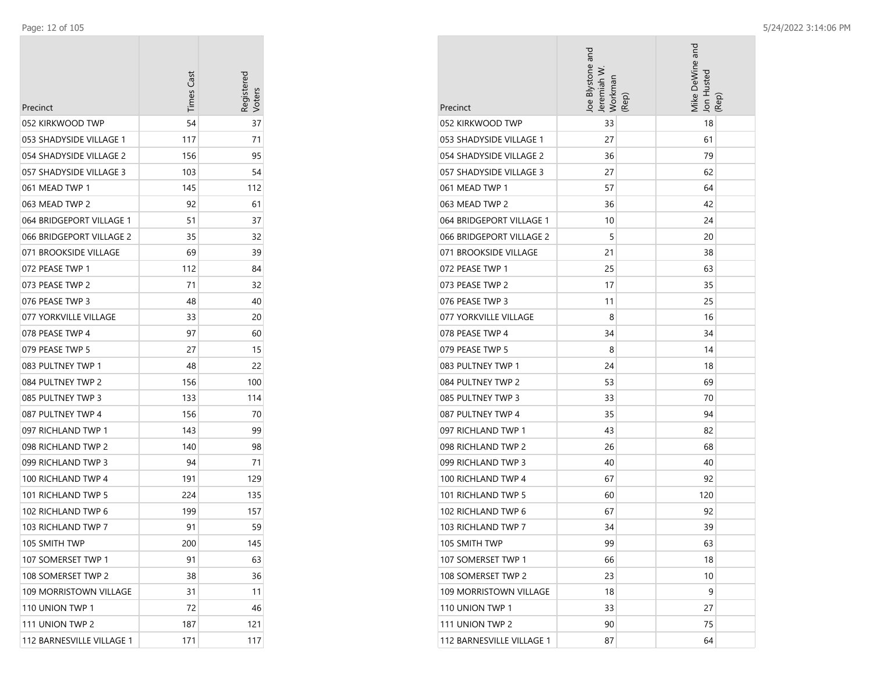$\sim$ 

| Precinct                  | <b>Times Cast</b> | Registered |
|---------------------------|-------------------|------------|
| 052 KIRKWOOD TWP          | 54                | 37         |
| 053 SHADYSIDE VILLAGE 1   | 117               | 71         |
| 054 SHADYSIDE VILLAGE 2   | 156               | 95         |
| 057 SHADYSIDE VILLAGE 3   | 103               | 54         |
| 061 MEAD TWP 1            | 145               | 112        |
| 063 MEAD TWP 2            | 92                | 61         |
| 064 BRIDGEPORT VILLAGE 1  | 51                | 37         |
| 066 BRIDGEPORT VILLAGE 2  | 35                | 32         |
| 071 BROOKSIDE VILLAGE     | 69                | 39         |
| 072 PEASE TWP 1           | 112               | 84         |
| 073 PEASE TWP 2           | 71                | 32         |
| 076 PEASE TWP 3           | 48                | 40         |
| 077 YORKVILLE VILLAGE     | 33                | 20         |
| 078 PEASE TWP 4           | 97                | 60         |
| 079 PEASE TWP 5           | 27                | 15         |
| 083 PULTNEY TWP 1         | 48                | 22         |
| 084 PULTNEY TWP 2         | 156               | 100        |
| 085 PULTNEY TWP 3         | 133               | 114        |
| 087 PULTNEY TWP 4         | 156               | 70         |
| 097 RICHLAND TWP 1        | 143               | 99         |
| 098 RICHLAND TWP 2        | 140               | 98         |
| 099 RICHLAND TWP 3        | 94                | 71         |
| 100 RICHLAND TWP 4        | 191               | 129        |
| 101 RICHLAND TWP 5        | 224               | 135        |
| 102 RICHLAND TWP 6        | 199               | 157        |
| 103 RICHLAND TWP 7        | 91                | 59         |
| 105 SMITH TWP             | 200               | 145        |
| 107 SOMERSET TWP 1        | 91                | 63         |
| 108 SOMERSET TWP 2        | 38                | 36         |
| 109 MORRISTOWN VILLAGE    | 31                | 11         |
| 110 UNION TWP 1           | 72                | 46         |
| 111 UNION TWP 2           | 187               | 121        |
| 112 BARNESVILLE VILLAGE 1 | 171               | 117        |

| Precinct                  | Joe Blystone and<br>Jeremiah W<br>Workman<br>(Rep) | Mike DeWine and<br>Jon Hustec<br>(Rep) |
|---------------------------|----------------------------------------------------|----------------------------------------|
| 052 KIRKWOOD TWP          | 33                                                 | 18                                     |
| 053 SHADYSIDE VILLAGE 1   | 27                                                 | 61                                     |
| 054 SHADYSIDE VILLAGE 2   | 36                                                 | 79                                     |
| 057 SHADYSIDE VILLAGE 3   | 27                                                 | 62                                     |
| 061 MEAD TWP 1            | 57                                                 | 64                                     |
| 063 MEAD TWP 2            | 36                                                 | 42                                     |
| 064 BRIDGEPORT VILLAGE 1  | 10                                                 | 24                                     |
| 066 BRIDGEPORT VILLAGE 2  | 5                                                  | 20                                     |
| 071 BROOKSIDE VILLAGE     | 21                                                 | 38                                     |
| 072 PEASE TWP 1           | 25                                                 | 63                                     |
| 073 PEASE TWP 2           | 17                                                 | 35                                     |
| 076 PEASE TWP 3           | 11                                                 | 25                                     |
| 077 YORKVILLE VILLAGE     | 8                                                  | 16                                     |
| 078 PEASE TWP 4           | 34                                                 | 34                                     |
| 079 PEASE TWP 5           | 8                                                  | 14                                     |
| 083 PULTNEY TWP 1         | 24                                                 | 18                                     |
| 084 PULTNEY TWP 2         | 53                                                 | 69                                     |
| 085 PULTNEY TWP 3         | 33                                                 | 70                                     |
| 087 PULTNEY TWP 4         | 35                                                 | 94                                     |
| 097 RICHLAND TWP 1        | 43                                                 | 82                                     |
| 098 RICHLAND TWP 2        | 26                                                 | 68                                     |
| 099 RICHLAND TWP 3        | 40                                                 | 40                                     |
| 100 RICHLAND TWP 4        | 67                                                 | 92                                     |
| 101 RICHLAND TWP 5        | 60                                                 | 120                                    |
| 102 RICHLAND TWP 6        | 67                                                 | 92                                     |
| 103 RICHLAND TWP 7        | 34                                                 | 39                                     |
| 105 SMITH TWP             | 99                                                 | 63                                     |
| 107 SOMERSET TWP 1        | 66                                                 | 18                                     |
| 108 SOMERSET TWP 2        | 23                                                 | 10                                     |
| 109 MORRISTOWN VILLAGE    | 18                                                 | 9                                      |
| 110 UNION TWP 1           | 33                                                 | 27                                     |
| 111 UNION TWP 2           | 90                                                 | 75                                     |
| 112 BARNESVILLE VILLAGE 1 | 87                                                 | 64                                     |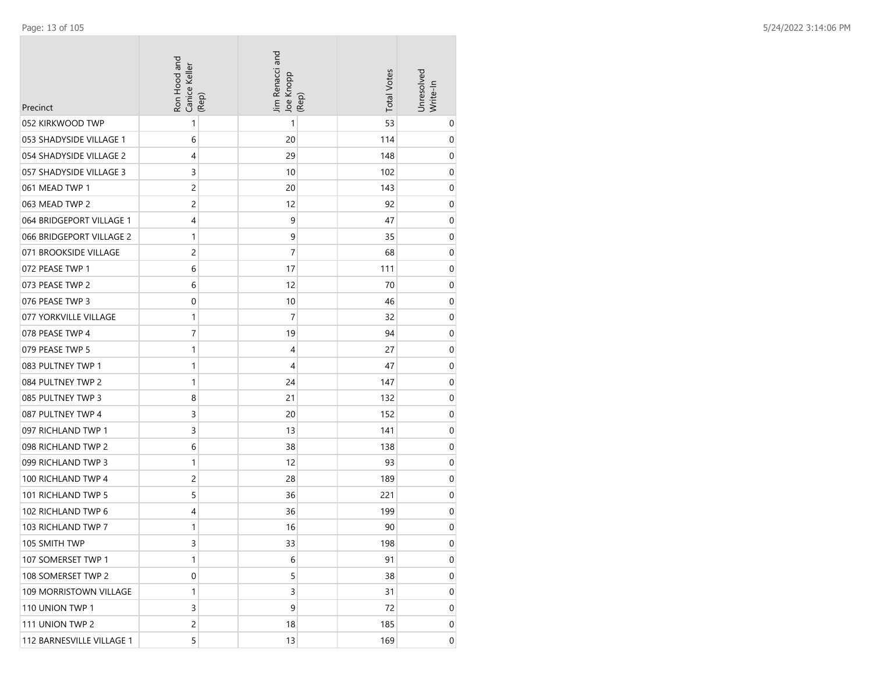| Precinct                  | Ron Hood and<br>Canice Keller<br>(Rep) | Jim Renacci and<br>Joe Knopp | (Rep) | <b>Total Votes</b> | Unresolved<br>Write-In |
|---------------------------|----------------------------------------|------------------------------|-------|--------------------|------------------------|
| 052 KIRKWOOD TWP          | 1                                      | 1                            |       | 53                 | 0                      |
| 053 SHADYSIDE VILLAGE 1   | 6                                      | 20                           |       | 114                | 0                      |
| 054 SHADYSIDE VILLAGE 2   | 4                                      | 29                           |       | 148                | 0                      |
| 057 SHADYSIDE VILLAGE 3   | 3                                      | 10                           |       | 102                | 0                      |
| 061 MEAD TWP 1            | 2                                      | 20                           |       | 143                | 0                      |
| 063 MEAD TWP 2            | 2                                      | 12                           |       | 92                 | 0                      |
| 064 BRIDGEPORT VILLAGE 1  | 4                                      | 9                            |       | 47                 | 0                      |
| 066 BRIDGEPORT VILLAGE 2  | 1                                      | 9                            |       | 35                 | 0                      |
| 071 BROOKSIDE VILLAGE     | 2                                      | 7                            |       | 68                 | 0                      |
| 072 PEASE TWP 1           | 6                                      | 17                           |       | 111                | 0                      |
| 073 PEASE TWP 2           | 6                                      | 12                           |       | 70                 | 0                      |
| 076 PEASE TWP 3           | 0                                      | 10                           |       | 46                 | 0                      |
| 077 YORKVILLE VILLAGE     | 1                                      | $\overline{7}$               |       | 32                 | 0                      |
| 078 PEASE TWP 4           | 7                                      | 19                           |       | 94                 | 0                      |
| 079 PEASE TWP 5           | 1                                      | 4                            |       | 27                 | 0                      |
| 083 PULTNEY TWP 1         | 1                                      | 4                            |       | 47                 | 0                      |
| 084 PULTNEY TWP 2         | 1                                      | 24                           |       | 147                | 0                      |
| 085 PULTNEY TWP 3         | 8                                      | 21                           |       | 132                | 0                      |
| 087 PULTNEY TWP 4         | 3                                      | 20                           |       | 152                | 0                      |
| 097 RICHLAND TWP 1        | 3                                      | 13                           |       | 141                | 0                      |
| 098 RICHLAND TWP 2        | 6                                      | 38                           |       | 138                | 0                      |
| 099 RICHLAND TWP 3        | 1                                      | 12                           |       | 93                 | 0                      |
| 100 RICHLAND TWP 4        | 2                                      | 28                           |       | 189                | 0                      |
| 101 RICHLAND TWP 5        | 5                                      | 36                           |       | 221                | 0                      |
| 102 RICHLAND TWP 6        | 4                                      | 36                           |       | 199                | 0                      |
| 103 RICHLAND TWP 7        | 1                                      | 16                           |       | 90                 | 0                      |
| 105 SMITH TWP             | 3                                      | 33                           |       | 198                | 0                      |
| 107 SOMERSET TWP 1        | 1                                      | 6                            |       | 91                 | 0                      |
| 108 SOMERSET TWP 2        | 0                                      | 5                            |       | 38                 | 0                      |
| 109 MORRISTOWN VILLAGE    | 1                                      | 3                            |       | 31                 | 0                      |
| 110 UNION TWP 1           | 3                                      | 9                            |       | 72                 | 0                      |
| 111 UNION TWP 2           | 2                                      | 18                           |       | 185                | 0                      |
| 112 BARNESVILLE VILLAGE 1 | 5                                      | 13                           |       | 169                | 0                      |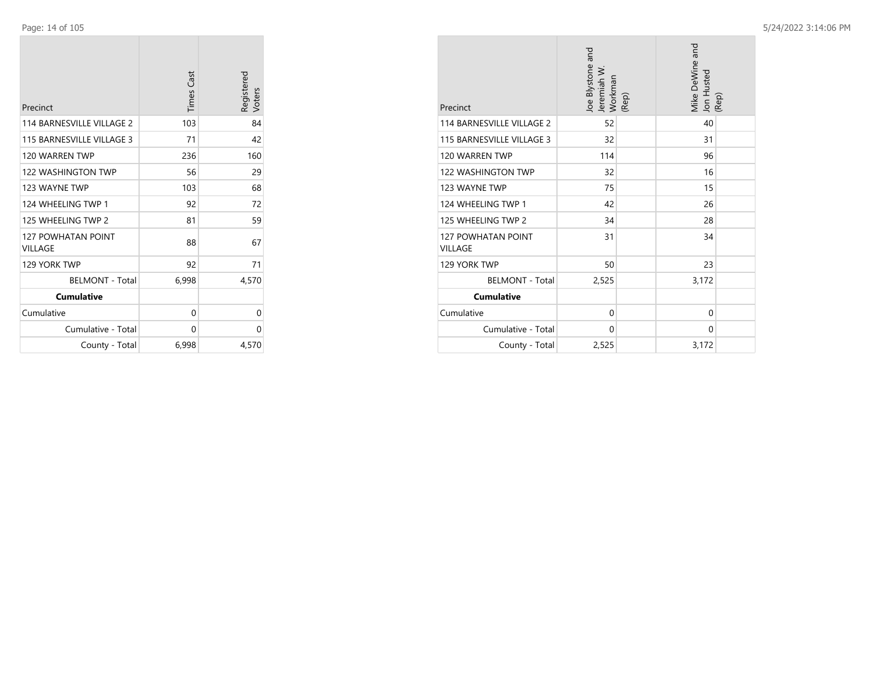$\sim$ 

| Precinct                             | <b>Times Cast</b> | Registered<br>Voters |
|--------------------------------------|-------------------|----------------------|
| 114 BARNESVILLE VILLAGE 2            | 103               | 84                   |
| 115 BARNESVILLE VILLAGE 3            | 71                | 42                   |
| 120 WARREN TWP                       | 236               | 160                  |
| <b>122 WASHINGTON TWP</b>            | 56                | 29                   |
| 123 WAYNE TWP                        | 103               | 68                   |
| 124 WHEELING TWP 1                   | 92                | 72                   |
| 125 WHEELING TWP 2                   | 81                | 59                   |
| <b>127 POWHATAN POINT</b><br>VILLAGE | 88                | 67                   |
| 129 YORK TWP                         | 92                | 71                   |
| <b>BELMONT - Total</b>               | 6,998             | 4,570                |
| <b>Cumulative</b>                    |                   |                      |
| Cumulative                           | 0                 | 0                    |
| Cumulative - Total                   | 0                 | 0                    |
| County - Total                       | 6,998             | 4,570                |

| Precinct                                    | loe Blystone and<br>Jeremiah W<br>Workman<br>(Rep) | Mike DeWine and<br>Jon Husted<br>(Rep) |
|---------------------------------------------|----------------------------------------------------|----------------------------------------|
| 114 BARNESVILLE VILLAGE 2                   | 52                                                 | 40                                     |
| 115 BARNESVILLE VILLAGE 3                   | 32                                                 | 31                                     |
| 120 WARREN TWP                              | 114                                                | 96                                     |
| 122 WASHINGTON TWP                          | 32                                                 | 16                                     |
| 123 WAYNE TWP                               | 75                                                 | 15                                     |
| 124 WHEELING TWP 1                          | 42                                                 | 26                                     |
| 125 WHEELING TWP 2                          | 34                                                 | 28                                     |
| <b>127 POWHATAN POINT</b><br><b>VILLAGE</b> | 31                                                 | 34                                     |
| 129 YORK TWP                                | 50                                                 | 23                                     |
| <b>BELMONT - Total</b>                      | 2,525                                              | 3,172                                  |
| <b>Cumulative</b>                           |                                                    |                                        |
| Cumulative                                  | $\mathbf{0}$                                       | $\mathbf{0}$                           |
| Cumulative - Total                          | $\Omega$                                           | 0                                      |
| County - Total                              | 2,525                                              | 3,172                                  |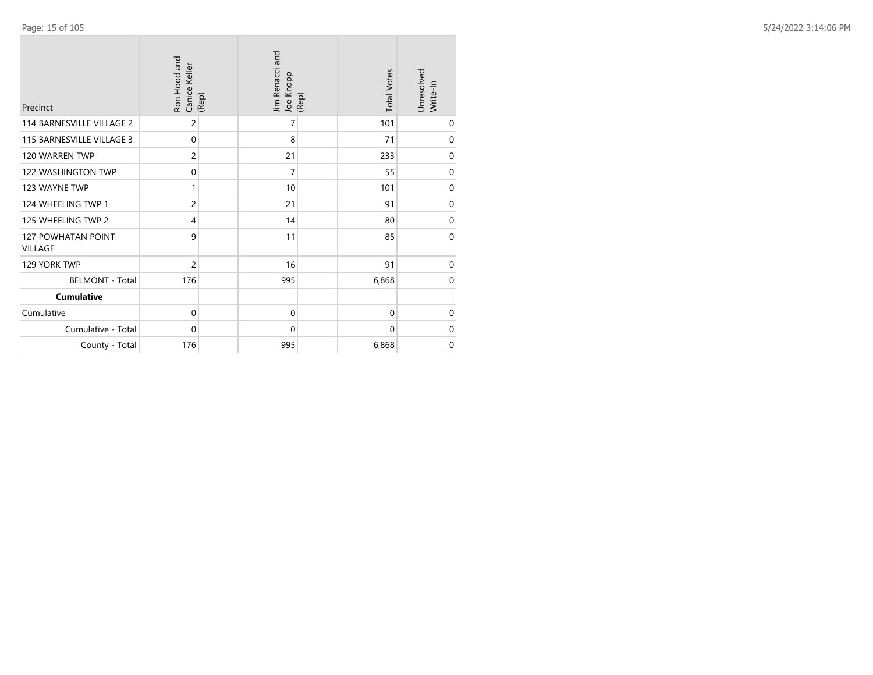| Precinct                                    | Ron Hood and<br>Canice Keller<br>(Rep) | Jim Renacci and<br>Joe Knopp<br>(Rep) | <b>Total Votes</b> | Unresolved<br>Write-In |
|---------------------------------------------|----------------------------------------|---------------------------------------|--------------------|------------------------|
| 114 BARNESVILLE VILLAGE 2                   | $\overline{c}$                         | 7                                     | 101                | 0                      |
| 115 BARNESVILLE VILLAGE 3                   | $\Omega$                               | 8                                     | 71                 | $\mathbf 0$            |
| 120 WARREN TWP                              | $\overline{c}$                         | 21                                    | 233                | $\mathbf 0$            |
| 122 WASHINGTON TWP                          | 0                                      | $\overline{7}$                        | 55                 | $\mathbf 0$            |
| 123 WAYNE TWP                               | 1                                      | 10                                    | 101                | $\mbox{O}$             |
| 124 WHEELING TWP 1                          | $\overline{c}$                         | 21                                    | 91                 | $\pmb{0}$              |
| 125 WHEELING TWP 2                          | 4                                      | 14                                    | 80                 | $\boldsymbol{0}$       |
| <b>127 POWHATAN POINT</b><br><b>VILLAGE</b> | 9                                      | 11                                    | 85                 | $\mathbf 0$            |
| 129 YORK TWP                                | 2                                      | 16                                    | 91                 | $\mathbf 0$            |
| <b>BELMONT - Total</b>                      | 176                                    | 995                                   | 6,868              | $\boldsymbol{0}$       |
| <b>Cumulative</b>                           |                                        |                                       |                    |                        |
| Cumulative                                  | $\mathbf 0$                            | $\mathbf 0$                           | 0                  | $\mathbf 0$            |
| Cumulative - Total                          | 0                                      | $\mathbf 0$                           | 0                  | $\mathbf 0$            |
| County - Total                              | 176                                    | 995                                   | 6,868              | $\mathbf 0$            |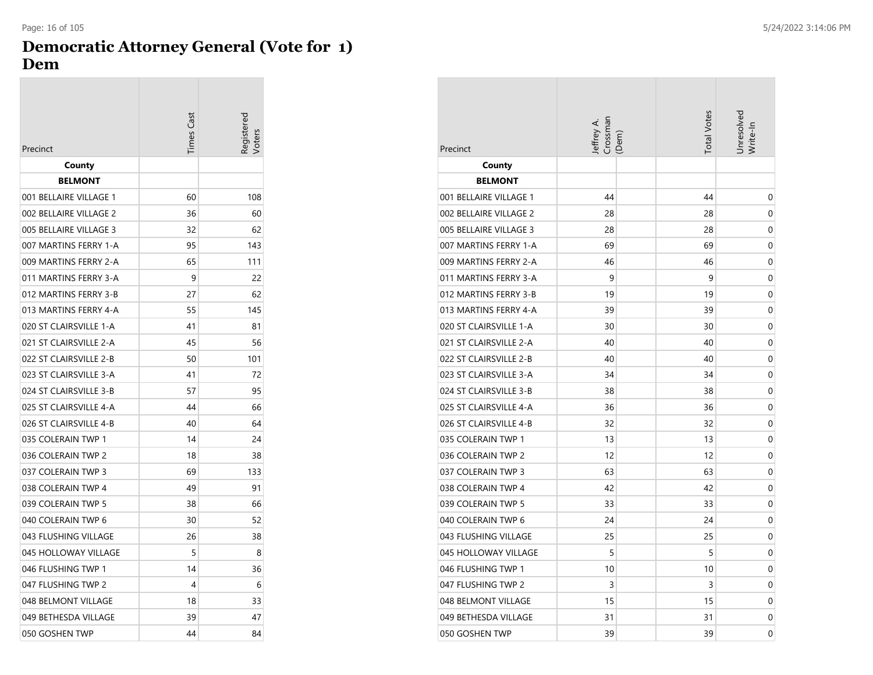## **Democratic Attorney General (Vote for 1) Dem**

| Precinct               | <b>Times Cast</b> | Registered |
|------------------------|-------------------|------------|
| County                 |                   |            |
| <b>BELMONT</b>         |                   |            |
| 001 BELLAIRE VILLAGE 1 | 60                | 108        |
| 002 BELLAIRE VILLAGE 2 | 36                | 60         |
| 005 BELLAIRE VILLAGE 3 | 32                | 62         |
| 007 MARTINS FERRY 1-A  | 95                | 143        |
| 009 MARTINS FERRY 2-A  | 65                | 111        |
| 011 MARTINS FERRY 3-A  | 9                 | 22         |
| 012 MARTINS FERRY 3-B  | 27                | 62         |
| 013 MARTINS FERRY 4-A  | 55                | 145        |
| 020 ST CLAIRSVILLE 1-A | 41                | 81         |
| 021 ST CLAIRSVILLE 2-A | 45                | 56         |
| 022 ST CLAIRSVILLE 2-B | 50                | 101        |
| 023 ST CLAIRSVILLE 3-A | 41                | 72         |
| 024 ST CLAIRSVILLE 3-B | 57                | 95         |
| 025 ST CLAIRSVILLE 4-A | 44                | 66         |
| 026 ST CLAIRSVILLE 4-B | 40                | 64         |
| 035 COLERAIN TWP 1     | 14                | 24         |
| 036 COLERAIN TWP 2     | 18                | 38         |
| 037 COLERAIN TWP 3     | 69                | 133        |
| 038 COLERAIN TWP 4     | 49                | 91         |
| 039 COLERAIN TWP 5     | 38                | 66         |
| 040 COLERAIN TWP 6     | 30                | 52         |
| 043 FLUSHING VILLAGE   | 26                | 38         |
| 045 HOLLOWAY VILLAGE   | 5                 | 8          |
| 046 FLUSHING TWP 1     | 14                | 36         |
| 047 FLUSHING TWP 2     | 4                 | 6          |
| 048 BELMONT VILLAGE    | 18                | 33         |
| 049 BETHESDA VILLAGE   | 39                | 47         |
| 050 GOSHEN TWP         | 44                | 84         |

| Precinct               | Jeffrey A.<br>Crossman<br>(Dem) | <b>Total Votes</b> | Jnresolved<br>Write-In |
|------------------------|---------------------------------|--------------------|------------------------|
| County                 |                                 |                    |                        |
| <b>BELMONT</b>         |                                 |                    |                        |
| 001 BELLAIRE VILLAGE 1 | 44                              | 44                 | 0                      |
| 002 BELLAIRE VILLAGE 2 | 28                              | 28                 | 0                      |
| 005 BELLAIRE VILLAGE 3 | 28                              | 28                 | 0                      |
| 007 MARTINS FERRY 1-A  | 69                              | 69                 | 0                      |
| 009 MARTINS FERRY 2-A  | 46                              | 46                 | 0                      |
| 011 MARTINS FERRY 3-A  | 9                               | 9                  | 0                      |
| 012 MARTINS FERRY 3-B  | 19                              | 19                 | 0                      |
| 013 MARTINS FERRY 4-A  | 39                              | 39                 | 0                      |
| 020 ST CLAIRSVILLE 1-A | 30                              | 30                 | 0                      |
| 021 ST CLAIRSVILLE 2-A | 40                              | 40                 | 0                      |
| 022 ST CLAIRSVILLE 2-B | 40                              | 40                 | 0                      |
| 023 ST CLAIRSVILLE 3-A | 34                              | 34                 | 0                      |
| 024 ST CLAIRSVILLE 3-B | 38                              | 38                 | 0                      |
| 025 ST CLAIRSVILLE 4-A | 36                              | 36                 | 0                      |
| 026 ST CLAIRSVILLE 4-B | 32                              | 32                 | 0                      |
| 035 COLERAIN TWP 1     | 13                              | 13                 | 0                      |
| 036 COLERAIN TWP 2     | 12                              | 12                 | 0                      |
| 037 COLERAIN TWP 3     | 63                              | 63                 | 0                      |
| 038 COLERAIN TWP 4     | 42                              | 42                 | 0                      |
| 039 COLERAIN TWP 5     | 33                              | 33                 | 0                      |
| 040 COLERAIN TWP 6     | 24                              | 24                 | 0                      |
| 043 FLUSHING VILLAGE   | 25                              | 25                 | 0                      |
| 045 HOLLOWAY VILLAGE   | 5                               | 5                  | 0                      |
| 046 FLUSHING TWP 1     | 10                              | 10                 | 0                      |
| 047 FLUSHING TWP 2     | 3                               | 3                  | 0                      |
| 048 BELMONT VILLAGE    | 15                              | 15                 | 0                      |
| 049 BETHESDA VILLAGE   | 31                              | 31                 | 0                      |
| 050 GOSHEN TWP         | 39                              | 39                 | 0                      |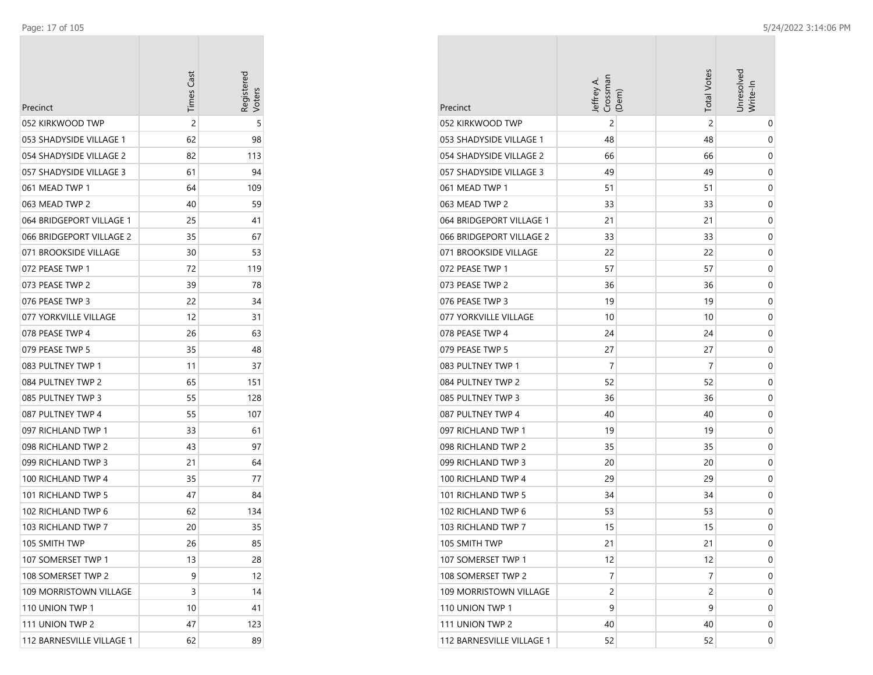$\overline{\phantom{a}}$ 

|                           | <b>Times Cast</b> | Registerec |
|---------------------------|-------------------|------------|
| Precinct                  |                   |            |
| 052 KIRKWOOD TWP          | 2                 | 5          |
| 053 SHADYSIDE VILLAGE 1   | 62                | 98         |
| 054 SHADYSIDE VILLAGE 2   | 82                | 113        |
| 057 SHADYSIDE VILLAGE 3   | 61                | 94         |
| 061 MEAD TWP 1            | 64                | 109        |
| 063 MEAD TWP 2            | 40                | 59         |
| 064 BRIDGEPORT VILLAGE 1  | 25                | 41         |
| 066 BRIDGEPORT VILLAGE 2  | 35                | 67         |
| 071 BROOKSIDE VILLAGE     | 30                | 53         |
| 072 PEASE TWP 1           | 72                | 119        |
| 073 PEASE TWP 2           | 39                | 78         |
| 076 PEASE TWP 3           | 22                | 34         |
| 077 YORKVILLE VILLAGE     | 12                | 31         |
| 078 PEASE TWP 4           | 26                | 63         |
| 079 PEASE TWP 5           | 35                | 48         |
| 083 PULTNEY TWP 1         | 11                | 37         |
| 084 PULTNEY TWP 2         | 65                | 151        |
| 085 PULTNEY TWP 3         | 55                | 128        |
| 087 PULTNEY TWP 4         | 55                | 107        |
| 097 RICHLAND TWP 1        | 33                | 61         |
| 098 RICHLAND TWP 2        | 43                | 97         |
| 099 RICHLAND TWP 3        | 21                | 64         |
| 100 RICHLAND TWP 4        | 35                | 77         |
| 101 RICHLAND TWP 5        | 47                | 84         |
| 102 RICHLAND TWP 6        | 62                | 134        |
| 103 RICHLAND TWP 7        | 20                | 35         |
| 105 SMITH TWP             | 26                | 85         |
| 107 SOMERSET TWP 1        | 13                | 28         |
| 108 SOMERSET TWP 2        | 9                 | 12         |
| 109 MORRISTOWN VILLAGE    | 3                 | 14         |
| 110 UNION TWP 1           | 10                | 41         |
| 111 UNION TWP 2           | 47                | 123        |
| 112 BARNESVILLE VILLAGE 1 | 62                | 89         |

|                                           | Crossman<br>Jeffrey A<br>(Dem) | <b>Total Votes</b> | Unresolved<br>Write-In |
|-------------------------------------------|--------------------------------|--------------------|------------------------|
| Precinct<br>052 KIRKWOOD TWP              | 2                              | 2                  |                        |
| 053 SHADYSIDE VILLAGE 1                   | 48                             | 48                 | 0<br>0                 |
| 054 SHADYSIDE VILLAGE 2                   | 66                             | 66                 | 0                      |
| 057 SHADYSIDE VILLAGE 3                   | 49                             | 49                 | 0                      |
| 061 MEAD TWP 1                            | 51                             | 51                 | 0                      |
| 063 MEAD TWP 2                            | 33                             | 33                 | 0                      |
| 064 BRIDGEPORT VILLAGE 1                  | 21                             | 21                 | 0                      |
| 066 BRIDGEPORT VILLAGE 2                  | 33                             | 33                 |                        |
| 071 BROOKSIDE VILLAGE                     | 22                             | 22                 | 0<br>0                 |
| 072 PEASE TWP 1                           |                                |                    |                        |
| 073 PEASE TWP 2                           | 57                             | 57                 | 0                      |
| 076 PEASE TWP 3                           | 36                             | 36                 | 0                      |
|                                           | 19<br>10                       | 19<br>10           | 0                      |
| 077 YORKVILLE VILLAGE<br>078 PEASE TWP 4  | 24                             | 24                 | 0                      |
| 079 PEASE TWP 5                           | 27                             | 27                 | 0<br>0                 |
| 083 PULTNEY TWP 1                         | 7                              | 7                  |                        |
| 084 PULTNEY TWP 2                         | 52                             | 52                 | 0                      |
| 085 PULTNEY TWP 3                         | 36                             |                    | 0                      |
| 087 PULTNEY TWP 4                         |                                | 36                 | 0                      |
| 097 RICHLAND TWP 1                        | 40<br>19                       | 40<br>19           | 0<br>0                 |
| 098 RICHLAND TWP 2                        | 35                             |                    |                        |
|                                           |                                | 35                 | 0                      |
| 099 RICHLAND TWP 3<br>100 RICHLAND TWP 4  | 20<br>29                       | 20<br>29           | 0                      |
| 101 RICHLAND TWP 5                        | 34                             | 34                 | 0                      |
|                                           |                                |                    | 0                      |
| 102 RICHLAND TWP 6<br>103 RICHLAND TWP 7  | 53<br>15                       | 53<br>15           | 0                      |
| 105 SMITH TWP                             | 21                             | 21                 | 0                      |
|                                           | 12                             | 12                 | 0                      |
| 107 SOMERSET TWP 1                        | 7                              | 7                  | 0                      |
| 108 SOMERSET TWP 2                        | $\overline{c}$                 |                    | 0                      |
| 109 MORRISTOWN VILLAGE<br>110 UNION TWP 1 | 9                              | 2<br>9             | 0                      |
| 111 UNION TWP 2                           | 40                             | 40                 | 0                      |
| 112 BARNESVILLE VILLAGE 1                 | 52                             | 52                 | 0<br>0                 |
|                                           |                                |                    |                        |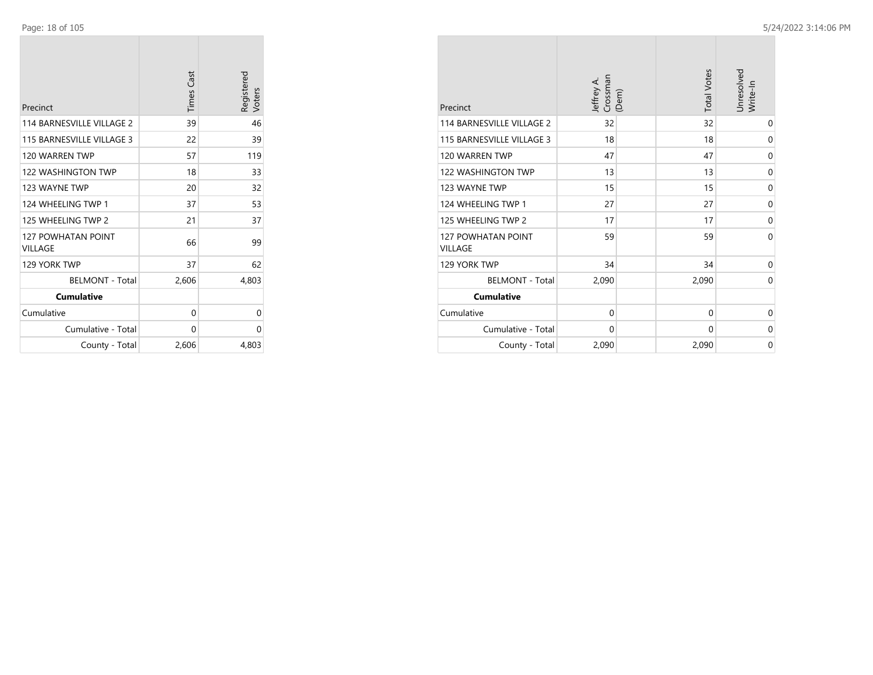| Precinct                                    | <b>Times Cast</b> | Registered<br>Voters |
|---------------------------------------------|-------------------|----------------------|
| 114 BARNESVILLE VILLAGE 2                   | 39                | 46                   |
| 115 BARNESVILLE VILLAGE 3                   | 22                | 39                   |
| 120 WARREN TWP                              | 57                | 119                  |
| <b>122 WASHINGTON TWP</b>                   | 18                | 33                   |
| 123 WAYNE TWP                               | 20                | 32                   |
| 124 WHEELING TWP 1                          | 37                | 53                   |
| 125 WHEELING TWP 2                          | 21                | 37                   |
| <b>127 POWHATAN POINT</b><br><b>VILLAGE</b> | 66                | 99                   |
| 129 YORK TWP                                | 37                | 62                   |
| <b>BELMONT - Total</b>                      | 2,606             | 4,803                |
| <b>Cumulative</b>                           |                   |                      |
| Cumulative                                  | 0                 | 0                    |
| Cumulative - Total                          | 0                 | 0                    |
| County - Total                              | 2,606             | 4,803                |

| Precinct                                    | Crossman<br>Jeffrey A.<br>(Dem) | <b>Total Votes</b> | Unresolved<br>Write-In |
|---------------------------------------------|---------------------------------|--------------------|------------------------|
| 114 BARNESVILLE VILLAGE 2                   | 32                              | 32                 | $\mathbf 0$            |
| 115 BARNESVILLE VILLAGE 3                   | 18                              | 18                 | 0                      |
| 120 WARREN TWP                              | 47                              | 47                 | 0                      |
| 122 WASHINGTON TWP                          | 13                              | 13                 | 0                      |
| 123 WAYNE TWP                               | 15                              | 15                 | 0                      |
| 124 WHEELING TWP 1                          | 27                              | 27                 | 0                      |
| 125 WHEELING TWP 2                          | 17                              | 17                 | $\Omega$               |
| <b>127 POWHATAN POINT</b><br><b>VILLAGE</b> | 59                              | 59                 | $\Omega$               |
| 129 YORK TWP                                | 34                              | 34                 | 0                      |
| <b>BELMONT - Total</b>                      | 2,090                           | 2,090              | 0                      |
| <b>Cumulative</b>                           |                                 |                    |                        |
| Cumulative                                  | $\mathbf 0$                     | $\Omega$           | 0                      |
| Cumulative - Total                          | $\Omega$                        | $\Omega$           | $\Omega$               |
| County - Total                              | 2,090                           | 2,090              | $\Omega$               |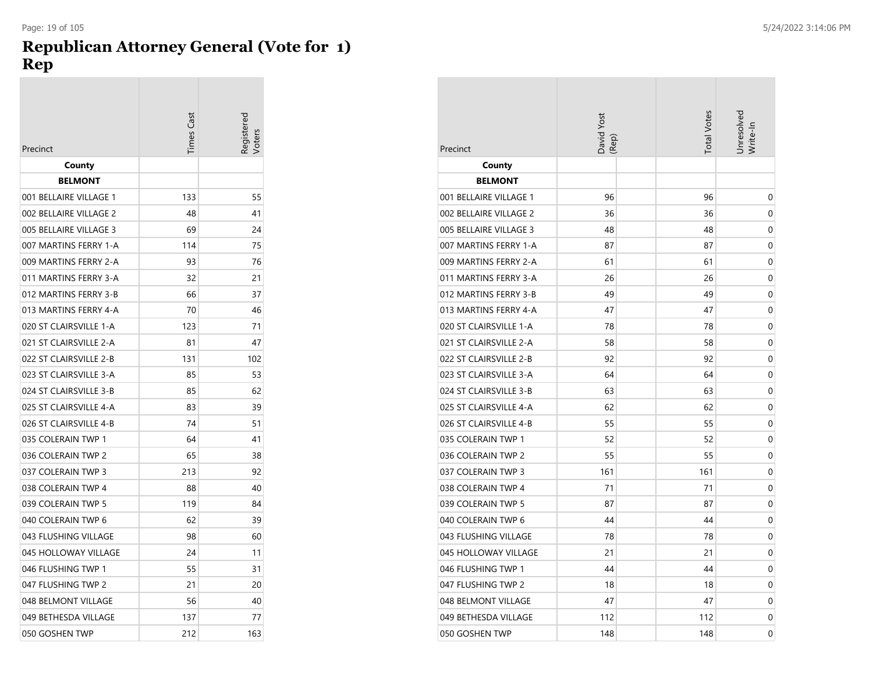### **Republican Attorney General (Vote for 1) Rep**

| Precinct               | Times Cas | Registered<br>/oters |
|------------------------|-----------|----------------------|
| County                 |           |                      |
| <b>BELMONT</b>         |           |                      |
| 001 BELLAIRE VILLAGE 1 | 133       | 55                   |
| 002 BELLAIRE VILLAGE 2 | 48        | 41                   |
| 005 BELLAIRE VILLAGE 3 | 69        | 24                   |
| 007 MARTINS FERRY 1-A  | 114       | 75                   |
| 009 MARTINS FERRY 2-A  | 93        | 76                   |
| 011 MARTINS FERRY 3-A  | 32        | 21                   |
| 012 MARTINS FERRY 3-B  | 66        | 37                   |
| 013 MARTINS FERRY 4-A  | 70        | 46                   |
| 020 ST CLAIRSVILLE 1-A | 123       | 71                   |
| 021 ST CLAIRSVILLE 2-A | 81        | 47                   |
| 022 ST CLAIRSVILLE 2-B | 131       | 102                  |
| 023 ST CLAIRSVILLE 3-A | 85        | 53                   |
| 024 ST CLAIRSVILLE 3-B | 85        | 62                   |
| 025 ST CLAIRSVILLE 4-A | 83        | 39                   |
| 026 ST CLAIRSVILLE 4-B | 74        | 51                   |
| 035 COLERAIN TWP 1     | 64        | 41                   |
| 036 COLERAIN TWP 2     | 65        | 38                   |
| 037 COLERAIN TWP 3     | 213       | 92                   |
| 038 COLERAIN TWP 4     | 88        | 40                   |
| 039 COLERAIN TWP 5     | 119       | 84                   |
| 040 COLERAIN TWP 6     | 62        | 39                   |
| 043 FLUSHING VILLAGE   | 98        | 60                   |
| 045 HOLLOWAY VILLAGE   | 24        | 11                   |
| 046 FLUSHING TWP 1     | 55        | 31                   |
| 047 FLUSHING TWP 2     | 21        | 20                   |
| 048 BELMONT VILLAGE    | 56        | 40                   |
| 049 BETHESDA VILLAGE   | 137       | 77                   |
| 050 GOSHEN TWP         | 212       | 163                  |

| Precinct               | David Yost<br>(Rep) |  | <b>Total Votes</b> | Jnresolvea<br>Write-In |
|------------------------|---------------------|--|--------------------|------------------------|
| County                 |                     |  |                    |                        |
| <b>BELMONT</b>         |                     |  |                    |                        |
| 001 BELLAIRE VILLAGE 1 | 96                  |  | 96                 | 0                      |
| 002 BELLAIRE VILLAGE 2 | 36                  |  | 36                 | 0                      |
| 005 BELLAIRE VILLAGE 3 | 48                  |  | 48                 | 0                      |
| 007 MARTINS FERRY 1-A  | 87                  |  | 87                 | 0                      |
| 009 MARTINS FERRY 2-A  | 61                  |  | 61                 | 0                      |
| 011 MARTINS FERRY 3-A  | 26                  |  | 26                 | 0                      |
| 012 MARTINS FERRY 3-B  | 49                  |  | 49                 | 0                      |
| 013 MARTINS FERRY 4-A  | 47                  |  | 47                 | 0                      |
| 020 ST CLAIRSVILLE 1-A | 78                  |  | 78                 | 0                      |
| 021 ST CLAIRSVILLE 2-A | 58                  |  | 58                 | 0                      |
| 022 ST CLAIRSVILLE 2-B | 92                  |  | 92                 | 0                      |
| 023 ST CLAIRSVILLE 3-A | 64                  |  | 64                 | 0                      |
| 024 ST CLAIRSVILLE 3-B | 63                  |  | 63                 | 0                      |
| 025 ST CLAIRSVILLE 4-A | 62                  |  | 62                 | 0                      |
| 026 ST CLAIRSVILLE 4-B | 55                  |  | 55                 | 0                      |
| 035 COLERAIN TWP 1     | 52                  |  | 52                 | 0                      |
| 036 COLERAIN TWP 2     | 55                  |  | 55                 | 0                      |
| 037 COLERAIN TWP 3     | 161                 |  | 161                | 0                      |
| 038 COLERAIN TWP 4     | 71                  |  | 71                 | 0                      |
| 039 COLERAIN TWP 5     | 87                  |  | 87                 | 0                      |
| 040 COLERAIN TWP 6     | 44                  |  | 44                 | 0                      |
| 043 FLUSHING VILLAGE   | 78                  |  | 78                 | 0                      |
| 045 HOLLOWAY VILLAGE   | 21                  |  | 21                 | 0                      |
| 046 FLUSHING TWP 1     | 44                  |  | 44                 | 0                      |
| 047 FLUSHING TWP 2     | 18                  |  | 18                 | 0                      |
| 048 BELMONT VILLAGE    | 47                  |  | 47                 | 0                      |
| 049 BETHESDA VILLAGE   | 112                 |  | 112                | 0                      |
| 050 GOSHEN TWP         | 148                 |  | 148                | 0                      |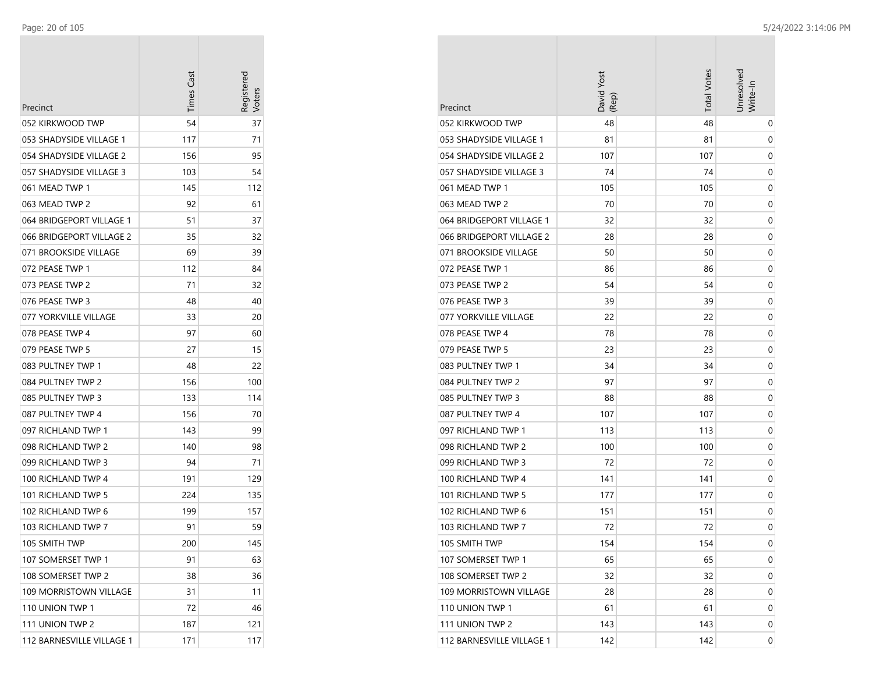| Precinct                  | Times Cast | Registered<br>Voters |
|---------------------------|------------|----------------------|
| 052 KIRKWOOD TWP          | 54         | 37                   |
| 053 SHADYSIDE VILLAGE 1   | 117        | 71                   |
| 054 SHADYSIDE VILLAGE 2   | 156        | 95                   |
| 057 SHADYSIDE VILLAGE 3   | 103        | 54                   |
| 061 MEAD TWP 1            | 145        | 112                  |
| 063 MEAD TWP 2            | 92         | 61                   |
| 064 BRIDGEPORT VILLAGE 1  | 51         | 37                   |
| 066 BRIDGEPORT VILLAGE 2  | 35         | 32                   |
| 071 BROOKSIDE VILLAGE     | 69         | 39                   |
| 072 PEASE TWP 1           | 112        | 84                   |
| 073 PEASE TWP 2           | 71         | 32                   |
| 076 PEASE TWP 3           | 48         | 40                   |
| 077 YORKVILLE VILLAGE     | 33         | 20                   |
| 078 PEASE TWP 4           | 97         | 60                   |
| 079 PEASE TWP 5           | 27         | 15                   |
| 083 PULTNEY TWP 1         | 48         | 22                   |
| 084 PULTNEY TWP 2         | 156        | 100                  |
| 085 PULTNEY TWP 3         | 133        | 114                  |
| 087 PULTNEY TWP 4         | 156        | 70                   |
| 097 RICHLAND TWP 1        | 143        | 99                   |
| 098 RICHLAND TWP 2        | 140        | 98                   |
| 099 RICHLAND TWP 3        | 94         | 71                   |
| 100 RICHLAND TWP 4        | 191        | 129                  |
| 101 RICHLAND TWP 5        | 224        | 135                  |
| 102 RICHLAND TWP 6        | 199        | 157                  |
| 103 RICHLAND TWP 7        | 91         | 59                   |
| 105 SMITH TWP             | 200        | 145                  |
| 107 SOMERSET TWP 1        | 91         | 63                   |
| 108 SOMERSET TWP 2        | 38         | 36                   |
| 109 MORRISTOWN VILLAGE    | 31         | 11                   |
| 110 UNION TWP 1           | 72         | 46                   |
| 111 UNION TWP 2           | 187        | 121                  |
| 112 BARNESVILLE VILLAGE 1 | 171        | 117                  |

|                           | David Yost<br>(Rep) | <b>Total Votes</b> | Unresolved<br>Write-In |
|---------------------------|---------------------|--------------------|------------------------|
| Precinct                  |                     |                    |                        |
| 052 KIRKWOOD TWP          | 48                  | 48                 | 0                      |
| 053 SHADYSIDE VILLAGE 1   | 81                  | 81                 | 0                      |
| 054 SHADYSIDE VILLAGE 2   | 107                 | 107                | 0                      |
| 057 SHADYSIDE VILLAGE 3   | 74                  | 74                 | 0                      |
| 061 MEAD TWP 1            | 105                 | 105                | 0                      |
| 063 MEAD TWP 2            | 70                  | 70                 | 0                      |
| 064 BRIDGEPORT VILLAGE 1  | 32                  | 32                 | 0                      |
| 066 BRIDGEPORT VILLAGE 2  | 28                  | 28                 | 0                      |
| 071 BROOKSIDE VILLAGE     | 50                  | 50                 | 0                      |
| 072 PEASE TWP 1           | 86                  | 86                 | 0                      |
| 073 PEASE TWP 2           | 54                  | 54                 | 0                      |
| 076 PEASE TWP 3           | 39                  | 39                 | 0                      |
| 077 YORKVILLE VILLAGE     | 22                  | 22                 | 0                      |
| 078 PEASE TWP 4           | 78                  | 78                 | 0                      |
| 079 PEASE TWP 5           | 23                  | 23                 | 0                      |
| 083 PULTNEY TWP 1         | 34                  | 34                 | 0                      |
| 084 PULTNEY TWP 2         | 97                  | 97                 | 0                      |
| 085 PULTNEY TWP 3         | 88                  | 88                 | 0                      |
| 087 PULTNEY TWP 4         | 107                 | 107                | 0                      |
| 097 RICHLAND TWP 1        | 113                 | 113                | 0                      |
| 098 RICHLAND TWP 2        | 100                 | 100                | 0                      |
| 099 RICHLAND TWP 3        | 72                  | 72                 | 0                      |
| 100 RICHLAND TWP 4        | 141                 | 141                | 0                      |
| 101 RICHLAND TWP 5        | 177                 | 177                | 0                      |
| 102 RICHLAND TWP 6        | 151                 | 151                | 0                      |
| 103 RICHLAND TWP 7        | 72                  | 72                 | 0                      |
| 105 SMITH TWP             | 154                 | 154                | 0                      |
| 107 SOMERSET TWP 1        | 65                  | 65                 | 0                      |
| 108 SOMERSET TWP 2        | 32                  | 32                 | 0                      |
| 109 MORRISTOWN VILLAGE    | 28                  | 28                 | 0                      |
| 110 UNION TWP 1           | 61                  | 61                 | 0                      |
| 111 UNION TWP 2           | 143                 | 143                | 0                      |
| 112 BARNESVILLE VILLAGE 1 | 142                 | 142                | 0                      |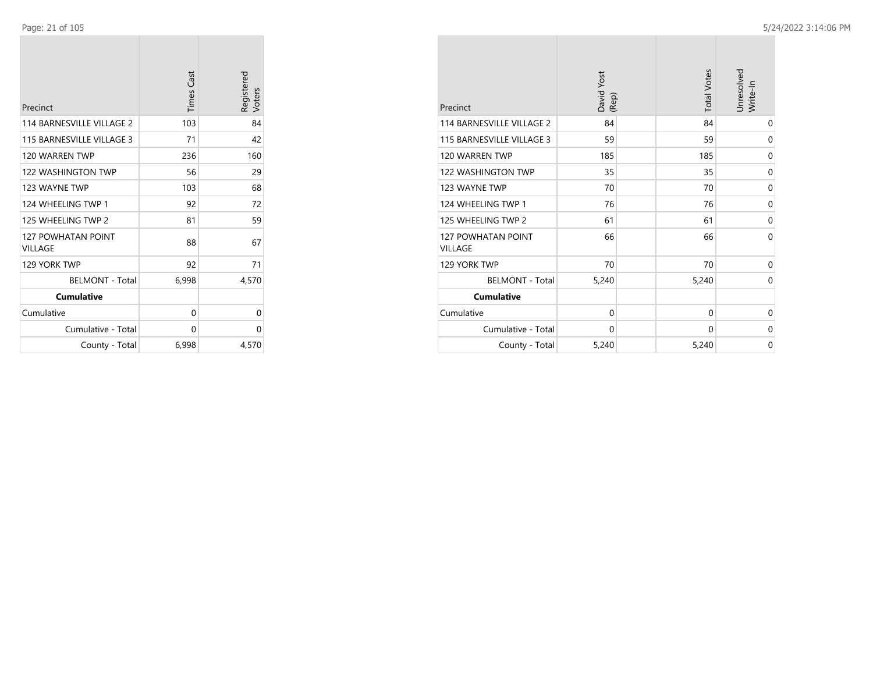| Precinct                                    | <b>Times Cast</b> | Registered<br>Voters |
|---------------------------------------------|-------------------|----------------------|
| 114 BARNESVILLE VILLAGE 2                   | 103               | 84                   |
| 115 BARNESVILLE VILLAGE 3                   | 71                | 42                   |
| 120 WARREN TWP                              | 236               | 160                  |
| <b>122 WASHINGTON TWP</b>                   | 56                | 29                   |
| 123 WAYNE TWP                               | 103               | 68                   |
| 124 WHEELING TWP 1                          | 92                | 72                   |
| 125 WHEELING TWP 2                          | 81                | 59                   |
| <b>127 POWHATAN POINT</b><br><b>VILLAGE</b> | 88                | 67                   |
| 129 YORK TWP                                | 92                | 71                   |
| <b>BELMONT - Total</b>                      | 6,998             | 4,570                |
| <b>Cumulative</b>                           |                   |                      |
| Cumulative                                  | 0                 | 0                    |
| Cumulative - Total                          | 0                 | 0                    |
| County - Total                              | 6,998             | 4,570                |

| Precinct                                    | David Yost<br>(Rep) | <b>Total Votes</b> | Unresolved<br>Write-In |
|---------------------------------------------|---------------------|--------------------|------------------------|
| 114 BARNESVILLE VILLAGE 2                   | 84                  | 84                 | 0                      |
| 115 BARNESVILLE VILLAGE 3                   | 59                  | 59                 | 0                      |
| 120 WARREN TWP                              | 185                 | 185                | 0                      |
| <b>122 WASHINGTON TWP</b>                   | 35                  | 35                 | $\mathbf 0$            |
| 123 WAYNE TWP                               | 70                  | 70                 | $\mathbf 0$            |
| 124 WHEELING TWP 1                          | 76                  | 76                 | 0                      |
| 125 WHEELING TWP 2                          | 61                  | 61                 | 0                      |
| <b>127 POWHATAN POINT</b><br><b>VILLAGE</b> | 66                  | 66                 | $\Omega$               |
| 129 YORK TWP                                | 70                  | 70                 | $\mathbf 0$            |
| <b>BELMONT - Total</b>                      | 5,240               | 5,240              | $\mathbf 0$            |
| <b>Cumulative</b>                           |                     |                    |                        |
| Cumulative                                  | $\mathbf 0$         | $\mathbf 0$        | 0                      |
| Cumulative - Total                          | $\mathbf 0$         | 0                  | 0                      |
| County - Total                              | 5,240               | 5,240              | $\mathbf 0$            |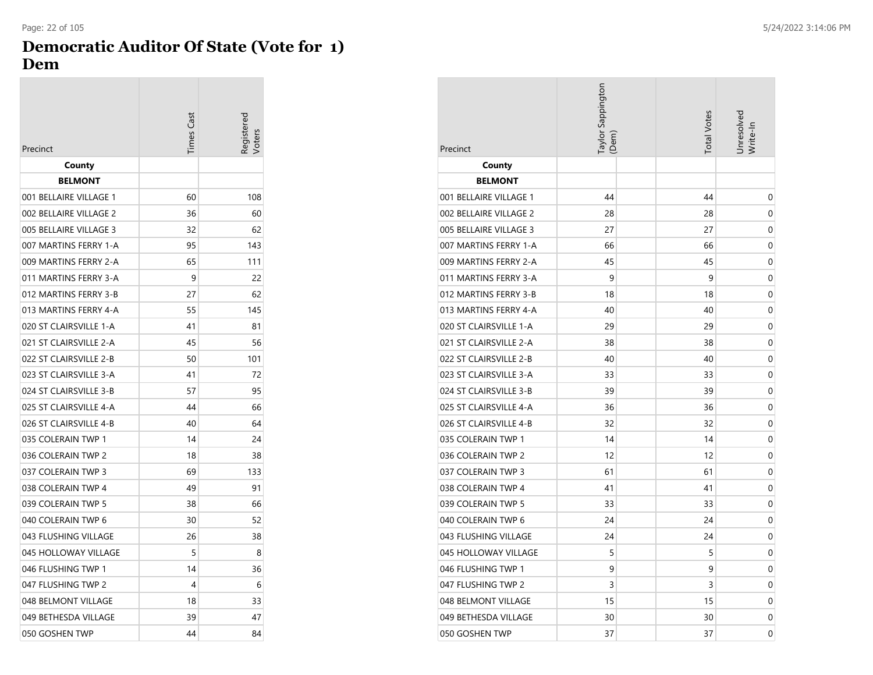### **Democratic Auditor Of State (Vote for 1) Dem**

| Precinct               | Times Cast | eqistered |
|------------------------|------------|-----------|
| County                 |            |           |
| <b>BELMONT</b>         |            |           |
| 001 BELLAIRE VILLAGE 1 | 60         | 108       |
| 002 BELLAIRE VILLAGE 2 | 36         | 60        |
| 005 BELLAIRE VILLAGE 3 | 32         | 62        |
| 007 MARTINS FERRY 1-A  | 95         | 143       |
| 009 MARTINS FERRY 2-A  | 65         | 111       |
| 011 MARTINS FERRY 3-A  | 9          | 22        |
| 012 MARTINS FERRY 3-B  | 27         | 62        |
| 013 MARTINS FERRY 4-A  | 55         | 145       |
| 020 ST CLAIRSVILLE 1-A | 41         | 81        |
| 021 ST CLAIRSVILLE 2-A | 45         | 56        |
| 022 ST CLAIRSVILLE 2-B | 50         | 101       |
| 023 ST CLAIRSVILLE 3-A | 41         | 72        |
| 024 ST CLAIRSVILLE 3-B | 57         | 95        |
| 025 ST CLAIRSVILLE 4-A | 44         | 66        |
| 026 ST CLAIRSVILLE 4-B | 40         | 64        |
| 035 COLERAIN TWP 1     | 14         | 24        |
| 036 COLERAIN TWP 2     | 18         | 38        |
| 037 COLERAIN TWP 3     | 69         | 133       |
| 038 COLERAIN TWP 4     | 49         | 91        |
| 039 COLERAIN TWP 5     | 38         | 66        |
| 040 COLERAIN TWP 6     | 30         | 52        |
| 043 FLUSHING VILLAGE   | 26         | 38        |
| 045 HOLLOWAY VILLAGE   | 5          | 8         |
| 046 FLUSHING TWP 1     | 14         | 36        |
| 047 FLUSHING TWP 2     | 4          | 6         |
| 048 BELMONT VILLAGE    | 18         | 33        |
| 049 BETHESDA VILLAGE   | 39         | 47        |
| 050 GOSHEN TWP         | 44         | 84        |

| Precinct               | Taylor Sappington<br>(Dem | <b>Total Votes</b> | Jnresolvea<br>Write-In |
|------------------------|---------------------------|--------------------|------------------------|
| County                 |                           |                    |                        |
| <b>BELMONT</b>         |                           |                    |                        |
| 001 BELLAIRE VILLAGE 1 | 44                        | 44                 | 0                      |
| 002 BELLAIRE VILLAGE 2 | 28                        | 28                 | 0                      |
| 005 BELLAIRE VILLAGE 3 | 27                        | 27                 | 0                      |
| 007 MARTINS FERRY 1-A  | 66                        | 66                 | 0                      |
| 009 MARTINS FERRY 2-A  | 45                        | 45                 | 0                      |
| 011 MARTINS FERRY 3-A  | 9                         | 9                  | 0                      |
| 012 MARTINS FERRY 3-B  | 18                        | 18                 | 0                      |
| 013 MARTINS FERRY 4-A  | 40                        | 40                 | 0                      |
| 020 ST CLAIRSVILLE 1-A | 29                        | 29                 | 0                      |
| 021 ST CLAIRSVILLE 2-A | 38                        | 38                 | 0                      |
| 022 ST CLAIRSVILLE 2-B | 40                        | 40                 | 0                      |
| 023 ST CLAIRSVILLE 3-A | 33                        | 33                 | 0                      |
| 024 ST CLAIRSVILLE 3-B | 39                        | 39                 | 0                      |
| 025 ST CLAIRSVILLE 4-A | 36                        | 36                 | 0                      |
| 026 ST CLAIRSVILLE 4-B | 32                        | 32                 | 0                      |
| 035 COLERAIN TWP 1     | 14                        | 14                 | 0                      |
| 036 COLERAIN TWP 2     | 12                        | 12                 | 0                      |
| 037 COLERAIN TWP 3     | 61                        | 61                 | 0                      |
| 038 COLERAIN TWP 4     | 41                        | 41                 | 0                      |
| 039 COLERAIN TWP 5     | 33                        | 33                 | 0                      |
| 040 COLERAIN TWP 6     | 24                        | 24                 | 0                      |
| 043 FLUSHING VILLAGE   | 24                        | 24                 | 0                      |
| 045 HOLLOWAY VILLAGE   | 5                         | 5                  | 0                      |
| 046 FLUSHING TWP 1     | 9                         | 9                  | 0                      |
| 047 FLUSHING TWP 2     | 3                         | 3                  | 0                      |
| 048 BELMONT VILLAGE    | 15                        | 15                 | 0                      |
| 049 BETHESDA VILLAGE   | 30                        | 30                 | 0                      |
| 050 GOSHEN TWP         | 37                        | 37                 | 0                      |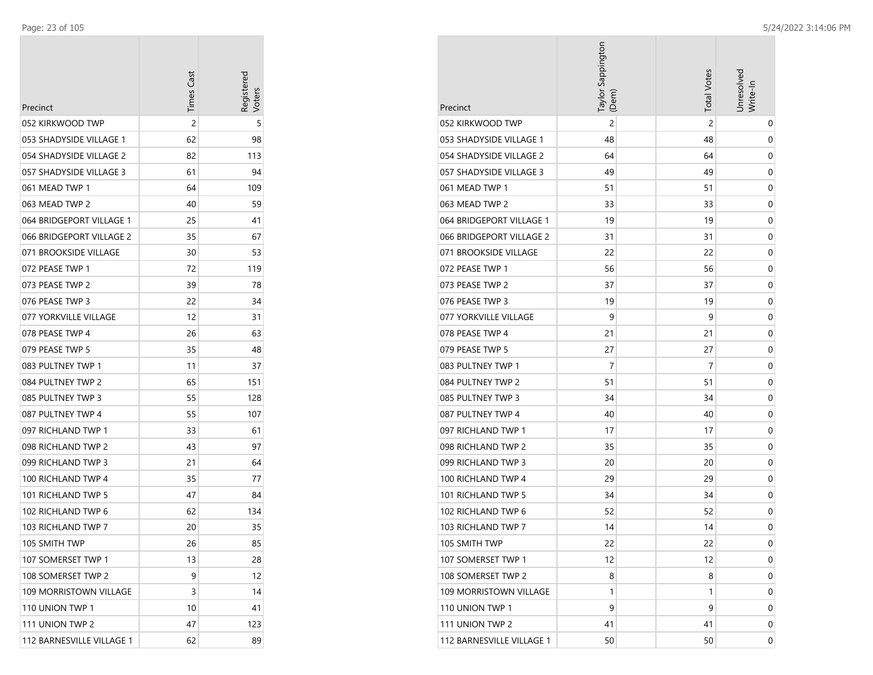| Precinct                  | <b>Times Cast</b> | Registerec<br>/oters |
|---------------------------|-------------------|----------------------|
| 052 KIRKWOOD TWP          | 2                 | 5                    |
| 053 SHADYSIDE VILLAGE 1   | 62                | 98                   |
| 054 SHADYSIDE VILLAGE 2   | 82                | 113                  |
| 057 SHADYSIDE VILLAGE 3   | 61                | 94                   |
| 061 MEAD TWP 1            | 64                | 109                  |
| 063 MEAD TWP 2            | 40                | 59                   |
| 064 BRIDGEPORT VILLAGE 1  | 25                | 41                   |
| 066 BRIDGEPORT VILLAGE 2  | 35                | 67                   |
| 071 BROOKSIDE VILLAGE     | 30                | 53                   |
| 072 PEASE TWP 1           | 72                | 119                  |
| 073 PEASE TWP 2           | 39                | 78                   |
| 076 PEASE TWP 3           | 22                | 34                   |
| 077 YORKVILLE VILLAGE     | 12                | 31                   |
| 078 PEASE TWP 4           | 26                | 63                   |
| 079 PEASE TWP 5           | 35                | 48                   |
| 083 PULTNEY TWP 1         | 11                | 37                   |
| 084 PULTNEY TWP 2         | 65                | 151                  |
| 085 PULTNEY TWP 3         | 55                | 128                  |
| 087 PULTNEY TWP 4         | 55                | 107                  |
| 097 RICHLAND TWP 1        | 33                | 61                   |
| 098 RICHLAND TWP 2        | 43                | 97                   |
| 099 RICHLAND TWP 3        | 21                | 64                   |
| 100 RICHLAND TWP 4        | 35                | 77                   |
| 101 RICHLAND TWP 5        | 47                | 84                   |
| 102 RICHLAND TWP 6        | 62                | 134                  |
| 103 RICHLAND TWP 7        | 20                | 35                   |
| 105 SMITH TWP             | 26                | 85                   |
| 107 SOMERSET TWP 1        | 13                | 28                   |
| 108 SOMERSET TWP 2        | 9                 | 12                   |
| 109 MORRISTOWN VILLAGE    | 3                 | 14                   |
| 110 UNION TWP 1           | 10                | 41                   |
| 111 UNION TWP 2           | 47                | 123                  |
| 112 BARNESVILLE VILLAGE 1 | 62                | 89                   |

| Precinct                  | Taylor Sappington<br>(Dem) | <b>Total Votes</b> | Jnresolved<br>Write-In |
|---------------------------|----------------------------|--------------------|------------------------|
| 052 KIRKWOOD TWP          | $\overline{c}$             | 2                  | 0                      |
| 053 SHADYSIDE VILLAGE 1   | 48                         | 48                 | 0                      |
| 054 SHADYSIDE VILLAGE 2   | 64                         | 64                 | 0                      |
| 057 SHADYSIDE VILLAGE 3   | 49                         | 49                 | 0                      |
| 061 MEAD TWP 1            | 51                         | 51                 | 0                      |
| 063 MEAD TWP 2            | 33                         | 33                 | 0                      |
| 064 BRIDGEPORT VILLAGE 1  | 19                         | 19                 | 0                      |
| 066 BRIDGEPORT VILLAGE 2  | 31                         | 31                 | 0                      |
| 071 BROOKSIDE VILLAGE     | 22                         | 22                 | 0                      |
| 072 PEASE TWP 1           | 56                         | 56                 | 0                      |
| 073 PEASE TWP 2           | 37                         | 37                 | 0                      |
| 076 PEASE TWP 3           | 19                         | 19                 | 0                      |
| 077 YORKVILLE VILLAGE     | 9                          | 9                  | 0                      |
| 078 PEASE TWP 4           | 21                         | 21                 | 0                      |
| 079 PEASE TWP 5           | 27                         | 27                 | 0                      |
| 083 PULTNEY TWP 1         | 7                          | 7                  | 0                      |
| 084 PULTNEY TWP 2         | 51                         | 51                 | 0                      |
| 085 PULTNEY TWP 3         | 34                         | 34                 | 0                      |
| 087 PULTNEY TWP 4         | 40                         | 40                 | 0                      |
| 097 RICHLAND TWP 1        | 17                         | 17                 | 0                      |
| 098 RICHLAND TWP 2        | 35                         | 35                 | 0                      |
| 099 RICHLAND TWP 3        | 20                         | 20                 | 0                      |
| 100 RICHLAND TWP 4        | 29                         | 29                 | 0                      |
| 101 RICHLAND TWP 5        | 34                         | 34                 | 0                      |
| 102 RICHLAND TWP 6        | 52                         | 52                 | 0                      |
| 103 RICHLAND TWP 7        | 14                         | 14                 | 0                      |
| 105 SMITH TWP             | 22                         | 22                 | 0                      |
| 107 SOMERSET TWP 1        | 12                         | 12                 | 0                      |
| 108 SOMERSET TWP 2        | 8                          | 8                  | 0                      |
| 109 MORRISTOWN VILLAGE    | 1                          | 1                  | 0                      |
| 110 UNION TWP 1           | 9                          | 9                  | 0                      |
| 111 UNION TWP 2           | 41                         | 41                 | 0                      |
| 112 BARNESVILLE VILLAGE 1 | 50                         | 50                 | 0                      |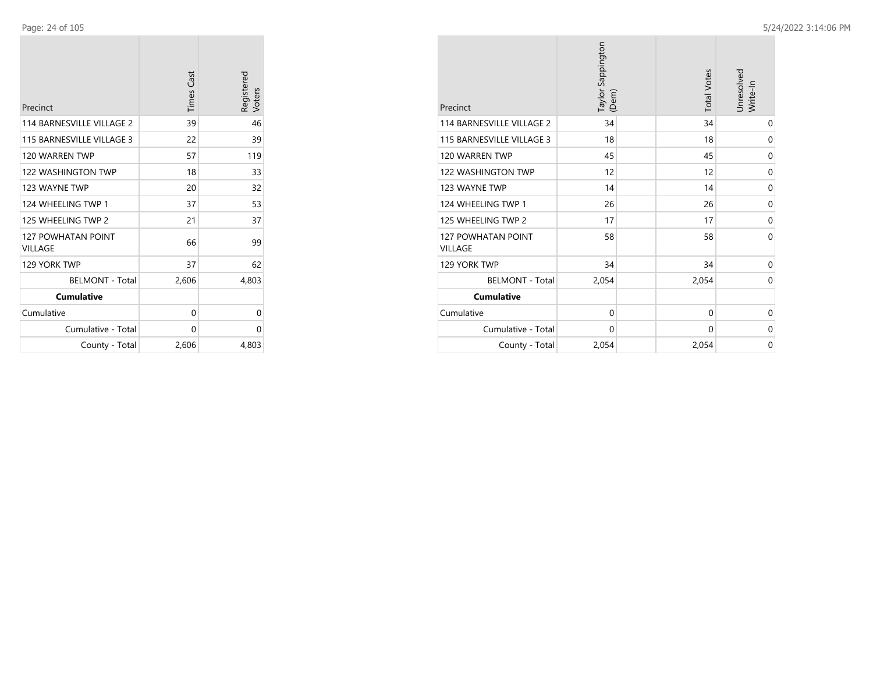| Precinct                             | <b>Times Cast</b> | Registered<br>Voters |
|--------------------------------------|-------------------|----------------------|
| 114 BARNESVILLE VILLAGE 2            | 39                | 46                   |
| 115 BARNESVILLE VILLAGE 3            | 22                | 39                   |
| 120 WARREN TWP                       | 57                | 119                  |
| <b>122 WASHINGTON TWP</b>            | 18                | 33                   |
| 123 WAYNE TWP                        | 20                | 32                   |
| 124 WHEELING TWP 1                   | 37                | 53                   |
| 125 WHEELING TWP 2                   | 21                | 37                   |
| <b>127 POWHATAN POINT</b><br>VILLAGE | 66                | 99                   |
| 129 YORK TWP                         | 37                | 62                   |
| <b>BELMONT - Total</b>               | 2,606             | 4,803                |
| <b>Cumulative</b>                    |                   |                      |
| Cumulative                           | 0                 | 0                    |
| Cumulative - Total                   | 0                 | 0                    |
| County - Total                       | 2,606             | 4,803                |

| Precinct                                    | Taylor Sappington<br>(Dem) | <b>Total Votes</b> | Unresolved<br>Write-In |
|---------------------------------------------|----------------------------|--------------------|------------------------|
| 114 BARNESVILLE VILLAGE 2                   | 34                         | 34                 | 0                      |
| 115 BARNESVILLE VILLAGE 3                   | 18                         | 18                 | 0                      |
| 120 WARREN TWP                              | 45                         | 45                 | $\mathbf 0$            |
| <b>122 WASHINGTON TWP</b>                   | 12                         | 12                 | 0                      |
| 123 WAYNE TWP                               | 14                         | 14                 | 0                      |
| 124 WHEELING TWP 1                          | 26                         | 26                 | $\mathbf 0$            |
| 125 WHEELING TWP 2                          | 17                         | 17                 | 0                      |
| <b>127 POWHATAN POINT</b><br><b>VILLAGE</b> | 58                         | 58                 | 0                      |
| 129 YORK TWP                                | 34                         | 34                 | 0                      |
| <b>BELMONT - Total</b>                      | 2,054                      | 2,054              | 0                      |
| <b>Cumulative</b>                           |                            |                    |                        |
| Cumulative                                  | $\mathbf 0$                | 0                  | 0                      |
| Cumulative - Total                          | 0                          | 0                  | 0                      |
| County - Total                              | 2,054                      | 2,054              | $\mathbf 0$            |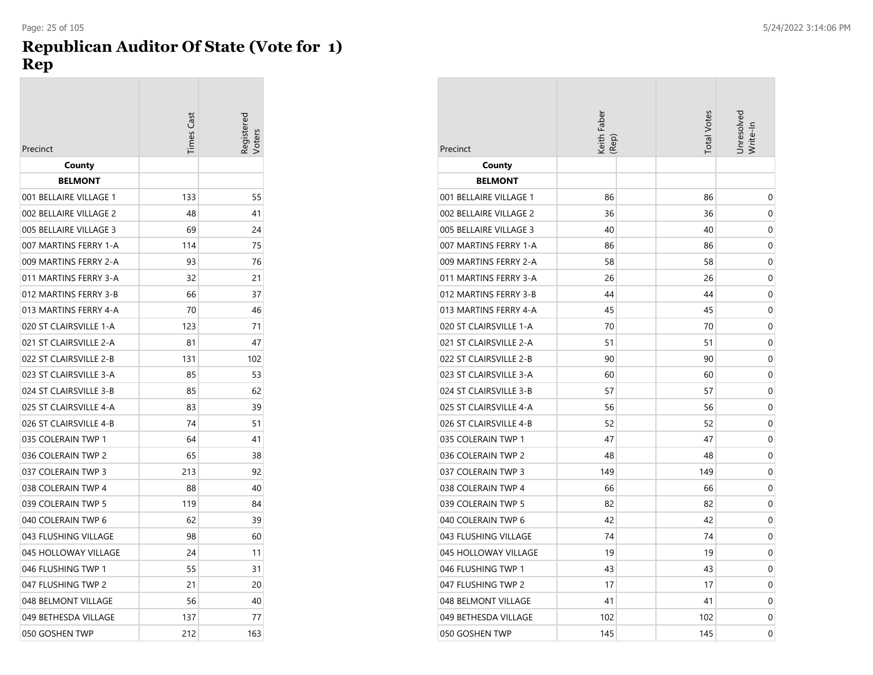## **Republican Auditor Of State (Vote for 1) Rep**

|                        | imes Cast | oters |
|------------------------|-----------|-------|
| Precinct               |           |       |
| County                 |           |       |
| <b>BELMONT</b>         | 133       |       |
| 001 BELLAIRE VILLAGE 1 |           | 55    |
| 002 BELLAIRE VILLAGE 2 | 48        | 41    |
| 005 BELLAIRE VILLAGE 3 | 69        | 24    |
| 007 MARTINS FERRY 1-A  | 114       | 75    |
| 009 MARTINS FERRY 2-A  | 93        | 76    |
| 011 MARTINS FERRY 3-A  | 32        | 21    |
| 012 MARTINS FERRY 3-B  | 66        | 37    |
| 013 MARTINS FERRY 4-A  | 70        | 46    |
| 020 ST CLAIRSVILLE 1-A | 123       | 71    |
| 021 ST CLAIRSVILLE 2-A | 81        | 47    |
| 022 ST CLAIRSVILLE 2-B | 131       | 102   |
| 023 ST CLAIRSVILLE 3-A | 85        | 53    |
| 024 ST CLAIRSVILLE 3-B | 85        | 62    |
| 025 ST CLAIRSVILLE 4-A | 83        | 39    |
| 026 ST CLAIRSVILLE 4-B | 74        | 51    |
| 035 COLERAIN TWP 1     | 64        | 41    |
| 036 COLERAIN TWP 2     | 65        | 38    |
| 037 COLERAIN TWP 3     | 213       | 92    |
| 038 COLERAIN TWP 4     | 88        | 40    |
| 039 COLERAIN TWP 5     | 119       | 84    |
| 040 COLERAIN TWP 6     | 62        | 39    |
| 043 FLUSHING VILLAGE   | 98        | 60    |
| 045 HOLLOWAY VILLAGE   | 24        | 11    |
| 046 FLUSHING TWP 1     | 55        | 31    |
| 047 FLUSHING TWP 2     | 21        | 20    |
| 048 BELMONT VILLAGE    | 56        | 40    |
| 049 BETHESDA VILLAGE   | 137       | 77    |
| 050 GOSHEN TWP         | 212       | 163   |

| Precinct               | Keith Faber<br>(Rep) | <b>Total Votes</b> | Unresolved<br>Write-In |
|------------------------|----------------------|--------------------|------------------------|
| County                 |                      |                    |                        |
| <b>BELMONT</b>         |                      |                    |                        |
| 001 BELLAIRE VILLAGE 1 | 86                   | 86                 | 0                      |
| 002 BELLAIRE VILLAGE 2 | 36                   | 36                 | 0                      |
| 005 BELLAIRE VILLAGE 3 | 40                   | 40                 | 0                      |
| 007 MARTINS FERRY 1-A  | 86                   | 86                 | 0                      |
| 009 MARTINS FERRY 2-A  | 58                   | 58                 | 0                      |
| 011 MARTINS FERRY 3-A  | 26                   | 26                 | 0                      |
| 012 MARTINS FERRY 3-B  | 44                   | 44                 | 0                      |
| 013 MARTINS FERRY 4-A  | 45                   | 45                 | 0                      |
| 020 ST CLAIRSVILLE 1-A | 70                   | 70                 | 0                      |
| 021 ST CLAIRSVILLE 2-A | 51                   | 51                 | 0                      |
| 022 ST CLAIRSVILLE 2-B | 90                   | 90                 | 0                      |
| 023 ST CLAIRSVILLE 3-A | 60                   | 60                 | 0                      |
| 024 ST CLAIRSVILLE 3-B | 57                   | 57                 | 0                      |
| 025 ST CLAIRSVILLE 4-A | 56                   | 56                 | 0                      |
| 026 ST CLAIRSVILLE 4-B | 52                   | 52                 | 0                      |
| 035 COLERAIN TWP 1     | 47                   | 47                 | 0                      |
| 036 COLERAIN TWP 2     | 48                   | 48                 | 0                      |
| 037 COLERAIN TWP 3     | 149                  | 149                | $\mathbf 0$            |
| 038 COLERAIN TWP 4     | 66                   | 66                 | 0                      |
| 039 COLERAIN TWP 5     | 82                   | 82                 | 0                      |
| 040 COLERAIN TWP 6     | 42                   | 42                 | 0                      |
| 043 FLUSHING VILLAGE   | 74                   | 74                 | 0                      |
| 045 HOLLOWAY VILLAGE   | 19                   | 19                 | 0                      |
| 046 FLUSHING TWP 1     | 43                   | 43                 | 0                      |
| 047 FLUSHING TWP 2     | 17                   | 17                 | 0                      |
| 048 BELMONT VILLAGE    | 41                   | 41                 | 0                      |
| 049 BETHESDA VILLAGE   | 102                  | 102                | 0                      |
| 050 GOSHEN TWP         | 145                  | 145                | 0                      |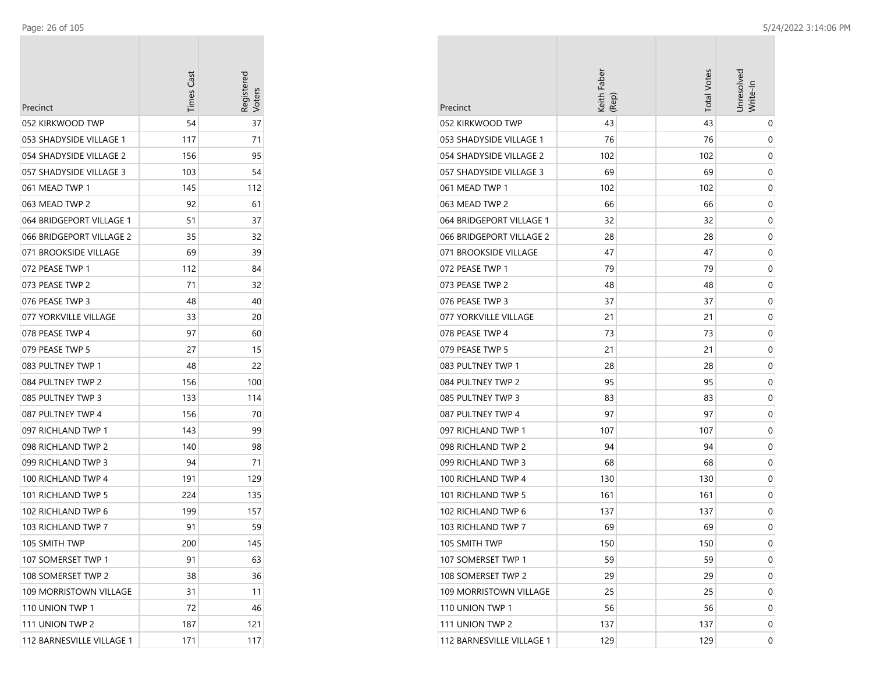÷

| Precinct                  | <b>Times Cast</b> | Registerec<br>Voters |
|---------------------------|-------------------|----------------------|
| 052 KIRKWOOD TWP          | 54                | 37                   |
| 053 SHADYSIDE VILLAGE 1   | 117               | 71                   |
| 054 SHADYSIDE VILLAGE 2   | 156               | 95                   |
| 057 SHADYSIDE VILLAGE 3   | 103               | 54                   |
| 061 MEAD TWP 1            | 145               | 112                  |
| 063 MEAD TWP 2            | 92                | 61                   |
| 064 BRIDGEPORT VILLAGE 1  | 51                | 37                   |
| 066 BRIDGEPORT VILLAGE 2  | 35                | 32                   |
| 071 BROOKSIDE VILLAGE     | 69                | 39                   |
| 072 PFASF TWP 1           | 112               | 84                   |
| 073 PEASE TWP 2           | 71                | 32                   |
| 076 PEASE TWP 3           | 48                | 40                   |
| 077 YORKVILLE VILLAGE     | 33                | 20                   |
| 078 PEASE TWP 4           | 97                | 60                   |
| 079 PEASE TWP 5           | 27                | 15                   |
| 083 PULTNEY TWP 1         | 48                | 22                   |
| 084 PULTNEY TWP 2         | 156               | 100                  |
| 085 PULTNEY TWP 3         | 133               | 114                  |
| 087 PULTNEY TWP 4         | 156               | 70                   |
| 097 RICHLAND TWP 1        | 143               | 99                   |
| 098 RICHLAND TWP 2        | 140               | 98                   |
| 099 RICHLAND TWP 3        | 94                | 71                   |
| 100 RICHLAND TWP 4        | 191               | 129                  |
| 101 RICHLAND TWP 5        | 224               | 135                  |
| 102 RICHLAND TWP 6        | 199               | 157                  |
| 103 RICHLAND TWP 7        | 91                | 59                   |
| 105 SMITH TWP             | 200               | 145                  |
| 107 SOMERSET TWP 1        | 91                | 63                   |
| 108 SOMERSET TWP 2        | 38                | 36                   |
| 109 MORRISTOWN VILLAGE    | 31                | 11                   |
| 110 UNION TWP 1           | 72                | 46                   |
| 111 UNION TWP 2           | 187               | 121                  |
| 112 BARNESVILLE VILLAGE 1 | 171               | 117                  |

|                           | Keith Faber<br>(Rep) | <b>Total Votes</b> | Jnresolved<br>Write-In |
|---------------------------|----------------------|--------------------|------------------------|
| Precinct                  |                      |                    |                        |
| 052 KIRKWOOD TWP          | 43                   | 43                 | 0                      |
| 053 SHADYSIDE VILLAGE 1   | 76                   | 76                 | 0                      |
| 054 SHADYSIDE VILLAGE 2   | 102                  | 102                | 0                      |
| 057 SHADYSIDE VILLAGE 3   | 69                   | 69                 | 0                      |
| 061 MEAD TWP 1            | 102                  | 102                | 0                      |
| 063 MEAD TWP 2            | 66                   | 66                 | 0                      |
| 064 BRIDGEPORT VILLAGE 1  | 32                   | 32                 | 0                      |
| 066 BRIDGEPORT VILLAGE 2  | 28                   | 28                 | 0                      |
| 071 BROOKSIDE VILLAGE     | 47                   | 47                 | 0                      |
| 072 PEASE TWP 1           | 79                   | 79                 | 0                      |
| 073 PEASE TWP 2           | 48                   | 48                 | 0                      |
| 076 PEASE TWP 3           | 37                   | 37                 | 0                      |
| 077 YORKVILLE VILLAGE     | 21                   | 21                 | 0                      |
| 078 PEASE TWP 4           | 73                   | 73                 | 0                      |
| 079 PEASE TWP 5           | 21                   | 21                 | 0                      |
| 083 PULTNEY TWP 1         | 28                   | 28                 | 0                      |
| 084 PULTNEY TWP 2         | 95                   | 95                 | 0                      |
| 085 PULTNEY TWP 3         | 83                   | 83                 | 0                      |
| 087 PULTNEY TWP 4         | 97                   | 97                 | 0                      |
| 097 RICHLAND TWP 1        | 107                  | 107                | 0                      |
| 098 RICHLAND TWP 2        | 94                   | 94                 | 0                      |
| 099 RICHLAND TWP 3        | 68                   | 68                 | 0                      |
| 100 RICHLAND TWP 4        | 130                  | 130                | 0                      |
| 101 RICHLAND TWP 5        | 161                  | 161                | 0                      |
| 102 RICHLAND TWP 6        | 137                  | 137                | 0                      |
| 103 RICHLAND TWP 7        | 69                   | 69                 | 0                      |
| 105 SMITH TWP             | 150                  | 150                | 0                      |
| 107 SOMERSET TWP 1        | 59                   | 59                 | 0                      |
| 108 SOMERSET TWP 2        | 29                   | 29                 | 0                      |
| 109 MORRISTOWN VILLAGE    | 25                   | 25                 | 0                      |
| 110 UNION TWP 1           | 56                   | 56                 | 0                      |
| 111 UNION TWP 2           | 137                  | 137                | 0                      |
| 112 BARNESVILLE VILLAGE 1 | 129                  | 129                | 0                      |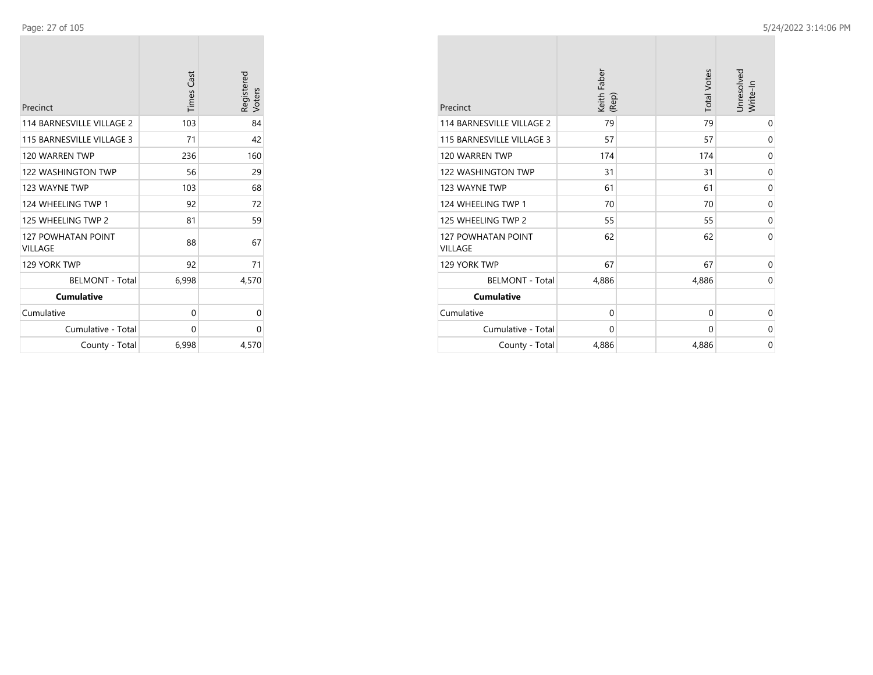| Precinct                                    | <b>Times Cast</b> | Registered<br>Voters |
|---------------------------------------------|-------------------|----------------------|
| 114 BARNESVILLE VILLAGE 2                   | 103               | 84                   |
| 115 BARNESVILLE VILLAGE 3                   | 71                | 42                   |
| 120 WARREN TWP                              | 236               | 160                  |
| <b>122 WASHINGTON TWP</b>                   | 56                | 29                   |
| 123 WAYNE TWP                               | 103               | 68                   |
| 124 WHEELING TWP 1                          | 92                | 72                   |
| 125 WHEELING TWP 2                          | 81                | 59                   |
| <b>127 POWHATAN POINT</b><br><b>VILLAGE</b> | 88                | 67                   |
| 129 YORK TWP                                | 92                | 71                   |
| <b>BELMONT - Total</b>                      | 6,998             | 4,570                |
| <b>Cumulative</b>                           |                   |                      |
| Cumulative                                  | 0                 | 0                    |
| Cumulative - Total                          | 0                 | 0                    |
| County - Total                              | 6,998             | 4,570                |

| Precinct                                    | Keith Faber<br>(Rep) | <b>Total Votes</b> | Unresolved<br>Write-In |
|---------------------------------------------|----------------------|--------------------|------------------------|
| 114 BARNESVILLE VILLAGE 2                   | 79                   | 79                 | 0                      |
| 115 BARNESVILLE VILLAGE 3                   | 57                   | 57                 | $\mathbf 0$            |
| 120 WARREN TWP                              | 174                  | 174                | 0                      |
| <b>122 WASHINGTON TWP</b>                   | 31                   | 31                 | 0                      |
| 123 WAYNE TWP                               | 61                   | 61                 | 0                      |
| 124 WHEELING TWP 1                          | 70                   | 70                 | 0                      |
| 125 WHEELING TWP 2                          | 55                   | 55                 | $\mathbf 0$            |
| <b>127 POWHATAN POINT</b><br><b>VILLAGE</b> | 62                   | 62                 | $\Omega$               |
| 129 YORK TWP                                | 67                   | 67                 | $\mathbf 0$            |
| <b>BELMONT - Total</b>                      | 4,886                | 4,886              | $\mathbf 0$            |
| <b>Cumulative</b>                           |                      |                    |                        |
| Cumulative                                  | $\mathbf 0$          | $\mathbf 0$        | 0                      |
| Cumulative - Total                          | 0                    | 0                  | 0                      |
| County - Total                              | 4,886                | 4,886              | 0                      |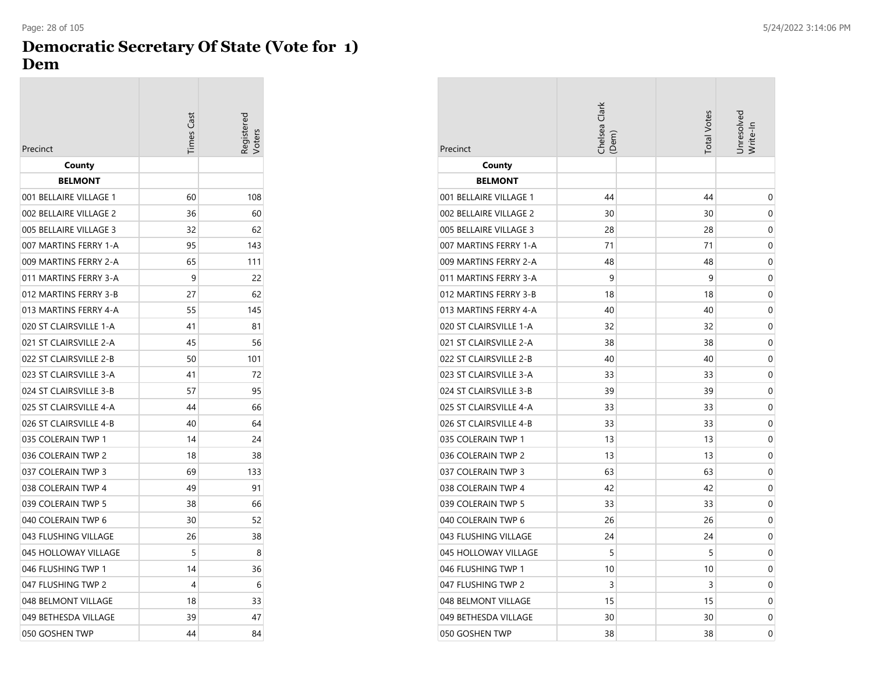## **Democratic Secretary Of State (Vote for 1) Dem**

|                        | <b>Times Cast</b> | eqistered<br>'oter |
|------------------------|-------------------|--------------------|
| Precinct               |                   |                    |
| County                 |                   |                    |
| <b>BELMONT</b>         |                   |                    |
| 001 BELLAIRE VILLAGE 1 | 60                | 108                |
| 002 BELLAIRE VILLAGE 2 | 36                | 60                 |
| 005 BELLAIRE VILLAGE 3 | 32                | 62                 |
| 007 MARTINS FERRY 1-A  | 95                | 143                |
| 009 MARTINS FERRY 2-A  | 65                | 111                |
| 011 MARTINS FERRY 3-A  | 9                 | 22                 |
| 012 MARTINS FERRY 3-B  | 27                | 62                 |
| 013 MARTINS FERRY 4-A  | 55                | 145                |
| 020 ST CLAIRSVILLE 1-A | 41                | 81                 |
| 021 ST CLAIRSVILLE 2-A | 45                | 56                 |
| 022 ST CLAIRSVILLE 2-B | 50                | 101                |
| 023 ST CLAIRSVILLE 3-A | 41                | 72                 |
| 024 ST CLAIRSVILLE 3-B | 57                | 95                 |
| 025 ST CLAIRSVILLE 4-A | 44                | 66                 |
| 026 ST CLAIRSVILLE 4-B | 40                | 64                 |
| 035 COLERAIN TWP 1     | 14                | 24                 |
| 036 COLERAIN TWP 2     | 18                | 38                 |
| 037 COLERAIN TWP 3     | 69                | 133                |
| 038 COLERAIN TWP 4     | 49                | 91                 |
| 039 COLERAIN TWP 5     | 38                | 66                 |
| 040 COLERAIN TWP 6     | 30                | 52                 |
| 043 FLUSHING VILLAGE   | 26                | 38                 |
| 045 HOLLOWAY VILLAGE   | 5                 | 8                  |
| 046 FLUSHING TWP 1     | 14                | 36                 |
| 047 FLUSHING TWP 2     | 4                 | 6                  |
| 048 BELMONT VILLAGE    | 18                | 33                 |
| 049 BETHESDA VILLAGE   | 39                | 47                 |
| 050 GOSHEN TWP         | 44                | 84                 |

| Precinct               | Chelsea Clark<br>(Dem) | <b>Total Votes</b> | Unresolved<br>Write-In |
|------------------------|------------------------|--------------------|------------------------|
| County                 |                        |                    |                        |
| <b>BELMONT</b>         |                        |                    |                        |
| 001 BELLAIRE VILLAGE 1 | 44                     | 44                 | 0                      |
| 002 BELLAIRE VILLAGE 2 | 30                     | 30                 | 0                      |
| 005 BELLAIRE VILLAGE 3 | 28                     | 28                 | 0                      |
| 007 MARTINS FERRY 1-A  | 71                     | 71                 | 0                      |
| 009 MARTINS FERRY 2-A  | 48                     | 48                 | $\mathbf 0$            |
| 011 MARTINS FERRY 3-A  | 9                      | 9                  | 0                      |
| 012 MARTINS FERRY 3-B  | 18                     | 18                 | 0                      |
| 013 MARTINS FERRY 4-A  | 40                     | 40                 | 0                      |
| 020 ST CLAIRSVILLE 1-A | 32                     | 32                 | 0                      |
| 021 ST CLAIRSVILLE 2-A | 38                     | 38                 | 0                      |
| 022 ST CLAIRSVILLE 2-B | 40                     | 40                 | 0                      |
| 023 ST CLAIRSVILLE 3-A | 33                     | 33                 | 0                      |
| 024 ST CLAIRSVILLE 3-B | 39                     | 39                 | 0                      |
| 025 ST CLAIRSVILLE 4-A | 33                     | 33                 | 0                      |
| 026 ST CLAIRSVILLE 4-B | 33                     | 33                 | 0                      |
| 035 COLERAIN TWP 1     | 13                     | 13                 | 0                      |
| 036 COLERAIN TWP 2     | 13                     | 13                 | 0                      |
| 037 COLERAIN TWP 3     | 63                     | 63                 | 0                      |
| 038 COLERAIN TWP 4     | 42                     | 42                 | 0                      |
| 039 COLERAIN TWP 5     | 33                     | 33                 | 0                      |
| 040 COLERAIN TWP 6     | 26                     | 26                 | 0                      |
| 043 FLUSHING VILLAGE   | 24                     | 24                 | 0                      |
| 045 HOLLOWAY VILLAGE   | 5                      | 5                  | 0                      |
| 046 FLUSHING TWP 1     | 10                     | 10                 | 0                      |
| 047 FLUSHING TWP 2     | 3                      | 3                  | 0                      |
| 048 BELMONT VILLAGE    | 15                     | 15                 | 0                      |
| 049 BETHESDA VILLAGE   | 30                     | 30                 | 0                      |
| 050 GOSHEN TWP         | 38                     | 38                 | 0                      |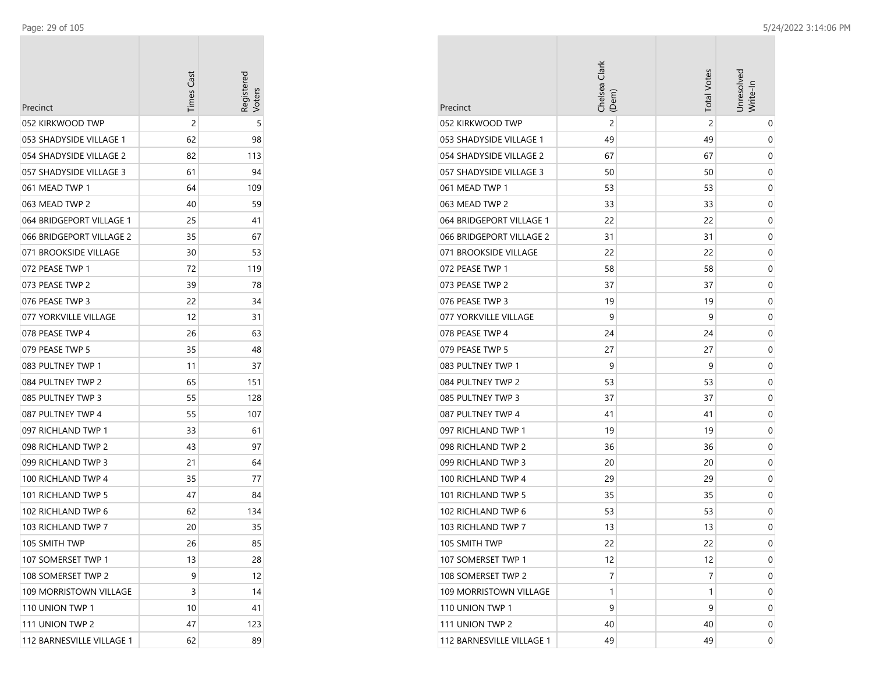| Precinct                  | <b>Times Cast</b> | Registerec |
|---------------------------|-------------------|------------|
| 052 KIRKWOOD TWP          | 2                 | 5          |
| 053 SHADYSIDE VILLAGE 1   | 62                | 98         |
| 054 SHADYSIDE VILLAGE 2   | 82                | 113        |
| 057 SHADYSIDE VILLAGE 3   | 61                | 94         |
| 061 MEAD TWP 1            | 64                | 109        |
| 063 MEAD TWP 2            | 40                | 59         |
| 064 BRIDGEPORT VILLAGE 1  | 25                | 41         |
| 066 BRIDGEPORT VILLAGE 2  | 35                | 67         |
| 071 BROOKSIDE VILLAGE     | 30                | 53         |
| 072 PEASE TWP 1           | 72                | 119        |
| 073 PEASE TWP 2           | 39                | 78         |
| 076 PEASE TWP 3           | 22                | 34         |
| 077 YORKVILLE VILLAGE     | 12                | 31         |
| 078 PEASE TWP 4           | 26                | 63         |
| 079 PEASE TWP 5           | 35                | 48         |
| 083 PULTNEY TWP 1         | 11                | 37         |
| 084 PULTNEY TWP 2         | 65                | 151        |
| 085 PULTNEY TWP 3         | 55                | 128        |
| 087 PULTNEY TWP 4         | 55                | 107        |
| 097 RICHLAND TWP 1        | 33                | 61         |
| 098 RICHLAND TWP 2        | 43                | 97         |
| 099 RICHLAND TWP 3        | 21                | 64         |
| 100 RICHLAND TWP 4        | 35                | 77         |
| 101 RICHLAND TWP 5        | 47                | 84         |
| 102 RICHLAND TWP 6        | 62                | 134        |
| 103 RICHLAND TWP 7        | 20                | 35         |
| 105 SMITH TWP             | 26                | 85         |
| 107 SOMERSET TWP 1        | 13                | 28         |
| 108 SOMERSET TWP 2        | 9                 | 12         |
| 109 MORRISTOWN VILLAGE    | 3                 | 14         |
| 110 UNION TWP 1           | 10                | 41         |
| 111 UNION TWP 2           | 47                | 123        |
| 112 BARNESVILLE VILLAGE 1 | 62                | 89         |

|                           | Chelsea Clark<br>(Dem) | <b>Total Votes</b> | Jnresolved<br>Write-In |
|---------------------------|------------------------|--------------------|------------------------|
| Precinct                  |                        |                    |                        |
| 052 KIRKWOOD TWP          | $\overline{c}$         | 2                  | 0                      |
| 053 SHADYSIDE VILLAGE 1   | 49                     | 49                 | 0                      |
| 054 SHADYSIDE VILLAGE 2   | 67                     | 67                 | 0                      |
| 057 SHADYSIDE VILLAGE 3   | 50                     | 50                 | 0                      |
| 061 MEAD TWP 1            | 53                     | 53                 | 0                      |
| 063 MEAD TWP 2            | 33                     | 33                 | 0                      |
| 064 BRIDGEPORT VILLAGE 1  | 22                     | 22                 | 0                      |
| 066 BRIDGEPORT VILLAGE 2  | 31                     | 31                 | 0                      |
| 071 BROOKSIDE VILLAGE     | 22                     | 22                 | 0                      |
| 072 PEASE TWP 1           | 58                     | 58                 | 0                      |
| 073 PEASE TWP 2           | 37                     | 37                 | 0                      |
| 076 PEASE TWP 3           | 19                     | 19                 | 0                      |
| 077 YORKVILLE VILLAGE     | 9                      | 9                  | 0                      |
| 078 PEASE TWP 4           | 24                     | 24                 | 0                      |
| 079 PEASE TWP 5           | 27                     | 27                 | 0                      |
| 083 PULTNEY TWP 1         | 9                      | 9                  | 0                      |
| 084 PULTNEY TWP 2         | 53                     | 53                 | 0                      |
| 085 PULTNEY TWP 3         | 37                     | 37                 | 0                      |
| 087 PULTNEY TWP 4         | 41                     | 41                 | 0                      |
| 097 RICHLAND TWP 1        | 19                     | 19                 | 0                      |
| 098 RICHLAND TWP 2        | 36                     | 36                 | 0                      |
| 099 RICHLAND TWP 3        | 20                     | 20                 | 0                      |
| 100 RICHLAND TWP 4        | 29                     | 29                 | 0                      |
| 101 RICHLAND TWP 5        | 35                     | 35                 | 0                      |
| 102 RICHLAND TWP 6        | 53                     | 53                 | 0                      |
| 103 RICHLAND TWP 7        | 13                     | 13                 | 0                      |
| 105 SMITH TWP             | 22                     | 22                 | 0                      |
| 107 SOMERSET TWP 1        | 12                     | 12                 | 0                      |
| 108 SOMERSET TWP 2        | 7                      | 7                  | 0                      |
| 109 MORRISTOWN VILLAGE    | 1                      | 1                  | 0                      |
| 110 UNION TWP 1           | 9                      | 9                  | 0                      |
| 111 UNION TWP 2           | 40                     | 40                 | 0                      |
| 112 BARNESVILLE VILLAGE 1 | 49                     | 49                 | 0                      |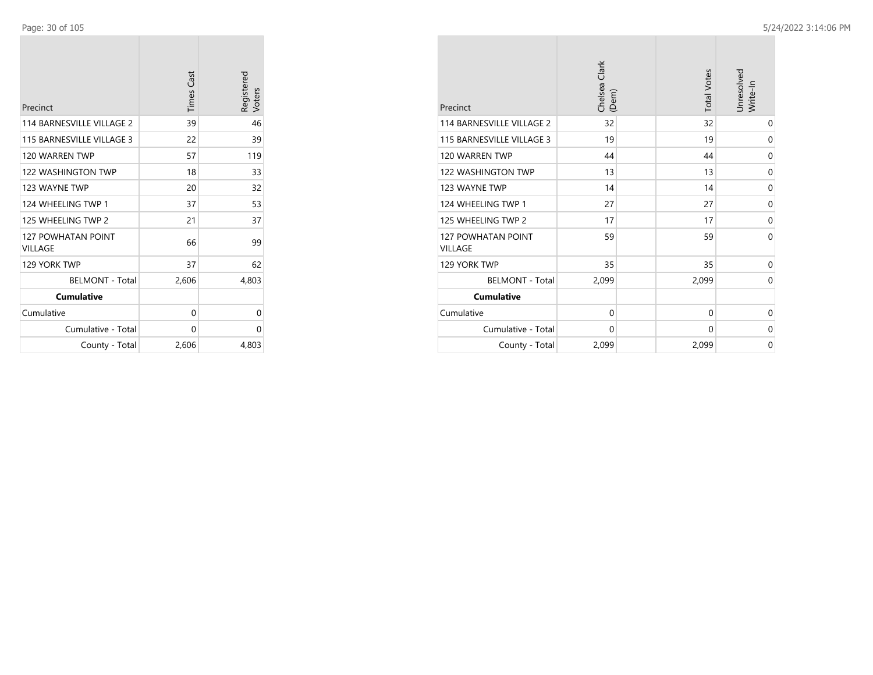| Precinct                                    | <b>Times Cast</b> | Registered<br>Voters |
|---------------------------------------------|-------------------|----------------------|
| 114 BARNESVILLE VILLAGE 2                   | 39                | 46                   |
| 115 BARNESVILLE VILLAGE 3                   | 22                | 39                   |
| 120 WARREN TWP                              | 57                | 119                  |
| <b>122 WASHINGTON TWP</b>                   | 18                | 33                   |
| 123 WAYNE TWP                               | 20                | 32                   |
| 124 WHEELING TWP 1                          | 37                | 53                   |
| 125 WHEELING TWP 2                          | 21                | 37                   |
| <b>127 POWHATAN POINT</b><br><b>VILLAGE</b> | 66                | 99                   |
| 129 YORK TWP                                | 37                | 62                   |
| <b>BELMONT - Total</b>                      | 2,606             | 4,803                |
| <b>Cumulative</b>                           |                   |                      |
| Cumulative                                  | 0                 | 0                    |
| Cumulative - Total                          | 0                 | 0                    |
| County - Total                              | 2,606             | 4,803                |

| Precinct                                    | Chelsea Clark<br>(Dem) |  | <b>Total Votes</b> | Jnresolved<br>Write-In |
|---------------------------------------------|------------------------|--|--------------------|------------------------|
| 114 BARNESVILLE VILLAGE 2                   | 32                     |  | 32                 | 0                      |
| 115 BARNESVILLE VILLAGE 3                   | 19                     |  | 19                 | 0                      |
| 120 WARREN TWP                              | 44                     |  | 44                 | 0                      |
| <b>122 WASHINGTON TWP</b>                   | 13                     |  | 13                 | $\mathbf 0$            |
| 123 WAYNE TWP                               | 14                     |  | 14                 | $\mathbf 0$            |
| 124 WHEELING TWP 1                          | 27                     |  | 27                 | 0                      |
| 125 WHEELING TWP 2                          | 17                     |  | 17                 | 0                      |
| <b>127 POWHATAN POINT</b><br><b>VILLAGE</b> | 59                     |  | 59                 | $\Omega$               |
| 129 YORK TWP                                | 35                     |  | 35                 | 0                      |
| <b>BELMONT - Total</b>                      | 2,099                  |  | 2,099              | $\mathbf 0$            |
| <b>Cumulative</b>                           |                        |  |                    |                        |
| Cumulative                                  | $\mathbf 0$            |  | 0                  | 0                      |
| Cumulative - Total                          | $\Omega$               |  | $\Omega$           | $\Omega$               |
| County - Total                              | 2,099                  |  | 2,099              | 0                      |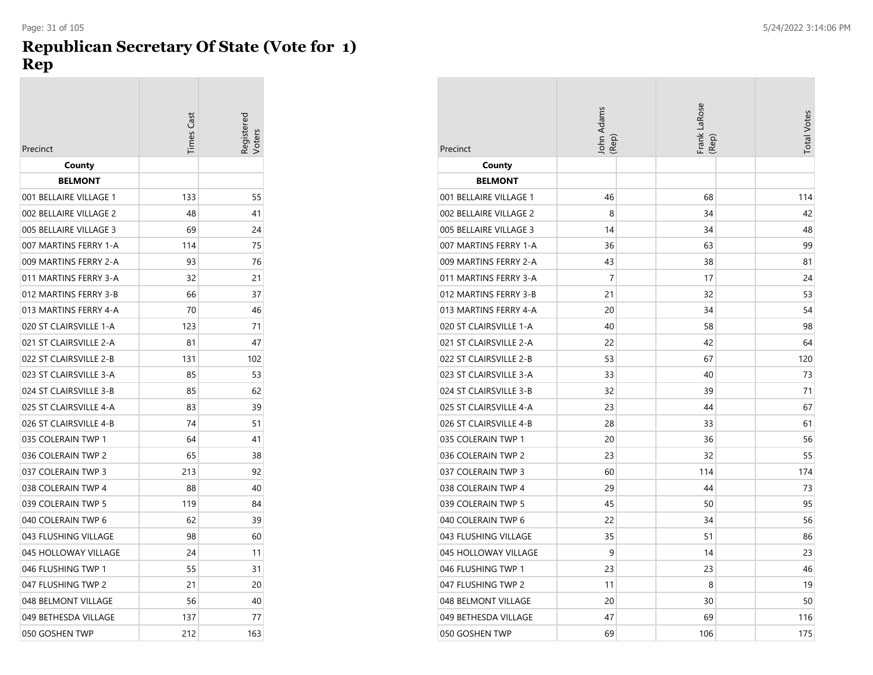### **Republican Secretary Of State (Vote for 1) Rep**

|                        | Times Cast | Registered<br>/oters |
|------------------------|------------|----------------------|
| Precinct               |            |                      |
| County                 |            |                      |
| <b>BELMONT</b>         |            |                      |
| 001 BELLAIRE VILLAGE 1 | 133        | 55                   |
| 002 BELLAIRE VILLAGE 2 | 48         | 41                   |
| 005 BELLAIRE VILLAGE 3 | 69         | 24                   |
| 007 MARTINS FERRY 1-A  | 114        | 75                   |
| 009 MARTINS FERRY 2-A  | 93         | 76                   |
| 011 MARTINS FERRY 3-A  | 32         | 21                   |
| 012 MARTINS FERRY 3-B  | 66         | 37                   |
| 013 MARTINS FERRY 4-A  | 70         | 46                   |
| 020 ST CLAIRSVILLE 1-A | 123        | 71                   |
| 021 ST CLAIRSVILLE 2-A | 81         | 47                   |
| 022 ST CLAIRSVILLE 2-B | 131        | 102                  |
| 023 ST CLAIRSVILLE 3-A | 85         | 53                   |
| 024 ST CLAIRSVILLE 3-B | 85         | 62                   |
| 025 ST CLAIRSVILLE 4-A | 83         | 39                   |
| 026 ST CLAIRSVILLE 4-B | 74         | 51                   |
| 035 COLERAIN TWP 1     | 64         | 41                   |
| 036 COLERAIN TWP 2     | 65         | 38                   |
| 037 COLERAIN TWP 3     | 213        | 92                   |
| 038 COLERAIN TWP 4     | 88         | 40                   |
| 039 COLERAIN TWP 5     | 119        | 84                   |
| 040 COLERAIN TWP 6     | 62         | 39                   |
| 043 FLUSHING VILLAGE   | 98         | 60                   |
| 045 HOLLOWAY VILLAGE   | 24         | 11                   |
| 046 FLUSHING TWP 1     | 55         | 31                   |
| 047 FLUSHING TWP 2     | 21         | 20                   |
| 048 BELMONT VILLAGE    | 56         | 40                   |
| 049 BETHESDA VILLAGE   | 137        | 77                   |
| 050 GOSHEN TWP         | 212        | 163                  |

|                        | John Adams | Frank LaRose | <b>Total Votes</b> |
|------------------------|------------|--------------|--------------------|
| Precinct               | (Rep)      | (Rep)        |                    |
| County                 |            |              |                    |
| <b>BELMONT</b>         |            |              |                    |
| 001 BELLAIRE VILLAGE 1 | 46         | 68           | 114                |
| 002 BELLAIRE VILLAGE 2 | 8          | 34           | 42                 |
| 005 BELLAIRE VILLAGE 3 | 14         | 34           | 48                 |
| 007 MARTINS FERRY 1-A  | 36         | 63           | 99                 |
| 009 MARTINS FERRY 2-A  | 43         | 38           | 81                 |
| 011 MARTINS FERRY 3-A  | 7          | 17           | 24                 |
| 012 MARTINS FERRY 3-B  | 21         | 32           | 53                 |
| 013 MARTINS FERRY 4-A  | 20         | 34           | 54                 |
| 020 ST CLAIRSVILLE 1-A | 40         | 58           | 98                 |
| 021 ST CLAIRSVILLE 2-A | 22         | 42           | 64                 |
| 022 ST CLAIRSVILLE 2-B | 53         | 67           | 120                |
| 023 ST CLAIRSVILLE 3-A | 33         | 40           | 73                 |
| 024 ST CLAIRSVILLE 3-B | 32         | 39           | 71                 |
| 025 ST CLAIRSVILLE 4-A | 23         | 44           | 67                 |
| 026 ST CLAIRSVILLE 4-B | 28         | 33           | 61                 |
| 035 COLERAIN TWP 1     | 20         | 36           | 56                 |
| 036 COLERAIN TWP 2     | 23         | 32           | 55                 |
| 037 COLERAIN TWP 3     | 60         | 114          | 174                |
| 038 COLERAIN TWP 4     | 29         | 44           | 73                 |
| 039 COLERAIN TWP 5     | 45         | 50           | 95                 |
| 040 COLERAIN TWP 6     | 22         | 34           | 56                 |
| 043 FLUSHING VILLAGE   | 35         | 51           | 86                 |
| 045 HOLLOWAY VILLAGE   | 9          | 14           | 23                 |
| 046 FLUSHING TWP 1     | 23         | 23           | 46                 |
| 047 FLUSHING TWP 2     | 11         | 8            | 19                 |
| 048 BELMONT VILLAGE    | 20         | 30           | 50                 |
| 049 BETHESDA VILLAGE   | 47         | 69           | 116                |
| 050 GOSHEN TWP         | 69         | 106          | 175                |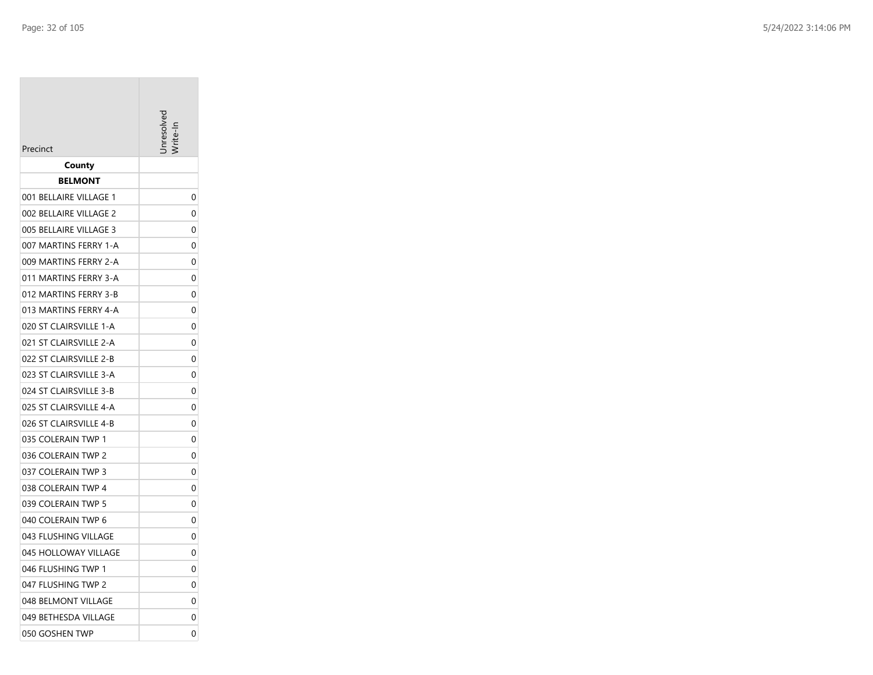| Precinct               |   |
|------------------------|---|
| County                 |   |
| <b>BELMONT</b>         |   |
| 001 BELLAIRE VILLAGE 1 | 0 |
| 002 BELLAIRE VILLAGE 2 | 0 |
| 005 BELLAIRE VILLAGE 3 | 0 |
| 007 MARTINS FERRY 1-A  | 0 |
| 009 MARTINS FERRY 2-A  | 0 |
| 011 MARTINS FERRY 3-A  | 0 |
| 012 MARTINS FERRY 3-B  | 0 |
| 013 MARTINS FERRY 4-A  | 0 |
| 020 ST CLAIRSVILLE 1-A | 0 |
| 021 ST CLAIRSVILLE 2-A | 0 |
| 022 ST CLAIRSVILLE 2-B | 0 |
| 023 ST CLAIRSVILLE 3-A | 0 |
| 024 ST CLAIRSVILLE 3-B | 0 |
| 025 ST CLAIRSVILLE 4-A | 0 |
| 026 ST CLAIRSVILLE 4-B | 0 |
| 035 COLERAIN TWP 1     | 0 |
| 036 COLERAIN TWP 2     | 0 |
| 037 COLERAIN TWP 3     | 0 |
| 038 COLERAIN TWP 4     | 0 |
| 039 COLERAIN TWP 5     | 0 |
| 040 COLERAIN TWP 6     | 0 |
| 043 FLUSHING VILLAGE   | 0 |
| 045 HOLLOWAY VILLAGE   | 0 |
| 046 FLUSHING TWP 1     | 0 |
| 047 FLUSHING TWP 2     | 0 |
| 048 BELMONT VILLAGE    | 0 |
| 049 BETHESDA VILLAGE   | 0 |
| 050 GOSHEN TWP         | 0 |
|                        |   |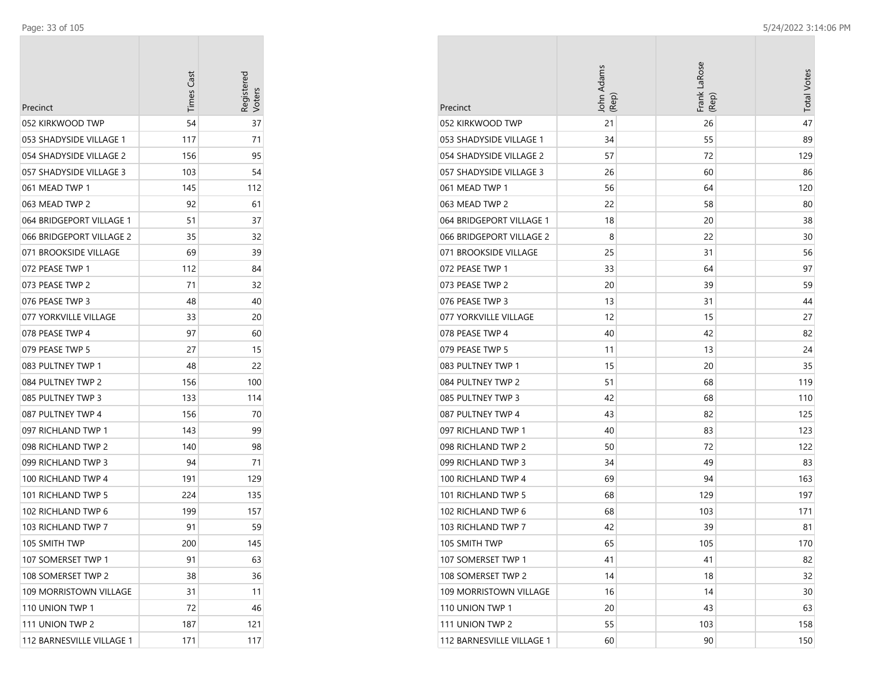|                              | <b>Times Cast</b> | Registerec |
|------------------------------|-------------------|------------|
| Precinct<br>052 KIRKWOOD TWP | 54                | 37         |
| 053 SHADYSIDE VILLAGE 1      | 117               | 71         |
| 054 SHADYSIDE VILLAGE 2      | 156               | 95         |
| 057 SHADYSIDE VILLAGE 3      | 103               | 54         |
| 061 MEAD TWP 1               | 145               | 112        |
| 063 MEAD TWP 2               | 92                | 61         |
| 064 BRIDGEPORT VILLAGE 1     | 51                | 37         |
| 066 BRIDGEPORT VILLAGE 2     | 35                | 32         |
| 071 BROOKSIDE VILLAGE        | 69                | 39         |
| 072 PEASE TWP 1              | 112               | 84         |
| 073 PEASE TWP 2              | 71                | 32         |
| 076 PEASE TWP 3              | 48                | 40         |
| 077 YORKVILLE VILLAGE        | 33                | 20         |
| 078 PEASE TWP 4              | 97                | 60         |
| 079 PEASE TWP 5              | 27                | 15         |
| 083 PULTNEY TWP 1            | 48                | 22         |
| 084 PULTNEY TWP 2            | 156               | 100        |
| 085 PULTNEY TWP 3            | 133               | 114        |
| 087 PULTNEY TWP 4            | 156               | 70         |
| 097 RICHLAND TWP 1           | 143               | 99         |
| 098 RICHLAND TWP 2           | 140               | 98         |
| 099 RICHLAND TWP 3           | 94                | 71         |
| 100 RICHLAND TWP 4           | 191               | 129        |
| 101 RICHLAND TWP 5           | 224               | 135        |
| 102 RICHLAND TWP 6           | 199               | 157        |
| 103 RICHLAND TWP 7           | 91                | 59         |
| 105 SMITH TWP                | 200               | 145        |
| 107 SOMERSET TWP 1           | 91                | 63         |
| 108 SOMERSET TWP 2           | 38                | 36         |
| 109 MORRISTOWN VILLAGE       | 31                | 11         |
| 110 UNION TWP 1              | 72                | 46         |
| 111 UNION TWP 2              | 187               | 121        |
| 112 BARNESVILLE VILLAGE 1    | 171               | 117        |

| Precinct                  | John Adams<br>(Rep) | Frank LaRose<br>(Rep) | <b>Total Votes</b> |
|---------------------------|---------------------|-----------------------|--------------------|
| 052 KIRKWOOD TWP          | 21                  | 26                    | 47                 |
| 053 SHADYSIDE VILLAGE 1   | 34                  | 55                    | 89                 |
| 054 SHADYSIDE VILLAGE 2   | 57                  | 72                    | 129                |
| 057 SHADYSIDE VILLAGE 3   | 26                  | 60                    | 86                 |
| 061 MEAD TWP 1            | 56                  | 64                    | 120                |
| 063 MEAD TWP 2            | 22                  | 58                    | 80                 |
| 064 BRIDGEPORT VILLAGE 1  | 18                  | 20                    | 38                 |
| 066 BRIDGEPORT VILLAGE 2  | 8                   | 22                    | 30                 |
| 071 BROOKSIDE VILLAGE     | 25                  | 31                    | 56                 |
| 072 PEASE TWP 1           | 33                  | 64                    | 97                 |
| 073 PEASE TWP 2           | 20                  | 39                    | 59                 |
| 076 PEASE TWP 3           | 13                  | 31                    | 44                 |
| 077 YORKVILLE VILLAGE     | 12                  | 15                    | 27                 |
| 078 PEASE TWP 4           | 40                  | 42                    | 82                 |
| 079 PEASE TWP 5           | 11                  | 13                    | 24                 |
| 083 PULTNEY TWP 1         | 15                  | 20                    | 35                 |
| 084 PULTNEY TWP 2         | 51                  | 68                    | 119                |
| 085 PULTNEY TWP 3         | 42                  | 68                    | 110                |
| 087 PULTNEY TWP 4         | 43                  | 82                    | 125                |
| 097 RICHLAND TWP 1        | 40                  | 83                    | 123                |
| 098 RICHLAND TWP 2        | 50                  | 72                    | 122                |
| 099 RICHLAND TWP 3        | 34                  | 49                    | 83                 |
| 100 RICHLAND TWP 4        | 69                  | 94                    | 163                |
| 101 RICHLAND TWP 5        | 68                  | 129                   | 197                |
| 102 RICHLAND TWP 6        | 68                  | 103                   | 171                |
| 103 RICHLAND TWP 7        | 42                  | 39                    | 81                 |
| 105 SMITH TWP             | 65                  | 105                   | 170                |
| 107 SOMERSET TWP 1        | 41                  | 41                    | 82                 |
| 108 SOMERSET TWP 2        | 14                  | 18                    | 32                 |
| 109 MORRISTOWN VILLAGE    | 16                  | 14                    | 30                 |
| 110 UNION TWP 1           | 20                  | 43                    | 63                 |
| 111 UNION TWP 2           | 55                  | 103                   | 158                |
| 112 BARNESVILLE VILLAGE 1 | 60                  | 90                    | 150                |

**COL**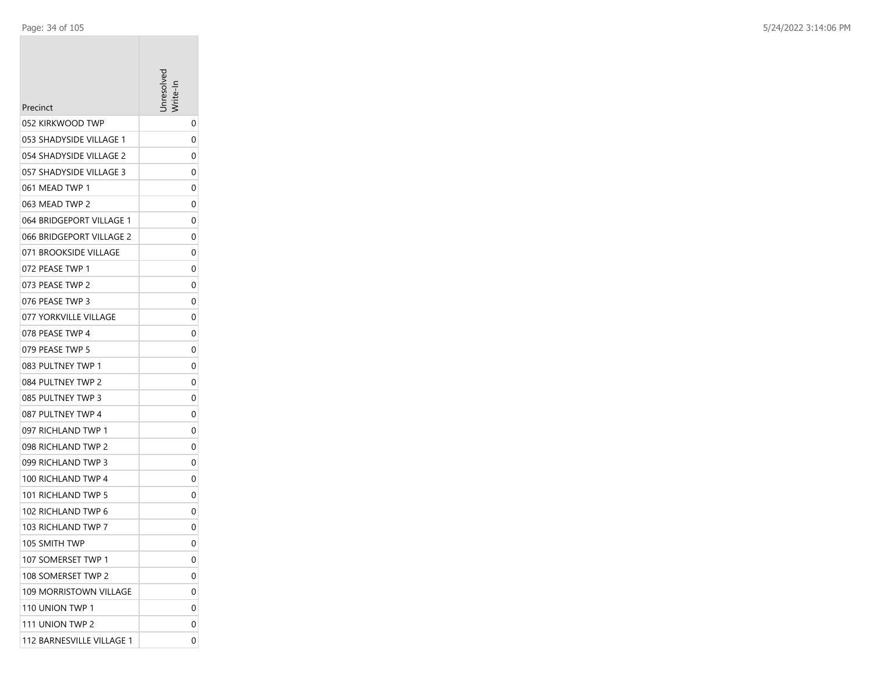| Precinct                  | aresolve |
|---------------------------|----------|
| 052 KIRKWOOD TWP          | 0        |
| 053 SHADYSIDE VILLAGE 1   | 0        |
| 054 SHADYSIDE VILLAGE 2   | 0        |
| 057 SHADYSIDE VILLAGE 3   | 0        |
| 061 MEAD TWP 1            | 0        |
| 063 MEAD TWP 2            | 0        |
| 064 BRIDGEPORT VILLAGE 1  | 0        |
| 066 BRIDGEPORT VILLAGE 2  | 0        |
| 071 BROOKSIDE VILLAGE     | 0        |
| 072 PEASE TWP 1           | 0        |
| 073 PEASE TWP 2           | 0        |
| 076 PEASE TWP 3           | 0        |
| 077 YORKVILLE VILLAGE     | 0        |
| 078 PEASE TWP 4           | 0        |
| 079 PEASE TWP 5           | 0        |
| 083 PULTNEY TWP 1         | 0        |
| 084 PULTNEY TWP 2         | 0        |
| 085 PULTNEY TWP 3         | 0        |
| 087 PULTNEY TWP 4         | 0        |
| 097 RICHLAND TWP 1        | 0        |
| 098 RICHLAND TWP 2        | 0        |
| 099 RICHLAND TWP 3        | 0        |
| 100 RICHLAND TWP 4        | 0        |
| 101 RICHLAND TWP 5        | 0        |
| 102 RICHLAND TWP 6        | 0        |
| 103 RICHLAND TWP 7        | 0        |
| 105 SMITH TWP             | 0        |
| 107 SOMERSET TWP 1        | 0        |
| 108 SOMERSET TWP 2        | 0        |
| 109 MORRISTOWN VILLAGE    | 0        |
| 110 UNION TWP 1           | 0        |
| 111 UNION TWP 2           | 0        |
| 112 BARNESVILLE VILLAGE 1 | 0        |
|                           |          |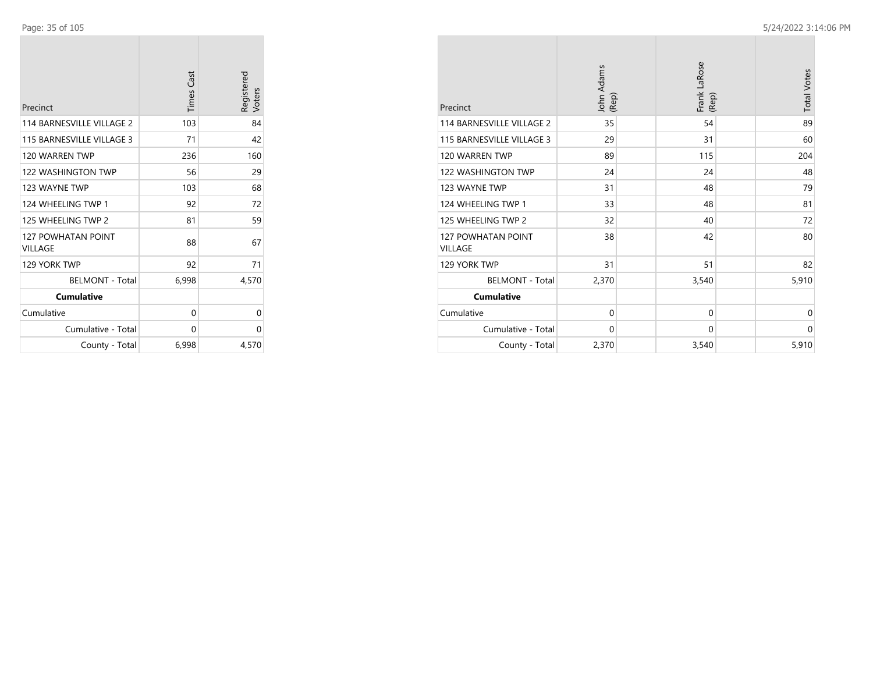| Precinct                             | <b>Times Cast</b> | Registered<br>Voters |
|--------------------------------------|-------------------|----------------------|
| 114 BARNESVILLE VILLAGE 2            | 103               | 84                   |
| 115 BARNESVILLE VILLAGE 3            | 71                | 42                   |
| 120 WARREN TWP                       | 236               | 160                  |
| 122 WASHINGTON TWP                   | 56                | 29                   |
| 123 WAYNE TWP                        | 103               | 68                   |
| 124 WHEELING TWP 1                   | 92                | 72                   |
| 125 WHEELING TWP 2                   | 81                | 59                   |
| <b>127 POWHATAN POINT</b><br>VILLAGE | 88                | 67                   |
| 129 YORK TWP                         | 92                | 71                   |
| <b>BELMONT - Total</b>               | 6,998             | 4,570                |
| <b>Cumulative</b>                    |                   |                      |
| Cumulative                           | 0                 | 0                    |
| Cumulative - Total                   | 0                 | 0                    |
| County - Total                       | 6,998             | 4,570                |

| Precinct                                    | John Adams<br>(Rep) | Frank LaRose<br>(Rep) | <b>Total Votes</b> |
|---------------------------------------------|---------------------|-----------------------|--------------------|
| 114 BARNESVILLE VILLAGE 2                   | 35                  | 54                    | 89                 |
| 115 BARNESVILLE VILLAGE 3                   | 29                  | 31                    | 60                 |
| 120 WARREN TWP                              | 89                  | 115                   | 204                |
| 122 WASHINGTON TWP                          | 24                  | 24                    | 48                 |
| 123 WAYNE TWP                               | 31                  | 48                    | 79                 |
| 124 WHEELING TWP 1                          | 33                  | 48                    | 81                 |
| 125 WHEELING TWP 2                          | 32                  | 40                    | 72                 |
| <b>127 POWHATAN POINT</b><br><b>VILLAGE</b> | 38                  | 42                    | 80                 |
| 129 YORK TWP                                | 31                  | 51                    | 82                 |
| <b>BELMONT - Total</b>                      | 2,370               | 3,540                 | 5,910              |
| <b>Cumulative</b>                           |                     |                       |                    |
| Cumulative                                  | $\mathbf 0$         | $\mathbf 0$           | $\mathbf 0$        |
| Cumulative - Total                          | $\mathbf 0$         | 0                     | 0                  |
| County - Total                              | 2,370               | 3,540                 | 5,910              |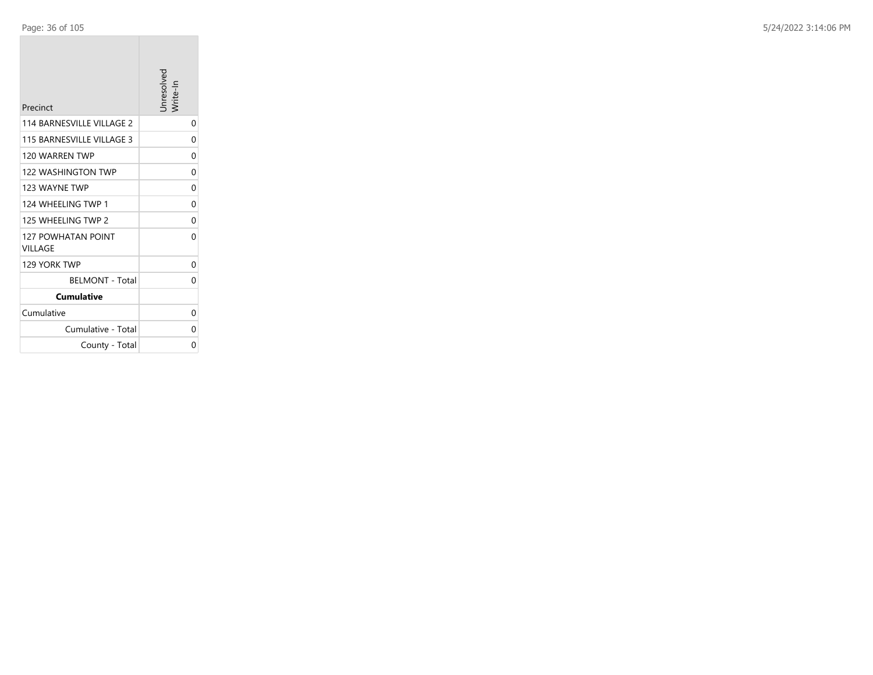| Precinct                             | Jnresolvec<br>Vrite-In |
|--------------------------------------|------------------------|
| 114 BARNESVILLE VILLAGE 2            | 0                      |
| 115 BARNESVILLE VILLAGE 3            | 0                      |
| 120 WARREN TWP                       | 0                      |
| <b>122 WASHINGTON TWP</b>            | 0                      |
| 123 WAYNF TWP                        | 0                      |
| 124 WHEELING TWP 1                   | 0                      |
| 125 WHEELING TWP 2                   | 0                      |
| <b>127 POWHATAN POINT</b><br>VILLAGE | 0                      |
| 129 YORK TWP                         | 0                      |
| <b>BELMONT - Total</b>               | 0                      |
| <b>Cumulative</b>                    |                        |
| Cumulative                           | 0                      |
| Cumulative - Total                   | 0                      |
| County - Total                       | 0                      |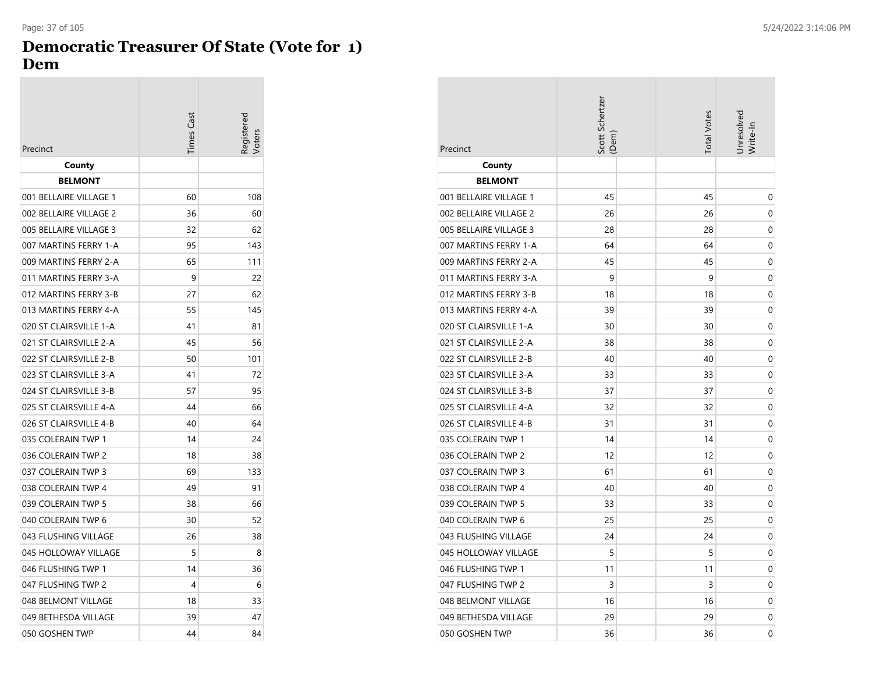## **Democratic Treasurer Of State (Vote for 1) Dem**

|                        | Times Cast | Registerec<br>'oter |
|------------------------|------------|---------------------|
| Precinct               |            |                     |
| County                 |            |                     |
| <b>BELMONT</b>         |            |                     |
| 001 BELLAIRE VILLAGE 1 | 60         | 108                 |
| 002 BELLAIRE VILLAGE 2 | 36         | 60                  |
| 005 BELLAIRE VILLAGE 3 | 32         | 62                  |
| 007 MARTINS FERRY 1-A  | 95         | 143                 |
| 009 MARTINS FERRY 2-A  | 65         | 111                 |
| 011 MARTINS FERRY 3-A  | 9          | 22                  |
| 012 MARTINS FERRY 3-B  | 27         | 62                  |
| 013 MARTINS FERRY 4-A  | 55         | 145                 |
| 020 ST CLAIRSVILLE 1-A | 41         | 81                  |
| 021 ST CLAIRSVILLE 2-A | 45         | 56                  |
| 022 ST CLAIRSVILLE 2-B | 50         | 101                 |
| 023 ST CLAIRSVILLE 3-A | 41         | 72                  |
| 024 ST CLAIRSVILLE 3-B | 57         | 95                  |
| 025 ST CLAIRSVILLE 4-A | 44         | 66                  |
| 026 ST CLAIRSVILLE 4-B | 40         | 64                  |
| 035 COLERAIN TWP 1     | 14         | 24                  |
| 036 COLERAIN TWP 2     | 18         | 38                  |
| 037 COLERAIN TWP 3     | 69         | 133                 |
| 038 COLERAIN TWP 4     | 49         | 91                  |
| 039 COLERAIN TWP 5     | 38         | 66                  |
| 040 COLERAIN TWP 6     | 30         | 52                  |
| 043 FLUSHING VILLAGE   | 26         | 38                  |
| 045 HOLLOWAY VILLAGE   | 5          | 8                   |
| 046 FLUSHING TWP 1     | 14         | 36                  |
| 047 FLUSHING TWP 2     | 4          | 6                   |
| 048 BELMONT VILLAGE    | 18         | 33                  |
| 049 BETHESDA VILLAGE   | 39         | 47                  |
| 050 GOSHEN TWP         | 44         | 84                  |

| Precinct               | Scott Schertzer<br>(Dem) | <b>Total Votes</b> | Jnresolvec<br>Write-In |
|------------------------|--------------------------|--------------------|------------------------|
| County                 |                          |                    |                        |
| <b>BELMONT</b>         |                          |                    |                        |
| 001 BELLAIRE VILLAGE 1 | 45                       | 45                 | 0                      |
| 002 BELLAIRE VILLAGE 2 | 26                       | 26                 | 0                      |
| 005 BELLAIRE VILLAGE 3 | 28                       | 28                 | 0                      |
| 007 MARTINS FERRY 1-A  | 64                       | 64                 | 0                      |
| 009 MARTINS FERRY 2-A  | 45                       | 45                 | 0                      |
| 011 MARTINS FERRY 3-A  | 9                        | 9                  | 0                      |
| 012 MARTINS FERRY 3-B  | 18                       | 18                 | 0                      |
| 013 MARTINS FERRY 4-A  | 39                       | 39                 | 0                      |
| 020 ST CLAIRSVILLE 1-A | 30                       | 30                 | 0                      |
| 021 ST CLAIRSVILLE 2-A | 38                       | 38                 | 0                      |
| 022 ST CLAIRSVILLE 2-B | 40                       | 40                 | 0                      |
| 023 ST CLAIRSVILLE 3-A | 33                       | 33                 | 0                      |
| 024 ST CLAIRSVILLE 3-B | 37                       | 37                 | 0                      |
| 025 ST CLAIRSVILLE 4-A | 32                       | 32                 | 0                      |
| 026 ST CLAIRSVILLE 4-B | 31                       | 31                 | 0                      |
| 035 COLERAIN TWP 1     | 14                       | 14                 | 0                      |
| 036 COLERAIN TWP 2     | 12                       | 12                 | 0                      |
| 037 COLERAIN TWP 3     | 61                       | 61                 | 0                      |
| 038 COLERAIN TWP 4     | 40                       | 40                 | 0                      |
| 039 COLERAIN TWP 5     | 33                       | 33                 | 0                      |
| 040 COLERAIN TWP 6     | 25                       | 25                 | 0                      |
| 043 FLUSHING VILLAGE   | 24                       | 24                 | 0                      |
| 045 HOLLOWAY VILLAGE   | 5                        | 5                  | 0                      |
| 046 FLUSHING TWP 1     | 11                       | 11                 | 0                      |
| 047 FLUSHING TWP 2     | 3                        | 3                  | 0                      |
| 048 BELMONT VILLAGE    | 16                       | 16                 | 0                      |
| 049 BETHESDA VILLAGE   | 29                       | 29                 | 0                      |
| 050 GOSHEN TWP         | 36                       | 36                 | 0                      |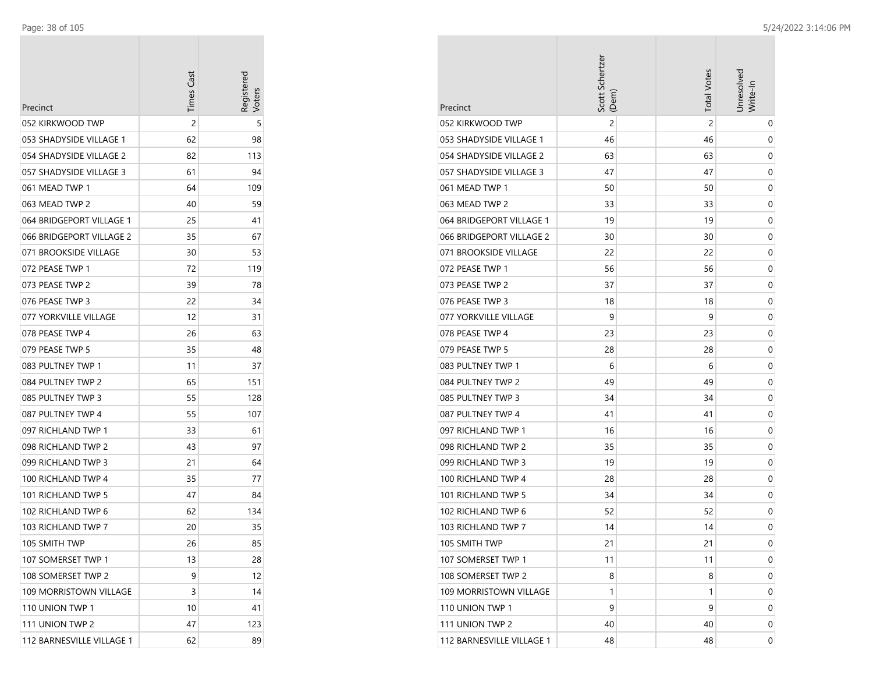÷

| Precinct                  | <b>Times Cast</b> | Registered<br>/oters |
|---------------------------|-------------------|----------------------|
| 052 KIRKWOOD TWP          | 2                 | 5                    |
| 053 SHADYSIDE VILLAGE 1   | 62                | 98                   |
| 054 SHADYSIDE VILLAGE 2   | 82                | 113                  |
| 057 SHADYSIDE VILLAGE 3   | 61                | 94                   |
| 061 MEAD TWP 1            | 64                | 109                  |
| 063 MEAD TWP 2            | 40                | 59                   |
| 064 BRIDGEPORT VILLAGE 1  | 25                | 41                   |
| 066 BRIDGEPORT VILLAGE 2  | 35                | 67                   |
| 071 BROOKSIDE VILLAGE     | 30                | 53                   |
| 072 PEASE TWP 1           | 72                | 119                  |
| 073 PEASE TWP 2           | 39                | 78                   |
| 076 PEASE TWP 3           | 22                | 34                   |
| 077 YORKVILLE VILLAGE     | 12                | 31                   |
| 078 PEASE TWP 4           | 26                | 63                   |
| 079 PEASE TWP 5           | 35                | 48                   |
| 083 PULTNEY TWP 1         | 11                | 37                   |
| 084 PULTNEY TWP 2         | 65                | 151                  |
| 085 PULTNEY TWP 3         | 55                | 128                  |
| 087 PULTNEY TWP 4         | 55                | 107                  |
| 097 RICHLAND TWP 1        | 33                | 61                   |
| 098 RICHLAND TWP 2        | 43                | 97                   |
| 099 RICHLAND TWP 3        | 21                | 64                   |
| 100 RICHLAND TWP 4        | 35                | 77                   |
| 101 RICHLAND TWP 5        | 47                | 84                   |
| 102 RICHLAND TWP 6        | 62                | 134                  |
| 103 RICHLAND TWP 7        | 20                | 35                   |
| 105 SMITH TWP             | 26                | 85                   |
| 107 SOMERSET TWP 1        | 13                | 28                   |
| 108 SOMERSET TWP 2        | 9                 | 12                   |
| 109 MORRISTOWN VILLAGE    | 3                 | 14                   |
| 110 UNION TWP 1           | 10                | 41                   |
| 111 UNION TWP 2           | 47                | 123                  |
| 112 BARNESVILLE VILLAGE 1 | 62                | 89                   |

| Precinct                  | Scott Schertzer<br>(Dem) | <b>Total Votes</b> | Jnresolved<br>Write-In |
|---------------------------|--------------------------|--------------------|------------------------|
| 052 KIRKWOOD TWP          | $\overline{2}$           | $\overline{2}$     | 0                      |
| 053 SHADYSIDE VILLAGE 1   | 46                       | 46                 | 0                      |
| 054 SHADYSIDE VILLAGE 2   | 63                       | 63                 | 0                      |
| 057 SHADYSIDE VILLAGE 3   | 47                       | 47                 | 0                      |
| 061 MEAD TWP 1            | 50                       | 50                 | 0                      |
| 063 MEAD TWP 2            | 33                       | 33                 | 0                      |
| 064 BRIDGEPORT VILLAGE 1  | 19                       | 19                 | 0                      |
| 066 BRIDGEPORT VILLAGE 2  | 30                       | 30                 | 0                      |
| 071 BROOKSIDE VILLAGE     | 22                       | 22                 | 0                      |
| 072 PEASE TWP 1           | 56                       | 56                 | 0                      |
| 073 PEASE TWP 2           | 37                       | 37                 | 0                      |
| 076 PEASE TWP 3           | 18                       | 18                 | 0                      |
| 077 YORKVILLE VILLAGE     | 9                        | 9                  | 0                      |
| 078 PEASE TWP 4           | 23                       | 23                 | 0                      |
| 079 PEASE TWP 5           | 28                       | 28                 | 0                      |
| 083 PULTNEY TWP 1         | 6                        | 6                  | 0                      |
| 084 PULTNEY TWP 2         | 49                       | 49                 | 0                      |
| 085 PULTNEY TWP 3         | 34                       | 34                 | 0                      |
| 087 PULTNEY TWP 4         | 41                       | 41                 | 0                      |
| 097 RICHLAND TWP 1        | 16                       | 16                 | 0                      |
| 098 RICHLAND TWP 2        | 35                       | 35                 | 0                      |
| 099 RICHLAND TWP 3        | 19                       | 19                 | 0                      |
| 100 RICHLAND TWP 4        | 28                       | 28                 | 0                      |
| 101 RICHLAND TWP 5        | 34                       | 34                 | 0                      |
| 102 RICHLAND TWP 6        | 52                       | 52                 | 0                      |
| 103 RICHLAND TWP 7        | 14                       | 14                 | 0                      |
| 105 SMITH TWP             | 21                       | 21                 | 0                      |
| 107 SOMERSET TWP 1        | 11                       | 11                 | 0                      |
| 108 SOMERSET TWP 2        | 8                        | 8                  | 0                      |
| 109 MORRISTOWN VILLAGE    | 1                        | 1                  | 0                      |
| 110 UNION TWP 1           | 9                        | 9                  | 0                      |
| 111 UNION TWP 2           | 40                       | 40                 | 0                      |
| 112 BARNESVILLE VILLAGE 1 | 48                       | 48                 | 0                      |

**COL**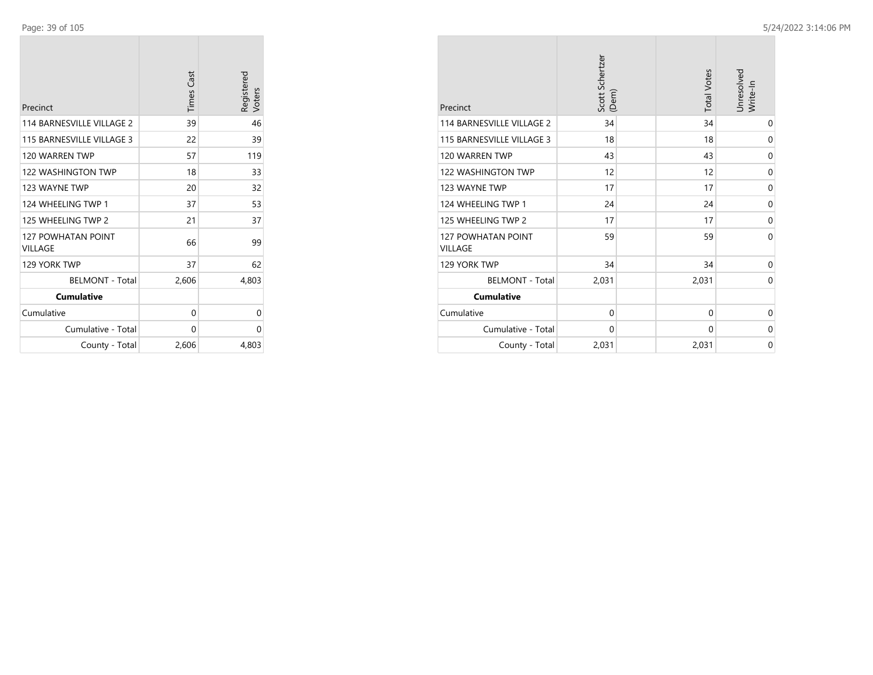| Precinct                             | <b>Times Cast</b> | Registered<br>Voters |
|--------------------------------------|-------------------|----------------------|
| 114 BARNESVILLE VILLAGE 2            | 39                | 46                   |
| 115 BARNESVILLE VILLAGE 3            | 22                | 39                   |
| 120 WARREN TWP                       | 57                | 119                  |
| <b>122 WASHINGTON TWP</b>            | 18                | 33                   |
| 123 WAYNE TWP                        | 20                | 32                   |
| 124 WHEELING TWP 1                   | 37                | 53                   |
| 125 WHEELING TWP 2                   | 21                | 37                   |
| <b>127 POWHATAN POINT</b><br>VILLAGE | 66                | 99                   |
| 129 YORK TWP                         | 37                | 62                   |
| <b>BELMONT - Total</b>               | 2,606             | 4,803                |
| <b>Cumulative</b>                    |                   |                      |
| Cumulative                           | 0                 | 0                    |
| Cumulative - Total                   | 0                 | 0                    |
| County - Total                       | 2,606             | 4,803                |

| Precinct                             | Scott Schertzer<br>(Dem) | <b>Total Votes</b> | Unresolved<br>Write-In |
|--------------------------------------|--------------------------|--------------------|------------------------|
| 114 BARNESVILLE VILLAGE 2            | 34                       | 34                 | $\mathbf 0$            |
| 115 BARNESVILLE VILLAGE 3            | 18                       | 18                 | 0                      |
| 120 WARREN TWP                       | 43                       | 43                 | 0                      |
| <b>122 WASHINGTON TWP</b>            | 12                       | 12                 | 0                      |
| 123 WAYNE TWP                        | 17                       | 17                 | $\mathbf 0$            |
| 124 WHEELING TWP 1                   | 24                       | 24                 | 0                      |
| 125 WHEELING TWP 2                   | 17                       | 17                 | 0                      |
| 127 POWHATAN POINT<br><b>VILLAGE</b> | 59                       | 59                 | $\Omega$               |
| 129 YORK TWP                         | 34                       | 34                 | 0                      |
| <b>BELMONT - Total</b>               | 2,031                    | 2,031              | $\Omega$               |
| <b>Cumulative</b>                    |                          |                    |                        |
| Cumulative                           | $\mathbf 0$              | 0                  | 0                      |
| Cumulative - Total                   | 0                        | 0                  | 0                      |
| County - Total                       | 2,031                    | 2,031              | $\mathbf 0$            |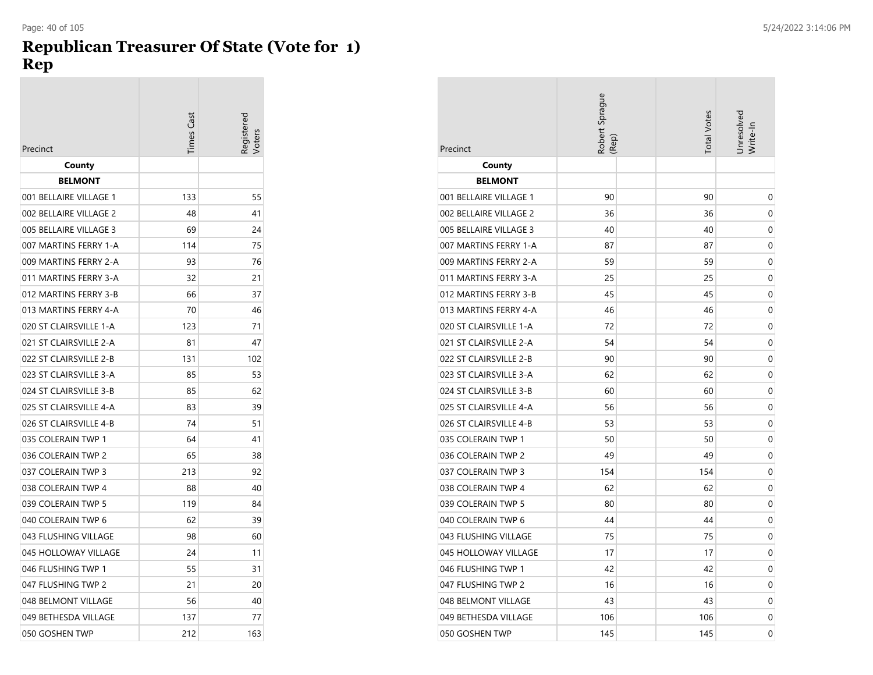### **Republican Treasurer Of State (Vote for 1) Rep**

|                        | <b>Times Cast</b> | eqistere<br>oters |
|------------------------|-------------------|-------------------|
| Precinct               |                   |                   |
| County                 |                   |                   |
| <b>BELMONT</b>         |                   |                   |
| 001 BELLAIRE VILLAGE 1 | 133               | 55                |
| 002 BELLAIRE VILLAGE 2 | 48                | 41                |
| 005 BELLAIRE VILLAGE 3 | 69                | 24                |
| 007 MARTINS FERRY 1-A  | 114               | 75                |
| 009 MARTINS FERRY 2-A  | 93                | 76                |
| 011 MARTINS FERRY 3-A  | 32                | 21                |
| 012 MARTINS FERRY 3-B  | 66                | 37                |
| 013 MARTINS FERRY 4-A  | 70                | 46                |
| 020 ST CLAIRSVILLE 1-A | 123               | 71                |
| 021 ST CLAIRSVILLE 2-A | 81                | 47                |
| 022 ST CLAIRSVILLE 2-B | 131               | 102               |
| 023 ST CLAIRSVILLE 3-A | 85                | 53                |
| 024 ST CLAIRSVILLE 3-B | 85                | 62                |
| 025 ST CLAIRSVILLE 4-A | 83                | 39                |
| 026 ST CLAIRSVILLE 4-B | 74                | 51                |
| 035 COLERAIN TWP 1     | 64                | 41                |
| 036 COLERAIN TWP 2     | 65                | 38                |
| 037 COLERAIN TWP 3     | 213               | 92                |
| 038 COLERAIN TWP 4     | 88                | 40                |
| 039 COLERAIN TWP 5     | 119               | 84                |
| 040 COLERAIN TWP 6     | 62                | 39                |
| 043 FLUSHING VILLAGE   | 98                | 60                |
| 045 HOLLOWAY VILLAGE   | 24                | 11                |
| 046 FLUSHING TWP 1     | 55                | 31                |
| 047 FLUSHING TWP 2     | 21                | 20                |
| 048 BELMONT VILLAGE    | 56                | 40                |
| 049 BETHESDA VILLAGE   | 137               | 77                |
| 050 GOSHEN TWP         | 212               | 163               |

| Precinct               | Robert Sprague<br>(Rep) | <b>Total Votes</b> | Jnresolvec<br>Write-In |
|------------------------|-------------------------|--------------------|------------------------|
| County                 |                         |                    |                        |
| <b>BELMONT</b>         |                         |                    |                        |
| 001 BELLAIRE VILLAGE 1 | 90                      | 90                 | 0                      |
| 002 BELLAIRE VILLAGE 2 | 36                      | 36                 | 0                      |
| 005 BELLAIRE VILLAGE 3 | 40                      | 40                 | 0                      |
| 007 MARTINS FERRY 1-A  | 87                      | 87                 | 0                      |
| 009 MARTINS FERRY 2-A  | 59                      | 59                 | 0                      |
| 011 MARTINS FERRY 3-A  | 25                      | 25                 | 0                      |
| 012 MARTINS FERRY 3-B  | 45                      | 45                 | 0                      |
| 013 MARTINS FERRY 4-A  | 46                      | 46                 | 0                      |
| 020 ST CLAIRSVILLE 1-A | 72                      | 72                 | 0                      |
| 021 ST CLAIRSVILLE 2-A | 54                      | 54                 | 0                      |
| 022 ST CLAIRSVILLE 2-B | 90                      | 90                 | 0                      |
| 023 ST CLAIRSVILLE 3-A | 62                      | 62                 | 0                      |
| 024 ST CLAIRSVILLE 3-B | 60                      | 60                 | 0                      |
| 025 ST CLAIRSVILLE 4-A | 56                      | 56                 | 0                      |
| 026 ST CLAIRSVILLE 4-B | 53                      | 53                 | 0                      |
| 035 COLERAIN TWP 1     | 50                      | 50                 | 0                      |
| 036 COLERAIN TWP 2     | 49                      | 49                 | 0                      |
| 037 COLERAIN TWP 3     | 154                     | 154                | 0                      |
| 038 COLERAIN TWP 4     | 62                      | 62                 | 0                      |
| 039 COLERAIN TWP 5     | 80                      | 80                 | 0                      |
| 040 COLERAIN TWP 6     | 44                      | 44                 | 0                      |
| 043 FLUSHING VILLAGE   | 75                      | 75                 | 0                      |
| 045 HOLLOWAY VILLAGE   | 17                      | 17                 | 0                      |
| 046 FLUSHING TWP 1     | 42                      | 42                 | 0                      |
| 047 FLUSHING TWP 2     | 16                      | 16                 | $\mathbf 0$            |
| 048 BELMONT VILLAGE    | 43                      | 43                 | 0                      |
| 049 BETHESDA VILLAGE   | 106                     | 106                | 0                      |
| 050 GOSHEN TWP         | 145                     | 145                | 0                      |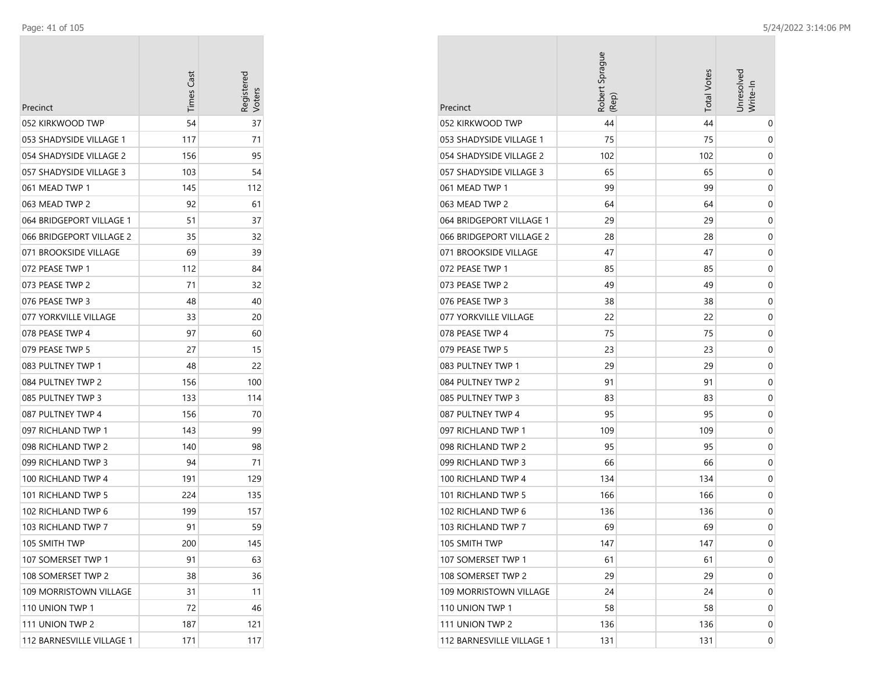| Precinct                  | <b>Times Cast</b> | Registerec<br>/oter |
|---------------------------|-------------------|---------------------|
| 052 KIRKWOOD TWP          | 54                | 37                  |
| 053 SHADYSIDE VILLAGE 1   | 117               | 71                  |
| 054 SHADYSIDE VILLAGE 2   | 156               | 95                  |
| 057 SHADYSIDE VILLAGE 3   | 103               | 54                  |
| 061 MEAD TWP 1            | 145               | 112                 |
| 063 MEAD TWP 2            | 92                | 61                  |
| 064 BRIDGEPORT VILLAGE 1  | 51                | 37                  |
| 066 BRIDGEPORT VILLAGE 2  | 35                | 32                  |
| 071 BROOKSIDE VILLAGE     | 69                | 39                  |
| 072 PEASE TWP 1           | 112               | 84                  |
| 073 PEASE TWP 2           | 71                | 32                  |
| 076 PEASE TWP 3           | 48                | 40                  |
| 077 YORKVILLE VILLAGE     | 33                | 20                  |
| 078 PEASE TWP 4           | 97                | 60                  |
| 079 PEASE TWP 5           | 27                | 15                  |
| 083 PULTNEY TWP 1         | 48                | 22                  |
| 084 PULTNEY TWP 2         | 156               | 100                 |
| 085 PULTNEY TWP 3         | 133               | 114                 |
| 087 PULTNEY TWP 4         | 156               | 70                  |
| 097 RICHLAND TWP 1        | 143               | 99                  |
| 098 RICHLAND TWP 2        | 140               | 98                  |
| 099 RICHLAND TWP 3        | 94                | 71                  |
| 100 RICHLAND TWP 4        | 191               | 129                 |
| 101 RICHLAND TWP 5        | 224               | 135                 |
| 102 RICHLAND TWP 6        | 199               | 157                 |
| 103 RICHLAND TWP 7        | 91                | 59                  |
| 105 SMITH TWP             | 200               | 145                 |
| 107 SOMERSET TWP 1        | 91                | 63                  |
| 108 SOMERSET TWP 2        | 38                | 36                  |
| 109 MORRISTOWN VILLAGE    | 31                | 11                  |
| 110 UNION TWP 1           | 72                | 46                  |
| 111 UNION TWP 2           | 187               | 121                 |
| 112 BARNESVILLE VILLAGE 1 | 171               | 117                 |

| Precinct                      | Robert Sprague<br>(Rep) | <b>Total Votes</b> | Jnresolved<br>Write-In |
|-------------------------------|-------------------------|--------------------|------------------------|
| 052 KIRKWOOD TWP              | 44                      | 44                 | 0                      |
| 053 SHADYSIDE VILLAGE 1       | 75                      | 75                 | 0                      |
| 054 SHADYSIDE VILLAGE 2       | 102                     | 102                | 0                      |
| 057 SHADYSIDE VILLAGE 3       | 65                      | 65                 | 0                      |
| 061 MEAD TWP 1                | 99                      | 99                 | 0                      |
| 063 MEAD TWP 2                | 64                      | 64                 | 0                      |
| 064 BRIDGEPORT VILLAGE 1      | 29                      | 29                 | 0                      |
| 066 BRIDGEPORT VILLAGE 2      | 28                      | 28                 | 0                      |
| 071 BROOKSIDE VILLAGE         | 47                      | 47                 | 0                      |
| 072 PEASE TWP 1               | 85                      | 85                 | 0                      |
| 073 PEASE TWP 2               | 49                      | 49                 | 0                      |
| 076 PEASE TWP 3               | 38                      | 38                 | 0                      |
| 077 YORKVILLE VILLAGE         | 22                      | 22                 | 0                      |
| 078 PEASE TWP 4               | 75                      | 75                 | 0                      |
| 079 PEASE TWP 5               | 23                      | 23                 | 0                      |
| 083 PULTNEY TWP 1             | 29                      | 29                 | 0                      |
| 084 PULTNEY TWP 2             | 91                      | 91                 | 0                      |
| 085 PULTNEY TWP 3             | 83                      | 83                 | 0                      |
| 087 PULTNEY TWP 4             | 95                      | 95                 | 0                      |
| 097 RICHLAND TWP 1            | 109                     | 109                | 0                      |
| 098 RICHLAND TWP 2            | 95                      | 95                 | 0                      |
| 099 RICHLAND TWP 3            | 66                      | 66                 | 0                      |
| 100 RICHLAND TWP 4            | 134                     | 134                | 0                      |
| 101 RICHLAND TWP 5            | 166                     | 166                | 0                      |
| 102 RICHLAND TWP 6            | 136                     | 136                | 0                      |
| 103 RICHLAND TWP 7            | 69                      | 69                 | 0                      |
| 105 SMITH TWP                 | 147                     | 147                | 0                      |
| 107 SOMERSET TWP 1            | 61                      | 61                 | 0                      |
| 108 SOMERSET TWP 2            | 29                      | 29                 | 0                      |
| <b>109 MORRISTOWN VILLAGE</b> | 24                      | 24                 | 0                      |
| 110 UNION TWP 1               | 58                      | 58                 | 0                      |
| 111 UNION TWP 2               | 136                     | 136                | 0                      |
| 112 BARNESVILLE VILLAGE 1     | 131                     | 131                | 0                      |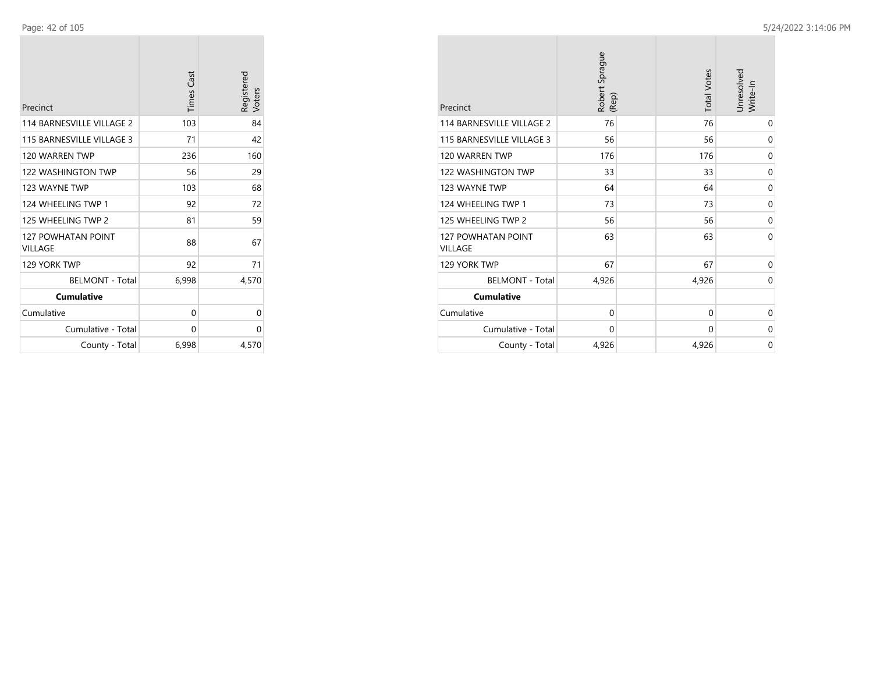| Precinct                             | <b>Times Cast</b> | Registered<br>Voters |
|--------------------------------------|-------------------|----------------------|
| 114 BARNESVILLE VILLAGE 2            | 103               | 84                   |
| 115 BARNESVILLE VILLAGE 3            | 71                | 42                   |
| 120 WARREN TWP                       | 236               | 160                  |
| <b>122 WASHINGTON TWP</b>            | 56                | 29                   |
| 123 WAYNE TWP                        | 103               | 68                   |
| 124 WHEELING TWP 1                   | 92                | 72                   |
| 125 WHEELING TWP 2                   | 81                | 59                   |
| <b>127 POWHATAN POINT</b><br>VILLAGE | 88                | 67                   |
| 129 YORK TWP                         | 92                | 71                   |
| <b>BELMONT - Total</b>               | 6,998             | 4,570                |
| <b>Cumulative</b>                    |                   |                      |
| Cumulative                           | 0                 | 0                    |
| Cumulative - Total                   | 0                 | 0                    |
| County - Total                       | 6,998             | 4,570                |

| Precinct                                    | Robert Sprague<br>(Rep) | <b>Total Votes</b> | Unresolved<br>Write-In |
|---------------------------------------------|-------------------------|--------------------|------------------------|
| 114 BARNESVILLE VILLAGE 2                   | 76                      | 76                 | 0                      |
| 115 BARNESVILLE VILLAGE 3                   | 56                      | 56                 | $\mathbf 0$            |
| 120 WARREN TWP                              | 176                     | 176                | 0                      |
| <b>122 WASHINGTON TWP</b>                   | 33                      | 33                 | 0                      |
| 123 WAYNE TWP                               | 64                      | 64                 | $\mathbf 0$            |
| 124 WHEELING TWP 1                          | 73                      | 73                 | $\mathbf 0$            |
| 125 WHEELING TWP 2                          | 56                      | 56                 | 0                      |
| <b>127 POWHATAN POINT</b><br><b>VILLAGE</b> | 63                      | 63                 | $\Omega$               |
| 129 YORK TWP                                | 67                      | 67                 | 0                      |
| <b>BELMONT - Total</b>                      | 4,926                   | 4,926              | $\Omega$               |
| <b>Cumulative</b>                           |                         |                    |                        |
| Cumulative                                  | $\mathbf 0$             | $\mathbf 0$        | 0                      |
| Cumulative - Total                          | 0                       | 0                  | 0                      |
| County - Total                              | 4,926                   | 4,926              | 0                      |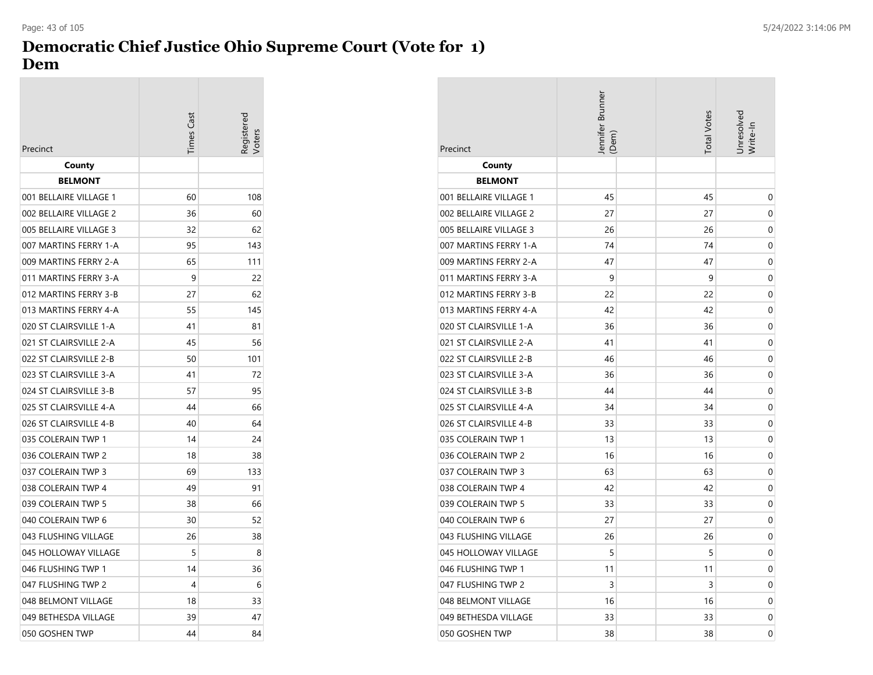#### **Democratic Chief Justice Ohio Supreme Court (Vote for 1) Dem** Page: 43 of 105 5/24/2022 3:14:06 PM

| Precinct               | <b>Times Cast</b> | egistered |
|------------------------|-------------------|-----------|
| County                 |                   |           |
| <b>BELMONT</b>         |                   |           |
| 001 BELLAIRE VILLAGE 1 | 60                | 108       |
| 002 BELLAIRE VILLAGE 2 | 36                | 60        |
| 005 BELLAIRE VILLAGE 3 | 32                | 62        |
| 007 MARTINS FERRY 1-A  | 95                | 143       |
| 009 MARTINS FERRY 2-A  | 65                | 111       |
| 011 MARTINS FERRY 3-A  | 9                 | 22        |
| 012 MARTINS FERRY 3-B  | 27                | 62        |
| 013 MARTINS FERRY 4-A  | 55                | 145       |
| 020 ST CLAIRSVILLE 1-A | 41                | 81        |
| 021 ST CLAIRSVILLE 2-A | 45                | 56        |
| 022 ST CLAIRSVILLE 2-B | 50                | 101       |
| 023 ST CLAIRSVILLE 3-A | 41                | 72        |
| 024 ST CLAIRSVILLE 3-B | 57                | 95        |
| 025 ST CLAIRSVILLE 4-A | 44                | 66        |
| 026 ST CLAIRSVILLE 4-B | 40                | 64        |
| 035 COLERAIN TWP 1     | 14                | 24        |
| 036 COLERAIN TWP 2     | 18                | 38        |
| 037 COLERAIN TWP 3     | 69                | 133       |
| 038 COLERAIN TWP 4     | 49                | 91        |
| 039 COLERAIN TWP 5     | 38                | 66        |
| 040 COLERAIN TWP 6     | 30                | 52        |
| 043 FLUSHING VILLAGE   | 26                | 38        |
| 045 HOLLOWAY VILLAGE   | 5                 | 8         |
| 046 FLUSHING TWP 1     | 14                | 36        |
| 047 FLUSHING TWP 2     | 4                 | 6         |
| 048 BELMONT VILLAGE    | 18                | 33        |
| 049 BETHESDA VILLAGE   | 39                | 47        |
| 050 GOSHEN TWP         | 44                | 84        |

| Precinct               | Jennifer Brunner<br>(Dem) | <b>Total Votes</b> | Jnresolved<br>Write-In |
|------------------------|---------------------------|--------------------|------------------------|
| County                 |                           |                    |                        |
| <b>BELMONT</b>         |                           |                    |                        |
| 001 BELLAIRE VILLAGE 1 | 45                        | 45                 | 0                      |
| 002 BELLAIRE VILLAGE 2 | 27                        | 27                 | 0                      |
| 005 BELLAIRE VILLAGE 3 | 26                        | 26                 | 0                      |
| 007 MARTINS FERRY 1-A  | 74                        | 74                 | 0                      |
| 009 MARTINS FERRY 2-A  | 47                        | 47                 | 0                      |
| 011 MARTINS FERRY 3-A  | 9                         | 9                  | 0                      |
| 012 MARTINS FERRY 3-B  | 22                        | 22                 | 0                      |
| 013 MARTINS FERRY 4-A  | 42                        | 42                 | 0                      |
| 020 ST CLAIRSVILLE 1-A | 36                        | 36                 | 0                      |
| 021 ST CLAIRSVILLE 2-A | 41                        | 41                 | 0                      |
| 022 ST CLAIRSVILLE 2-B | 46                        | 46                 | 0                      |
| 023 ST CLAIRSVILLE 3-A | 36                        | 36                 | 0                      |
| 024 ST CLAIRSVILLE 3-B | 44                        | 44                 | 0                      |
| 025 ST CLAIRSVILLE 4-A | 34                        | 34                 | 0                      |
| 026 ST CLAIRSVILLE 4-B | 33                        | 33                 | 0                      |
| 035 COLERAIN TWP 1     | 13                        | 13                 | 0                      |
| 036 COLERAIN TWP 2     | 16                        | 16                 | 0                      |
| 037 COLERAIN TWP 3     | 63                        | 63                 | 0                      |
| 038 COLERAIN TWP 4     | 42                        | 42                 | 0                      |
| 039 COLERAIN TWP 5     | 33                        | 33                 | 0                      |
| 040 COLERAIN TWP 6     | 27                        | 27                 | 0                      |
| 043 FLUSHING VILLAGE   | 26                        | 26                 | 0                      |
| 045 HOLLOWAY VILLAGE   | 5                         | 5                  | 0                      |
| 046 FLUSHING TWP 1     | 11                        | 11                 | 0                      |
| 047 FLUSHING TWP 2     | 3                         | 3                  | 0                      |
| 048 BELMONT VILLAGE    | 16                        | 16                 | 0                      |
| 049 BETHESDA VILLAGE   | 33                        | 33                 | 0                      |
| 050 GOSHEN TWP         | 38                        | 38                 | 0                      |

**College**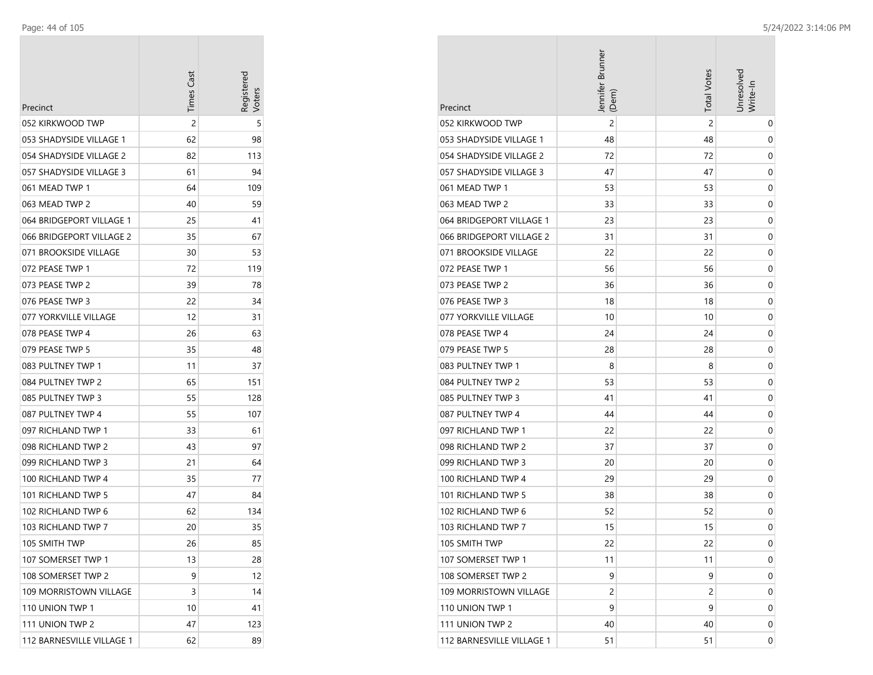| Precinct                  | <b>Times Cast</b> | Registereo<br>/oters |
|---------------------------|-------------------|----------------------|
| 052 KIRKWOOD TWP          | $\overline{c}$    | 5                    |
| 053 SHADYSIDE VILLAGE 1   | 62                | 98                   |
| 054 SHADYSIDE VILLAGE 2   | 82                | 113                  |
| 057 SHADYSIDE VILLAGE 3   | 61                | 94                   |
| 061 MEAD TWP 1            | 64                | 109                  |
| 063 MEAD TWP 2            | 40                | 59                   |
| 064 BRIDGEPORT VILLAGE 1  | 25                | 41                   |
| 066 BRIDGEPORT VILLAGE 2  | 35                | 67                   |
| 071 BROOKSIDE VILLAGE     | 30                | 53                   |
| 072 PEASE TWP 1           | 72                | 119                  |
| 073 PEASE TWP 2           | 39                | 78                   |
| 076 PEASE TWP 3           | 22                | 34                   |
| 077 YORKVILLE VILLAGE     | 12                | 31                   |
| 078 PEASE TWP 4           | 26                | 63                   |
| 079 PEASE TWP 5           | 35                | 48                   |
| 083 PULTNEY TWP 1         | 11                | 37                   |
| 084 PULTNEY TWP 2         | 65                | 151                  |
| 085 PULTNEY TWP 3         | 55                | 128                  |
| 087 PULTNEY TWP 4         | 55                | 107                  |
| 097 RICHLAND TWP 1        | 33                | 61                   |
| 098 RICHLAND TWP 2        | 43                | 97                   |
| 099 RICHLAND TWP 3        | 21                | 64                   |
| 100 RICHLAND TWP 4        | 35                | 77                   |
| 101 RICHLAND TWP 5        | 47                | 84                   |
| 102 RICHLAND TWP 6        | 62                | 134                  |
| 103 RICHLAND TWP 7        | 20                | 35                   |
| 105 SMITH TWP             | 26                | 85                   |
| 107 SOMERSET TWP 1        | 13                | 28                   |
| 108 SOMERSET TWP 2        | 9                 | 12                   |
| 109 MORRISTOWN VILLAGE    | 3                 | 14                   |
| 110 UNION TWP 1           | 10                | 41                   |
| 111 UNION TWP 2           | 47                | 123                  |
| 112 BARNESVILLE VILLAGE 1 | 62                | 89                   |

| Precinct                  | Jennifer Brunner<br>(Dem) | <b>Total Votes</b> | Jnresolved<br>Write-In |
|---------------------------|---------------------------|--------------------|------------------------|
| 052 KIRKWOOD TWP          | $\overline{2}$            | 2                  | 0                      |
| 053 SHADYSIDE VILLAGE 1   | 48                        | 48                 | 0                      |
| 054 SHADYSIDE VILLAGE 2   | 72                        | 72                 | 0                      |
| 057 SHADYSIDE VILLAGE 3   | 47                        | 47                 | 0                      |
| 061 MEAD TWP 1            | 53                        | 53                 | 0                      |
| 063 MEAD TWP 2            | 33                        | 33                 | 0                      |
| 064 BRIDGEPORT VILLAGE 1  | 23                        | 23                 | 0                      |
| 066 BRIDGEPORT VILLAGE 2  | 31                        | 31                 | 0                      |
| 071 BROOKSIDE VILLAGE     | 22                        | 22                 | 0                      |
| 072 PEASE TWP 1           | 56                        | 56                 | 0                      |
| 073 PEASE TWP 2           | 36                        | 36                 | 0                      |
| 076 PEASE TWP 3           | 18                        | 18                 | 0                      |
| 077 YORKVILLE VILLAGE     | 10                        | 10                 | 0                      |
| 078 PEASE TWP 4           | 24                        | 24                 | 0                      |
| 079 PEASE TWP 5           | 28                        | 28                 | 0                      |
| 083 PULTNEY TWP 1         | 8                         | 8                  | 0                      |
| 084 PULTNEY TWP 2         | 53                        | 53                 | 0                      |
| 085 PULTNEY TWP 3         | 41                        | 41                 | 0                      |
| 087 PULTNEY TWP 4         | 44                        | 44                 | 0                      |
| 097 RICHLAND TWP 1        | 22                        | 22                 | 0                      |
| 098 RICHLAND TWP 2        | 37                        | 37                 | 0                      |
| 099 RICHLAND TWP 3        | 20                        | 20                 | 0                      |
| 100 RICHLAND TWP 4        | 29                        | 29                 | 0                      |
| 101 RICHLAND TWP 5        | 38                        | 38                 | 0                      |
| 102 RICHLAND TWP 6        | 52                        | 52                 | 0                      |
| 103 RICHLAND TWP 7        | 15                        | 15                 | 0                      |
| 105 SMITH TWP             | 22                        | 22                 | 0                      |
| 107 SOMERSET TWP 1        | 11                        | 11                 | 0                      |
| 108 SOMERSET TWP 2        | 9                         | 9                  | 0                      |
| 109 MORRISTOWN VILLAGE    | 2                         | 2                  | 0                      |
| 110 UNION TWP 1           | 9                         | 9                  | 0                      |
| 111 UNION TWP 2           | 40                        | 40                 | 0                      |
| 112 BARNESVILLE VILLAGE 1 | 51                        | 51                 | 0                      |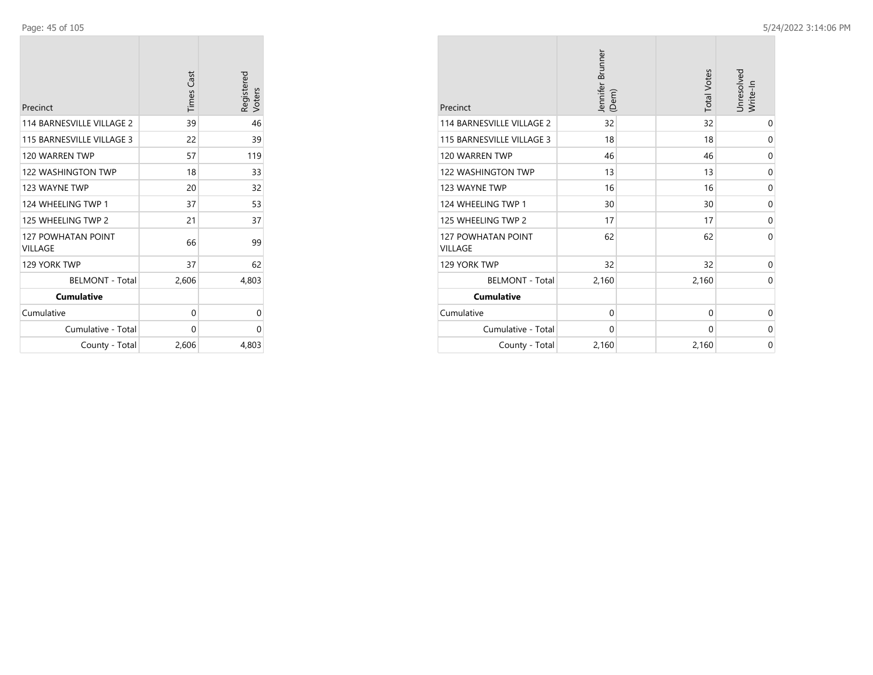| Precinct                             | <b>Times Cast</b> | Registered<br>Voters |
|--------------------------------------|-------------------|----------------------|
| 114 BARNESVILLE VILLAGE 2            | 39                | 46                   |
| 115 BARNESVILLE VILLAGE 3            | 22                | 39                   |
| 120 WARREN TWP                       | 57                | 119                  |
| 122 WASHINGTON TWP                   | 18                | 33                   |
| 123 WAYNE TWP                        | 20                | 32                   |
| 124 WHEELING TWP 1                   | 37                | 53                   |
| 125 WHEELING TWP 2                   | 21                | 37                   |
| <b>127 POWHATAN POINT</b><br>VILLAGE | 66                | 99                   |
| 129 YORK TWP                         | 37                | 62                   |
| <b>BELMONT - Total</b>               | 2,606             | 4,803                |
| <b>Cumulative</b>                    |                   |                      |
| Cumulative                           | 0                 | 0                    |
| Cumulative - Total                   | 0                 | 0                    |
| County - Total                       | 2,606             | 4,803                |

| Precinct                             | Jennifer Brunner<br>(Dem) | <b>Total Votes</b> | Unresolved<br>Write-In |
|--------------------------------------|---------------------------|--------------------|------------------------|
| 114 BARNESVILLE VILLAGE 2            | 32                        | 32                 | 0                      |
| 115 BARNESVILLE VILLAGE 3            | 18                        | 18                 | 0                      |
| 120 WARREN TWP                       | 46                        | 46                 | 0                      |
| <b>122 WASHINGTON TWP</b>            | 13                        | 13                 | 0                      |
| 123 WAYNE TWP                        | 16                        | 16                 | 0                      |
| 124 WHEELING TWP 1                   | 30                        | 30                 | $\mathbf 0$            |
| 125 WHEELING TWP 2                   | 17                        | 17                 | 0                      |
| <b>127 POWHATAN POINT</b><br>VILLAGE | 62                        | 62                 | 0                      |
| 129 YORK TWP                         | 32                        | 32                 | $\mathbf 0$            |
| <b>BELMONT - Total</b>               | 2,160                     | 2,160              | 0                      |
| <b>Cumulative</b>                    |                           |                    |                        |
| Cumulative                           | 0                         | $\mathbf 0$        | 0                      |
| Cumulative - Total                   | 0                         | 0                  | 0                      |
| County - Total                       | 2,160                     | 2,160              | 0                      |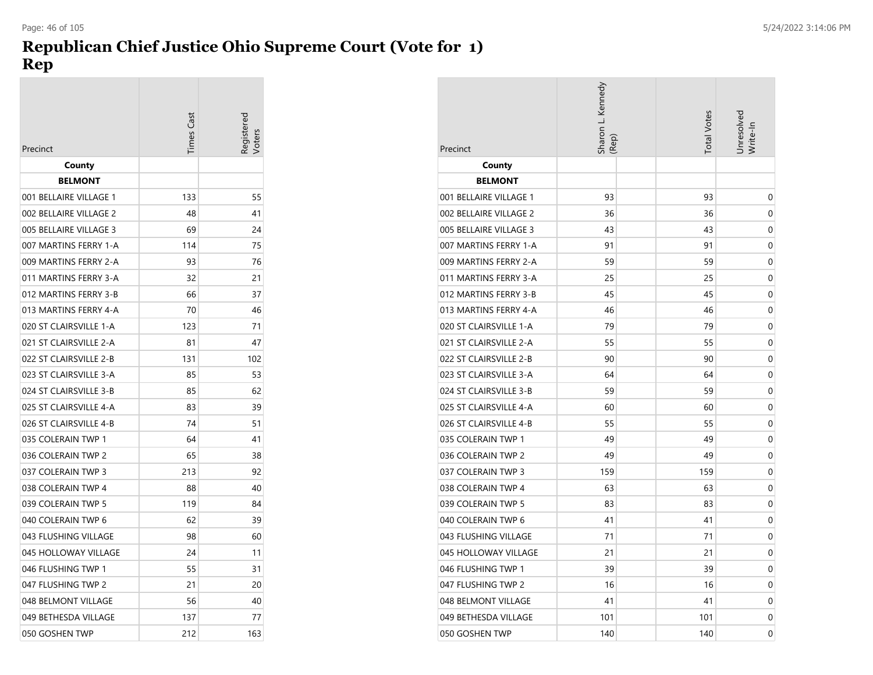### **Republican Chief Justice Ohio Supreme Court (Vote for 1) Rep** Page: 46 of 105 5/24/2022 3:14:06 PM

|                        | Times Cast | Registerec |
|------------------------|------------|------------|
| Precinct               |            |            |
| County                 |            |            |
| <b>BELMONT</b>         |            |            |
| 001 BELLAIRE VILLAGE 1 | 133        | 55         |
| 002 BELLAIRE VILLAGE 2 | 48         | 41         |
| 005 BELLAIRE VILLAGE 3 | 69         | 24         |
| 007 MARTINS FERRY 1-A  | 114        | 75         |
| 009 MARTINS FERRY 2-A  | 93         | 76         |
| 011 MARTINS FERRY 3-A  | 32         | 21         |
| 012 MARTINS FERRY 3-B  | 66         | 37         |
| 013 MARTINS FERRY 4-A  | 70         | 46         |
| 020 ST CLAIRSVILLE 1-A | 123        | 71         |
| 021 ST CLAIRSVILLE 2-A | 81         | 47         |
| 022 ST CLAIRSVILLE 2-B | 131        | 102        |
| 023 ST CLAIRSVILLE 3-A | 85         | 53         |
| 024 ST CLAIRSVILLE 3-B | 85         | 62         |
| 025 ST CLAIRSVILLE 4-A | 83         | 39         |
| 026 ST CLAIRSVILLE 4-B | 74         | 51         |
| 035 COLERAIN TWP 1     | 64         | 41         |
| 036 COLERAIN TWP 2     | 65         | 38         |
| 037 COLERAIN TWP 3     | 213        | 92         |
| 038 COLERAIN TWP 4     | 88         | 40         |
| 039 COLERAIN TWP 5     | 119        | 84         |
| 040 COLERAIN TWP 6     | 62         | 39         |
| 043 FLUSHING VILLAGE   | 98         | 60         |
| 045 HOLLOWAY VILLAGE   | 24         | 11         |
| 046 FLUSHING TWP 1     | 55         | 31         |
| 047 FLUSHING TWP 2     | 21         | 20         |
| 048 BELMONT VILLAGE    | 56         | 40         |
| 049 BETHESDA VILLAGE   | 137        | 77         |
| 050 GOSHEN TWP         | 212        | 163        |

| Precinct               | Sharon L. Kennedy<br>(Rep) | <b>Total Votes</b> | Jnresolved<br>Write-In |
|------------------------|----------------------------|--------------------|------------------------|
| County                 |                            |                    |                        |
| <b>BELMONT</b>         |                            |                    |                        |
| 001 BELLAIRE VILLAGE 1 | 93                         | 93                 | 0                      |
| 002 BELLAIRE VILLAGE 2 | 36                         | 36                 | 0                      |
| 005 BELLAIRE VILLAGE 3 | 43                         | 43                 | 0                      |
| 007 MARTINS FERRY 1-A  | 91                         | 91                 | 0                      |
| 009 MARTINS FERRY 2-A  | 59                         | 59                 | 0                      |
| 011 MARTINS FERRY 3-A  | 25                         | 25                 | 0                      |
| 012 MARTINS FERRY 3-B  | 45                         | 45                 | 0                      |
| 013 MARTINS FERRY 4-A  | 46                         | 46                 | 0                      |
| 020 ST CLAIRSVILLE 1-A | 79                         | 79                 | 0                      |
| 021 ST CLAIRSVILLE 2-A | 55                         | 55                 | 0                      |
| 022 ST CLAIRSVILLE 2-B | 90                         | 90                 | 0                      |
| 023 ST CLAIRSVILLE 3-A | 64                         | 64                 | 0                      |
| 024 ST CLAIRSVILLE 3-B | 59                         | 59                 | 0                      |
| 025 ST CLAIRSVILLE 4-A | 60                         | 60                 | 0                      |
| 026 ST CLAIRSVILLE 4-B | 55                         | 55                 | 0                      |
| 035 COLERAIN TWP 1     | 49                         | 49                 | 0                      |
| 036 COLERAIN TWP 2     | 49                         | 49                 | 0                      |
| 037 COLERAIN TWP 3     | 159                        | 159                | 0                      |
| 038 COLERAIN TWP 4     | 63                         | 63                 | 0                      |
| 039 COLERAIN TWP 5     | 83                         | 83                 | 0                      |
| 040 COLERAIN TWP 6     | 41                         | 41                 | 0                      |
| 043 FLUSHING VILLAGE   | 71                         | 71                 | 0                      |
| 045 HOLLOWAY VILLAGE   | 21                         | 21                 | 0                      |
| 046 FLUSHING TWP 1     | 39                         | 39                 | 0                      |
| 047 FLUSHING TWP 2     | 16                         | 16                 | 0                      |
| 048 BELMONT VILLAGE    | 41                         | 41                 | 0                      |
| 049 BETHESDA VILLAGE   | 101                        | 101                | 0                      |
| 050 GOSHEN TWP         | 140                        | 140                | 0                      |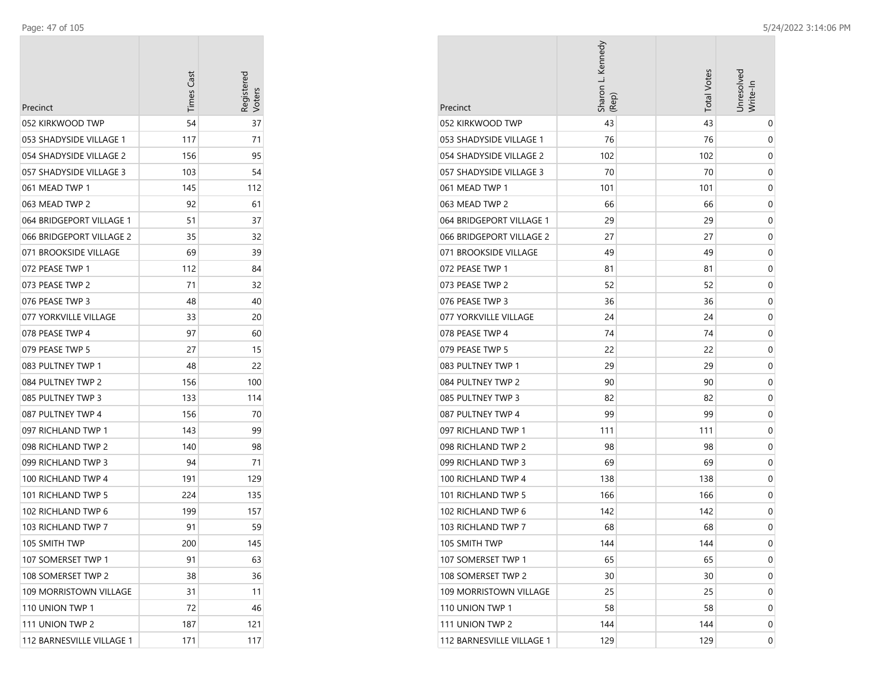| Precinct                  | <b>Times Cast</b> | Registerec<br>/oter |
|---------------------------|-------------------|---------------------|
| 052 KIRKWOOD TWP          | 54                | 37                  |
| 053 SHADYSIDE VILLAGE 1   | 117               | 71                  |
| 054 SHADYSIDE VILLAGE 2   | 156               | 95                  |
| 057 SHADYSIDE VILLAGE 3   | 103               | 54                  |
| 061 MEAD TWP 1            | 145               | 112                 |
| 063 MEAD TWP 2            | 92                | 61                  |
| 064 BRIDGEPORT VILLAGE 1  | 51                | 37                  |
| 066 BRIDGEPORT VILLAGE 2  | 35                | 32                  |
| 071 BROOKSIDE VILLAGE     | 69                | 39                  |
| 072 PEASE TWP 1           | 112               | 84                  |
| 073 PEASE TWP 2           | 71                | 32                  |
| 076 PEASE TWP 3           | 48                | 40                  |
| 077 YORKVILLE VILLAGE     | 33                | 20                  |
| 078 PEASE TWP 4           | 97                | 60                  |
| 079 PEASE TWP 5           | 27                | 15                  |
| 083 PULTNEY TWP 1         | 48                | 22                  |
| 084 PULTNEY TWP 2         | 156               | 100                 |
| 085 PULTNEY TWP 3         | 133               | 114                 |
| 087 PULTNEY TWP 4         | 156               | 70                  |
| 097 RICHLAND TWP 1        | 143               | 99                  |
| 098 RICHLAND TWP 2        | 140               | 98                  |
| 099 RICHLAND TWP 3        | 94                | 71                  |
| 100 RICHLAND TWP 4        | 191               | 129                 |
| 101 RICHLAND TWP 5        | 224               | 135                 |
| 102 RICHLAND TWP 6        | 199               | 157                 |
| 103 RICHLAND TWP 7        | 91                | 59                  |
| 105 SMITH TWP             | 200               | 145                 |
| 107 SOMERSET TWP 1        | 91                | 63                  |
| 108 SOMERSET TWP 2        | 38                | 36                  |
| 109 MORRISTOWN VILLAGE    | 31                | 11                  |
| 110 UNION TWP 1           | 72                | 46                  |
| 111 UNION TWP 2           | 187               | 121                 |
| 112 BARNESVILLE VILLAGE 1 | 171               | 117                 |

| Precinct                  | Sharon L. Kennedy<br>(Rep) | <b>Total Votes</b> | Jnresolved<br>Write-In |
|---------------------------|----------------------------|--------------------|------------------------|
| 052 KIRKWOOD TWP          | 43                         | 43                 | 0                      |
| 053 SHADYSIDE VILLAGE 1   | 76                         | 76                 | 0                      |
| 054 SHADYSIDE VILLAGE 2   | 102                        | 102                | 0                      |
| 057 SHADYSIDE VILLAGE 3   | 70                         | 70                 | 0                      |
| 061 MEAD TWP 1            | 101                        | 101                | 0                      |
| 063 MEAD TWP 2            | 66                         | 66                 | 0                      |
| 064 BRIDGEPORT VILLAGE 1  | 29                         | 29                 | 0                      |
| 066 BRIDGEPORT VILLAGE 2  | 27                         | 27                 | 0                      |
| 071 BROOKSIDE VILLAGE     | 49                         | 49                 | 0                      |
| 072 PEASE TWP 1           | 81                         | 81                 | 0                      |
| 073 PEASE TWP 2           | 52                         | 52                 | 0                      |
| 076 PEASE TWP 3           | 36                         | 36                 | 0                      |
| 077 YORKVILLE VILLAGE     | 24                         | 24                 | 0                      |
| 078 PEASE TWP 4           | 74                         | 74                 | 0                      |
| 079 PEASE TWP 5           | 22                         | 22                 | 0                      |
| 083 PULTNEY TWP 1         | 29                         | 29                 | 0                      |
| 084 PULTNEY TWP 2         | 90                         | 90                 | 0                      |
| 085 PULTNEY TWP 3         | 82                         | 82                 | 0                      |
| 087 PULTNEY TWP 4         | 99                         | 99                 | 0                      |
| 097 RICHLAND TWP 1        | 111                        | 111                | 0                      |
| 098 RICHLAND TWP 2        | 98                         | 98                 | 0                      |
| 099 RICHLAND TWP 3        | 69                         | 69                 | 0                      |
| 100 RICHLAND TWP 4        | 138                        | 138                | 0                      |
| 101 RICHLAND TWP 5        | 166                        | 166                | 0                      |
| 102 RICHLAND TWP 6        | 142                        | 142                | 0                      |
| 103 RICHLAND TWP 7        | 68                         | 68                 | 0                      |
| 105 SMITH TWP             | 144                        | 144                | 0                      |
| 107 SOMERSET TWP 1        | 65                         | 65                 | 0                      |
| 108 SOMERSET TWP 2        | 30                         | 30                 | 0                      |
| 109 MORRISTOWN VILLAGE    | 25                         | 25                 | 0                      |
| 110 UNION TWP 1           | 58                         | 58                 | 0                      |
| 111 UNION TWP 2           | 144                        | 144                | 0                      |
| 112 BARNESVILLE VILLAGE 1 | 129                        | 129                | 0                      |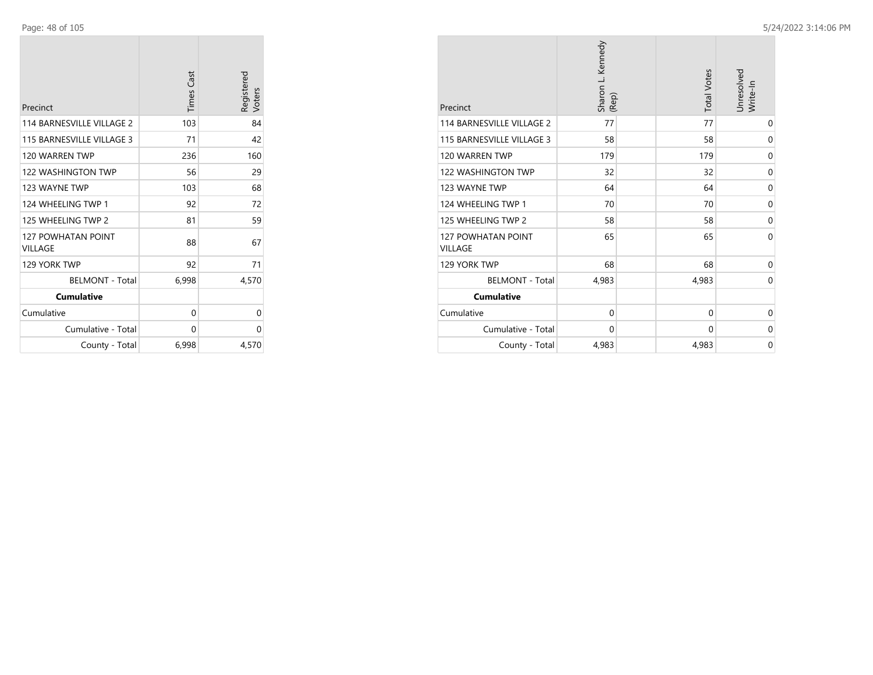| Precinct                             | <b>Times Cast</b> | Registered<br>Voters |
|--------------------------------------|-------------------|----------------------|
| 114 BARNESVILLE VILLAGE 2            | 103               | 84                   |
| 115 BARNESVILLE VILLAGE 3            | 71                | 42                   |
| 120 WARREN TWP                       | 236               | 160                  |
| <b>122 WASHINGTON TWP</b>            | 56                | 29                   |
| 123 WAYNE TWP                        | 103               | 68                   |
| 124 WHEELING TWP 1                   | 92                | 72                   |
| 125 WHEELING TWP 2                   | 81                | 59                   |
| <b>127 POWHATAN POINT</b><br>VILLAGE | 88                | 67                   |
| 129 YORK TWP                         | 92                | 71                   |
| <b>BELMONT - Total</b>               | 6,998             | 4,570                |
| <b>Cumulative</b>                    |                   |                      |
| Cumulative                           | 0                 | 0                    |
| Cumulative - Total                   | 0                 | 0                    |
| County - Total                       | 6,998             | 4,570                |

| Precinct                                    | Sharon L. Kennedy<br>(Rep) | <b>Total Votes</b> | Unresolved<br>Write-In |
|---------------------------------------------|----------------------------|--------------------|------------------------|
| 114 BARNESVILLE VILLAGE 2                   | 77                         | 77                 | 0                      |
| 115 BARNESVILLE VILLAGE 3                   | 58                         | 58                 | 0                      |
| 120 WARREN TWP                              | 179                        | 179                | 0                      |
| <b>122 WASHINGTON TWP</b>                   | 32                         | 32                 | 0                      |
| 123 WAYNE TWP                               | 64                         | 64                 | 0                      |
| 124 WHEELING TWP 1                          | 70                         | 70                 | 0                      |
| 125 WHEELING TWP 2                          | 58                         | 58                 | 0                      |
| <b>127 POWHATAN POINT</b><br><b>VILLAGE</b> | 65                         | 65                 | $\Omega$               |
| 129 YORK TWP                                | 68                         | 68                 | 0                      |
| <b>BELMONT - Total</b>                      | 4,983                      | 4,983              | 0                      |
| <b>Cumulative</b>                           |                            |                    |                        |
| Cumulative                                  | $\mathbf 0$                | 0                  | 0                      |
| Cumulative - Total                          | 0                          | 0                  | 0                      |
| County - Total                              | 4,983                      | 4,983              | 0                      |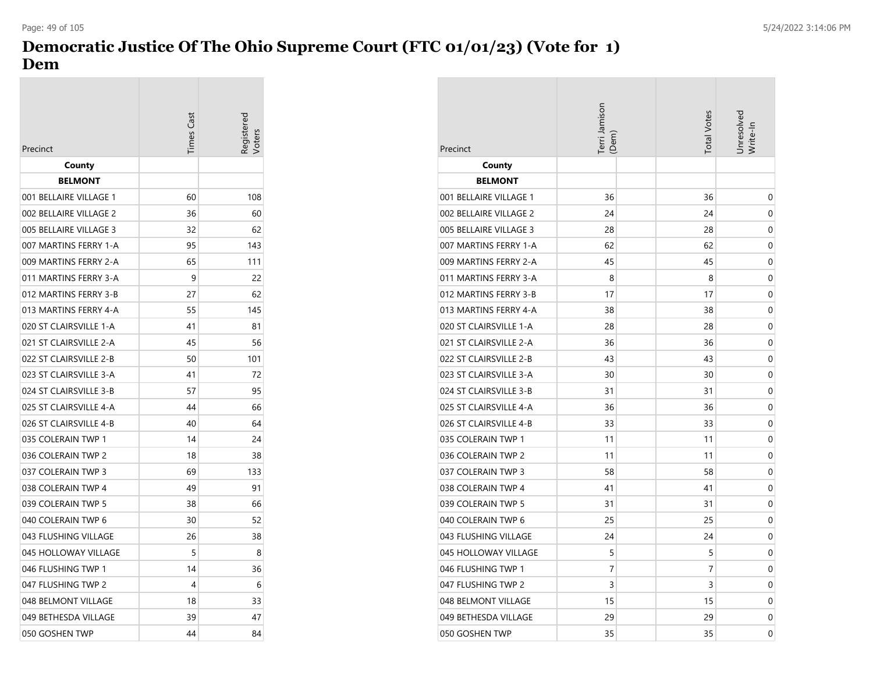## **Democratic Justice Of The Ohio Supreme Court (FTC 01/01/23) (Vote for 1) Dem**

| Precinct               | <b>Times Cast</b> | egisterec |
|------------------------|-------------------|-----------|
| County                 |                   |           |
| <b>BELMONT</b>         |                   |           |
| 001 BELLAIRE VILLAGE 1 | 60                | 108       |
| 002 BELLAIRE VILLAGE 2 | 36                | 60        |
| 005 BELLAIRE VILLAGE 3 | 32                | 62        |
| 007 MARTINS FERRY 1-A  | 95                | 143       |
| 009 MARTINS FERRY 2-A  | 65                | 111       |
| 011 MARTINS FERRY 3-A  | 9                 | 22        |
| 012 MARTINS FERRY 3-B  | 27                | 62        |
| 013 MARTINS FERRY 4-A  | 55                | 145       |
| 020 ST CLAIRSVILLE 1-A | 41                | 81        |
| 021 ST CLAIRSVILLE 2-A | 45                | 56        |
| 022 ST CLAIRSVILLE 2-B | 50                | 101       |
| 023 ST CLAIRSVILLE 3-A | 41                | 72        |
| 024 ST CLAIRSVILLE 3-B | 57                | 95        |
| 025 ST CLAIRSVILLE 4-A | 44                | 66        |
| 026 ST CLAIRSVILLE 4-B | 40                | 64        |
| 035 COLERAIN TWP 1     | 14                | 24        |
| 036 COLERAIN TWP 2     | 18                | 38        |
| 037 COLERAIN TWP 3     | 69                | 133       |
| 038 COLERAIN TWP 4     | 49                | 91        |
| 039 COLERAIN TWP 5     | 38                | 66        |
| 040 COLERAIN TWP 6     | 30                | 52        |
| 043 FLUSHING VILLAGE   | 26                | 38        |
| 045 HOLLOWAY VILLAGE   | 5                 | 8         |
| 046 FLUSHING TWP 1     | 14                | 36        |
| 047 FLUSHING TWP 2     | 4                 | 6         |
| 048 BELMONT VILLAGE    | 18                | 33        |
| 049 BETHESDA VILLAGE   | 39                | 47        |
| 050 GOSHEN TWP         | 44                | 84        |

| Precinct               | Terri Jamison<br>(Dem) | <b>Total Votes</b> | Jnresolved<br>Write-In |
|------------------------|------------------------|--------------------|------------------------|
| County                 |                        |                    |                        |
| <b>BELMONT</b>         |                        |                    |                        |
| 001 BELLAIRE VILLAGE 1 | 36                     | 36                 | 0                      |
| 002 BELLAIRE VILLAGE 2 | 24                     | 24                 | 0                      |
| 005 BELLAIRE VILLAGE 3 | 28                     | 28                 | 0                      |
| 007 MARTINS FERRY 1-A  | 62                     | 62                 | 0                      |
| 009 MARTINS FERRY 2-A  | 45                     | 45                 | 0                      |
| 011 MARTINS FERRY 3-A  | 8                      | 8                  | 0                      |
| 012 MARTINS FERRY 3-B  | 17                     | 17                 | 0                      |
| 013 MARTINS FERRY 4-A  | 38                     | 38                 | 0                      |
| 020 ST CLAIRSVILLE 1-A | 28                     | 28                 | 0                      |
| 021 ST CLAIRSVILLE 2-A | 36                     | 36                 | 0                      |
| 022 ST CLAIRSVILLE 2-B | 43                     | 43                 | 0                      |
| 023 ST CLAIRSVILLE 3-A | 30                     | 30                 | 0                      |
| 024 ST CLAIRSVILLE 3-B | 31                     | 31                 | 0                      |
| 025 ST CLAIRSVILLE 4-A | 36                     | 36                 | 0                      |
| 026 ST CLAIRSVILLE 4-B | 33                     | 33                 | 0                      |
| 035 COLERAIN TWP 1     | 11                     | 11                 | 0                      |
| 036 COLERAIN TWP 2     | 11                     | 11                 | 0                      |
| 037 COLERAIN TWP 3     | 58                     | 58                 | 0                      |
| 038 COLERAIN TWP 4     | 41                     | 41                 | 0                      |
| 039 COLERAIN TWP 5     | 31                     | 31                 | 0                      |
| 040 COLERAIN TWP 6     | 25                     | 25                 | 0                      |
| 043 FLUSHING VILLAGE   | 24                     | 24                 | 0                      |
| 045 HOLLOWAY VILLAGE   | 5                      | 5                  | 0                      |
| 046 FLUSHING TWP 1     | 7                      | 7                  | 0                      |
| 047 FLUSHING TWP 2     | 3                      | 3                  | 0                      |
| 048 BELMONT VILLAGE    | 15                     | 15                 | 0                      |
| 049 BETHESDA VILLAGE   | 29                     | 29                 | 0                      |
| 050 GOSHEN TWP         | 35                     | 35                 | 0                      |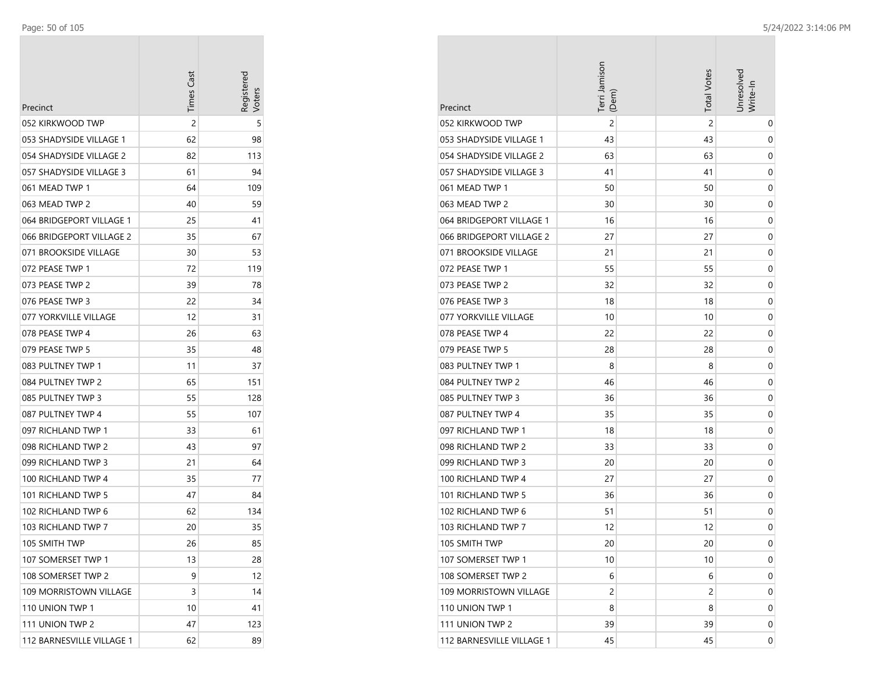÷

| Precinct                  | <b>Times Cast</b> | Registered |
|---------------------------|-------------------|------------|
| 052 KIRKWOOD TWP          | 2                 | 5          |
| 053 SHADYSIDE VILLAGE 1   | 62                | 98         |
| 054 SHADYSIDE VILLAGE 2   | 82                | 113        |
| 057 SHADYSIDE VILLAGE 3   | 61                | 94         |
| 061 MEAD TWP 1            | 64                | 109        |
| 063 MEAD TWP 2            | 40                | 59         |
| 064 BRIDGEPORT VILLAGE 1  | 25                | 41         |
| 066 BRIDGEPORT VILLAGE 2  | 35                | 67         |
| 071 BROOKSIDE VILLAGE     | 30                | 53         |
| 072 PEASE TWP 1           | 72                | 119        |
| 073 PEASE TWP 2           | 39                | 78         |
| 076 PEASE TWP 3           | 22                | 34         |
| 077 YORKVILLE VILLAGE     | 12                | 31         |
| 078 PEASE TWP 4           | 26                | 63         |
| 079 PEASE TWP 5           | 35                | 48         |
| 083 PULTNEY TWP 1         | 11                | 37         |
| 084 PULTNEY TWP 2         | 65                | 151        |
| 085 PULTNEY TWP 3         | 55                | 128        |
| 087 PULTNEY TWP 4         | 55                | 107        |
| 097 RICHLAND TWP 1        | 33                | 61         |
| 098 RICHLAND TWP 2        | 43                | 97         |
| 099 RICHLAND TWP 3        | 21                | 64         |
| 100 RICHLAND TWP 4        | 35                | 77         |
| 101 RICHLAND TWP 5        | 47                | 84         |
| 102 RICHLAND TWP 6        | 62                | 134        |
| 103 RICHLAND TWP 7        | 20                | 35         |
| 105 SMITH TWP             | 26                | 85         |
| 107 SOMERSET TWP 1        | 13                | 28         |
| 108 SOMERSET TWP 2        | 9                 | 12         |
| 109 MORRISTOWN VILLAGE    | 3                 | 14         |
| 110 UNION TWP 1           | 10                | 41         |
| 111 UNION TWP 2           | 47                | 123        |
| 112 BARNESVILLE VILLAGE 1 | 62                | 89         |

|                           | Terri Jamison<br>(Dem) | <b>Total Votes</b> | Jnresolved<br>Write-In |
|---------------------------|------------------------|--------------------|------------------------|
| Precinct                  |                        |                    |                        |
| 052 KIRKWOOD TWP          | $\overline{c}$         | $\overline{c}$     | 0                      |
| 053 SHADYSIDE VILLAGE 1   | 43                     | 43                 | 0                      |
| 054 SHADYSIDE VILLAGE 2   | 63                     | 63                 | 0                      |
| 057 SHADYSIDE VILLAGE 3   | 41                     | 41                 | 0                      |
| 061 MEAD TWP 1            | 50                     | 50                 | 0                      |
| 063 MEAD TWP 2            | 30                     | 30                 | 0                      |
| 064 BRIDGEPORT VILLAGE 1  | 16                     | 16                 | 0                      |
| 066 BRIDGEPORT VILLAGE 2  | 27                     | 27                 | 0                      |
| 071 BROOKSIDE VILLAGE     | 21                     | 21                 | 0                      |
| 072 PEASE TWP 1           | 55                     | 55                 | 0                      |
| 073 PEASE TWP 2           | 32                     | 32                 | 0                      |
| 076 PEASE TWP 3           | 18                     | 18                 | 0                      |
| 077 YORKVILLE VILLAGE     | 10                     | 10                 | 0                      |
| 078 PEASE TWP 4           | 22                     | 22                 | 0                      |
| 079 PEASE TWP 5           | 28                     | 28                 | 0                      |
| 083 PULTNEY TWP 1         | 8                      | 8                  | 0                      |
| 084 PULTNEY TWP 2         | 46                     | 46                 | 0                      |
| 085 PULTNEY TWP 3         | 36                     | 36                 | 0                      |
| 087 PULTNEY TWP 4         | 35                     | 35                 | 0                      |
| 097 RICHLAND TWP 1        | 18                     | 18                 | 0                      |
| 098 RICHLAND TWP 2        | 33                     | 33                 | 0                      |
| 099 RICHLAND TWP 3        | 20                     | 20                 | 0                      |
| 100 RICHLAND TWP 4        | 27                     | 27                 | 0                      |
| 101 RICHLAND TWP 5        | 36                     | 36                 | 0                      |
| 102 RICHLAND TWP 6        | 51                     | 51                 | 0                      |
| 103 RICHLAND TWP 7        | 12                     | 12                 | 0                      |
| 105 SMITH TWP             | 20                     | 20                 | 0                      |
| 107 SOMERSET TWP 1        | 10                     | 10                 | 0                      |
| 108 SOMERSET TWP 2        | 6                      | 6                  | 0                      |
| 109 MORRISTOWN VILLAGE    | 2                      | 2                  | 0                      |
| 110 UNION TWP 1           | 8                      | 8                  | 0                      |
| 111 UNION TWP 2           | 39                     | 39                 | 0                      |
| 112 BARNESVILLE VILLAGE 1 | 45                     | 45                 | 0                      |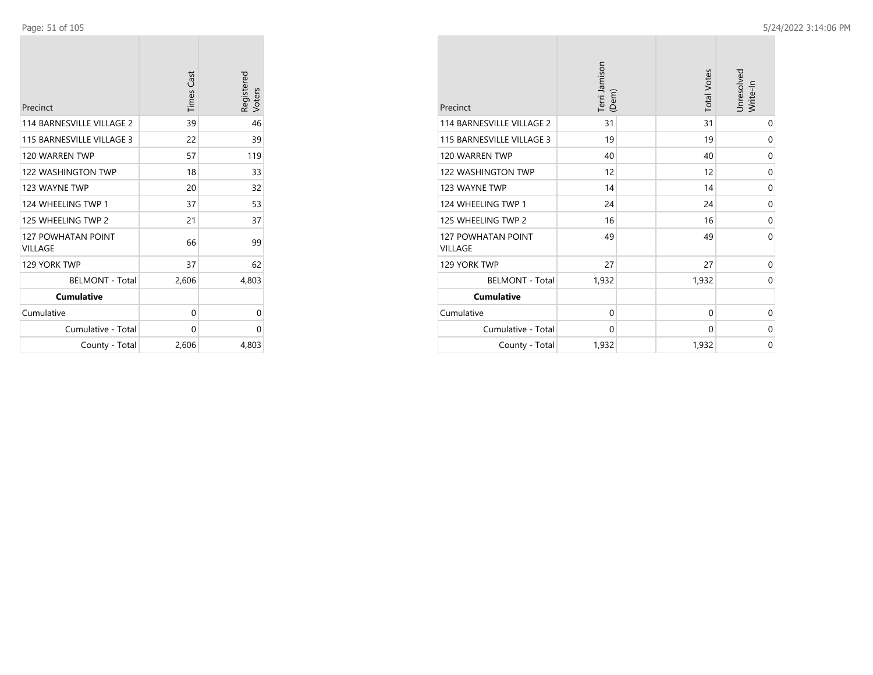| Precinct                             | <b>Times Cast</b> | Registered<br>Voters |
|--------------------------------------|-------------------|----------------------|
| <b>114 BARNESVILLE VILLAGE 2</b>     | 39                | 46                   |
| 115 BARNESVILLE VILLAGE 3            | 22                | 39                   |
| 120 WARREN TWP                       | 57                | 119                  |
| <b>122 WASHINGTON TWP</b>            | 18                | 33                   |
| 123 WAYNE TWP                        | 20                | 32                   |
| 124 WHEELING TWP 1                   | 37                | 53                   |
| 125 WHEELING TWP 2                   | 21                | 37                   |
| <b>127 POWHATAN POINT</b><br>VILLAGE | 66                | 99                   |
| 129 YORK TWP                         | 37                | 62                   |
| <b>BELMONT - Total</b>               | 2,606             | 4,803                |
| <b>Cumulative</b>                    |                   |                      |
| Cumulative                           | 0                 | 0                    |
| Cumulative - Total                   | 0                 | 0                    |
| County - Total                       | 2,606             | 4,803                |

| Precinct                             | Terri Jamison<br>(Dem) | <b>Total Votes</b> | Unresolved<br>Write-In |
|--------------------------------------|------------------------|--------------------|------------------------|
| 114 BARNESVILLE VILLAGE 2            | 31                     | 31                 | 0                      |
| 115 BARNESVILLE VILLAGE 3            | 19                     | 19                 | 0                      |
| 120 WARREN TWP                       | 40                     | 40                 | 0                      |
| <b>122 WASHINGTON TWP</b>            | 12                     | 12                 | 0                      |
| 123 WAYNE TWP                        | 14                     | 14                 | 0                      |
| 124 WHEELING TWP 1                   | 24                     | 24                 | 0                      |
| 125 WHEELING TWP 2                   | 16                     | 16                 | 0                      |
| 127 POWHATAN POINT<br><b>VILLAGE</b> | 49                     | 49                 | $\Omega$               |
| 129 YORK TWP                         | 27                     | 27                 | 0                      |
| <b>BELMONT - Total</b>               | 1,932                  | 1,932              | $\Omega$               |
| <b>Cumulative</b>                    |                        |                    |                        |
| Cumulative                           | $\mathbf 0$            | 0                  | 0                      |
| Cumulative - Total                   | 0                      | 0                  | 0                      |
| County - Total                       | 1,932                  | 1,932              | 0                      |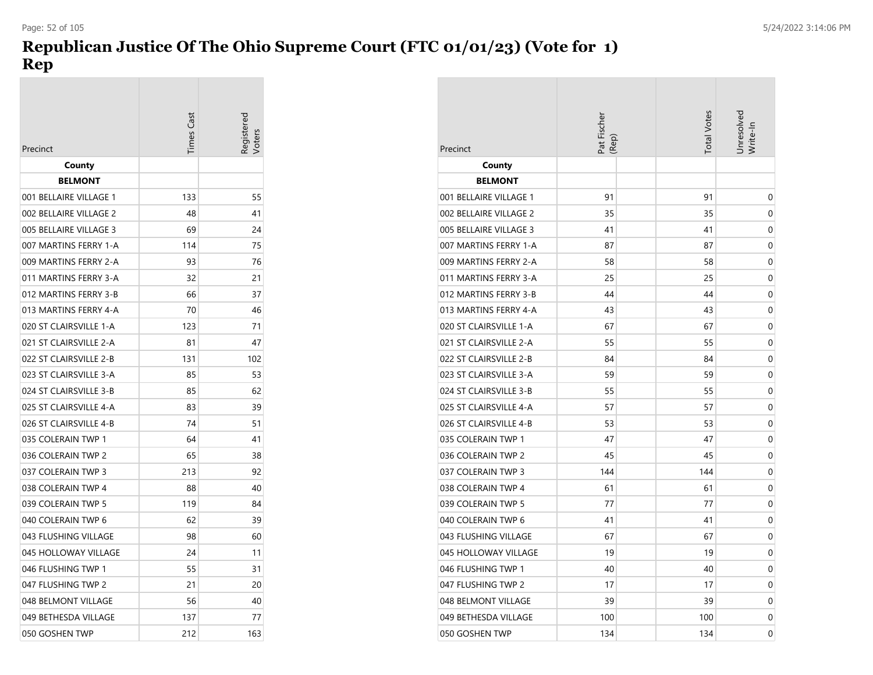# **Republican Justice Of The Ohio Supreme Court (FTC 01/01/23) (Vote for 1) Rep**

| Precinct               | imes Cast |     |
|------------------------|-----------|-----|
| County                 |           |     |
| <b>BELMONT</b>         |           |     |
| 001 BELLAIRE VILLAGE 1 | 133       | 55  |
| 002 BELLAIRE VILLAGE 2 | 48        | 41  |
| 005 BELLAIRE VILLAGE 3 | 69        | 24  |
| 007 MARTINS FERRY 1-A  | 114       | 75  |
| 009 MARTINS FERRY 2-A  | 93        | 76  |
| 011 MARTINS FERRY 3-A  | 32        | 21  |
| 012 MARTINS FERRY 3-B  | 66        | 37  |
| 013 MARTINS FERRY 4-A  | 70        | 46  |
| 020 ST CLAIRSVILLE 1-A | 123       | 71  |
| 021 ST CLAIRSVILLE 2-A | 81        | 47  |
| 022 ST CLAIRSVILLE 2-B | 131       | 102 |
| 023 ST CLAIRSVILLE 3-A | 85        | 53  |
| 024 ST CLAIRSVILLE 3-B | 85        | 62  |
| 025 ST CLAIRSVILLE 4-A | 83        | 39  |
| 026 ST CLAIRSVILLE 4-B | 74        | 51  |
| 035 COLERAIN TWP 1     | 64        | 41  |
| 036 COLERAIN TWP 2     | 65        | 38  |
| 037 COLERAIN TWP 3     | 213       | 92  |
| 038 COLERAIN TWP 4     | 88        | 40  |
| 039 COLERAIN TWP 5     | 119       | 84  |
| 040 COLERAIN TWP 6     | 62        | 39  |
| 043 FLUSHING VILLAGE   | 98        | 60  |
| 045 HOLLOWAY VILLAGE   | 24        | 11  |
| 046 FLUSHING TWP 1     | 55        | 31  |
| 047 FLUSHING TWP 2     | 21        | 20  |
| 048 BELMONT VILLAGE    | 56        | 40  |
| 049 BETHESDA VILLAGE   | 137       | 77  |
| 050 GOSHEN TWP         | 212       | 163 |

| Precinct               | Pat Fischer<br>(Rep) | <b>Total Votes</b> | Unresolved<br>Write-In |
|------------------------|----------------------|--------------------|------------------------|
| County                 |                      |                    |                        |
| <b>BELMONT</b>         |                      |                    |                        |
| 001 BELLAIRE VILLAGE 1 | 91                   | 91                 | 0                      |
| 002 BELLAIRE VILLAGE 2 | 35                   | 35                 | 0                      |
| 005 BELLAIRE VILLAGE 3 | 41                   | 41                 | 0                      |
| 007 MARTINS FERRY 1-A  | 87                   | 87                 | 0                      |
| 009 MARTINS FERRY 2-A  | 58                   | 58                 | 0                      |
| 011 MARTINS FERRY 3-A  | 25                   | 25                 | 0                      |
| 012 MARTINS FERRY 3-B  | 44                   | 44                 | 0                      |
| 013 MARTINS FERRY 4-A  | 43                   | 43                 | 0                      |
| 020 ST CLAIRSVILLE 1-A | 67                   | 67                 | 0                      |
| 021 ST CLAIRSVILLE 2-A | 55                   | 55                 | 0                      |
| 022 ST CLAIRSVILLE 2-B | 84                   | 84                 | 0                      |
| 023 ST CLAIRSVILLE 3-A | 59                   | 59                 | 0                      |
| 024 ST CLAIRSVILLE 3-B | 55                   | 55                 | 0                      |
| 025 ST CLAIRSVILLE 4-A | 57                   | 57                 | 0                      |
| 026 ST CLAIRSVILLE 4-B | 53                   | 53                 | 0                      |
| 035 COLERAIN TWP 1     | 47                   | 47                 | 0                      |
| 036 COLERAIN TWP 2     | 45                   | 45                 | 0                      |
| 037 COLERAIN TWP 3     | 144                  | 144                | 0                      |
| 038 COLERAIN TWP 4     | 61                   | 61                 | 0                      |
| 039 COLERAIN TWP 5     | 77                   | 77                 | 0                      |
| 040 COLERAIN TWP 6     | 41                   | 41                 | 0                      |
| 043 FLUSHING VILLAGE   | 67                   | 67                 | 0                      |
| 045 HOLLOWAY VILLAGE   | 19                   | 19                 | 0                      |
| 046 FLUSHING TWP 1     | 40                   | 40                 | 0                      |
| 047 FLUSHING TWP 2     | 17                   | 17                 | 0                      |
| 048 BELMONT VILLAGE    | 39                   | 39                 | 0                      |
| 049 BETHESDA VILLAGE   | 100                  | 100                | 0                      |
| 050 GOSHEN TWP         | 134                  | 134                | 0                      |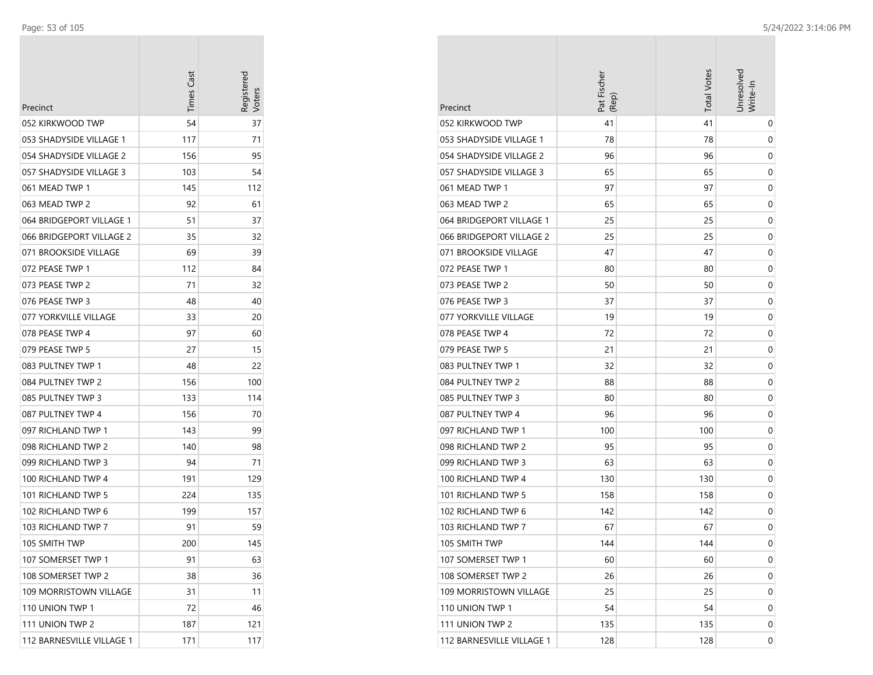| Precinct                  | <b>Times Cast</b> | Registerec |
|---------------------------|-------------------|------------|
| 052 KIRKWOOD TWP          | 54                | 37         |
| 053 SHADYSIDE VILLAGE 1   | 117               | 71         |
| 054 SHADYSIDE VILLAGE 2   | 156               | 95         |
| 057 SHADYSIDE VILLAGE 3   | 103               | 54         |
| 061 MEAD TWP 1            | 145               | 112        |
| 063 MEAD TWP 2            | 92                | 61         |
| 064 BRIDGEPORT VILLAGE 1  | 51                | 37         |
| 066 BRIDGEPORT VILLAGE 2  | 35                | 32         |
| 071 BROOKSIDE VILLAGE     | 69                | 39         |
| 072 PEASE TWP 1           | 112               | 84         |
| 073 PEASE TWP 2           | 71                | 32         |
| 076 PEASE TWP 3           | 48                | 40         |
| 077 YORKVILLE VILLAGE     | 33                | 20         |
| 078 PEASE TWP 4           | 97                | 60         |
| 079 PEASE TWP 5           | 27                | 15         |
| 083 PULTNEY TWP 1         | 48                | 22         |
| 084 PULTNEY TWP 2         | 156               | 100        |
| 085 PULTNEY TWP 3         | 133               | 114        |
| 087 PULTNEY TWP 4         | 156               | 70         |
| 097 RICHLAND TWP 1        | 143               | 99         |
| 098 RICHLAND TWP 2        | 140               | 98         |
| 099 RICHLAND TWP 3        | 94                | 71         |
| 100 RICHLAND TWP 4        | 191               | 129        |
| 101 RICHLAND TWP 5        | 224               | 135        |
| 102 RICHLAND TWP 6        | 199               | 157        |
| 103 RICHLAND TWP 7        | 91                | 59         |
| 105 SMITH TWP             | 200               | 145        |
| 107 SOMERSET TWP 1        | 91                | 63         |
| 108 SOMERSET TWP 2        | 38                | 36         |
| 109 MORRISTOWN VILLAGE    | 31                | 11         |
| 110 UNION TWP 1           | 72                | 46         |
| 111 UNION TWP 2           | 187               | 121        |
| 112 BARNESVILLE VILLAGE 1 | 171               | 117        |

|                           | Pat Fischer<br>(Rep) | <b>Total Votes</b> | Unresolved<br>Write-In |
|---------------------------|----------------------|--------------------|------------------------|
| Precinct                  |                      |                    |                        |
| 052 KIRKWOOD TWP          | 41                   | 41                 | 0                      |
| 053 SHADYSIDE VILLAGE 1   | 78                   | 78                 | 0                      |
| 054 SHADYSIDE VILLAGE 2   | 96                   | 96                 | 0                      |
| 057 SHADYSIDE VILLAGE 3   | 65                   | 65                 | 0                      |
| 061 MEAD TWP 1            | 97                   | 97                 | 0                      |
| 063 MEAD TWP 2            | 65                   | 65                 | 0                      |
| 064 BRIDGEPORT VILLAGE 1  | 25                   | 25                 | 0                      |
| 066 BRIDGEPORT VILLAGE 2  | 25                   | 25                 | 0                      |
| 071 BROOKSIDE VILLAGE     | 47                   | 47                 | 0                      |
| 072 PEASE TWP 1           | 80                   | 80                 | 0                      |
| 073 PEASE TWP 2           | 50                   | 50                 | 0                      |
| 076 PEASE TWP 3           | 37                   | 37                 | 0                      |
| 077 YORKVILLE VILLAGE     | 19                   | 19                 | 0                      |
| 078 PEASE TWP 4           | 72                   | 72                 | 0                      |
| 079 PEASE TWP 5           | 21                   | 21                 | 0                      |
| 083 PULTNEY TWP 1         | 32                   | 32                 | 0                      |
| 084 PULTNEY TWP 2         | 88                   | 88                 | 0                      |
| 085 PULTNEY TWP 3         | 80                   | 80                 | 0                      |
| 087 PULTNEY TWP 4         | 96                   | 96                 | 0                      |
| 097 RICHLAND TWP 1        | 100                  | 100                | 0                      |
| 098 RICHLAND TWP 2        | 95                   | 95                 | 0                      |
| 099 RICHLAND TWP 3        | 63                   | 63                 | 0                      |
| 100 RICHLAND TWP 4        | 130                  | 130                | 0                      |
| 101 RICHLAND TWP 5        | 158                  | 158                | 0                      |
| 102 RICHLAND TWP 6        | 142                  | 142                | 0                      |
| 103 RICHLAND TWP 7        | 67                   | 67                 | 0                      |
| 105 SMITH TWP             | 144                  | 144                | 0                      |
| 107 SOMERSET TWP 1        | 60                   | 60                 | 0                      |
| 108 SOMERSET TWP 2        | 26                   | 26                 | 0                      |
| 109 MORRISTOWN VILLAGE    | 25                   | 25                 | 0                      |
| 110 UNION TWP 1           | 54                   | 54                 | 0                      |
| 111 UNION TWP 2           | 135                  | 135                | 0                      |
| 112 BARNESVILLE VILLAGE 1 | 128                  | 128                | 0                      |

 $\sim$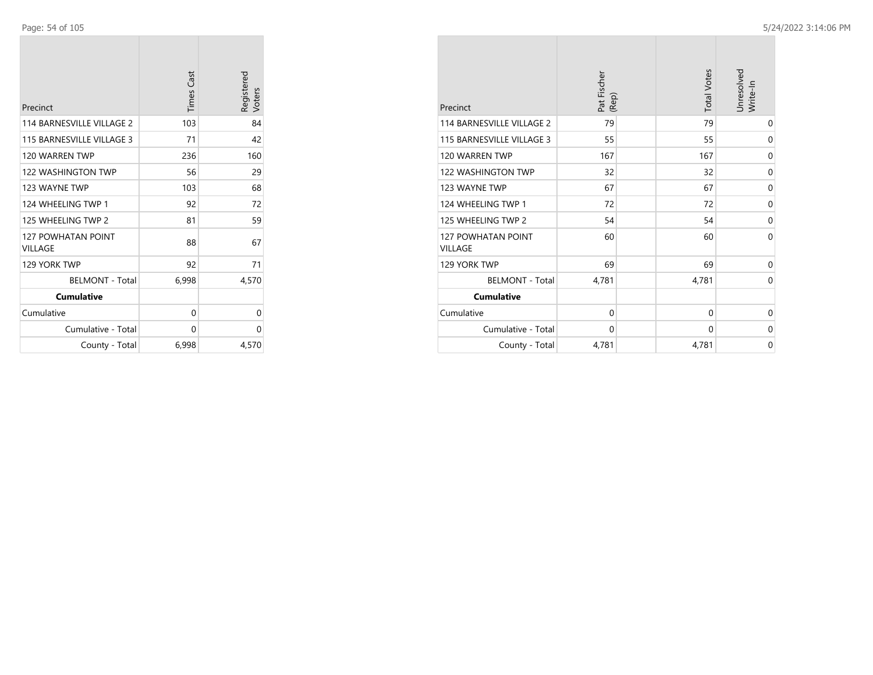| Precinct                             | <b>Times Cast</b> | Registered<br>Voters |
|--------------------------------------|-------------------|----------------------|
| <b>114 BARNESVILLE VILLAGE 2</b>     | 103               | 84                   |
| 115 BARNESVILLE VILLAGE 3            | 71                | 42                   |
| 120 WARREN TWP                       | 236               | 160                  |
| <b>122 WASHINGTON TWP</b>            | 56                | 29                   |
| 123 WAYNE TWP                        | 103               | 68                   |
| 124 WHEELING TWP 1                   | 92                | 72                   |
| 125 WHEELING TWP 2                   | 81                | 59                   |
| <b>127 POWHATAN POINT</b><br>VILLAGE | 88                | 67                   |
| 129 YORK TWP                         | 92                | 71                   |
| <b>BELMONT - Total</b>               | 6,998             | 4,570                |
| <b>Cumulative</b>                    |                   |                      |
| Cumulative                           | 0                 | 0                    |
| Cumulative - Total                   | 0                 | 0                    |
| County - Total                       | 6,998             | 4,570                |

|                                      | Pat Fischer<br>(Rep) | <b>Total Votes</b> | Unresolved<br>Write-In |
|--------------------------------------|----------------------|--------------------|------------------------|
| Precinct                             |                      |                    |                        |
| 114 BARNESVILLE VILLAGE 2            | 79                   | 79                 | 0                      |
| 115 BARNESVILLE VILLAGE 3            | 55                   | 55                 | 0                      |
| 120 WARREN TWP                       | 167                  | 167                | 0                      |
| 122 WASHINGTON TWP                   | 32                   | 32                 | $\mathbf 0$            |
| 123 WAYNE TWP                        | 67                   | 67                 | $\mathbf 0$            |
| 124 WHEELING TWP 1                   | 72                   | 72                 | 0                      |
| 125 WHEELING TWP 2                   | 54                   | 54                 | 0                      |
| 127 POWHATAN POINT<br><b>VILLAGE</b> | 60                   | 60                 | $\Omega$               |
| 129 YORK TWP                         | 69                   | 69                 | $\mathbf 0$            |
| <b>BELMONT - Total</b>               | 4,781                | 4,781              | $\mathbf 0$            |
| <b>Cumulative</b>                    |                      |                    |                        |
| Cumulative                           | $\mathbf 0$          | $\mathbf 0$        | 0                      |
| Cumulative - Total                   | $\mathbf 0$          | $\mathbf 0$        | 0                      |
| County - Total                       | 4,781                | 4,781              | $\mathbf 0$            |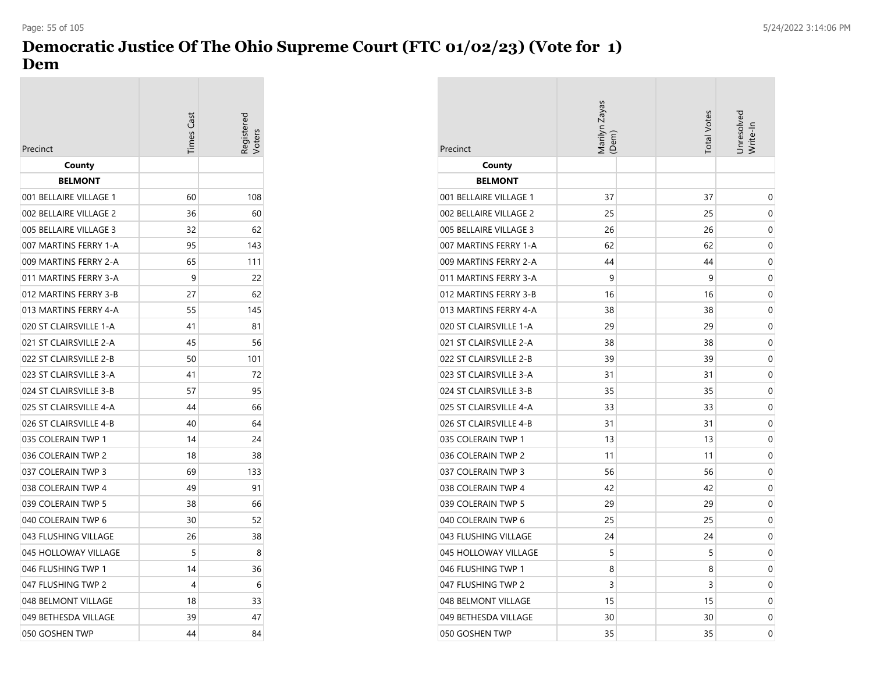## **Democratic Justice Of The Ohio Supreme Court (FTC 01/02/23) (Vote for 1) Dem**

| Precinct               | <b>Times Cast</b> | egisterec |
|------------------------|-------------------|-----------|
| County                 |                   |           |
| <b>BELMONT</b>         |                   |           |
| 001 BELLAIRE VILLAGE 1 | 60                | 108       |
| 002 BELLAIRE VILLAGE 2 | 36                | 60        |
| 005 BELLAIRE VILLAGE 3 | 32                | 62        |
| 007 MARTINS FERRY 1-A  | 95                | 143       |
| 009 MARTINS FERRY 2-A  | 65                | 111       |
| 011 MARTINS FERRY 3-A  | 9                 | 22        |
| 012 MARTINS FERRY 3-B  | 27                | 62        |
| 013 MARTINS FERRY 4-A  | 55                | 145       |
| 020 ST CLAIRSVILLE 1-A | 41                | 81        |
| 021 ST CLAIRSVILLE 2-A | 45                | 56        |
| 022 ST CLAIRSVILLE 2-B | 50                | 101       |
| 023 ST CLAIRSVILLE 3-A | 41                | 72        |
| 024 ST CLAIRSVILLE 3-B | 57                | 95        |
| 025 ST CLAIRSVILLE 4-A | 44                | 66        |
| 026 ST CLAIRSVILLE 4-B | 40                | 64        |
| 035 COLERAIN TWP 1     | 14                | 24        |
| 036 COLERAIN TWP 2     | 18                | 38        |
| 037 COLERAIN TWP 3     | 69                | 133       |
| 038 COLERAIN TWP 4     | 49                | 91        |
| 039 COLERAIN TWP 5     | 38                | 66        |
| 040 COLERAIN TWP 6     | 30                | 52        |
| 043 FLUSHING VILLAGE   | 26                | 38        |
| 045 HOLLOWAY VILLAGE   | 5                 | 8         |
| 046 FLUSHING TWP 1     | 14                | 36        |
| 047 FLUSHING TWP 2     | 4                 | 6         |
| 048 BELMONT VILLAGE    | 18                | 33        |
| 049 BETHESDA VILLAGE   | 39                | 47        |
| 050 GOSHEN TWP         | 44                | 84        |

| Precinct               | Vlarilyn Zayas<br>(Dem) | <b>Total Votes</b> | Jnresolved<br>Write-In |
|------------------------|-------------------------|--------------------|------------------------|
| County                 |                         |                    |                        |
| <b>BELMONT</b>         |                         |                    |                        |
| 001 BELLAIRE VILLAGE 1 | 37                      | 37                 | 0                      |
| 002 BELLAIRE VILLAGE 2 | 25                      | 25                 | 0                      |
| 005 BELLAIRE VILLAGE 3 | 26                      | 26                 | 0                      |
| 007 MARTINS FERRY 1-A  | 62                      | 62                 | 0                      |
| 009 MARTINS FERRY 2-A  | 44                      | 44                 | 0                      |
| 011 MARTINS FERRY 3-A  | 9                       | 9                  | $\mathbf 0$            |
| 012 MARTINS FERRY 3-B  | 16                      | 16                 | 0                      |
| 013 MARTINS FERRY 4-A  | 38                      | 38                 | 0                      |
| 020 ST CLAIRSVILLE 1-A | 29                      | 29                 | 0                      |
| 021 ST CLAIRSVILLE 2-A | 38                      | 38                 | 0                      |
| 022 ST CLAIRSVILLE 2-B | 39                      | 39                 | 0                      |
| 023 ST CLAIRSVILLE 3-A | 31                      | 31                 | 0                      |
| 024 ST CLAIRSVILLE 3-B | 35                      | 35                 | 0                      |
| 025 ST CLAIRSVILLE 4-A | 33                      | 33                 | $\mathbf 0$            |
| 026 ST CLAIRSVILLE 4-B | 31                      | 31                 | 0                      |
| 035 COLERAIN TWP 1     | 13                      | 13                 | 0                      |
| 036 COLERAIN TWP 2     | 11                      | 11                 | 0                      |
| 037 COLERAIN TWP 3     | 56                      | 56                 | 0                      |
| 038 COLERAIN TWP 4     | 42                      | 42                 | 0                      |
| 039 COLERAIN TWP 5     | 29                      | 29                 | 0                      |
| 040 COLERAIN TWP 6     | 25                      | 25                 | 0                      |
| 043 FLUSHING VILLAGE   | 24                      | 24                 | 0                      |
| 045 HOLLOWAY VILLAGE   | 5                       | 5                  | 0                      |
| 046 FLUSHING TWP 1     | 8                       | 8                  | 0                      |
| 047 FLUSHING TWP 2     | 3                       | 3                  | 0                      |
| 048 BELMONT VILLAGE    | 15                      | 15                 | 0                      |
| 049 BETHESDA VILLAGE   | 30                      | 30                 | 0                      |
| 050 GOSHEN TWP         | 35                      | 35                 | 0                      |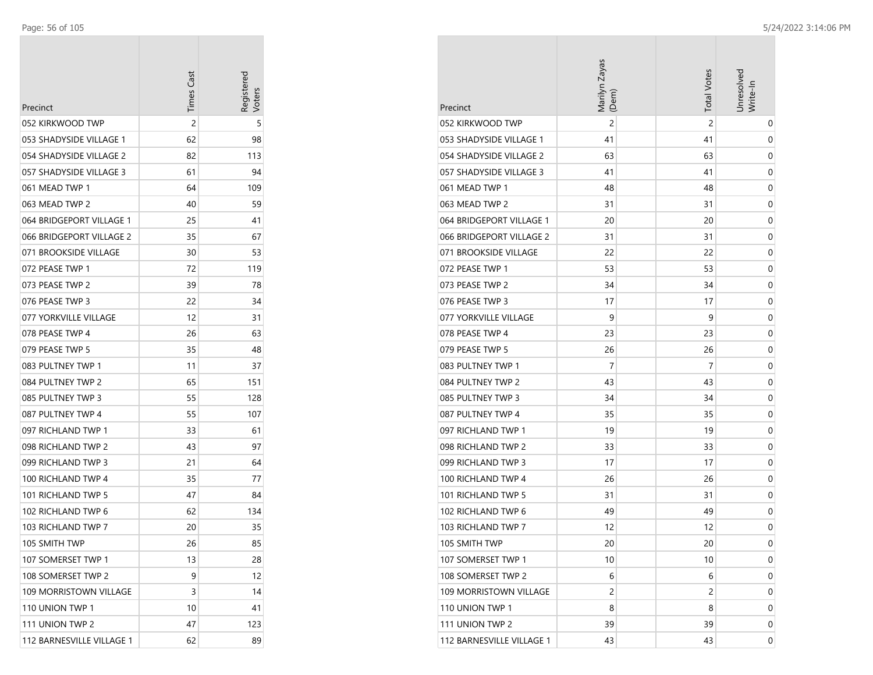| Precinct                  | <b>Times Cast</b> | Registereo<br>/oters |
|---------------------------|-------------------|----------------------|
| 052 KIRKWOOD TWP          | 2                 | 5                    |
| 053 SHADYSIDE VILLAGE 1   | 62                | 98                   |
| 054 SHADYSIDE VILLAGE 2   | 82                | 113                  |
| 057 SHADYSIDE VILLAGE 3   | 61                | 94                   |
| 061 MEAD TWP 1            | 64                | 109                  |
| 063 MEAD TWP 2            | 40                | 59                   |
| 064 BRIDGEPORT VILLAGE 1  | 25                | 41                   |
| 066 BRIDGEPORT VILLAGE 2  | 35                | 67                   |
| 071 BROOKSIDE VILLAGE     | 30                | 53                   |
| 072 PEASE TWP 1           | 72                | 119                  |
| 073 PEASE TWP 2           | 39                | 78                   |
| 076 PEASE TWP 3           | 22                | 34                   |
| 077 YORKVILLE VILLAGE     | 12                | 31                   |
| 078 PEASE TWP 4           | 26                | 63                   |
| 079 PEASE TWP 5           | 35                | 48                   |
| 083 PULTNEY TWP 1         | 11                | 37                   |
| 084 PULTNEY TWP 2         | 65                | 151                  |
| 085 PULTNEY TWP 3         | 55                | 128                  |
| 087 PULTNEY TWP 4         | 55                | 107                  |
| 097 RICHLAND TWP 1        | 33                | 61                   |
| 098 RICHLAND TWP 2        | 43                | 97                   |
| 099 RICHLAND TWP 3        | 21                | 64                   |
| 100 RICHLAND TWP 4        | 35                | 77                   |
| 101 RICHLAND TWP 5        | 47                | 84                   |
| 102 RICHLAND TWP 6        | 62                | 134                  |
| 103 RICHLAND TWP 7        | 20                | 35                   |
| 105 SMITH TWP             | 26                | 85                   |
| 107 SOMERSET TWP 1        | 13                | 28                   |
| 108 SOMERSET TWP 2        | 9                 | 12                   |
| 109 MORRISTOWN VILLAGE    | 3                 | 14                   |
| 110 UNION TWP 1           | 10                | 41                   |
| 111 UNION TWP 2           | 47                | 123                  |
| 112 BARNESVILLE VILLAGE 1 | 62                | 89                   |

| Precinct                  | Marilyn Zayas<br>(Dem) | <b>Total Votes</b> | Jnresolved<br>Write-In |
|---------------------------|------------------------|--------------------|------------------------|
| 052 KIRKWOOD TWP          | $\overline{c}$         | $\overline{2}$     | 0                      |
| 053 SHADYSIDE VILLAGE 1   | 41                     | 41                 | 0                      |
| 054 SHADYSIDE VILLAGE 2   | 63                     | 63                 | 0                      |
| 057 SHADYSIDE VILLAGE 3   | 41                     | 41                 | 0                      |
| 061 MEAD TWP 1            | 48                     | 48                 | 0                      |
| 063 MEAD TWP 2            | 31                     | 31                 | 0                      |
| 064 BRIDGEPORT VILLAGE 1  | 20                     | 20                 | 0                      |
| 066 BRIDGEPORT VILLAGE 2  | 31                     | 31                 | 0                      |
| 071 BROOKSIDE VILLAGE     | 22                     | 22                 | 0                      |
| 072 PEASE TWP 1           | 53                     | 53                 | 0                      |
| 073 PEASE TWP 2           | 34                     | 34                 | 0                      |
| 076 PEASE TWP 3           | 17                     | 17                 | 0                      |
| 077 YORKVILLE VILLAGE     | 9                      | 9                  | 0                      |
| 078 PEASE TWP 4           | 23                     | 23                 | 0                      |
| 079 PEASE TWP 5           | 26                     | 26                 | 0                      |
| 083 PULTNEY TWP 1         | 7                      | 7                  | 0                      |
| 084 PULTNEY TWP 2         | 43                     | 43                 | 0                      |
| 085 PULTNEY TWP 3         | 34                     | 34                 | 0                      |
| 087 PULTNEY TWP 4         | 35                     | 35                 | 0                      |
| 097 RICHLAND TWP 1        | 19                     | 19                 | 0                      |
| 098 RICHLAND TWP 2        | 33                     | 33                 | 0                      |
| 099 RICHLAND TWP 3        | 17                     | 17                 | 0                      |
| 100 RICHLAND TWP 4        | 26                     | 26                 | 0                      |
| 101 RICHLAND TWP 5        | 31                     | 31                 | 0                      |
| 102 RICHLAND TWP 6        | 49                     | 49                 | 0                      |
| 103 RICHLAND TWP 7        | 12                     | 12                 | 0                      |
| 105 SMITH TWP             | 20                     | 20                 | 0                      |
| 107 SOMERSET TWP 1        | 10                     | 10                 | 0                      |
| 108 SOMERSET TWP 2        | 6                      | 6                  | 0                      |
| 109 MORRISTOWN VILLAGE    | $\overline{c}$         | 2                  | 0                      |
| 110 UNION TWP 1           | 8                      | 8                  | 0                      |
| 111 UNION TWP 2           | 39                     | 39                 | 0                      |
| 112 BARNESVILLE VILLAGE 1 | 43                     | 43                 | 0                      |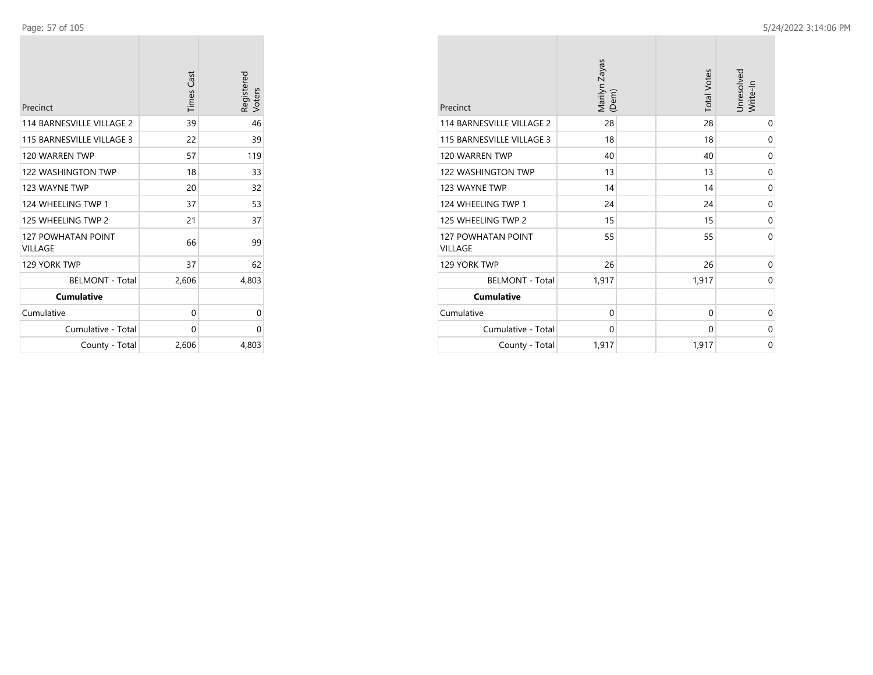| Precinct                             | <b>Times Cast</b> | Registered<br>Voters |
|--------------------------------------|-------------------|----------------------|
| 114 BARNESVILLE VILLAGE 2            | 39                | 46                   |
| 115 BARNESVILLE VILLAGE 3            | 22                | 39                   |
| 120 WARREN TWP                       | 57                | 119                  |
| 122 WASHINGTON TWP                   | 18                | 33                   |
| 123 WAYNE TWP                        | 20                | 32                   |
| 124 WHEELING TWP 1                   | 37                | 53                   |
| 125 WHEELING TWP 2                   | 21                | 37                   |
| <b>127 POWHATAN POINT</b><br>VILLAGE | 66                | 99                   |
| 129 YORK TWP                         | 37                | 62                   |
| <b>BELMONT - Total</b>               | 2,606             | 4,803                |
| <b>Cumulative</b>                    |                   |                      |
| Cumulative                           | 0                 | 0                    |
| Cumulative - Total                   | 0                 | 0                    |
| County - Total                       | 2,606             | 4,803                |

| Precinct                                    | Marilyn Zayas<br>(Dem) | <b>Total Votes</b> | Unresolved<br>Write-In |
|---------------------------------------------|------------------------|--------------------|------------------------|
| 114 BARNESVILLE VILLAGE 2                   | 28                     | 28                 | $\mathbf 0$            |
| 115 BARNESVILLE VILLAGE 3                   | 18                     | 18                 | 0                      |
| 120 WARREN TWP                              | 40                     | 40                 | 0                      |
| <b>122 WASHINGTON TWP</b>                   | 13                     | 13                 | $\mathbf 0$            |
| 123 WAYNE TWP                               | 14                     | 14                 | $\mathbf 0$            |
| 124 WHEELING TWP 1                          | 24                     | 24                 | 0                      |
| 125 WHEELING TWP 2                          | 15                     | 15                 | 0                      |
| <b>127 POWHATAN POINT</b><br><b>VILLAGE</b> | 55                     | 55                 | $\Omega$               |
| 129 YORK TWP                                | 26                     | 26                 | 0                      |
| <b>BELMONT - Total</b>                      | 1,917                  | 1,917              | $\mathbf 0$            |
| <b>Cumulative</b>                           |                        |                    |                        |
| Cumulative                                  | $\mathbf 0$            | 0                  | 0                      |
| Cumulative - Total                          | 0                      | 0                  | 0                      |
| County - Total                              | 1,917                  | 1,917              | $\mathbf 0$            |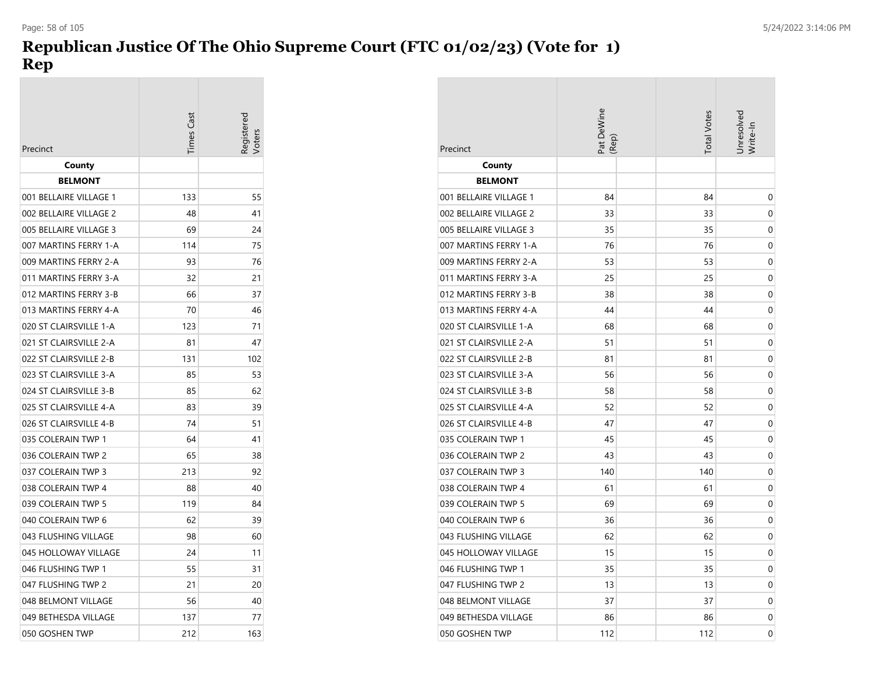# **Republican Justice Of The Ohio Supreme Court (FTC 01/02/23) (Vote for 1) Rep**

| Precinct               | Times Cast | distered |
|------------------------|------------|----------|
| County                 |            |          |
| <b>BELMONT</b>         |            |          |
| 001 BELLAIRE VILLAGE 1 | 133        | 55       |
| 002 BELLAIRE VILLAGE 2 | 48         | 41       |
| 005 BELLAIRE VILLAGE 3 | 69         | 24       |
| 007 MARTINS FERRY 1-A  | 114        | 75       |
| 009 MARTINS FERRY 2-A  | 93         | 76       |
| 011 MARTINS FERRY 3-A  | 32         | 21       |
| 012 MARTINS FERRY 3-B  | 66         | 37       |
| 013 MARTINS FERRY 4-A  | 70         | 46       |
| 020 ST CLAIRSVILLE 1-A | 123        | 71       |
| 021 ST CLAIRSVILLE 2-A | 81         | 47       |
| 022 ST CLAIRSVILLE 2-B | 131        | 102      |
| 023 ST CLAIRSVILLE 3-A | 85         | 53       |
| 024 ST CLAIRSVILLE 3-B | 85         | 62       |
| 025 ST CLAIRSVILLE 4-A | 83         | 39       |
| 026 ST CLAIRSVILLE 4-B | 74         | 51       |
| 035 COLERAIN TWP 1     | 64         | 41       |
| 036 COLERAIN TWP 2     | 65         | 38       |
| 037 COLERAIN TWP 3     | 213        | 92       |
| 038 COLERAIN TWP 4     | 88         | 40       |
| 039 COLERAIN TWP 5     | 119        | 84       |
| 040 COLERAIN TWP 6     | 62         | 39       |
| 043 FLUSHING VILLAGE   | 98         | 60       |
| 045 HOLLOWAY VILLAGE   | 24         | 11       |
| 046 FLUSHING TWP 1     | 55         | 31       |
| 047 FLUSHING TWP 2     | 21         | 20       |
| 048 BELMONT VILLAGE    | 56         | 40       |
| 049 BETHESDA VILLAGE   | 137        | 77       |
| 050 GOSHEN TWP         | 212        | 163      |

| Precinct               | at DeWine<br>(Rep) | <b>Total Votes</b> | <b>Unresolved</b><br>Write-In |
|------------------------|--------------------|--------------------|-------------------------------|
| County                 |                    |                    |                               |
| <b>BELMONT</b>         |                    |                    |                               |
| 001 BELLAIRE VILLAGE 1 | 84                 | 84                 | 0                             |
| 002 BELLAIRE VILLAGE 2 | 33                 | 33                 | 0                             |
| 005 BELLAIRE VILLAGE 3 | 35                 | 35                 | 0                             |
| 007 MARTINS FERRY 1-A  | 76                 | 76                 | 0                             |
| 009 MARTINS FERRY 2-A  | 53                 | 53                 | 0                             |
| 011 MARTINS FERRY 3-A  | 25                 | 25                 | 0                             |
| 012 MARTINS FERRY 3-B  | 38                 | 38                 | 0                             |
| 013 MARTINS FERRY 4-A  | 44                 | 44                 | 0                             |
| 020 ST CLAIRSVILLE 1-A | 68                 | 68                 | 0                             |
| 021 ST CLAIRSVILLE 2-A | 51                 | 51                 | 0                             |
| 022 ST CLAIRSVILLE 2-B | 81                 | 81                 | 0                             |
| 023 ST CLAIRSVILLE 3-A | 56                 | 56                 | 0                             |
| 024 ST CLAIRSVILLE 3-B | 58                 | 58                 | 0                             |
| 025 ST CLAIRSVILLE 4-A | 52                 | 52                 | 0                             |
| 026 ST CLAIRSVILLE 4-B | 47                 | 47                 | 0                             |
| 035 COLERAIN TWP 1     | 45                 | 45                 | $\mathbf 0$                   |
| 036 COLERAIN TWP 2     | 43                 | 43                 | 0                             |
| 037 COLERAIN TWP 3     | 140                | 140                | 0                             |
| 038 COLERAIN TWP 4     | 61                 | 61                 | 0                             |
| 039 COLERAIN TWP 5     | 69                 | 69                 | 0                             |
| 040 COLERAIN TWP 6     | 36                 | 36                 | 0                             |
| 043 FLUSHING VILLAGE   | 62                 | 62                 | 0                             |
| 045 HOLLOWAY VILLAGE   | 15                 | 15                 | 0                             |
| 046 FLUSHING TWP 1     | 35                 | 35                 | 0                             |
| 047 FLUSHING TWP 2     | 13                 | 13                 | 0                             |
| 048 BELMONT VILLAGE    | 37                 | 37                 | 0                             |
| 049 BETHESDA VILLAGE   | 86                 | 86                 | 0                             |
| 050 GOSHEN TWP         | 112                | 112                | 0                             |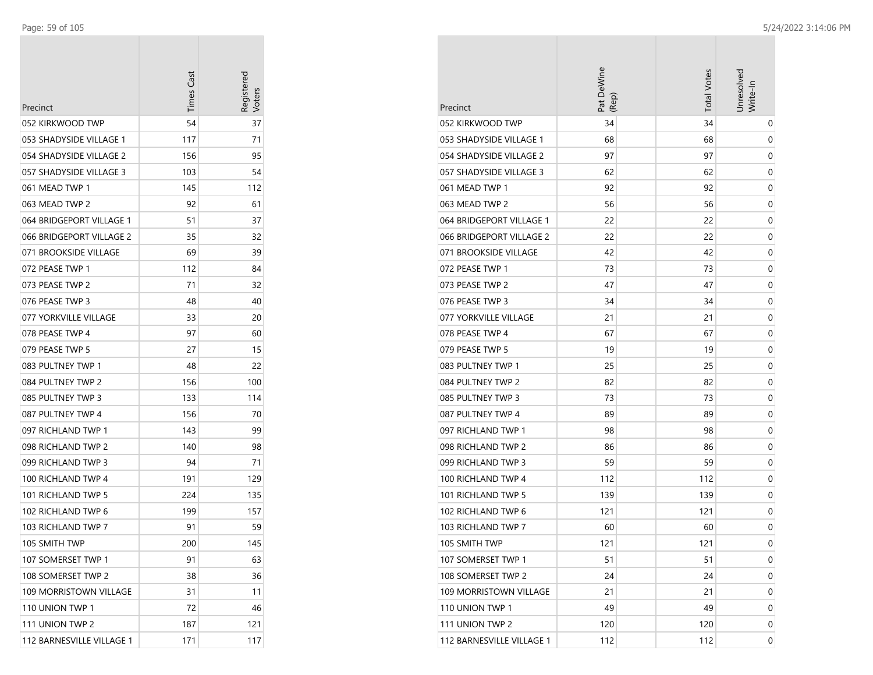| Precinct                  | <b>Times Cast</b> | Registered |
|---------------------------|-------------------|------------|
| 052 KIRKWOOD TWP          | 54                | 37         |
| 053 SHADYSIDE VILLAGE 1   | 117               | 71         |
| 054 SHADYSIDE VILLAGE 2   | 156               | 95         |
| 057 SHADYSIDE VILLAGE 3   | 103               | 54         |
| 061 MEAD TWP 1            | 145               | 112        |
| 063 MEAD TWP 2            | 92                | 61         |
| 064 BRIDGEPORT VILLAGE 1  | 51                | 37         |
| 066 BRIDGEPORT VILLAGE 2  | 35                | 32         |
| 071 BROOKSIDE VILLAGE     | 69                | 39         |
| 072 PEASE TWP 1           | 112               | 84         |
| 073 PEASE TWP 2           | 71                | 32         |
| 076 PEASE TWP 3           | 48                | 40         |
| 077 YORKVILLE VILLAGE     | 33                | 20         |
| 078 PEASE TWP 4           | 97                | 60         |
| 079 PEASE TWP 5           | 27                | 15         |
| 083 PULTNEY TWP 1         | 48                | 22         |
| 084 PULTNEY TWP 2         | 156               | 100        |
| 085 PULTNEY TWP 3         | 133               | 114        |
| 087 PULTNEY TWP 4         | 156               | 70         |
| 097 RICHLAND TWP 1        | 143               | 99         |
| 098 RICHLAND TWP 2        | 140               | 98         |
| 099 RICHLAND TWP 3        | 94                | 71         |
| 100 RICHLAND TWP 4        | 191               | 129        |
| 101 RICHLAND TWP 5        | 224               | 135        |
| 102 RICHLAND TWP 6        | 199               | 157        |
| 103 RICHLAND TWP 7        | 91                | 59         |
| 105 SMITH TWP             | 200               | 145        |
| 107 SOMERSET TWP 1        | 91                | 63         |
| 108 SOMERSET TWP 2        | 38                | 36         |
| 109 MORRISTOWN VILLAGE    | 31                | 11         |
| 110 UNION TWP 1           | 72                | 46         |
| 111 UNION TWP 2           | 187               | 121        |
| 112 BARNESVILLE VILLAGE 1 | 171               | 117        |

| Precinct                  | Pat DeWine<br>(Rep) | <b>Total Votes</b> | Unresolved<br>Write-In |
|---------------------------|---------------------|--------------------|------------------------|
| 052 KIRKWOOD TWP          | 34                  | 34                 | 0                      |
| 053 SHADYSIDE VILLAGE 1   | 68                  | 68                 | 0                      |
| 054 SHADYSIDE VILLAGE 2   | 97                  | 97                 | 0                      |
| 057 SHADYSIDE VILLAGE 3   | 62                  | 62                 | 0                      |
| 061 MEAD TWP 1            | 92                  | 92                 | 0                      |
| 063 MEAD TWP 2            | 56                  | 56                 | 0                      |
| 064 BRIDGEPORT VILLAGE 1  | 22                  | 22                 | 0                      |
| 066 BRIDGEPORT VILLAGE 2  | 22                  | 22                 | 0                      |
| 071 BROOKSIDE VILLAGE     | 42                  | 42                 | 0                      |
| 072 PEASE TWP 1           | 73                  | 73                 | 0                      |
| 073 PEASE TWP 2           | 47                  | 47                 | 0                      |
| 076 PEASE TWP 3           | 34                  | 34                 | 0                      |
| 077 YORKVILLE VILLAGE     | 21                  | 21                 | 0                      |
| 078 PEASE TWP 4           | 67                  | 67                 | 0                      |
| 079 PEASE TWP 5           | 19                  | 19                 | 0                      |
| 083 PULTNEY TWP 1         | 25                  | 25                 | 0                      |
| 084 PULTNEY TWP 2         | 82                  | 82                 | 0                      |
| 085 PULTNEY TWP 3         | 73                  | 73                 | 0                      |
| 087 PULTNEY TWP 4         | 89                  | 89                 | 0                      |
| 097 RICHLAND TWP 1        | 98                  | 98                 | 0                      |
| 098 RICHLAND TWP 2        | 86                  | 86                 | 0                      |
| 099 RICHLAND TWP 3        | 59                  | 59                 | 0                      |
| 100 RICHLAND TWP 4        | 112                 | 112                | 0                      |
| 101 RICHLAND TWP 5        | 139                 | 139                | 0                      |
| 102 RICHLAND TWP 6        | 121                 | 121                | 0                      |
| 103 RICHLAND TWP 7        | 60                  | 60                 | 0                      |
| 105 SMITH TWP             | 121                 | 121                | 0                      |
| 107 SOMERSET TWP 1        | 51                  | 51                 | 0                      |
| 108 SOMERSET TWP 2        | 24                  | 24                 | 0                      |
| 109 MORRISTOWN VILLAGE    | 21                  | 21                 | 0                      |
| 110 UNION TWP 1           | 49                  | 49                 | 0                      |
| 111 UNION TWP 2           | 120                 | 120                | 0                      |
| 112 BARNESVILLE VILLAGE 1 | 112                 | 112                | 0                      |

 $\mathcal{L}_{\mathcal{A}}$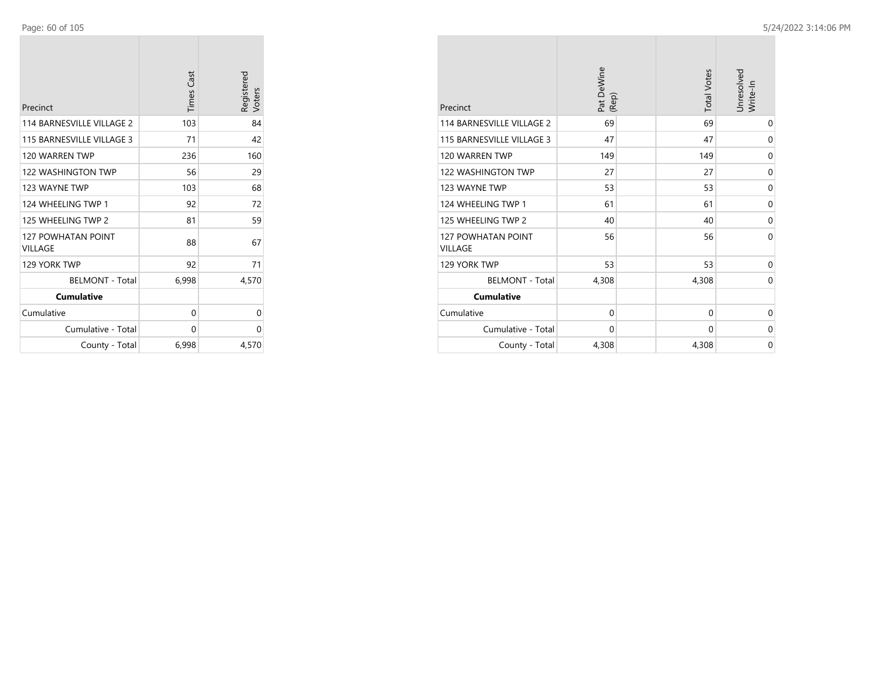| Precinct                             | <b>Times Cast</b> | Registered<br>Voters |
|--------------------------------------|-------------------|----------------------|
| <b>114 BARNESVILLE VILLAGE 2</b>     | 103               | 84                   |
| 115 BARNESVILLE VILLAGE 3            | 71                | 42                   |
| 120 WARREN TWP                       | 236               | 160                  |
| <b>122 WASHINGTON TWP</b>            | 56                | 29                   |
| 123 WAYNE TWP                        | 103               | 68                   |
| 124 WHEELING TWP 1                   | 92                | 72                   |
| 125 WHEELING TWP 2                   | 81                | 59                   |
| <b>127 POWHATAN POINT</b><br>VILLAGE | 88                | 67                   |
| 129 YORK TWP                         | 92                | 71                   |
| <b>BELMONT - Total</b>               | 6,998             | 4,570                |
| <b>Cumulative</b>                    |                   |                      |
| Cumulative                           | 0                 | 0                    |
| Cumulative - Total                   | 0                 | 0                    |
| County - Total                       | 6,998             | 4,570                |

| Precinct                                    | Pat DeWine<br>(Rep) | <b>Total Votes</b> | Unresolved<br>Write-In |
|---------------------------------------------|---------------------|--------------------|------------------------|
| 114 BARNESVILLE VILLAGE 2                   | 69                  | 69                 | 0                      |
| 115 BARNESVILLE VILLAGE 3                   | 47                  | 47                 | 0                      |
| 120 WARREN TWP                              | 149                 | 149                | 0                      |
| 122 WASHINGTON TWP                          | 27                  | 27                 | 0                      |
| 123 WAYNE TWP                               | 53                  | 53                 | 0                      |
| 124 WHEELING TWP 1                          | 61                  | 61                 | 0                      |
| 125 WHEELING TWP 2                          | 40                  | 40                 | 0                      |
| <b>127 POWHATAN POINT</b><br><b>VILLAGE</b> | 56                  | 56                 | $\Omega$               |
| 129 YORK TWP                                | 53                  | 53                 | 0                      |
| <b>BELMONT - Total</b>                      | 4,308               | 4,308              | 0                      |
| <b>Cumulative</b>                           |                     |                    |                        |
| Cumulative                                  | $\mathbf 0$         | 0                  | 0                      |
| Cumulative - Total                          | 0                   | 0                  | 0                      |
| County - Total                              | 4,308               | 4,308              | $\mathbf 0$            |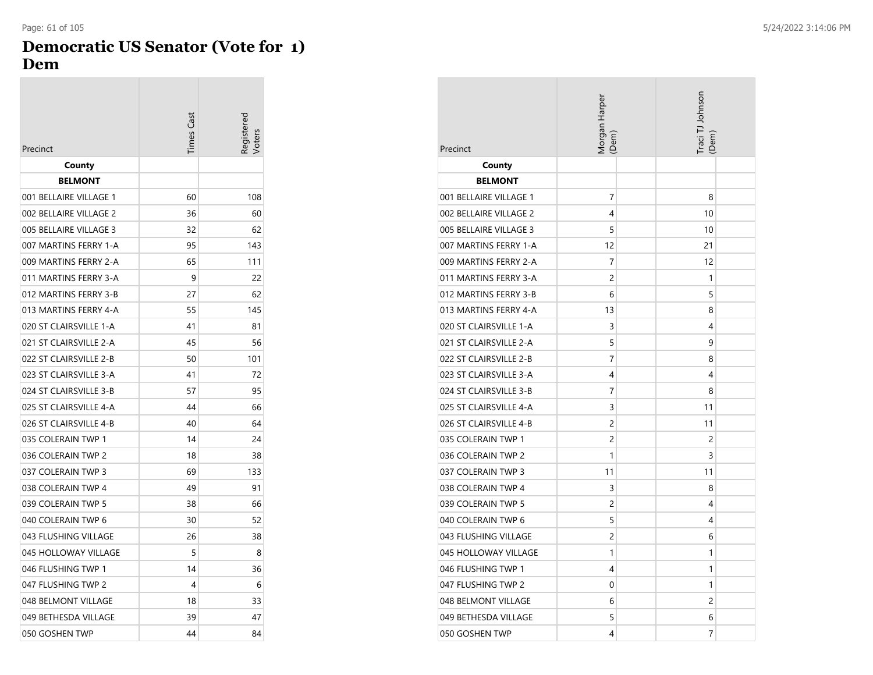## **Democratic US Senator (Vote for 1) Dem**

| Precinct               | <b>Times Cast</b> | oters |
|------------------------|-------------------|-------|
| County                 |                   |       |
| <b>BELMONT</b>         |                   |       |
| 001 BELLAIRE VILLAGE 1 | 60                | 108   |
| 002 BELLAIRE VILLAGE 2 | 36                | 60    |
| 005 BELLAIRE VILLAGE 3 | 32                | 62    |
| 007 MARTINS FERRY 1-A  | 95                | 143   |
| 009 MARTINS FERRY 2-A  | 65                | 111   |
| 011 MARTINS FERRY 3-A  | 9                 | 22    |
| 012 MARTINS FERRY 3-B  | 27                | 62    |
| 013 MARTINS FERRY 4-A  | 55                | 145   |
| 020 ST CLAIRSVILLE 1-A | 41                | 81    |
| 021 ST CLAIRSVILLE 2-A | 45                | 56    |
| 022 ST CLAIRSVILLE 2-B | 50                | 101   |
| 023 ST CLAIRSVILLE 3-A | 41                | 72    |
| 024 ST CLAIRSVILLE 3-B | 57                | 95    |
| 025 ST CLAIRSVILLE 4-A | 44                | 66    |
| 026 ST CLAIRSVILLE 4-B | 40                | 64    |
| 035 COLERAIN TWP 1     | 14                | 24    |
| 036 COLERAIN TWP 2     | 18                | 38    |
| 037 COLERAIN TWP 3     | 69                | 133   |
| 038 COLERAIN TWP 4     | 49                | 91    |
| 039 COLERAIN TWP 5     | 38                | 66    |
| 040 COLERAIN TWP 6     | 30                | 52    |
| 043 FLUSHING VILLAGE   | 26                | 38    |
| 045 HOLLOWAY VILLAGE   | 5                 | 8     |
| 046 FLUSHING TWP 1     | 14                | 36    |
| 047 FLUSHING TWP 2     | 4                 | 6     |
| 048 BELMONT VILLAGE    | 18                | 33    |
| 049 BETHESDA VILLAGE   | 39                | 47    |
| 050 GOSHEN TWP         | 44                | 84    |

| Precinct               | Morgan Harper<br>(Dem) | Traci TJ Johnson<br>(Dem) |  |
|------------------------|------------------------|---------------------------|--|
| County                 |                        |                           |  |
| <b>BELMONT</b>         |                        |                           |  |
| 001 BELLAIRE VILLAGE 1 | 7                      | 8                         |  |
| 002 BELLAIRE VILLAGE 2 | 4                      | 10                        |  |
| 005 BELLAIRE VILLAGE 3 | 5                      | 10                        |  |
| 007 MARTINS FERRY 1-A  | 12                     | 21                        |  |
| 009 MARTINS FERRY 2-A  | 7                      | 12                        |  |
| 011 MARTINS FERRY 3-A  | 2                      | 1                         |  |
| 012 MARTINS FERRY 3-B  | 6                      | 5                         |  |
| 013 MARTINS FERRY 4-A  | 13                     | 8                         |  |
| 020 ST CLAIRSVILLE 1-A | 3                      | 4                         |  |
| 021 ST CLAIRSVILLE 2-A | 5                      | 9                         |  |
| 022 ST CLAIRSVILLE 2-B | 7                      | 8                         |  |
| 023 ST CLAIRSVILLE 3-A | 4                      | 4                         |  |
| 024 ST CLAIRSVILLE 3-B | 7                      | 8                         |  |
| 025 ST CLAIRSVILLE 4-A | 3                      | 11                        |  |
| 026 ST CLAIRSVILLE 4-B | 2                      | 11                        |  |
| 035 COLERAIN TWP 1     | 2                      | 2                         |  |
| 036 COLERAIN TWP 2     | 1                      | 3                         |  |
| 037 COLERAIN TWP 3     | 11                     | 11                        |  |
| 038 COLERAIN TWP 4     | 3                      | 8                         |  |
| 039 COLERAIN TWP 5     | 2                      | 4                         |  |
| 040 COLERAIN TWP 6     | 5                      | 4                         |  |
| 043 FLUSHING VILLAGE   | 2                      | 6                         |  |
| 045 HOLLOWAY VILLAGE   | 1                      | 1                         |  |
| 046 FLUSHING TWP 1     | 4                      | 1                         |  |
| 047 FLUSHING TWP 2     | 0                      | 1                         |  |
| 048 BELMONT VILLAGE    | 6                      | $\overline{c}$            |  |
| 049 BETHESDA VILLAGE   | 5                      | 6                         |  |
| 050 GOSHEN TWP         | 4                      | 7                         |  |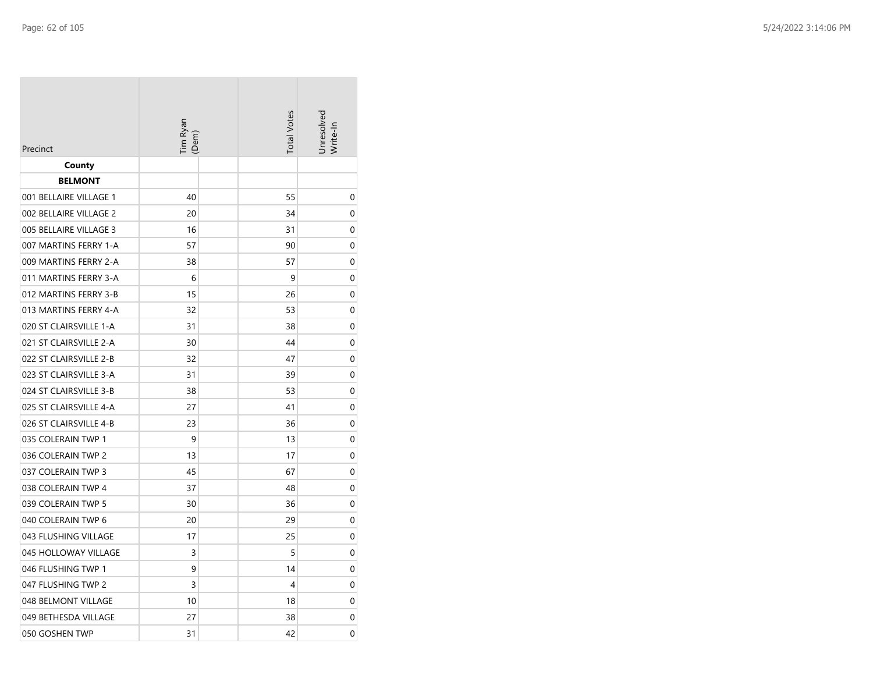| Precinct               | Tim Ryan<br>(Dem) | <b>Total Votes</b> | Jnresolvea<br>Write-In |
|------------------------|-------------------|--------------------|------------------------|
| County                 |                   |                    |                        |
| <b>BELMONT</b>         |                   |                    |                        |
| 001 BELLAIRE VILLAGE 1 | 40                | 55                 | 0                      |
| 002 BELLAIRE VILLAGE 2 | 20                | 34                 | 0                      |
| 005 BELLAIRE VILLAGE 3 | 16                | 31                 | 0                      |
| 007 MARTINS FERRY 1-A  | 57                | 90                 | 0                      |
| 009 MARTINS FERRY 2-A  | 38                | 57                 | 0                      |
| 011 MARTINS FERRY 3-A  | 6                 | 9                  | 0                      |
| 012 MARTINS FERRY 3-B  | 15                | 26                 | 0                      |
| 013 MARTINS FERRY 4-A  | 32                | 53                 | 0                      |
| 020 ST CLAIRSVILLE 1-A | 31                | 38                 | 0                      |
| 021 ST CLAIRSVILLE 2-A | 30                | 44                 | 0                      |
| 022 ST CLAIRSVILLE 2-B | 32                | 47                 | 0                      |
| 023 ST CLAIRSVILLE 3-A | 31                | 39                 | 0                      |
| 024 ST CLAIRSVILLE 3-B | 38                | 53                 | 0                      |
| 025 ST CLAIRSVILLE 4-A | 27                | 41                 | 0                      |
| 026 ST CLAIRSVILLE 4-B | 23                | 36                 | 0                      |
| 035 COLERAIN TWP 1     | 9                 | 13                 | 0                      |
| 036 COLERAIN TWP 2     | 13                | 17                 | 0                      |
| 037 COLERAIN TWP 3     | 45                | 67                 | 0                      |
| 038 COLERAIN TWP 4     | 37                | 48                 | 0                      |
| 039 COLERAIN TWP 5     | 30                | 36                 | 0                      |
| 040 COLERAIN TWP 6     | 20                | 29                 | 0                      |
| 043 FLUSHING VILLAGE   | 17                | 25                 | 0                      |
| 045 HOLLOWAY VILLAGE   | 3                 | 5                  | 0                      |
| 046 FLUSHING TWP 1     | 9                 | 14                 | 0                      |
| 047 FLUSHING TWP 2     | 3                 | 4                  | 0                      |
| 048 BELMONT VILLAGE    | 10                | 18                 | 0                      |
| 049 BETHESDA VILLAGE   | 27                | 38                 | 0                      |
| 050 GOSHEN TWP         | 31                | 42                 | 0                      |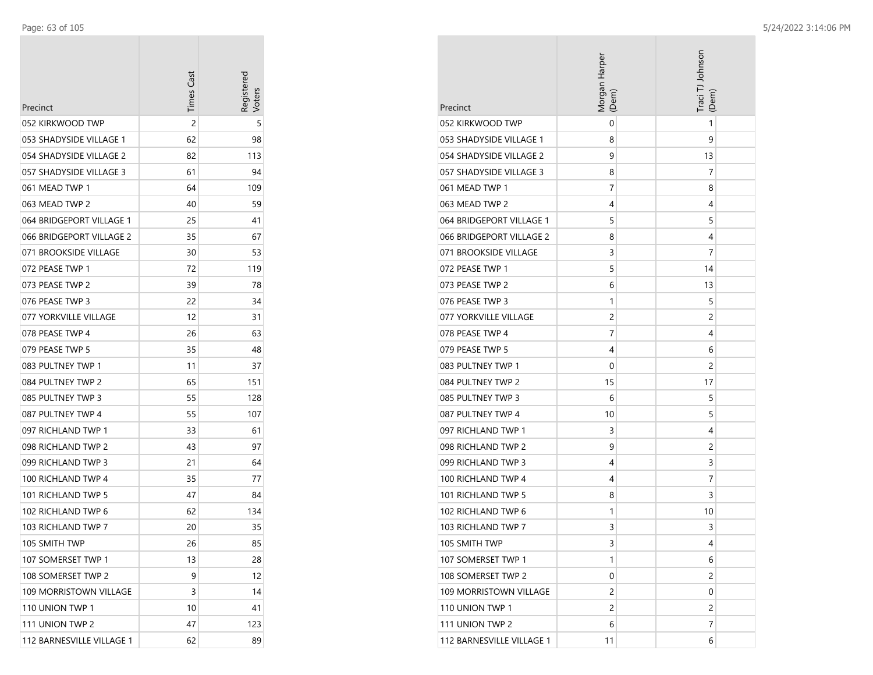$\sim$ 

| Precinct                  | <b>Times Cast</b> | Registerec |
|---------------------------|-------------------|------------|
| 052 KIRKWOOD TWP          | 2                 | 5          |
| 053 SHADYSIDE VILLAGE 1   | 62                | 98         |
| 054 SHADYSIDE VILLAGE 2   | 82                | 113        |
| 057 SHADYSIDE VILLAGE 3   | 61                | 94         |
| 061 MEAD TWP 1            | 64                | 109        |
| 063 MEAD TWP 2            | 40                | 59         |
| 064 BRIDGEPORT VILLAGE 1  | 25                | 41         |
| 066 BRIDGEPORT VILLAGE 2  | 35                | 67         |
| 071 BROOKSIDE VILLAGE     | 30                | 53         |
| 072 PEASE TWP 1           | 72                | 119        |
| 073 PEASE TWP 2           | 39                | 78         |
| 076 PEASE TWP 3           | 22                | 34         |
| 077 YORKVILLE VILLAGE     | 12                | 31         |
| 078 PEASE TWP 4           | 26                | 63         |
| 079 PEASE TWP 5           | 35                | 48         |
| 083 PULTNEY TWP 1         | 11                | 37         |
| 084 PULTNEY TWP 2         | 65                | 151        |
| 085 PULTNEY TWP 3         | 55                | 128        |
| 087 PULTNEY TWP 4         | 55                | 107        |
| 097 RICHLAND TWP 1        | 33                | 61         |
| 098 RICHLAND TWP 2        | 43                | 97         |
| 099 RICHLAND TWP 3        | 21                | 64         |
| 100 RICHLAND TWP 4        | 35                | 77         |
| 101 RICHLAND TWP 5        | 47                | 84         |
| 102 RICHLAND TWP 6        | 62                | 134        |
| 103 RICHLAND TWP 7        | 20                | 35         |
| 105 SMITH TWP             | 26                | 85         |
| 107 SOMERSET TWP 1        | 13                | 28         |
| 108 SOMERSET TWP 2        | 9                 | 12         |
| 109 MORRISTOWN VILLAGE    | 3                 | 14         |
| 110 UNION TWP 1           | 10                | 41         |
| 111 UNION TWP 2           | 47                | 123        |
| 112 BARNESVILLE VILLAGE 1 | 62                | 89         |

| Precinct                  | Morgan Harper<br>(Dem) | Traci TJ Johnson<br>(Dem |
|---------------------------|------------------------|--------------------------|
| 052 KIRKWOOD TWP          | 0                      | 1                        |
| 053 SHADYSIDE VILLAGE 1   | 8                      | 9                        |
| 054 SHADYSIDE VILLAGE 2   | 9                      | 13                       |
| 057 SHADYSIDE VILLAGE 3   | 8                      | 7                        |
| 061 MEAD TWP 1            | 7                      | 8                        |
| 063 MEAD TWP 2            | 4                      | 4                        |
| 064 BRIDGEPORT VILLAGE 1  | 5                      | 5                        |
| 066 BRIDGEPORT VILLAGE 2  | 8                      | 4                        |
| 071 BROOKSIDE VILLAGE     | 3                      | 7                        |
| 072 PEASE TWP 1           | 5                      | 14                       |
| 073 PEASE TWP 2           | 6                      | 13                       |
| 076 PEASE TWP 3           | 1                      | 5                        |
| 077 YORKVILLE VILLAGE     | 2                      | 2                        |
| 078 PEASE TWP 4           | 7                      | 4                        |
| 079 PEASE TWP 5           | 4                      | 6                        |
| 083 PULTNEY TWP 1         | 0                      | 2                        |
| 084 PULTNEY TWP 2         | 15                     | 17                       |
| 085 PULTNEY TWP 3         | 6                      | 5                        |
| 087 PULTNEY TWP 4         | 10                     | 5                        |
| 097 RICHLAND TWP 1        | 3                      | 4                        |
| 098 RICHLAND TWP 2        | 9                      | 2                        |
| 099 RICHLAND TWP 3        | 4                      | 3                        |
| 100 RICHLAND TWP 4        | 4                      | 7                        |
| 101 RICHLAND TWP 5        | 8                      | 3                        |
| 102 RICHLAND TWP 6        | 1                      | 10                       |
| 103 RICHLAND TWP 7        | 3                      | 3                        |
| 105 SMITH TWP             | 3                      | 4                        |
| 107 SOMERSET TWP 1        | 1                      | 6                        |
| 108 SOMERSET TWP 2        | 0                      | 2                        |
| 109 MORRISTOWN VILLAGE    | 2                      | 0                        |
| 110 UNION TWP 1           | 2                      | 2                        |
| 111 UNION TWP 2           | 6                      | 7                        |
| 112 BARNESVILLE VILLAGE 1 | 11                     | 6                        |

 $\sim$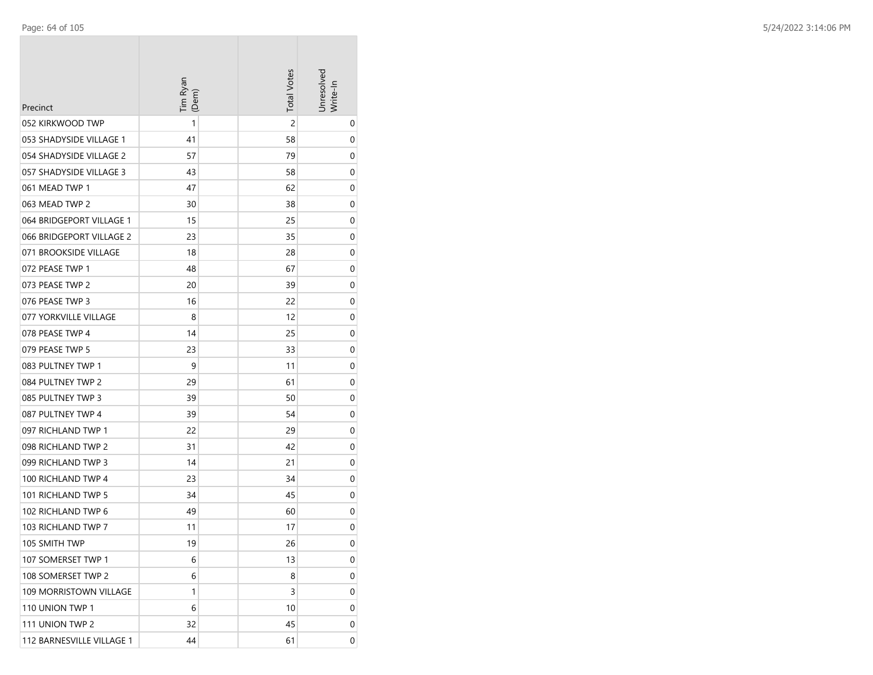| Precinct                      | Tim Ryan<br>(Dem) | <b>Total Votes</b> | Unresolved<br>Write-In |
|-------------------------------|-------------------|--------------------|------------------------|
| 052 KIRKWOOD TWP              | 1                 | $\overline{c}$     | 0                      |
| 053 SHADYSIDE VILLAGE 1       | 41                | 58                 | 0                      |
| 054 SHADYSIDE VILLAGE 2       | 57                | 79                 | 0                      |
| 057 SHADYSIDE VILLAGE 3       | 43                | 58                 | 0                      |
| 061 MEAD TWP 1                | 47                | 62                 | 0                      |
| 063 MEAD TWP 2                | 30                | 38                 | 0                      |
| 064 BRIDGEPORT VILLAGE 1      | 15                | 25                 | 0                      |
| 066 BRIDGEPORT VILLAGE 2      | 23                | 35                 | 0                      |
| 071 BROOKSIDE VILLAGE         | 18                | 28                 | 0                      |
| 072 PEASE TWP 1               | 48                | 67                 | 0                      |
| 073 PEASE TWP 2               | 20                | 39                 | 0                      |
| 076 PEASE TWP 3               | 16                | 22                 | 0                      |
| 077 YORKVILLE VILLAGE         | 8                 | 12                 | 0                      |
| 078 PEASE TWP 4               | 14                | 25                 | 0                      |
| 079 PEASE TWP 5               | 23                | 33                 | 0                      |
| 083 PULTNEY TWP 1             | 9                 | 11                 | 0                      |
| 084 PULTNEY TWP 2             | 29                | 61                 | 0                      |
| 085 PULTNEY TWP 3             | 39                | 50                 | 0                      |
| 087 PULTNEY TWP 4             | 39                | 54                 | 0                      |
| 097 RICHLAND TWP 1            | 22                | 29                 | 0                      |
| 098 RICHLAND TWP 2            | 31                | 42                 | 0                      |
| 099 RICHLAND TWP 3            | 14                | 21                 | 0                      |
| 100 RICHLAND TWP 4            | 23                | 34                 | 0                      |
| 101 RICHLAND TWP 5            | 34                | 45                 | 0                      |
| 102 RICHLAND TWP 6            | 49                | 60                 | 0                      |
| 103 RICHLAND TWP 7            | 11                | 17                 | 0                      |
| 105 SMITH TWP                 | 19                | 26                 | 0                      |
| 107 SOMERSET TWP 1            | 6                 | 13                 | 0                      |
| 108 SOMERSET TWP 2            | 6                 | 8                  | 0                      |
| <b>109 MORRISTOWN VILLAGE</b> | 1                 | 3                  | 0                      |
| 110 UNION TWP 1               | 6                 | 10                 | 0                      |
| 111 UNION TWP 2               | 32                | 45                 | 0                      |
| 112 BARNESVILLE VILLAGE 1     | 44                | 61                 | 0                      |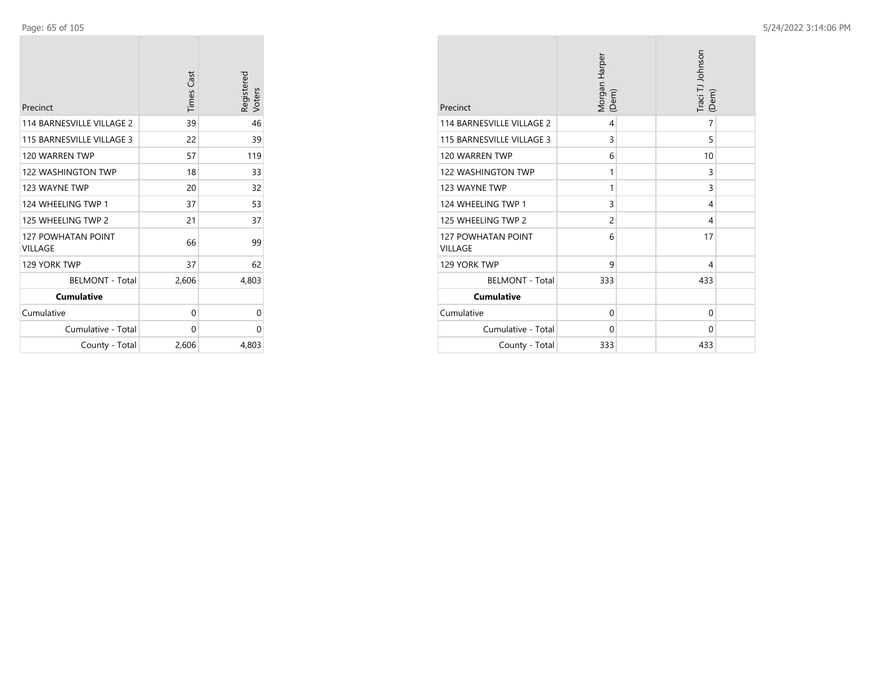| Precinct                             | <b>Times Cast</b> | Registered<br>Voters |
|--------------------------------------|-------------------|----------------------|
| 114 BARNESVILLE VILLAGE 2            | 39                | 46                   |
| 115 BARNESVILLE VILLAGE 3            | 22                | 39                   |
| 120 WARREN TWP                       | 57                | 119                  |
| <b>122 WASHINGTON TWP</b>            | 18                | 33                   |
| 123 WAYNE TWP                        | 20                | 32                   |
| 124 WHEELING TWP 1                   | 37                | 53                   |
| 125 WHEELING TWP 2                   | 21                | 37                   |
| <b>127 POWHATAN POINT</b><br>VILLAGE | 66                | 99                   |
| 129 YORK TWP                         | 37                | 62                   |
| <b>BELMONT - Total</b>               | 2,606             | 4,803                |
| <b>Cumulative</b>                    |                   |                      |
| Cumulative                           | 0                 | 0                    |
| Cumulative - Total                   | 0                 | 0                    |
| County - Total                       | 2,606             | 4,803                |

| Precinct                                    | Morgan Harper<br>(Dem) | Traci TJ Johnson<br>(Dem) |
|---------------------------------------------|------------------------|---------------------------|
| 114 BARNESVILLE VILLAGE 2                   | 4                      | 7                         |
| 115 BARNESVILLE VILLAGE 3                   | 3                      | 5                         |
| 120 WARREN TWP                              | 6                      | 10                        |
| <b>122 WASHINGTON TWP</b>                   | 1                      | 3                         |
| 123 WAYNE TWP                               | 1                      | 3                         |
| 124 WHEELING TWP 1                          | 3                      | 4                         |
| 125 WHEELING TWP 2                          | 2                      | 4                         |
| <b>127 POWHATAN POINT</b><br><b>VILLAGE</b> | 6                      | 17                        |
| 129 YORK TWP                                | 9                      | 4                         |
| <b>BELMONT - Total</b>                      | 333                    | 433                       |
| <b>Cumulative</b>                           |                        |                           |
| Cumulative                                  | 0                      | $\Omega$                  |
| Cumulative - Total                          | 0                      | $\Omega$                  |
| County - Total                              | 333                    | 433                       |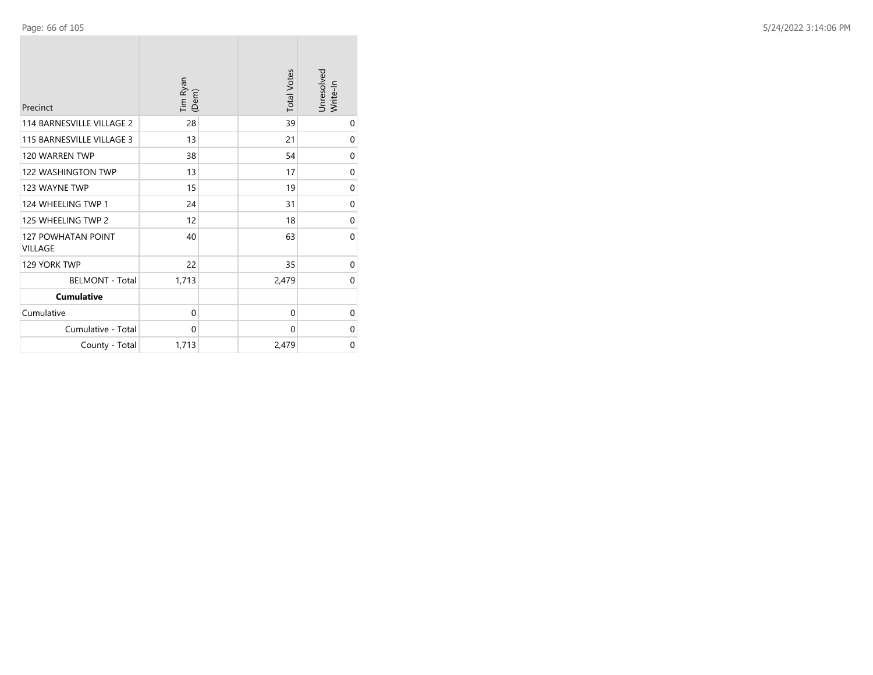| Precinct                                    | Tim Ryan<br>(Dem) | <b>Total Votes</b> | Unresolved<br>Write-In |
|---------------------------------------------|-------------------|--------------------|------------------------|
| 114 BARNESVILLE VILLAGE 2                   | 28                | 39                 | 0                      |
| 115 BARNESVILLE VILLAGE 3                   | 13                | 21                 | $\mathbf 0$            |
| 120 WARREN TWP                              | 38                | 54                 | 0                      |
| 122 WASHINGTON TWP                          | 13                | 17                 | $\mathbf 0$            |
| 123 WAYNE TWP                               | 15                | 19                 | 0                      |
| 124 WHEELING TWP 1                          | 24                | 31                 | $\mathbf 0$            |
| 125 WHEELING TWP 2                          | 12                | 18                 | $\mathbf 0$            |
| <b>127 POWHATAN POINT</b><br><b>VILLAGE</b> | 40                | 63                 | $\Omega$               |
| 129 YORK TWP                                | 22                | 35                 | 0                      |
| <b>BELMONT - Total</b>                      | 1,713             | 2,479              | $\Omega$               |
| <b>Cumulative</b>                           |                   |                    |                        |
| Cumulative                                  | $\Omega$          | $\Omega$           | 0                      |
| Cumulative - Total                          | 0                 | 0                  | $\mathbf 0$            |
| County - Total                              | 1,713             | 2,479              | $\mathbf 0$            |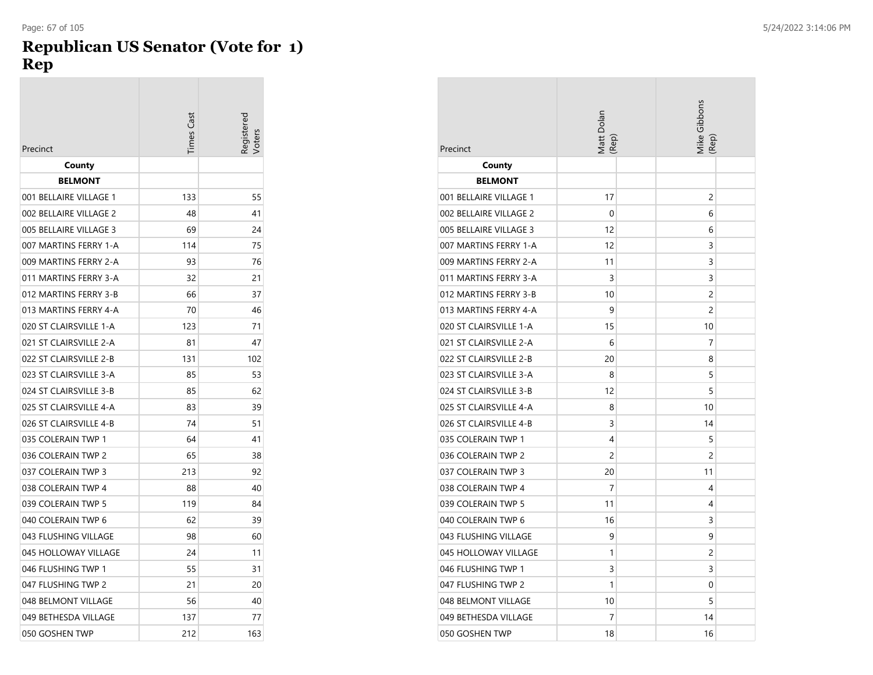### **Republican US Senator (Vote for 1) Rep**

| Precinct               | Times Cast | eqistered |
|------------------------|------------|-----------|
| County                 |            |           |
| <b>BELMONT</b>         |            |           |
| 001 BELLAIRE VILLAGE 1 | 133        | 55        |
| 002 BELLAIRE VILLAGE 2 | 48         | 41        |
| 005 BELLAIRE VILLAGE 3 | 69         | 24        |
| 007 MARTINS FERRY 1-A  | 114        | 75        |
| 009 MARTINS FERRY 2-A  | 93         | 76        |
| 011 MARTINS FERRY 3-A  | 32         | 21        |
| 012 MARTINS FERRY 3-B  | 66         | 37        |
| 013 MARTINS FERRY 4-A  | 70         | 46        |
| 020 ST CLAIRSVILLE 1-A | 123        | 71        |
| 021 ST CLAIRSVILLE 2-A | 81         | 47        |
| 022 ST CLAIRSVILLE 2-B | 131        | 102       |
| 023 ST CLAIRSVILLE 3-A | 85         | 53        |
| 024 ST CLAIRSVILLE 3-B | 85         | 62        |
| 025 ST CLAIRSVILLE 4-A | 83         | 39        |
| 026 ST CLAIRSVILLE 4-B | 74         | 51        |
| 035 COLERAIN TWP 1     | 64         | 41        |
| 036 COLERAIN TWP 2     | 65         | 38        |
| 037 COLERAIN TWP 3     | 213        | 92        |
| 038 COLERAIN TWP 4     | 88         | 40        |
| 039 COLERAIN TWP 5     | 119        | 84        |
| 040 COLERAIN TWP 6     | 62         | 39        |
| 043 FLUSHING VILLAGE   | 98         | 60        |
| 045 HOLLOWAY VILLAGE   | 24         | 11        |
| 046 FLUSHING TWP 1     | 55         | 31        |
| 047 FLUSHING TWP 2     | 21         | 20        |
| 048 BELMONT VILLAGE    | 56         | 40        |
| 049 BETHESDA VILLAGE   | 137        | 77        |
| 050 GOSHEN TWP         | 212        | 163       |

| Precinct               | Matt Dolan<br>(Rep) | Mike Gibbons<br>(Rep |
|------------------------|---------------------|----------------------|
| County                 |                     |                      |
| <b>BELMONT</b>         |                     |                      |
| 001 BELLAIRE VILLAGE 1 | 17                  | 2                    |
| 002 BELLAIRE VILLAGE 2 | 0                   | 6                    |
| 005 BELLAIRE VILLAGE 3 | 12                  | 6                    |
| 007 MARTINS FERRY 1-A  | 12                  | 3                    |
| 009 MARTINS FERRY 2-A  | 11                  | 3                    |
| 011 MARTINS FERRY 3-A  | 3                   | 3                    |
| 012 MARTINS FERRY 3-B  | 10                  | $\overline{c}$       |
| 013 MARTINS FERRY 4-A  | 9                   | 2                    |
| 020 ST CLAIRSVILLE 1-A | 15                  | 10                   |
| 021 ST CLAIRSVILLE 2-A | 6                   | 7                    |
| 022 ST CLAIRSVILLE 2-B | 20                  | 8                    |
| 023 ST CLAIRSVILLE 3-A | 8                   | 5                    |
| 024 ST CLAIRSVILLE 3-B | 12                  | 5                    |
| 025 ST CLAIRSVILLE 4-A | 8                   | 10                   |
| 026 ST CLAIRSVILLE 4-B | 3                   | 14                   |
| 035 COLERAIN TWP 1     | 4                   | 5                    |
| 036 COLERAIN TWP 2     | 2                   | $\overline{2}$       |
| 037 COLERAIN TWP 3     | 20                  | 11                   |
| 038 COLERAIN TWP 4     | 7                   | 4                    |
| 039 COLERAIN TWP 5     | 11                  | 4                    |
| 040 COLERAIN TWP 6     | 16                  | 3                    |
| 043 FLUSHING VILLAGE   | 9                   | 9                    |
| 045 HOLLOWAY VILLAGE   | 1                   | 2                    |
| 046 FLUSHING TWP 1     | 3                   | 3                    |
| 047 FLUSHING TWP 2     | 1                   | 0                    |
| 048 BELMONT VILLAGE    | 10                  | 5                    |
| 049 BETHESDA VILLAGE   | 7                   | 14                   |
| 050 GOSHEN TWP         | 18                  | 16                   |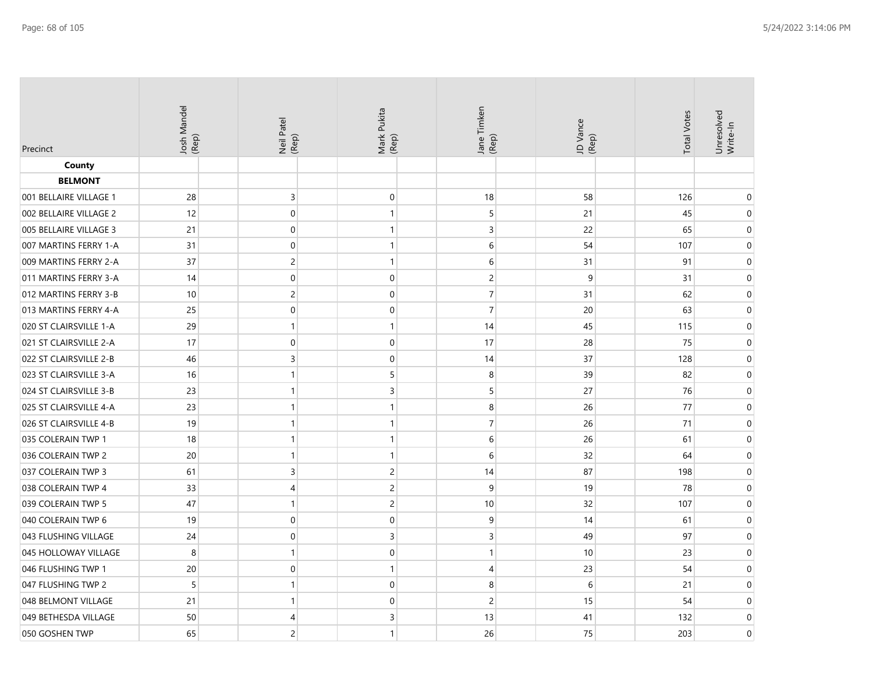| Precinct               | Josh Mandel<br>(Rep) | Neil Patel<br>(Rep) | Mark Pukita<br>(Rep) | Jane Timken<br>(Rep) | JD Vance<br>(Rep) | <b>Total Votes</b> | Unresolved<br>Write-In |
|------------------------|----------------------|---------------------|----------------------|----------------------|-------------------|--------------------|------------------------|
| County                 |                      |                     |                      |                      |                   |                    |                        |
| <b>BELMONT</b>         |                      |                     |                      |                      |                   |                    |                        |
| 001 BELLAIRE VILLAGE 1 | 28                   | 3                   | $\mathbf 0$          | 18                   | 58                | 126                | 0                      |
| 002 BELLAIRE VILLAGE 2 | 12                   | $\mathbf 0$         | $\mathbf{1}$         | 5                    | 21                | 45                 | 0                      |
| 005 BELLAIRE VILLAGE 3 | 21                   | $\boldsymbol{0}$    | $\mathbf{1}$         | $\overline{3}$       | 22                | 65                 | 0                      |
| 007 MARTINS FERRY 1-A  | 31                   | $\mathbf 0$         | $\mathbf{1}$         | 6                    | 54                | 107                | $\mathbf 0$            |
| 009 MARTINS FERRY 2-A  | 37                   | $\mathsf{2}\,$      | $\mathbf{1}$         | 6                    | 31                | 91                 | $\mathbf 0$            |
| 011 MARTINS FERRY 3-A  | 14                   | $\mathbf 0$         | $\mathbf 0$          | $\overline{c}$       | 9                 | 31                 | $\mathbf 0$            |
| 012 MARTINS FERRY 3-B  | 10                   | $\overline{c}$      | $\mathbf 0$          | $\overline{7}$       | 31                | 62                 | $\mathbf 0$            |
| 013 MARTINS FERRY 4-A  | 25                   | $\mathbf 0$         | $\mathbf 0$          | $\overline{7}$       | 20                | 63                 | $\mathbf 0$            |
| 020 ST CLAIRSVILLE 1-A | 29                   | 1                   | $\mathbf{1}$         | 14                   | 45                | 115                | 0                      |
| 021 ST CLAIRSVILLE 2-A | 17                   | $\mathbf 0$         | $\Omega$             | 17                   | 28                | 75                 | $\Omega$               |
| 022 ST CLAIRSVILLE 2-B | 46                   | 3                   | $\mathbf{0}$         | 14                   | 37                | 128                | $\mathbf 0$            |
| 023 ST CLAIRSVILLE 3-A | 16                   | $\mathbf{1}$        | 5                    | 8                    | 39                | 82                 | $\mathbf 0$            |
| 024 ST CLAIRSVILLE 3-B | 23                   | 1                   | 3                    | 5                    | 27                | 76                 | 0                      |
| 025 ST CLAIRSVILLE 4-A | 23                   | 1                   | $\mathbf{1}$         | 8                    | 26                | 77                 | 0                      |
| 026 ST CLAIRSVILLE 4-B | 19                   | $\mathbf{1}$        | $\mathbf{1}$         | $\overline{7}$       | 26                | 71                 | 0                      |
| 035 COLERAIN TWP 1     | 18                   | $\mathbf{1}$        | $\mathbf{1}$         | 6                    | 26                | 61                 | $\mathbf 0$            |
| 036 COLERAIN TWP 2     | 20                   | $\mathbf{1}$        | $\mathbf{1}$         | 6                    | 32                | 64                 | $\mathbf 0$            |
| 037 COLERAIN TWP 3     | 61                   | 3                   | $\overline{c}$       | 14                   | 87                | 198                | $\mathbf 0$            |
| 038 COLERAIN TWP 4     | 33                   | 4                   | $\overline{c}$       | 9                    | 19                | 78                 | 0                      |
| 039 COLERAIN TWP 5     | 47                   | 1                   | $\overline{c}$       | 10                   | 32                | 107                | 0                      |
| 040 COLERAIN TWP 6     | 19                   | $\boldsymbol{0}$    | $\mathbf 0$          | $\mathsf 9$          | 14                | 61                 | $\boldsymbol{0}$       |
| 043 FLUSHING VILLAGE   | 24                   | $\mathbf 0$         | 3                    | $\overline{3}$       | 49                | 97                 | $\mathbf 0$            |
| 045 HOLLOWAY VILLAGE   | 8                    | $\mathbf{1}$        | $\mathbf 0$          | $\mathbf{1}$         | 10                | 23                 | $\mathbf 0$            |
| 046 FLUSHING TWP 1     | 20                   | $\mathbf 0$         | $\mathbf{1}$         | $\overline{4}$       | 23                | 54                 | $\mathbf 0$            |
| 047 FLUSHING TWP 2     | 5                    | 1                   | $\mathbf 0$          | 8                    | 6                 | 21                 | 0                      |
| 048 BELMONT VILLAGE    | 21                   | $\mathbf{1}$        | $\mathbf 0$          | $\overline{c}$       | 15                | 54                 | $\pmb{0}$              |
| 049 BETHESDA VILLAGE   | 50                   | 4                   | 3                    | 13                   | 41                | 132                | $\overline{0}$         |
| 050 GOSHEN TWP         | 65                   | $\overline{c}$      | $\mathbf{1}$         | 26                   | 75                | 203                | $\Omega$               |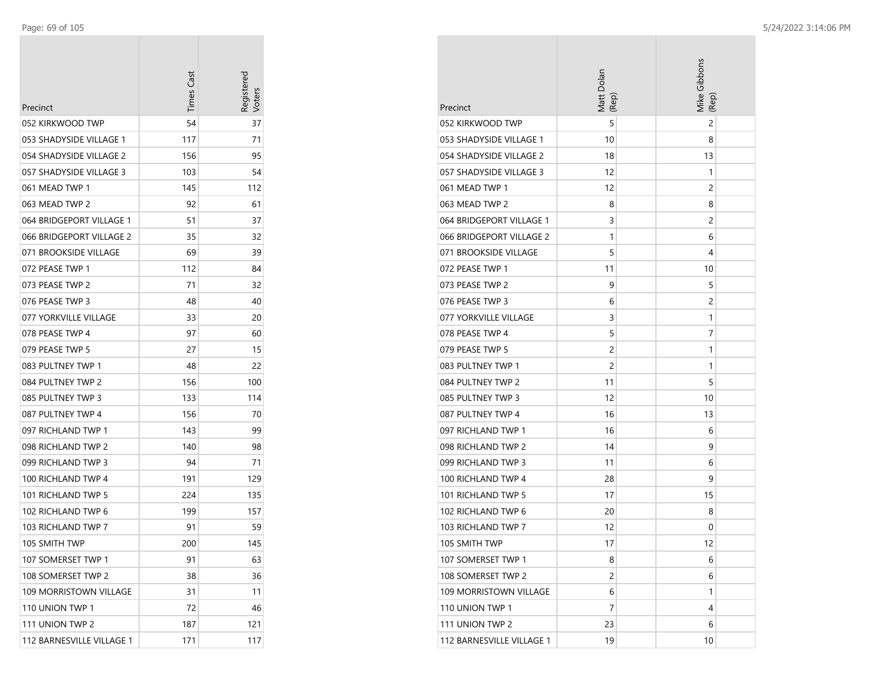| Precinct                  | <b>Times Cast</b> | Registerec |
|---------------------------|-------------------|------------|
| 052 KIRKWOOD TWP          | 54                | 37         |
| 053 SHADYSIDE VILLAGE 1   | 117               | 71         |
| 054 SHADYSIDE VILLAGE 2   | 156               | 95         |
| 057 SHADYSIDE VILLAGE 3   | 103               | 54         |
| 061 MEAD TWP 1            | 145               | 112        |
| 063 MEAD TWP 2            | 92                | 61         |
| 064 BRIDGEPORT VILLAGE 1  | 51                | 37         |
| 066 BRIDGEPORT VILLAGE 2  | 35                | 32         |
| 071 BROOKSIDE VILLAGE     | 69                | 39         |
| 072 PEASE TWP 1           | 112               | 84         |
| 073 PEASE TWP 2           | 71                | 32         |
| 076 PEASE TWP 3           | 48                | 40         |
| 077 YORKVILLE VILLAGE     | 33                | 20         |
| 078 PEASE TWP 4           | 97                | 60         |
| 079 PEASE TWP 5           | 27                | 15         |
| 083 PULTNEY TWP 1         | 48                | 22         |
| 084 PULTNEY TWP 2         | 156               | 100        |
| 085 PULTNEY TWP 3         | 133               | 114        |
| 087 PULTNEY TWP 4         | 156               | 70         |
| 097 RICHLAND TWP 1        | 143               | 99         |
| 098 RICHLAND TWP 2        | 140               | 98         |
| 099 RICHLAND TWP 3        | 94                | 71         |
| 100 RICHLAND TWP 4        | 191               | 129        |
| 101 RICHLAND TWP 5        | 224               | 135        |
| 102 RICHLAND TWP 6        | 199               | 157        |
| 103 RICHLAND TWP 7        | 91                | 59         |
| 105 SMITH TWP             | 200               | 145        |
| 107 SOMERSET TWP 1        | 91                | 63         |
| 108 SOMERSET TWP 2        | 38                | 36         |
| 109 MORRISTOWN VILLAGE    | 31                | 11         |
| 110 UNION TWP 1           | 72                | 46         |
| 111 UNION TWP 2           | 187               | 121        |
| 112 BARNESVILLE VILLAGE 1 | 171               | 117        |

| Precinct                  | Matt Dolan<br>(Rep) | Mike Gibbons<br>(Rep) |
|---------------------------|---------------------|-----------------------|
| 052 KIRKWOOD TWP          | 5                   | 2                     |
| 053 SHADYSIDE VILLAGE 1   | 10                  | 8                     |
| 054 SHADYSIDE VILLAGE 2   | 18                  | 13                    |
| 057 SHADYSIDE VILLAGE 3   | 12                  | 1                     |
| 061 MEAD TWP 1            | 12                  | 2                     |
| 063 MEAD TWP 2            | 8                   | 8                     |
| 064 BRIDGEPORT VILLAGE 1  | 3                   | 2                     |
| 066 BRIDGEPORT VILLAGE 2  | 1                   | 6                     |
| 071 BROOKSIDE VILLAGE     | 5                   | 4                     |
| 072 PEASE TWP 1           | 11                  | 10                    |
| 073 PEASE TWP 2           | 9                   | 5                     |
| 076 PEASE TWP 3           | 6                   | 2                     |
| 077 YORKVILLE VILLAGE     | 3                   | 1                     |
| 078 PEASE TWP 4           | 5                   | 7                     |
| 079 PEASE TWP 5           | 2                   | 1                     |
| 083 PULTNEY TWP 1         | 2                   | 1                     |
| 084 PULTNEY TWP 2         | 11                  | 5                     |
| 085 PULTNEY TWP 3         | 12                  | 10                    |
| 087 PULTNEY TWP 4         | 16                  | 13                    |
| 097 RICHLAND TWP 1        | 16                  | 6                     |
| 098 RICHLAND TWP 2        | 14                  | 9                     |
| 099 RICHLAND TWP 3        | 11                  | 6                     |
| 100 RICHLAND TWP 4        | 28                  | 9                     |
| 101 RICHLAND TWP 5        | 17                  | 15                    |
| 102 RICHLAND TWP 6        | 20                  | 8                     |
| 103 RICHLAND TWP 7        | 12                  | 0                     |
| 105 SMITH TWP             | 17                  | 12                    |
| 107 SOMERSET TWP 1        | 8                   | 6                     |
| 108 SOMERSET TWP 2        | 2                   | 6                     |
| 109 MORRISTOWN VILLAGE    | 6                   | 1                     |
| 110 UNION TWP 1           | 7                   | 4                     |
| 111 UNION TWP 2           | 23                  | 6                     |
| 112 BARNESVILLE VILLAGE 1 | 19                  | 10                    |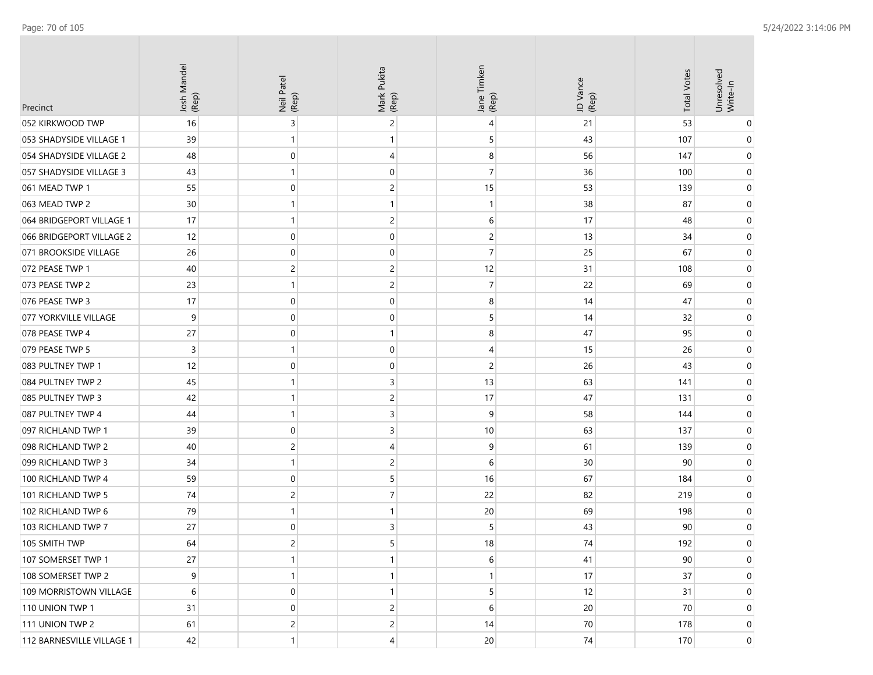| Precinct                  | Josh Mandel<br>(Rep) | Neil Patel<br>(Rep) | Mark Pukita<br>(Rep) | Jane Timken<br>(Rep) | JD Vance<br>(Rep) | <b>Total Votes</b> | Unresolved<br>Write-In |
|---------------------------|----------------------|---------------------|----------------------|----------------------|-------------------|--------------------|------------------------|
| 052 KIRKWOOD TWP          | 16                   | 3                   | 2                    | 4                    | 21                | 53                 |                        |
| 053 SHADYSIDE VILLAGE 1   | 39                   | 1                   | 1                    | 5                    | 43                | 107                | 0                      |
| 054 SHADYSIDE VILLAGE 2   | 48                   | 0                   | 4                    | 8                    | 56                | 147                | 0                      |
| 057 SHADYSIDE VILLAGE 3   | 43                   | 1                   | 0                    | 7                    | 36                | 100                | 0                      |
| 061 MEAD TWP 1            | 55                   | $\mathbf 0$         | 2                    | 15                   | 53                | 139                | 0                      |
| 063 MEAD TWP 2            | 30                   | -1                  | 1                    | -1                   | 38                | 87                 | 0                      |
| 064 BRIDGEPORT VILLAGE 1  | 17                   | -1                  | 2                    | 6                    | 17                | 48                 | 0                      |
| 066 BRIDGEPORT VILLAGE 2  | 12                   | 0                   | 0                    | 2                    | 13                | 34                 | 0                      |
| 071 BROOKSIDE VILLAGE     | 26                   | 0                   | 0                    | 7                    | 25                | 67                 | 0                      |
| 072 PEASE TWP 1           | 40                   | $\overline{c}$      | $\overline{c}$       | 12                   | 31                | 108                | 0                      |
| 073 PEASE TWP 2           | 23                   | 1                   | $\overline{c}$       | 7                    | 22                | 69                 | 0                      |
| 076 PEASE TWP 3           | 17                   | 0                   | 0                    | 8                    | 14                | 47                 | 0                      |
| 077 YORKVILLE VILLAGE     | 9                    | $\mathbf 0$         | 0                    | 5                    | 14                | 32                 | 0                      |
| 078 PEASE TWP 4           | 27                   | $\mathbf 0$         | 1                    | 8                    | 47                | 95                 | 0                      |
| 079 PEASE TWP 5           | $\overline{3}$       | -1                  | 0                    | 4                    | 15                | 26                 | 0                      |
| 083 PULTNEY TWP 1         | 12                   | 0                   | 0                    | $\overline{c}$       | 26                | 43                 | 0                      |
| 084 PULTNEY TWP 2         | 45                   | -1                  | 3                    | 13                   | 63                | 141                | 0                      |
| 085 PULTNEY TWP 3         | 42                   | $\mathbf{1}$        | $\overline{c}$       | 17                   | 47                | 131                | 0                      |
| 087 PULTNEY TWP 4         | 44                   | $\mathbf{1}$        | 3                    | 9                    | 58                | 144                | 0                      |
| 097 RICHLAND TWP 1        | 39                   | 0                   | 3                    | 10                   | 63                | 137                | 0                      |
| 098 RICHLAND TWP 2        | 40                   | 2                   | 4                    | 9                    | 61                | 139                | 0                      |
| 099 RICHLAND TWP 3        | 34                   | 1                   | 2                    | 6                    | 30                | 90                 | 0                      |
| 100 RICHLAND TWP 4        | 59                   | $\mathbf 0$         | 5                    | 16                   | 67                | 184                | 0                      |
| 101 RICHLAND TWP 5        | 74                   | 2                   | 7                    | 22                   | 82                | 219                | 0                      |
| 102 RICHLAND TWP 6        | 79                   | $\mathbf{1}$        | 1                    | 20                   | 69                | 198                | 0                      |
| 103 RICHLAND TWP 7        | 27                   | $\Omega$            | 3                    | 5                    | 43                | 90                 | $\Omega$               |
| 105 SMITH TWP             | 64                   | $\overline{c}$      | 5                    | 18                   | 74                | 192                | 0                      |
| 107 SOMERSET TWP 1        | 27                   | $\mathbf{1}$        |                      | 6                    | 41                | 90                 | 0                      |
| 108 SOMERSET TWP 2        | 9                    | 1                   | 1                    | 1                    | 17                | 37                 | $\overline{0}$         |
| 109 MORRISTOWN VILLAGE    | 6                    | 0                   |                      | 5                    | 12                | 31                 | 0                      |
| 110 UNION TWP 1           | 31                   | $\mathbf 0$         | 2                    | 6                    | 20                | 70                 | 0                      |
| 111 UNION TWP 2           | 61                   | $\overline{c}$      | 2                    | 14                   | 70                | 178                | $\overline{0}$         |
| 112 BARNESVILLE VILLAGE 1 | 42                   | $\mathbf{1}$        | 4                    | 20                   | $74\,$            | 170                | $\overline{0}$         |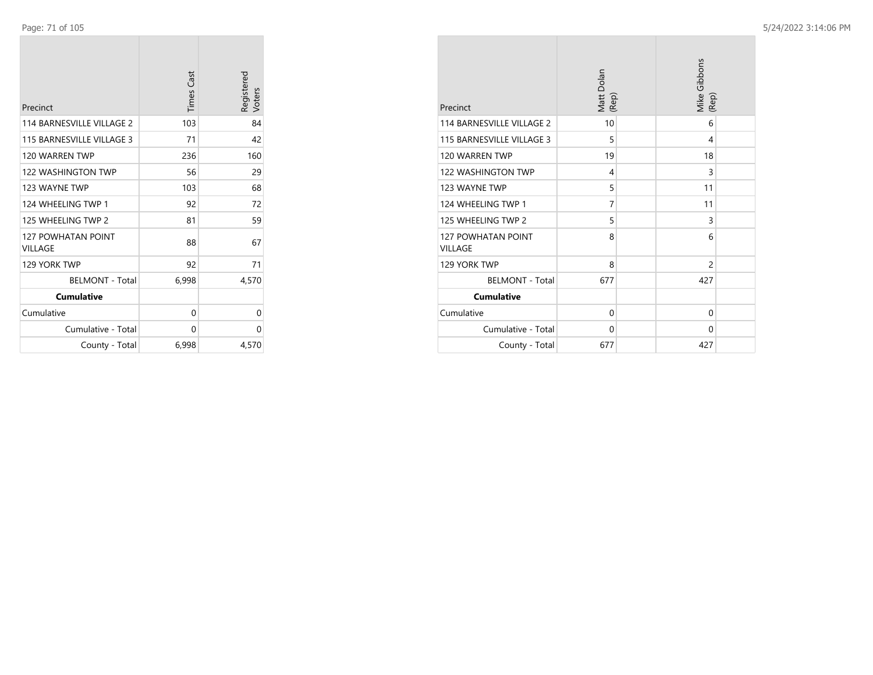| Precinct                             | <b>Times Cast</b> | Registered<br>Voters |
|--------------------------------------|-------------------|----------------------|
| 114 BARNESVILLE VILLAGE 2            | 103               | 84                   |
| 115 BARNESVILLE VILLAGE 3            | 71                | 42                   |
| 120 WARREN TWP                       | 236               | 160                  |
| <b>122 WASHINGTON TWP</b>            | 56                | 29                   |
| 123 WAYNE TWP                        | 103               | 68                   |
| 124 WHEELING TWP 1                   | 92                | 72                   |
| 125 WHEELING TWP 2                   | 81                | 59                   |
| <b>127 POWHATAN POINT</b><br>VILLAGE | 88                | 67                   |
| 129 YORK TWP                         | 92                | 71                   |
| <b>BELMONT - Total</b>               | 6,998             | 4,570                |
| <b>Cumulative</b>                    |                   |                      |
| Cumulative                           | 0                 | 0                    |
| Cumulative - Total                   | 0                 | 0                    |
| County - Total                       | 6,998             | 4,570                |

| Precinct                                    | Matt Dolan<br>(Rep) | Mike Gibbons | (Rep)          |
|---------------------------------------------|---------------------|--------------|----------------|
| 114 BARNESVILLE VILLAGE 2                   | 10                  |              | 6              |
| 115 BARNESVILLE VILLAGE 3                   | 5                   |              | 4              |
| 120 WARREN TWP                              | 19                  |              | 18             |
| <b>122 WASHINGTON TWP</b>                   | 4                   |              | 3              |
| 123 WAYNE TWP                               | 5                   |              | 11             |
| 124 WHEELING TWP 1                          | 7                   |              | 11             |
| 125 WHEELING TWP 2                          | 5                   |              | 3              |
| <b>127 POWHATAN POINT</b><br><b>VILLAGE</b> | 8                   |              | 6              |
| 129 YORK TWP                                | 8                   |              | $\overline{2}$ |
| <b>BELMONT - Total</b>                      | 677                 | 427          |                |
| <b>Cumulative</b>                           |                     |              |                |
| Cumulative                                  | 0                   |              | $\Omega$       |
| Cumulative - Total                          | $\Omega$            |              | 0              |
| County - Total                              | 677                 | 427          |                |

**COL**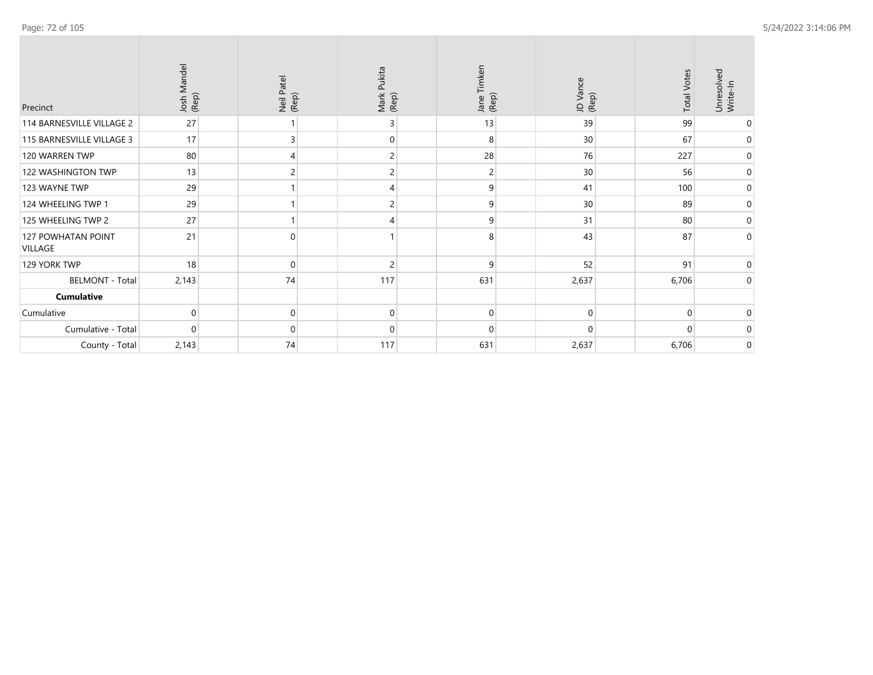| Precinct                      | Josh Mandel<br>(Rep) | Neil Patel<br>(Rep) | Mark Pukita<br>(Rep) | Jane Timken<br>(Rep) | JD Vance<br>(Rep) | <b>Total Votes</b> | 9.<br>Unresolve<br>Write-In |
|-------------------------------|----------------------|---------------------|----------------------|----------------------|-------------------|--------------------|-----------------------------|
| 114 BARNESVILLE VILLAGE 2     | 27                   |                     |                      | 13                   | 39                | 99                 | $\Omega$                    |
| 115 BARNESVILLE VILLAGE 3     | 17                   |                     |                      | 8                    | 30                | 67                 | 0                           |
| 120 WARREN TWP                | 80                   |                     |                      | 28                   | 76                | 227                | 0                           |
| 122 WASHINGTON TWP            | 13                   |                     |                      | 2                    | 30                | 56                 | $\mathbf 0$                 |
| 123 WAYNE TWP                 | 29                   |                     |                      | 9                    | 41                | 100                | $\mathbf 0$                 |
| 124 WHEELING TWP 1            | 29                   |                     |                      | 9                    | 30                | 89                 | 0                           |
| 125 WHEELING TWP 2            | 27                   |                     |                      | 9                    | 31                | 80                 | $\mathbf 0$                 |
| 127 POWHATAN POINT<br>VILLAGE | 21                   |                     |                      | 8                    | 43                | 87                 | $\mathbf 0$                 |
| 129 YORK TWP                  | 18                   | $\Omega$            |                      | 9                    | 52                | 91                 | $\mathbf 0$                 |
| <b>BELMONT - Total</b>        | 2,143                | 74                  | 117                  | 631                  | 2,637             | 6,706              | $\mathbf 0$                 |
| <b>Cumulative</b>             |                      |                     |                      |                      |                   |                    |                             |
| Cumulative                    | $\Omega$             |                     |                      | $\mathbf 0$          | 0                 | $\Omega$           | $\mathbf 0$                 |
| Cumulative - Total            | n                    |                     |                      | $\Omega$             | U                 | <sup>n</sup>       | $\Omega$                    |
| County - Total                | 2,143                | 74                  | 117                  | 631                  | 2,637             | 6,706              | $\mathbf 0$                 |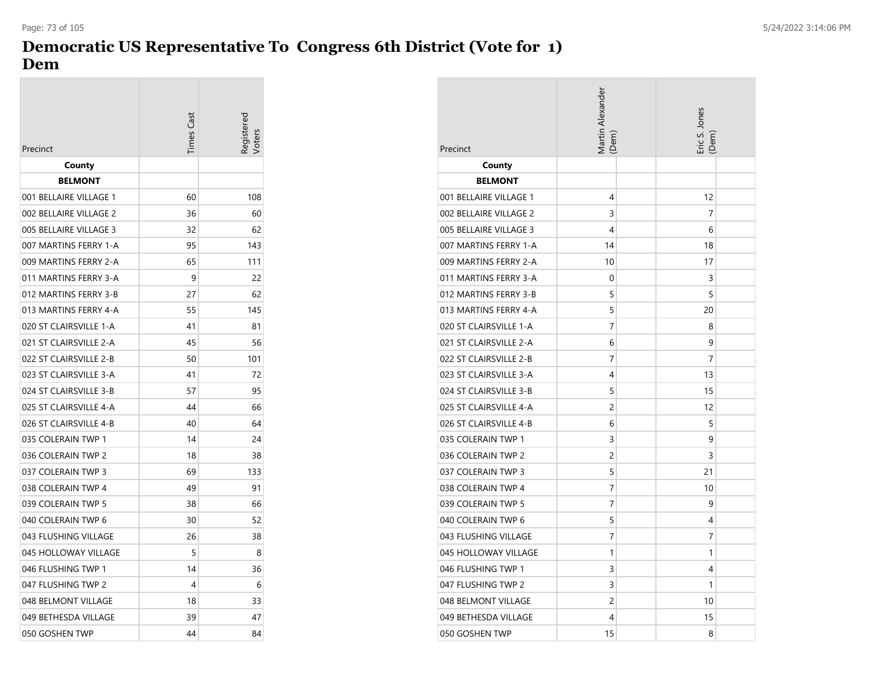## **Democratic US Representative To Congress 6th District (Vote for 1) Dem**

| Precinct               | Times Cas | egistered |
|------------------------|-----------|-----------|
| County                 |           |           |
| <b>BELMONT</b>         |           |           |
| 001 BELLAIRE VILLAGE 1 | 60        | 108       |
| 002 BELLAIRE VILLAGE 2 | 36        | 60        |
| 005 BELLAIRE VILLAGE 3 | 32        | 62        |
| 007 MARTINS FERRY 1-A  | 95        | 143       |
| 009 MARTINS FERRY 2-A  | 65        | 111       |
| 011 MARTINS FERRY 3-A  | 9         | 22        |
| 012 MARTINS FERRY 3-B  | 27        | 62        |
| 013 MARTINS FERRY 4-A  | 55        | 145       |
| 020 ST CLAIRSVILLE 1-A | 41        | 81        |
| 021 ST CLAIRSVILLE 2-A | 45        | 56        |
| 022 ST CLAIRSVILLE 2-B | 50        | 101       |
| 023 ST CLAIRSVILLE 3-A | 41        | 72        |
| 024 ST CLAIRSVILLE 3-B | 57        | 95        |
| 025 ST CLAIRSVILLE 4-A | 44        | 66        |
| 026 ST CLAIRSVILLE 4-B | 40        | 64        |
| 035 COLERAIN TWP 1     | 14        | 24        |
| 036 COLERAIN TWP 2     | 18        | 38        |
| 037 COLERAIN TWP 3     | 69        | 133       |
| 038 COLERAIN TWP 4     | 49        | 91        |
| 039 COLERAIN TWP 5     | 38        | 66        |
| 040 COLERAIN TWP 6     | 30        | 52        |
| 043 FLUSHING VILLAGE   | 26        | 38        |
| 045 HOLLOWAY VILLAGE   | 5         | 8         |
| 046 FLUSHING TWP 1     | 14        | 36        |
| 047 FLUSHING TWP 2     | 4         | 6         |
| 048 BELMONT VILLAGE    | 18        | 33        |
| 049 BETHESDA VILLAGE   | 39        | 47        |
| 050 GOSHEN TWP         | 44        | 84        |

| Precinct               | Martin Alexander<br>(Dem) | Eric S. Jones<br>Dem |
|------------------------|---------------------------|----------------------|
| County                 |                           |                      |
| <b>BELMONT</b>         |                           |                      |
| 001 BELLAIRE VILLAGE 1 | 4                         | 12                   |
| 002 BELLAIRE VILLAGE 2 | 3                         | 7                    |
| 005 BELLAIRE VILLAGE 3 | 4                         | 6                    |
| 007 MARTINS FERRY 1-A  | 14                        | 18                   |
| 009 MARTINS FERRY 2-A  | 10                        | 17                   |
| 011 MARTINS FERRY 3-A  | 0                         | 3                    |
| 012 MARTINS FERRY 3-B  | 5                         | 5                    |
| 013 MARTINS FERRY 4-A  | 5                         | 20                   |
| 020 ST CLAIRSVILLE 1-A | 7                         | 8                    |
| 021 ST CLAIRSVILLE 2-A | 6                         | 9                    |
| 022 ST CLAIRSVILLE 2-B | 7                         | 7                    |
| 023 ST CLAIRSVILLE 3-A | 4                         | 13                   |
| 024 ST CLAIRSVILLE 3-B | 5                         | 15                   |
| 025 ST CLAIRSVILLE 4-A | $\overline{c}$            | 12                   |
| 026 ST CLAIRSVILLE 4-B | 6                         | 5                    |
| 035 COLERAIN TWP 1     | 3                         | 9                    |
| 036 COLERAIN TWP 2     | 2                         | 3                    |
| 037 COLERAIN TWP 3     | 5                         | 21                   |
| 038 COLERAIN TWP 4     | 7                         | 10                   |
| 039 COLERAIN TWP 5     | 7                         | 9                    |
| 040 COLERAIN TWP 6     | 5                         | 4                    |
| 043 FLUSHING VILLAGE   | 7                         | 7                    |
| 045 HOLLOWAY VILLAGE   | 1                         | 1                    |
| 046 FLUSHING TWP 1     | 3                         | 4                    |
| 047 FLUSHING TWP 2     | 3                         | 1                    |
| 048 BELMONT VILLAGE    | 2                         | 10                   |
| 049 BETHESDA VILLAGE   | 4                         | 15                   |
| 050 GOSHEN TWP         | 15                        | 8                    |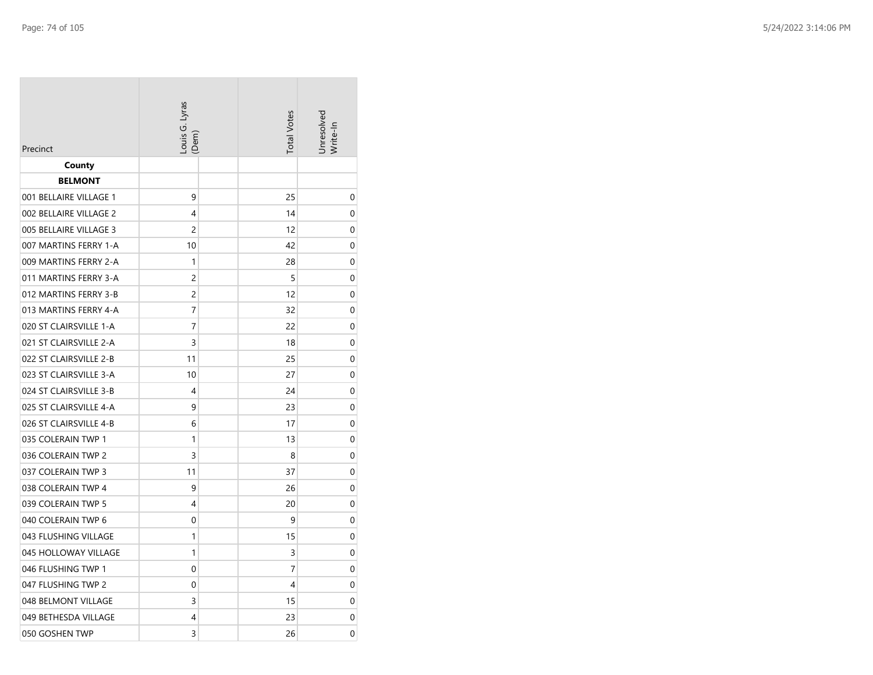| Precinct               | Louis G. Lyras<br>(Dem) | <b>Total Votes</b> | Jnresolvea<br>Write-In |
|------------------------|-------------------------|--------------------|------------------------|
| County                 |                         |                    |                        |
| <b>BELMONT</b>         |                         |                    |                        |
| 001 BELLAIRE VILLAGE 1 | 9                       | 25                 | 0                      |
| 002 BELLAIRE VILLAGE 2 | 4                       | 14                 | 0                      |
| 005 BELLAIRE VILLAGE 3 | 2                       | 12                 | 0                      |
| 007 MARTINS FERRY 1-A  | 10                      | 42                 | 0                      |
| 009 MARTINS FERRY 2-A  | 1                       | 28                 | 0                      |
| 011 MARTINS FERRY 3-A  | $\overline{c}$          | 5                  | 0                      |
| 012 MARTINS FERRY 3-B  | 2                       | 12                 | 0                      |
| 013 MARTINS FERRY 4-A  | 7                       | 32                 | 0                      |
| 020 ST CLAIRSVILLE 1-A | 7                       | 22                 | 0                      |
| 021 ST CLAIRSVILLE 2-A | 3                       | 18                 | 0                      |
| 022 ST CLAIRSVILLE 2-B | 11                      | 25                 | 0                      |
| 023 ST CLAIRSVILLE 3-A | 10                      | 27                 | 0                      |
| 024 ST CLAIRSVILLE 3-B | 4                       | 24                 | 0                      |
| 025 ST CLAIRSVILLE 4-A | 9                       | 23                 | 0                      |
| 026 ST CLAIRSVILLE 4-B | 6                       | 17                 | 0                      |
| 035 COLERAIN TWP 1     | 1                       | 13                 | 0                      |
| 036 COLERAIN TWP 2     | 3                       | 8                  | 0                      |
| 037 COLERAIN TWP 3     | 11                      | 37                 | 0                      |
| 038 COLERAIN TWP 4     | 9                       | 26                 | 0                      |
| 039 COLERAIN TWP 5     | 4                       | 20                 | 0                      |
| 040 COLERAIN TWP 6     | 0                       | 9                  | 0                      |
| 043 FLUSHING VILLAGE   | 1                       | 15                 | 0                      |
| 045 HOLLOWAY VILLAGE   | 1                       | 3                  | 0                      |
| 046 FLUSHING TWP 1     | $\mathbf 0$             | 7                  | 0                      |
| 047 FLUSHING TWP 2     | 0                       | 4                  | 0                      |
| 048 BELMONT VILLAGE    | 3                       | 15                 | 0                      |
| 049 BETHESDA VILLAGE   | 4                       | 23                 | 0                      |
| 050 GOSHEN TWP         | 3                       | 26                 | 0                      |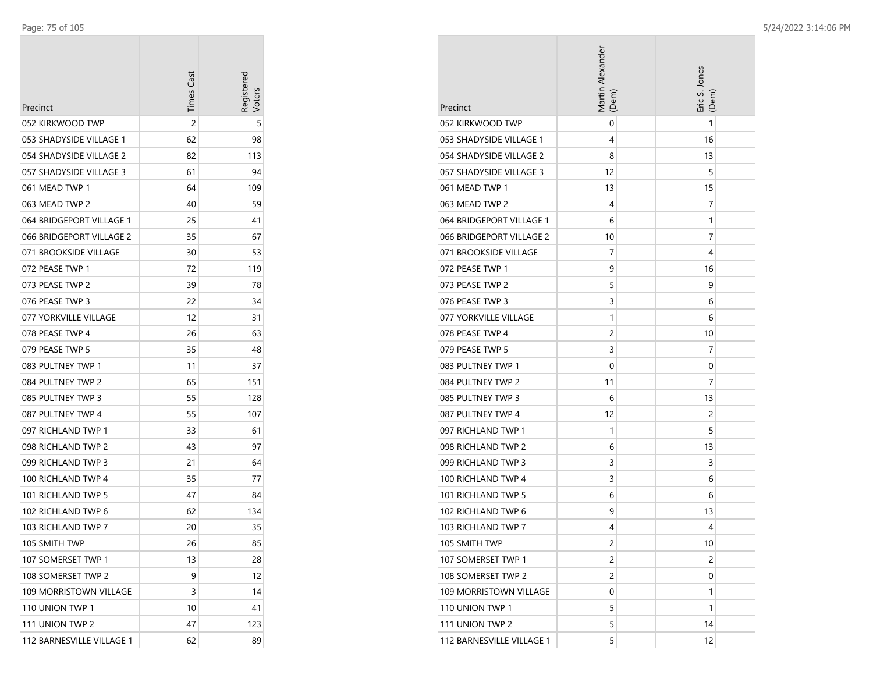| Precinct                  | <b>Times Cast</b> | Registerec |
|---------------------------|-------------------|------------|
| 052 KIRKWOOD TWP          | 2                 | 5          |
| 053 SHADYSIDE VILLAGE 1   | 62                | 98         |
| 054 SHADYSIDE VILLAGE 2   | 82                | 113        |
| 057 SHADYSIDE VILLAGE 3   | 61                | 94         |
| 061 MEAD TWP 1            | 64                | 109        |
| 063 MEAD TWP 2            | 40                | 59         |
| 064 BRIDGEPORT VILLAGE 1  | 25                | 41         |
| 066 BRIDGEPORT VILLAGE 2  | 35                | 67         |
| 071 BROOKSIDE VILLAGE     | 30                | 53         |
| 072 PEASE TWP 1           | 72                | 119        |
| 073 PEASE TWP 2           | 39                | 78         |
| 076 PEASE TWP 3           | 22                | 34         |
| 077 YORKVILLE VILLAGE     | 12                | 31         |
| 078 PEASE TWP 4           | 26                | 63         |
| 079 PEASE TWP 5           | 35                | 48         |
| 083 PULTNEY TWP 1         | 11                | 37         |
| 084 PULTNEY TWP 2         | 65                | 151        |
| 085 PULTNEY TWP 3         | 55                | 128        |
| 087 PULTNEY TWP 4         | 55                | 107        |
| 097 RICHLAND TWP 1        | 33                | 61         |
| 098 RICHLAND TWP 2        | 43                | 97         |
| 099 RICHLAND TWP 3        | 21                | 64         |
| 100 RICHLAND TWP 4        | 35                | 77         |
| 101 RICHLAND TWP 5        | 47                | 84         |
| 102 RICHLAND TWP 6        | 62                | 134        |
| 103 RICHLAND TWP 7        | 20                | 35         |
| 105 SMITH TWP             | 26                | 85         |
| 107 SOMERSET TWP 1        | 13                | 28         |
| 108 SOMERSET TWP 2        | 9                 | 12         |
| 109 MORRISTOWN VILLAGE    | 3                 | 14         |
| 110 UNION TWP 1           | 10                | 41         |
| 111 UNION TWP 2           | 47                | 123        |
| 112 BARNESVILLE VILLAGE 1 | 62                | 89         |

| Precinct                  | Martin Alexander<br>(Dem) | Eric S. Jones<br>(Dem) |
|---------------------------|---------------------------|------------------------|
| 052 KIRKWOOD TWP          | 0                         | 1                      |
| 053 SHADYSIDE VILLAGE 1   | 4                         | 16                     |
| 054 SHADYSIDE VILLAGE 2   | 8                         | 13                     |
| 057 SHADYSIDE VILLAGE 3   | 12                        | 5                      |
| 061 MEAD TWP 1            | 13                        | 15                     |
| 063 MEAD TWP 2            | 4                         | 7                      |
| 064 BRIDGEPORT VILLAGE 1  | 6                         | 1                      |
| 066 BRIDGEPORT VILLAGE 2  | 10                        | 7                      |
| 071 BROOKSIDE VILLAGE     | 7                         | 4                      |
| 072 PEASE TWP 1           | 9                         | 16                     |
| 073 PEASE TWP 2           | 5                         | 9                      |
| 076 PEASE TWP 3           | 3                         | 6                      |
| 077 YORKVILLE VILLAGE     | 1                         | 6                      |
| 078 PEASE TWP 4           | 2                         | 10                     |
| 079 PEASE TWP 5           | 3                         | 7                      |
| 083 PULTNEY TWP 1         | 0                         | 0                      |
| 084 PULTNEY TWP 2         | 11                        | 7                      |
| 085 PULTNEY TWP 3         | 6                         | 13                     |
| 087 PULTNEY TWP 4         | 12                        | 2                      |
| 097 RICHLAND TWP 1        | 1                         | 5                      |
| 098 RICHLAND TWP 2        | 6                         | 13                     |
| 099 RICHLAND TWP 3        | 3                         | 3                      |
| 100 RICHLAND TWP 4        | 3                         | 6                      |
| 101 RICHLAND TWP 5        | 6                         | 6                      |
| 102 RICHLAND TWP 6        | 9                         | 13                     |
| 103 RICHLAND TWP 7        | 4                         | 4                      |
| 105 SMITH TWP             | 2                         | 10                     |
| 107 SOMERSET TWP 1        | 2                         | 2                      |
| 108 SOMERSET TWP 2        | 2                         | 0                      |
| 109 MORRISTOWN VILLAGE    | 0                         | 1                      |
| 110 UNION TWP 1           | 5                         | 1                      |
| 111 UNION TWP 2           | 5                         | 14                     |
| 112 BARNESVILLE VILLAGE 1 | 5                         | 12                     |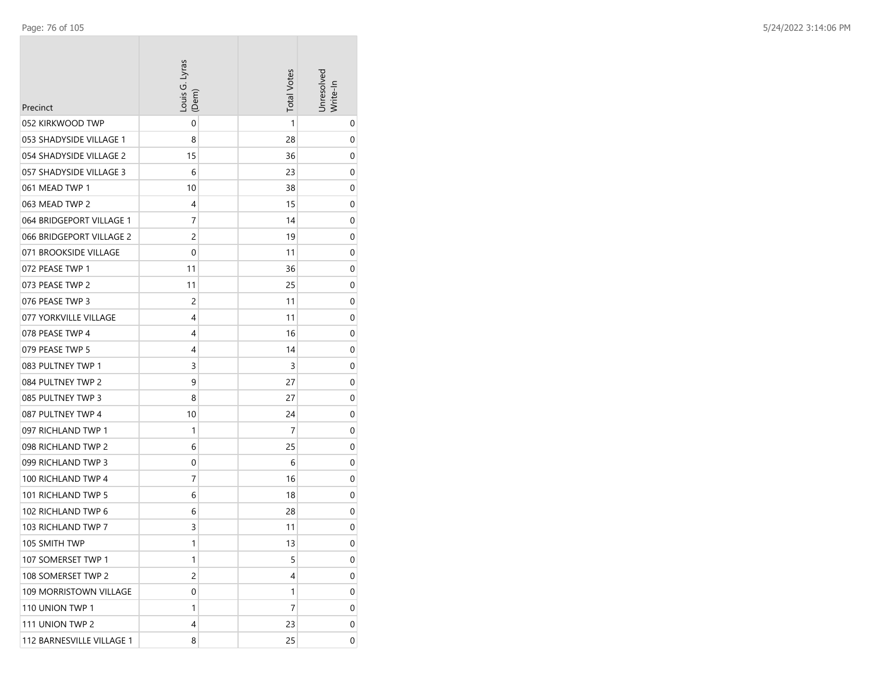| Precinct                  | Louis G. Lyras<br>(Dem) | <b>Total Votes</b> | Unresolved<br>Write-In |
|---------------------------|-------------------------|--------------------|------------------------|
| 052 KIRKWOOD TWP          | 0                       | 1                  | 0                      |
| 053 SHADYSIDE VILLAGE 1   | 8                       | 28                 | 0                      |
| 054 SHADYSIDE VILLAGE 2   | 15                      | 36                 | 0                      |
| 057 SHADYSIDE VILLAGE 3   | 6                       | 23                 | 0                      |
| 061 MEAD TWP 1            | 10                      | 38                 | 0                      |
| 063 MEAD TWP 2            | 4                       | 15                 | 0                      |
| 064 BRIDGEPORT VILLAGE 1  | 7                       | 14                 | 0                      |
| 066 BRIDGEPORT VILLAGE 2  | 2                       | 19                 | 0                      |
| 071 BROOKSIDE VILLAGE     | 0                       | 11                 | 0                      |
| 072 PEASE TWP 1           | 11                      | 36                 | 0                      |
| 073 PEASE TWP 2           | 11                      | 25                 | 0                      |
| 076 PEASE TWP 3           | 2                       | 11                 | 0                      |
| 077 YORKVILLE VILLAGE     | 4                       | 11                 | 0                      |
| 078 PEASE TWP 4           | 4                       | 16                 | 0                      |
| 079 PEASE TWP 5           | 4                       | 14                 | 0                      |
| 083 PULTNEY TWP 1         | 3                       | 3                  | 0                      |
| 084 PULTNEY TWP 2         | 9                       | 27                 | 0                      |
| 085 PULTNEY TWP 3         | 8                       | 27                 | 0                      |
| 087 PULTNEY TWP 4         | 10                      | 24                 | 0                      |
| 097 RICHLAND TWP 1        | 1                       | 7                  | 0                      |
| 098 RICHLAND TWP 2        | 6                       | 25                 | 0                      |
| 099 RICHLAND TWP 3        | 0                       | 6                  | 0                      |
| 100 RICHLAND TWP 4        | 7                       | 16                 | 0                      |
| 101 RICHLAND TWP 5        | 6                       | 18                 | 0                      |
| 102 RICHLAND TWP 6        | 6                       | 28                 | 0                      |
| 103 RICHLAND TWP 7        | 3                       | 11                 | 0                      |
| 105 SMITH TWP             | 1                       | 13                 | 0                      |
| 107 SOMERSET TWP 1        | 1                       | 5                  | 0                      |
| 108 SOMERSET TWP 2        | 2                       | 4                  | 0                      |
| 109 MORRISTOWN VILLAGE    | 0                       | 1                  | 0                      |
| 110 UNION TWP 1           | 1                       | 7                  | 0                      |
| 111 UNION TWP 2           | 4                       | 23                 | 0                      |
| 112 BARNESVILLE VILLAGE 1 | 8                       | 25                 | 0                      |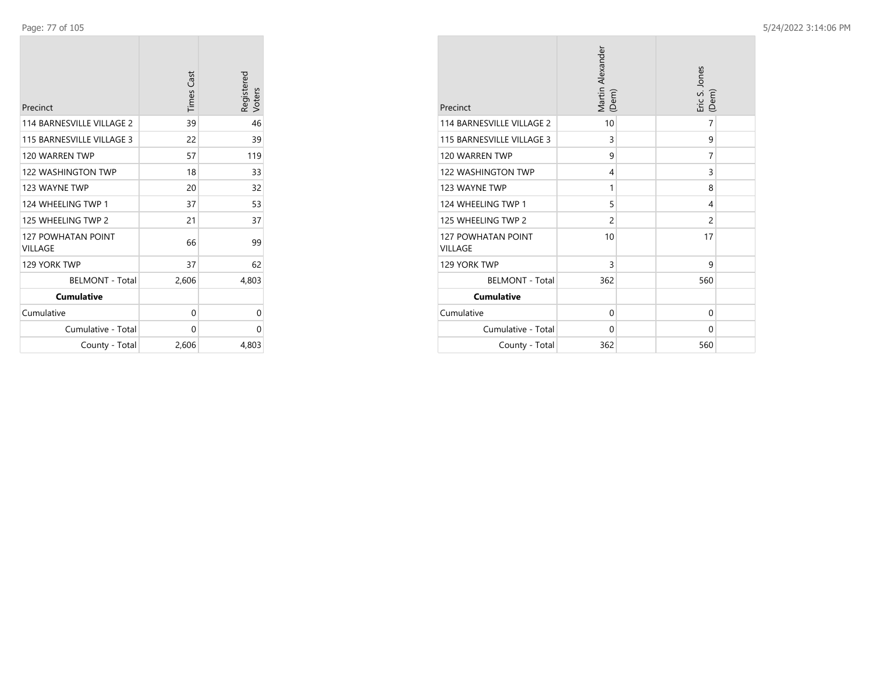| Precinct                             | <b>Times Cast</b> | Registered<br>Voters |
|--------------------------------------|-------------------|----------------------|
| 114 BARNESVILLE VILLAGE 2            | 39                | 46                   |
| 115 BARNESVILLE VILLAGE 3            | 22                | 39                   |
| 120 WARREN TWP                       | 57                | 119                  |
| <b>122 WASHINGTON TWP</b>            | 18                | 33                   |
| 123 WAYNE TWP                        | 20                | 32                   |
| 124 WHEELING TWP 1                   | 37                | 53                   |
| 125 WHEELING TWP 2                   | 21                | 37                   |
| <b>127 POWHATAN POINT</b><br>VILLAGE | 66                | 99                   |
| 129 YORK TWP                         | 37                | 62                   |
| <b>BELMONT - Total</b>               | 2,606             | 4,803                |
| <b>Cumulative</b>                    |                   |                      |
| Cumulative                           | 0                 | 0                    |
| Cumulative - Total                   | $\Omega$          | 0                    |
| County - Total                       | 2,606             | 4,803                |

| Precinct                                    | Martin Alexander<br>(Dem) | Eric S. Jones<br>(Dem) |
|---------------------------------------------|---------------------------|------------------------|
| 114 BARNESVILLE VILLAGE 2                   | 10                        | 7                      |
| 115 BARNESVILLE VILLAGE 3                   | $\overline{3}$            | 9                      |
| 120 WARREN TWP                              | 9                         | 7                      |
| <b>122 WASHINGTON TWP</b>                   | 4                         | 3                      |
| 123 WAYNE TWP                               | 1                         | 8                      |
| 124 WHEELING TWP 1                          | 5                         | 4                      |
| 125 WHEELING TWP 2                          | $\overline{2}$            | $\overline{2}$         |
| <b>127 POWHATAN POINT</b><br><b>VILLAGE</b> | 10                        | 17                     |
| 129 YORK TWP                                | 3                         | 9                      |
| <b>BELMONT - Total</b>                      | 362                       | 560                    |
| <b>Cumulative</b>                           |                           |                        |
| Cumulative                                  | $\Omega$                  | $\Omega$               |
| Cumulative - Total                          | 0                         | $\Omega$               |
| County - Total                              | 362                       | 560                    |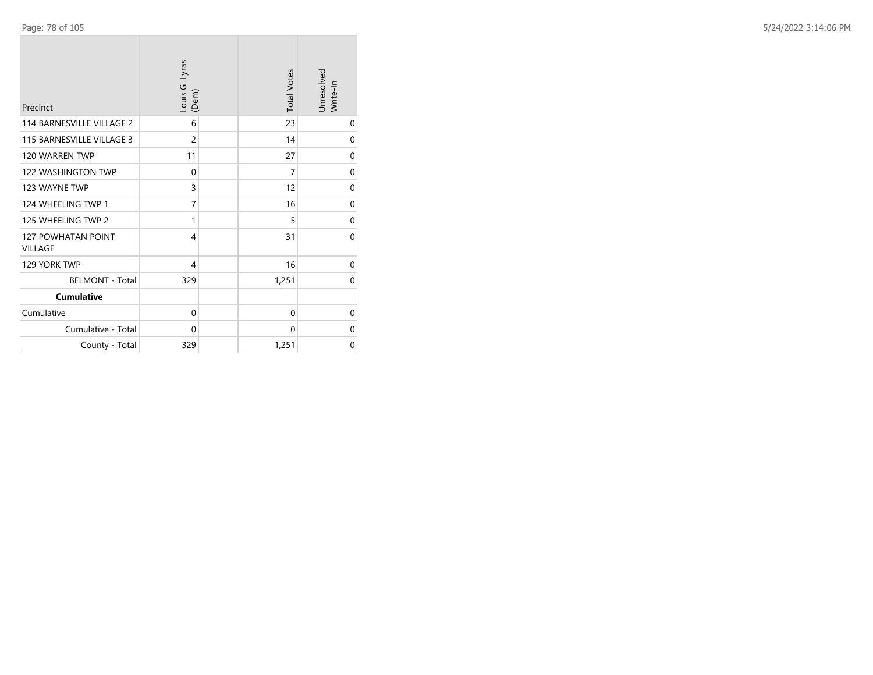| Precinct                                    | Louis G. Lyras<br>(Dem) | <b>Total Votes</b> | Unresolved<br>Write-In |
|---------------------------------------------|-------------------------|--------------------|------------------------|
| 114 BARNESVILLE VILLAGE 2                   | 6                       | 23                 | 0                      |
| 115 BARNESVILLE VILLAGE 3                   | $\overline{c}$          | 14                 | 0                      |
| 120 WARREN TWP                              | 11                      | 27                 | $\mathbf 0$            |
| <b>122 WASHINGTON TWP</b>                   | 0                       | 7                  | 0                      |
| 123 WAYNE TWP                               | 3                       | 12                 | 0                      |
| 124 WHEELING TWP 1                          | 7                       | 16                 | $\mathbf 0$            |
| 125 WHEELING TWP 2                          | 1                       | 5                  | 0                      |
| <b>127 POWHATAN POINT</b><br><b>VILLAGE</b> | $\overline{4}$          | 31                 | $\Omega$               |
| 129 YORK TWP                                | 4                       | 16                 | 0                      |
| <b>BELMONT - Total</b>                      | 329                     | 1,251              | $\mathbf 0$            |
| <b>Cumulative</b>                           |                         |                    |                        |
| Cumulative                                  | 0                       | 0                  | 0                      |
| Cumulative - Total                          | $\Omega$                | 0                  | $\mathbf 0$            |
| County - Total                              | 329                     | 1,251              | 0                      |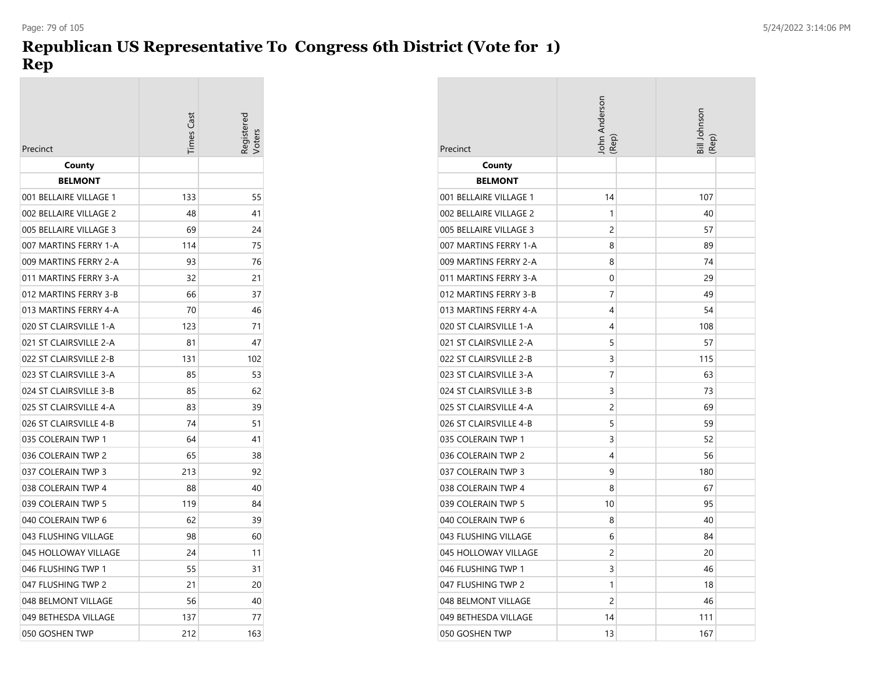# **Republican US Representative To Congress 6th District (Vote for 1) Rep**

| Precinct               | Times Cast | egistere |
|------------------------|------------|----------|
| County                 |            |          |
| <b>BELMONT</b>         |            |          |
| 001 BELLAIRE VILLAGE 1 | 133        | 55       |
| 002 BELLAIRE VILLAGE 2 | 48         | 41       |
| 005 BELLAIRE VILLAGE 3 | 69         | 24       |
| 007 MARTINS FERRY 1-A  | 114        | 75       |
| 009 MARTINS FERRY 2-A  | 93         | 76       |
| 011 MARTINS FERRY 3-A  | 32         | 21       |
| 012 MARTINS FERRY 3-B  | 66         | 37       |
| 013 MARTINS FERRY 4-A  | 70         | 46       |
| 020 ST CLAIRSVILLE 1-A | 123        | 71       |
| 021 ST CLAIRSVILLE 2-A | 81         | 47       |
| 022 ST CLAIRSVILLE 2-B | 131        | 102      |
| 023 ST CLAIRSVILLE 3-A | 85         | 53       |
| 024 ST CLAIRSVILLE 3-B | 85         | 62       |
| 025 ST CLAIRSVILLE 4-A | 83         | 39       |
| 026 ST CLAIRSVILLE 4-B | 74         | 51       |
| 035 COLERAIN TWP 1     | 64         | 41       |
| 036 COLERAIN TWP 2     | 65         | 38       |
| 037 COLERAIN TWP 3     | 213        | 92       |
| 038 COLERAIN TWP 4     | 88         | 40       |
| 039 COLERAIN TWP 5     | 119        | 84       |
| 040 COLERAIN TWP 6     | 62         | 39       |
| 043 FLUSHING VILLAGE   | 98         | 60       |
| 045 HOLLOWAY VILLAGE   | 24         | 11       |
| 046 FLUSHING TWP 1     | 55         | 31       |
| 047 FLUSHING TWP 2     | 21         | 20       |
| 048 BELMONT VILLAGE    | 56         | 40       |
| 049 BETHESDA VILLAGE   | 137        | 77       |
| 050 GOSHEN TWP         | 212        | 163      |

| Precinct               | John Anderson<br>(Rep) | Bill Johnson<br>(Rep) |
|------------------------|------------------------|-----------------------|
| County                 |                        |                       |
| <b>BELMONT</b>         |                        |                       |
| 001 BELLAIRE VILLAGE 1 | 14                     | 107                   |
| 002 BELLAIRE VILLAGE 2 | 1                      | 40                    |
| 005 BELLAIRE VILLAGE 3 | 2                      | 57                    |
| 007 MARTINS FERRY 1-A  | 8                      | 89                    |
| 009 MARTINS FERRY 2-A  | 8                      | 74                    |
| 011 MARTINS FERRY 3-A  | 0                      | 29                    |
| 012 MARTINS FERRY 3-B  | 7                      | 49                    |
| 013 MARTINS FERRY 4-A  | 4                      | 54                    |
| 020 ST CLAIRSVILLE 1-A | 4                      | 108                   |
| 021 ST CLAIRSVILLE 2-A | 5                      | 57                    |
| 022 ST CLAIRSVILLE 2-B | 3                      | 115                   |
| 023 ST CLAIRSVILLE 3-A | 7                      | 63                    |
| 024 ST CLAIRSVILLE 3-B | 3                      | 73                    |
| 025 ST CLAIRSVILLE 4-A | 2                      | 69                    |
| 026 ST CLAIRSVILLE 4-B | 5                      | 59                    |
| 035 COLERAIN TWP 1     | 3                      | 52                    |
| 036 COLERAIN TWP 2     | 4                      | 56                    |
| 037 COLERAIN TWP 3     | 9                      | 180                   |
| 038 COLERAIN TWP 4     | 8                      | 67                    |
| 039 COLERAIN TWP 5     | 10                     | 95                    |
| 040 COLERAIN TWP 6     | 8                      | 40                    |
| 043 FLUSHING VILLAGE   | 6                      | 84                    |
| 045 HOLLOWAY VILLAGE   | 2                      | 20                    |
| 046 FLUSHING TWP 1     | 3                      | 46                    |
| 047 FLUSHING TWP 2     | 1                      | 18                    |
| 048 BELMONT VILLAGE    | 2                      | 46                    |
| 049 BETHESDA VILLAGE   | 14                     | 111                   |
| 050 GOSHEN TWP         | 13                     | 167                   |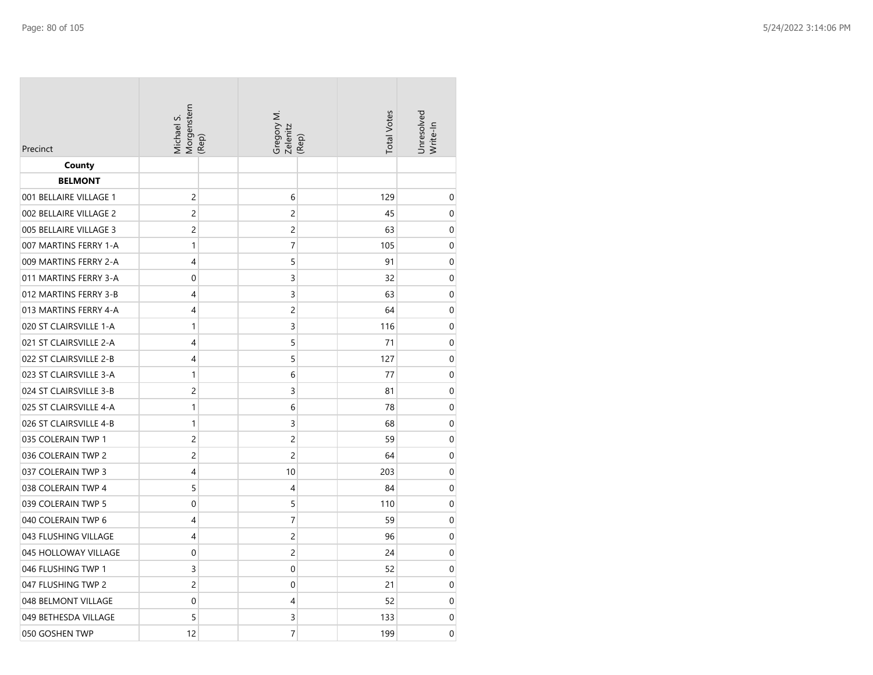| Precinct               | Morgenstern<br>(Rep)<br>Michael S. | Gregory M.<br>Zelenitz | <b>Total Votes</b><br>(Rep) | Unresolved<br>Write-In |
|------------------------|------------------------------------|------------------------|-----------------------------|------------------------|
| County                 |                                    |                        |                             |                        |
| <b>BELMONT</b>         |                                    |                        |                             |                        |
| 001 BELLAIRE VILLAGE 1 | $\overline{c}$                     | 6                      | 129                         | 0                      |
| 002 BELLAIRE VILLAGE 2 | $\overline{c}$                     | $\overline{c}$         | 45                          | $\mathbf 0$            |
| 005 BELLAIRE VILLAGE 3 | $\overline{c}$                     | $\overline{c}$         | 63                          | 0                      |
| 007 MARTINS FERRY 1-A  | 1                                  | 7                      | 105                         | 0                      |
| 009 MARTINS FERRY 2-A  | 4                                  | 5                      | 91                          | 0                      |
| 011 MARTINS FERRY 3-A  | $\mathbf 0$                        | 3                      | 32                          | 0                      |
| 012 MARTINS FERRY 3-B  | 4                                  | 3                      | 63                          | 0                      |
| 013 MARTINS FERRY 4-A  | 4                                  | $\overline{c}$         | 64                          | 0                      |
| 020 ST CLAIRSVILLE 1-A | $\mathbf{1}$                       | 3                      | 116                         | 0                      |
| 021 ST CLAIRSVILLE 2-A | 4                                  | 5                      | 71                          | 0                      |
| 022 ST CLAIRSVILLE 2-B | 4                                  | 5                      | 127                         | 0                      |
| 023 ST CLAIRSVILLE 3-A | 1                                  | 6                      | 77                          | 0                      |
| 024 ST CLAIRSVILLE 3-B | $\overline{c}$                     | 3                      | 81                          | $\mathbf 0$            |
| 025 ST CLAIRSVILLE 4-A | $\mathbf{1}$                       | 6                      | 78                          | 0                      |
| 026 ST CLAIRSVILLE 4-B | 1                                  | 3                      | 68                          | 0                      |
| 035 COLERAIN TWP 1     | 2                                  | 2                      | 59                          | $\mathbf 0$            |
| 036 COLERAIN TWP 2     | 2                                  | $\overline{c}$         | 64                          | 0                      |
| 037 COLERAIN TWP 3     | 4                                  | 10                     | 203                         | 0                      |
| 038 COLERAIN TWP 4     | 5                                  | 4                      | 84                          | 0                      |
| 039 COLERAIN TWP 5     | 0                                  | 5                      | 110                         | 0                      |
| 040 COLERAIN TWP 6     | 4                                  | 7                      | 59                          | 0                      |
| 043 FLUSHING VILLAGE   | 4                                  | $\overline{c}$         | 96                          | 0                      |
| 045 HOLLOWAY VILLAGE   | $\mathbf 0$                        | $\overline{c}$         | 24                          | $\mathbf 0$            |
| 046 FLUSHING TWP 1     | 3                                  | $\mathbf 0$            | 52                          | 0                      |
| 047 FLUSHING TWP 2     | $\overline{c}$                     | 0                      | 21                          | 0                      |
| 048 BELMONT VILLAGE    | 0                                  | 4                      | 52                          | 0                      |
| 049 BETHESDA VILLAGE   | 5                                  | 3                      | 133                         | 0                      |
| 050 GOSHEN TWP         | 12                                 | $\overline{7}$         | 199                         | 0                      |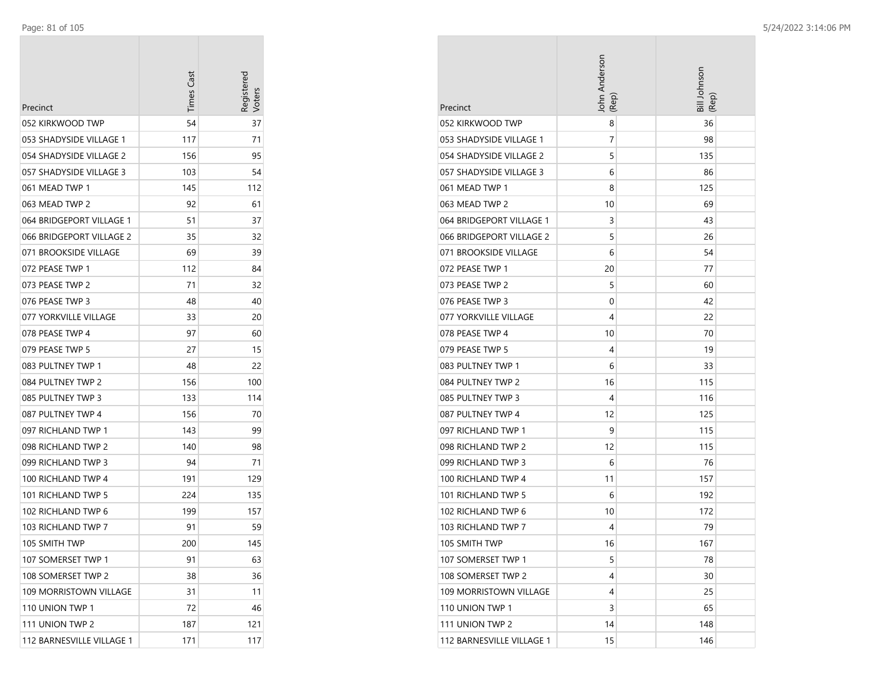| Precinct                  | Times Cast | Registerec<br>loters |
|---------------------------|------------|----------------------|
| 052 KIRKWOOD TWP          | 54         | 37                   |
| 053 SHADYSIDE VILLAGE 1   | 117        | 71                   |
| 054 SHADYSIDE VILLAGE 2   | 156        | 95                   |
| 057 SHADYSIDE VILLAGE 3   | 103        | 54                   |
| 061 MEAD TWP 1            | 145        | 112                  |
| 063 MEAD TWP 2            | 92         | 61                   |
| 064 BRIDGEPORT VILLAGE 1  | 51         | 37                   |
| 066 BRIDGEPORT VILLAGE 2  | 35         | 32                   |
| 071 BROOKSIDE VILLAGE     | 69         | 39                   |
| 072 PEASE TWP 1           | 112        | 84                   |
| 073 PEASE TWP 2           | 71         | 32                   |
| 076 PEASE TWP 3           | 48         | 40                   |
| 077 YORKVILLE VILLAGE     | 33         | 20                   |
| 078 PEASE TWP 4           | 97         | 60                   |
| 079 PEASE TWP 5           | 27         | 15                   |
| 083 PULTNEY TWP 1         | 48         | 22                   |
| 084 PULTNEY TWP 2         | 156        | 100                  |
| 085 PULTNEY TWP 3         | 133        | 114                  |
| 087 PULTNEY TWP 4         | 156        | 70                   |
| 097 RICHLAND TWP 1        | 143        | 99                   |
| 098 RICHLAND TWP 2        | 140        | 98                   |
| 099 RICHLAND TWP 3        | 94         | 71                   |
| 100 RICHLAND TWP 4        | 191        | 129                  |
| 101 RICHLAND TWP 5        | 224        | 135                  |
| 102 RICHLAND TWP 6        | 199        | 157                  |
| 103 RICHLAND TWP 7        | 91         | 59                   |
| 105 SMITH TWP             | 200        | 145                  |
| 107 SOMERSET TWP 1        | 91         | 63                   |
| 108 SOMERSET TWP 2        | 38         | 36                   |
| 109 MORRISTOWN VILLAGE    | 31         | 11                   |
| 110 UNION TWP 1           | 72         | 46                   |
| 111 UNION TWP 2           | 187        | 121                  |
| 112 BARNESVILLE VILLAGE 1 | 171        | 117                  |

| Precinct                  | John Anderson<br>(Rep | Bill Johnson<br>(Rep) |
|---------------------------|-----------------------|-----------------------|
| 052 KIRKWOOD TWP          | 8                     | 36                    |
| 053 SHADYSIDE VILLAGE 1   | 7                     | 98                    |
| 054 SHADYSIDE VILLAGE 2   | 5                     | 135                   |
| 057 SHADYSIDE VILLAGE 3   | 6                     | 86                    |
| 061 MEAD TWP 1            | 8                     | 125                   |
| 063 MEAD TWP 2            | 10                    | 69                    |
| 064 BRIDGEPORT VILLAGE 1  | 3                     | 43                    |
| 066 BRIDGEPORT VILLAGE 2  | 5                     | 26                    |
| 071 BROOKSIDE VILLAGE     | 6                     | 54                    |
| 072 PEASE TWP 1           | 20                    | 77                    |
| 073 PEASE TWP 2           | 5                     | 60                    |
| 076 PEASE TWP 3           | 0                     | 42                    |
| 077 YORKVILLE VILLAGE     | 4                     | 22                    |
| 078 PEASE TWP 4           | 10                    | 70                    |
| 079 PEASE TWP 5           | 4                     | 19                    |
| 083 PULTNEY TWP 1         | 6                     | 33                    |
| 084 PULTNEY TWP 2         | 16                    | 115                   |
| 085 PULTNEY TWP 3         | 4                     | 116                   |
| 087 PULTNEY TWP 4         | 12                    | 125                   |
| 097 RICHLAND TWP 1        | 9                     | 115                   |
| 098 RICHLAND TWP 2        | 12                    | 115                   |
| 099 RICHLAND TWP 3        | 6                     | 76                    |
| 100 RICHLAND TWP 4        | 11                    | 157                   |
| 101 RICHLAND TWP 5        | 6                     | 192                   |
| 102 RICHLAND TWP 6        | 10                    | 172                   |
| 103 RICHLAND TWP 7        | 4                     | 79                    |
| 105 SMITH TWP             | 16                    | 167                   |
| 107 SOMERSET TWP 1        | 5                     | 78                    |
| 108 SOMERSET TWP 2        | 4                     | 30                    |
| 109 MORRISTOWN VILLAGE    | 4                     | 25                    |
| 110 UNION TWP 1           | 3                     | 65                    |
| 111 UNION TWP 2           | 14                    | 148                   |
| 112 BARNESVILLE VILLAGE 1 | 15                    | 146                   |

**COL**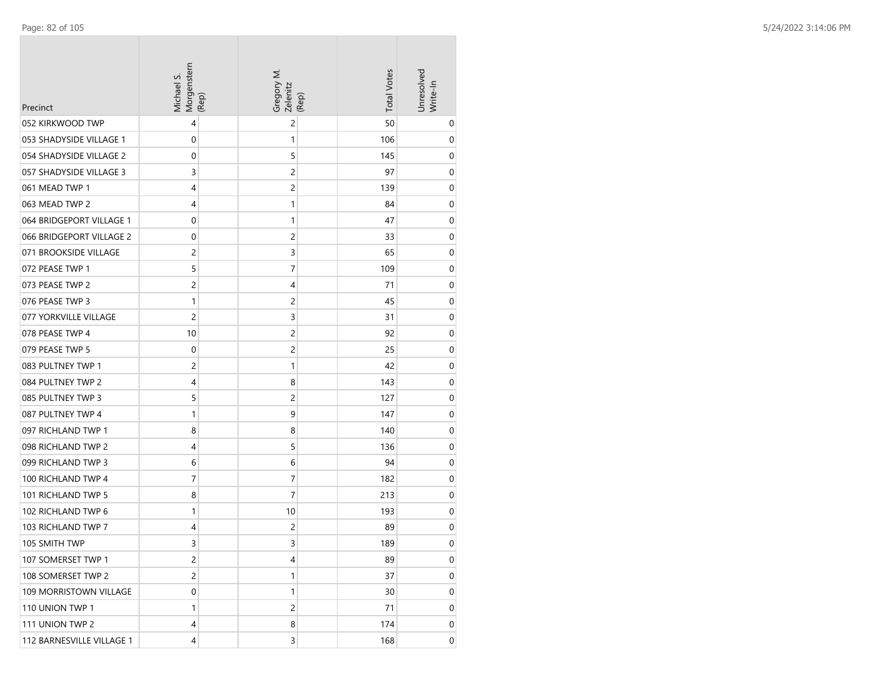| Precinct                      | Morgenstern<br>Michael S. | (Rep) | Gregory M.<br>Zelenitz  | (Rep) | <b>Total Votes</b> | Unresolved<br>Write-In |
|-------------------------------|---------------------------|-------|-------------------------|-------|--------------------|------------------------|
| 052 KIRKWOOD TWP              | 4                         |       | 2                       |       | 50                 | 0                      |
| 053 SHADYSIDE VILLAGE 1       | 0                         |       | 1                       |       | 106                | 0                      |
| 054 SHADYSIDE VILLAGE 2       | 0                         |       | 5                       |       | 145                | 0                      |
| 057 SHADYSIDE VILLAGE 3       | 3                         |       | 2                       |       | 97                 | 0                      |
| 061 MEAD TWP 1                | 4                         |       | $\overline{\mathbf{c}}$ |       | 139                | 0                      |
| 063 MEAD TWP 2                | 4                         |       | 1                       |       | 84                 | 0                      |
| 064 BRIDGEPORT VILLAGE 1      | 0                         |       | 1                       |       | 47                 | 0                      |
| 066 BRIDGEPORT VILLAGE 2      | 0                         |       | 2                       |       | 33                 | 0                      |
| 071 BROOKSIDE VILLAGE         | 2                         |       | 3                       |       | 65                 | 0                      |
| 072 PEASE TWP 1               | 5                         |       | 7                       |       | 109                | 0                      |
| 073 PEASE TWP 2               | 2                         |       | 4                       |       | 71                 | 0                      |
| 076 PEASE TWP 3               | 1                         |       | 2                       |       | 45                 | 0                      |
| 077 YORKVILLE VILLAGE         | 2                         |       | 3                       |       | 31                 | $\mathbf 0$            |
| 078 PEASE TWP 4               | 10                        |       | $\overline{\mathbf{c}}$ |       | 92                 | 0                      |
| 079 PEASE TWP 5               | 0                         |       | 2                       |       | 25                 | 0                      |
| 083 PULTNEY TWP 1             | 2                         |       | 1                       |       | 42                 | 0                      |
| 084 PULTNEY TWP 2             | 4                         |       | 8                       |       | 143                | 0                      |
| 085 PULTNEY TWP 3             | 5                         |       | 2                       |       | 127                | 0                      |
| 087 PULTNEY TWP 4             | 1                         |       | 9                       |       | 147                | 0                      |
| 097 RICHLAND TWP 1            | 8                         |       | 8                       |       | 140                | 0                      |
| 098 RICHLAND TWP 2            | 4                         |       | 5                       |       | 136                | 0                      |
| 099 RICHLAND TWP 3            | 6                         |       | 6                       |       | 94                 | $\mathbf 0$            |
| 100 RICHLAND TWP 4            | 7                         |       | 7                       |       | 182                | 0                      |
| 101 RICHLAND TWP 5            | 8                         |       | 7                       |       | 213                | $\mathbf 0$            |
| 102 RICHLAND TWP 6            | 1                         |       | 10                      |       | 193                | 0                      |
| 103 RICHLAND TWP 7            | 4                         |       | 2                       |       | 89                 | 0                      |
| 105 SMITH TWP                 | 3                         |       | 3                       |       | 189                | 0                      |
| 107 SOMERSET TWP 1            | $\overline{c}$            |       | 4                       |       | 89                 | 0                      |
| 108 SOMERSET TWP 2            | $\overline{c}$            |       | 1                       |       | 37                 | 0                      |
| <b>109 MORRISTOWN VILLAGE</b> | $\boldsymbol{0}$          |       | 1                       |       | 30                 | $\boldsymbol{0}$       |
| 110 UNION TWP 1               | 1                         |       | 2                       |       | 71                 | 0                      |
| 111 UNION TWP 2               | 4                         |       | 8                       |       | 174                | 0                      |
| 112 BARNESVILLE VILLAGE 1     | 4                         |       | 3                       |       | 168                | $\overline{0}$         |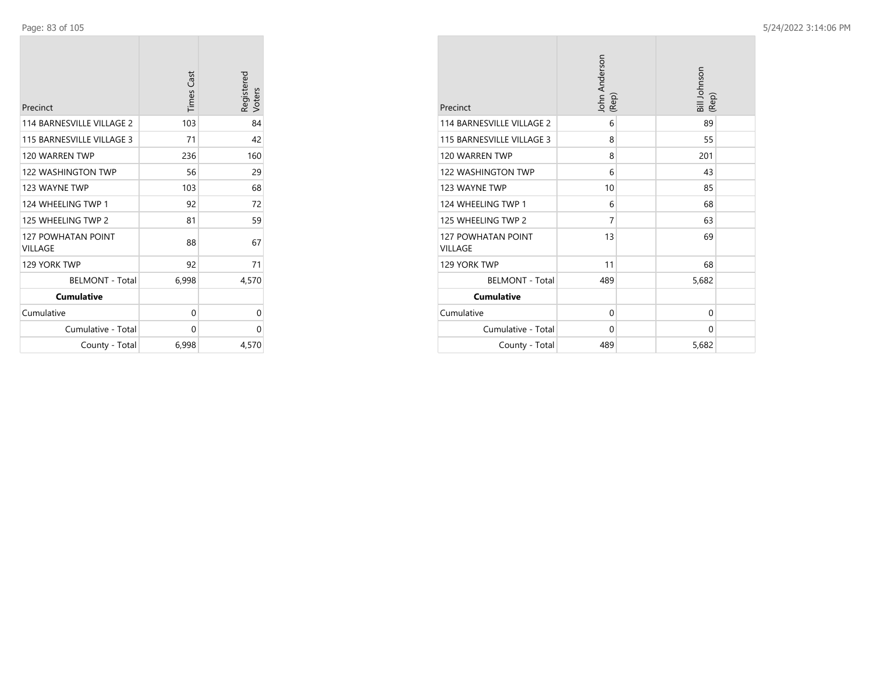| Precinct                             | <b>Times Cast</b> | Registered<br>Voters |
|--------------------------------------|-------------------|----------------------|
| 114 BARNESVILLE VILLAGE 2            | 103               | 84                   |
| 115 BARNESVILLE VILLAGE 3            | 71                | 42                   |
| 120 WARREN TWP                       | 236               | 160                  |
| 122 WASHINGTON TWP                   | 56                | 29                   |
| 123 WAYNE TWP                        | 103               | 68                   |
| 124 WHEELING TWP 1                   | 92                | 72                   |
| 125 WHEELING TWP 2                   | 81                | 59                   |
| <b>127 POWHATAN POINT</b><br>VILLAGE | 88                | 67                   |
| 129 YORK TWP                         | 92                | 71                   |
| <b>BELMONT - Total</b>               | 6,998             | 4,570                |
| <b>Cumulative</b>                    |                   |                      |
| Cumulative                           | 0                 | 0                    |
| Cumulative - Total                   | 0                 | 0                    |
| County - Total                       | 6,998             | 4,570                |

| Precinct                                    | John Anderson<br>(Rep) | Bill Johnson<br>(Rep) |
|---------------------------------------------|------------------------|-----------------------|
| 114 BARNESVILLE VILLAGE 2                   | 6                      | 89                    |
| 115 BARNESVILLE VILLAGE 3                   | 8                      | 55                    |
| 120 WARREN TWP                              | 8                      | 201                   |
| <b>122 WASHINGTON TWP</b>                   | 6                      | 43                    |
| 123 WAYNE TWP                               | 10                     | 85                    |
| 124 WHEELING TWP 1                          | 6                      | 68                    |
| 125 WHEELING TWP 2                          | 7                      | 63                    |
| <b>127 POWHATAN POINT</b><br><b>VILLAGE</b> | 13                     | 69                    |
| 129 YORK TWP                                | 11                     | 68                    |
| <b>BELMONT - Total</b>                      | 489                    | 5,682                 |
| <b>Cumulative</b>                           |                        |                       |
| Cumulative                                  | $\mathbf 0$            | $\Omega$              |
| Cumulative - Total                          | $\Omega$               | $\Omega$              |
| County - Total                              | 489                    | 5,682                 |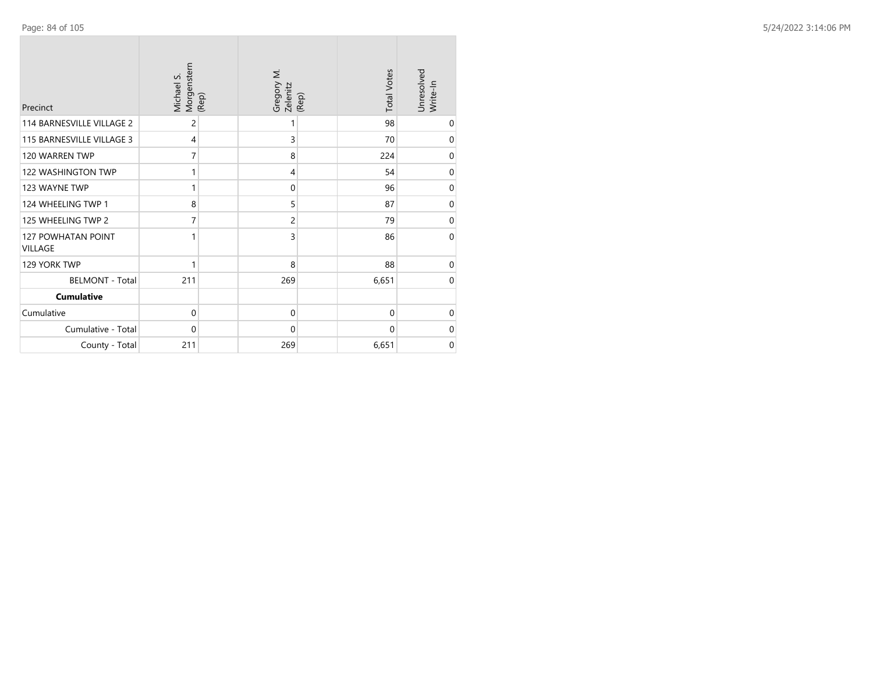| Precinct                             | Morgenstern<br>Michael S.<br>(Rep) | Gregory M.<br>Zelenitz | <b>Total Votes</b><br>(Rep) | Unresolved<br>Write-In |
|--------------------------------------|------------------------------------|------------------------|-----------------------------|------------------------|
| <b>114 BARNESVILLE VILLAGE 2</b>     | 2                                  | 1                      | 98                          | 0                      |
| 115 BARNESVILLE VILLAGE 3            | 4                                  | 3                      | 70                          | $\mathbf 0$            |
| 120 WARREN TWP                       | 7                                  | 8                      | 224                         | $\mathbf 0$            |
| 122 WASHINGTON TWP                   | 1                                  | $\overline{4}$         | 54                          | $\mathbf 0$            |
| 123 WAYNE TWP                        | 1                                  | $\mathbf 0$            | 96                          | $\pmb{0}$              |
| 124 WHEELING TWP 1                   | 8                                  | 5                      | 87                          | $\pmb{0}$              |
| 125 WHEELING TWP 2                   | 7                                  | 2                      | 79                          | $\mathbf 0$            |
| 127 POWHATAN POINT<br><b>VILLAGE</b> | 1                                  | 3                      | 86                          | $\mathbf 0$            |
| 129 YORK TWP                         | 1                                  | 8                      | 88                          | $\mathbf 0$            |
| <b>BELMONT - Total</b>               | 211                                | 269                    | 6,651                       | $\mathbf 0$            |
| <b>Cumulative</b>                    |                                    |                        |                             |                        |
| Cumulative                           | $\mathbf 0$                        | $\mathbf 0$            | 0                           | $\mathbf 0$            |
| Cumulative - Total                   | 0                                  | $\mathbf 0$            | 0                           | $\mathbf 0$            |
| County - Total                       | 211                                | 269                    | 6,651                       | $\mathbf 0$            |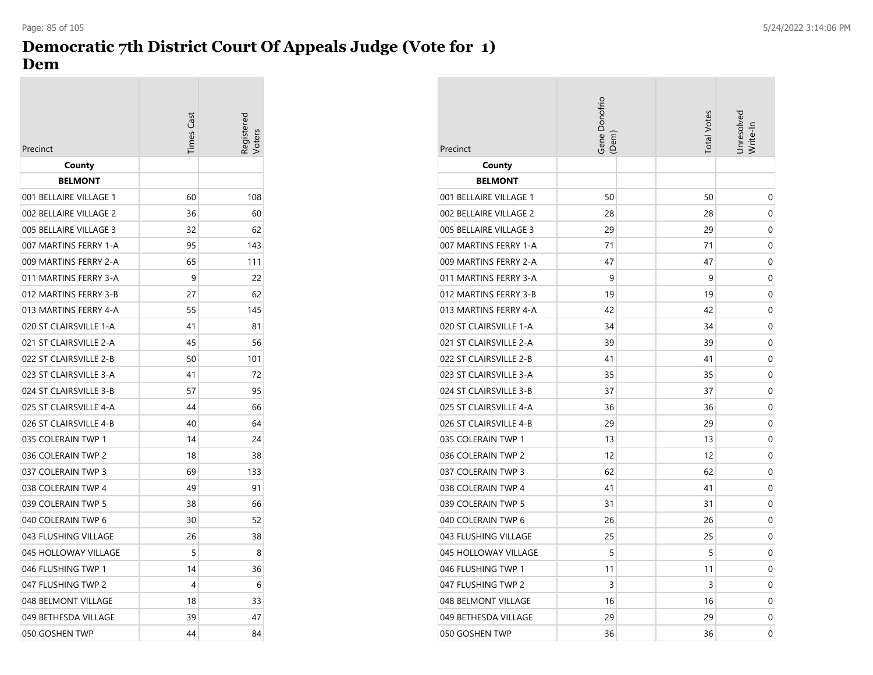## **Democratic 7th District Court Of Appeals Judge (Vote for 1) Dem**

| Precinct               | <b>Times Cast</b> | egistered |
|------------------------|-------------------|-----------|
| County                 |                   |           |
| <b>BELMONT</b>         |                   |           |
| 001 BELLAIRE VILLAGE 1 | 60                | 108       |
| 002 BELLAIRE VILLAGE 2 | 36                | 60        |
| 005 BELLAIRE VILLAGE 3 | 32                | 62        |
| 007 MARTINS FERRY 1-A  | 95                | 143       |
| 009 MARTINS FERRY 2-A  | 65                | 111       |
| 011 MARTINS FERRY 3-A  | 9                 | 22        |
| 012 MARTINS FERRY 3-B  | 27                | 62        |
| 013 MARTINS FERRY 4-A  | 55                | 145       |
| 020 ST CLAIRSVILLE 1-A | 41                | 81        |
| 021 ST CLAIRSVILLE 2-A | 45                | 56        |
| 022 ST CLAIRSVILLE 2-B | 50                | 101       |
| 023 ST CLAIRSVILLE 3-A | 41                | 72        |
| 024 ST CLAIRSVILLE 3-B | 57                | 95        |
| 025 ST CLAIRSVILLE 4-A | 44                | 66        |
| 026 ST CLAIRSVILLE 4-B | 40                | 64        |
| 035 COLERAIN TWP 1     | 14                | 24        |
| 036 COLERAIN TWP 2     | 18                | 38        |
| 037 COLERAIN TWP 3     | 69                | 133       |
| 038 COLERAIN TWP 4     | 49                | 91        |
| 039 COLERAIN TWP 5     | 38                | 66        |
| 040 COLERAIN TWP 6     | 30                | 52        |
| 043 FLUSHING VILLAGE   | 26                | 38        |
| 045 HOLLOWAY VILLAGE   | 5                 | 8         |
| 046 FLUSHING TWP 1     | 14                | 36        |
| 047 FLUSHING TWP 2     | 4                 | 6         |
| 048 BELMONT VILLAGE    | 18                | 33        |
| 049 BETHESDA VILLAGE   | 39                | 47        |
| 050 GOSHEN TWP         | 44                | 84        |

| Precinct               | Gene Donofrio<br>(Dem) | <b>Total Votes</b> | Jnresolved<br>Nrite-In |
|------------------------|------------------------|--------------------|------------------------|
| County                 |                        |                    |                        |
| <b>BELMONT</b>         |                        |                    |                        |
| 001 BELLAIRE VILLAGE 1 | 50                     | 50                 | 0                      |
| 002 BELLAIRE VILLAGE 2 | 28                     | 28                 | 0                      |
| 005 BELLAIRE VILLAGE 3 | 29                     | 29                 | 0                      |
| 007 MARTINS FERRY 1-A  | 71                     | 71                 | 0                      |
| 009 MARTINS FERRY 2-A  | 47                     | 47                 | 0                      |
| 011 MARTINS FERRY 3-A  | 9                      | 9                  | 0                      |
| 012 MARTINS FERRY 3-B  | 19                     | 19                 | 0                      |
| 013 MARTINS FERRY 4-A  | 42                     | 42                 | 0                      |
| 020 ST CLAIRSVILLE 1-A | 34                     | 34                 | 0                      |
| 021 ST CLAIRSVILLE 2-A | 39                     | 39                 | 0                      |
| 022 ST CLAIRSVILLE 2-B | 41                     | 41                 | 0                      |
| 023 ST CLAIRSVILLE 3-A | 35                     | 35                 | 0                      |
| 024 ST CLAIRSVILLE 3-B | 37                     | 37                 | 0                      |
| 025 ST CLAIRSVILLE 4-A | 36                     | 36                 | 0                      |
| 026 ST CLAIRSVILLE 4-B | 29                     | 29                 | 0                      |
| 035 COLERAIN TWP 1     | 13                     | 13                 | 0                      |
| 036 COLERAIN TWP 2     | 12                     | 12                 | 0                      |
| 037 COLERAIN TWP 3     | 62                     | 62                 | 0                      |
| 038 COLERAIN TWP 4     | 41                     | 41                 | 0                      |
| 039 COLERAIN TWP 5     | 31                     | 31                 | 0                      |
| 040 COLERAIN TWP 6     | 26                     | 26                 | 0                      |
| 043 FLUSHING VILLAGE   | 25                     | 25                 | 0                      |
| 045 HOLLOWAY VILLAGE   | 5                      | 5                  | 0                      |
| 046 FLUSHING TWP 1     | 11                     | 11                 | 0                      |
| 047 FLUSHING TWP 2     | 3                      | 3                  | 0                      |
| 048 BELMONT VILLAGE    | 16                     | 16                 | 0                      |
| 049 BETHESDA VILLAGE   | 29                     | 29                 | 0                      |
| 050 GOSHEN TWP         | 36                     | 36                 | 0                      |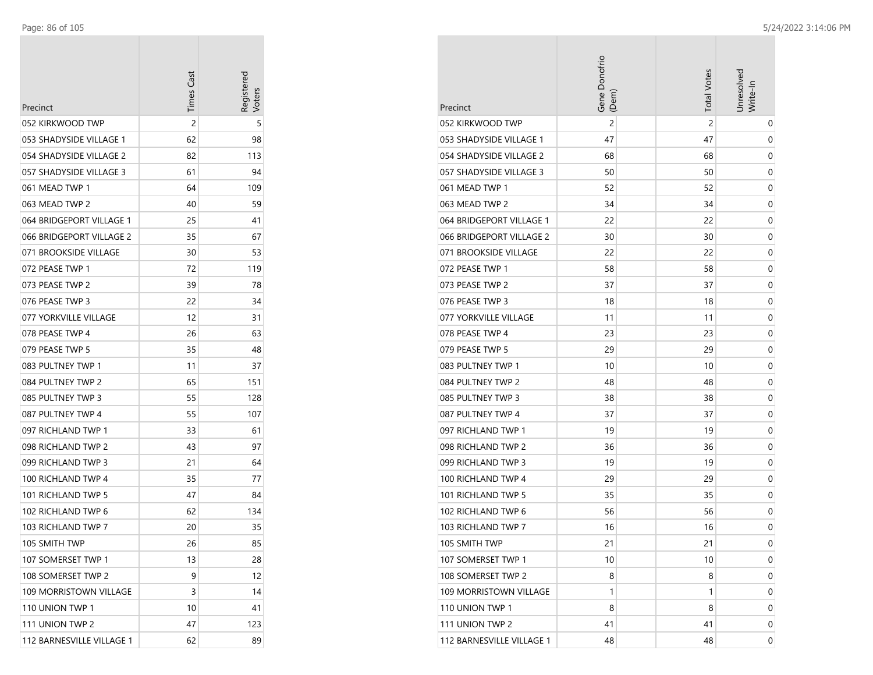| Precinct                  | <b>Times Cast</b> | Registerec<br>/oters |
|---------------------------|-------------------|----------------------|
| 052 KIRKWOOD TWP          | 2                 | 5                    |
| 053 SHADYSIDE VILLAGE 1   | 62                | 98                   |
| 054 SHADYSIDE VILLAGE 2   | 82                | 113                  |
| 057 SHADYSIDE VILLAGE 3   | 61                | 94                   |
| 061 MEAD TWP 1            | 64                | 109                  |
| 063 MEAD TWP 2            | 40                | 59                   |
| 064 BRIDGEPORT VILLAGE 1  | 25                | 41                   |
| 066 BRIDGEPORT VILLAGE 2  | 35                | 67                   |
| 071 BROOKSIDE VILLAGE     | 30                | 53                   |
| 072 PEASE TWP 1           | 72                | 119                  |
| 073 PEASE TWP 2           | 39                | 78                   |
| 076 PEASE TWP 3           | 22                | 34                   |
| 077 YORKVILLE VILLAGE     | 12                | 31                   |
| 078 PEASE TWP 4           | 26                | 63                   |
| 079 PEASE TWP 5           | 35                | 48                   |
| 083 PULTNEY TWP 1         | 11                | 37                   |
| 084 PULTNEY TWP 2         | 65                | 151                  |
| 085 PULTNEY TWP 3         | 55                | 128                  |
| 087 PULTNEY TWP 4         | 55                | 107                  |
| 097 RICHLAND TWP 1        | 33                | 61                   |
| 098 RICHLAND TWP 2        | 43                | 97                   |
| 099 RICHLAND TWP 3        | 21                | 64                   |
| 100 RICHLAND TWP 4        | 35                | 77                   |
| 101 RICHLAND TWP 5        | 47                | 84                   |
| 102 RICHLAND TWP 6        | 62                | 134                  |
| 103 RICHLAND TWP 7        | 20                | 35                   |
| 105 SMITH TWP             | 26                | 85                   |
| 107 SOMERSET TWP 1        | 13                | 28                   |
| 108 SOMERSET TWP 2        | 9                 | 12                   |
| 109 MORRISTOWN VILLAGE    | 3                 | 14                   |
| 110 UNION TWP 1           | 10                | 41                   |
| 111 UNION TWP 2           | 47                | 123                  |
| 112 BARNESVILLE VILLAGE 1 | 62                | 89                   |

| Precinct                  | Gene Donofrio<br>(Dem) | <b>Total Votes</b> | Unresolved<br>Write-In |
|---------------------------|------------------------|--------------------|------------------------|
| 052 KIRKWOOD TWP          | 2                      | 2                  | 0                      |
| 053 SHADYSIDE VILLAGE 1   | 47                     | 47                 | 0                      |
| 054 SHADYSIDE VILLAGE 2   | 68                     | 68                 | 0                      |
| 057 SHADYSIDE VILLAGE 3   | 50                     | 50                 | 0                      |
| 061 MEAD TWP 1            | 52                     | 52                 | 0                      |
| 063 MEAD TWP 2            | 34                     | 34                 | 0                      |
| 064 BRIDGEPORT VILLAGE 1  | 22                     | 22                 | 0                      |
| 066 BRIDGEPORT VILLAGE 2  | 30                     | 30                 | 0                      |
| 071 BROOKSIDE VILLAGE     | 22                     | 22                 | 0                      |
| 072 PEASE TWP 1           | 58                     | 58                 | 0                      |
| 073 PEASE TWP 2           | 37                     | 37                 | 0                      |
| 076 PEASE TWP 3           | 18                     | 18                 | 0                      |
| 077 YORKVILLE VILLAGE     | 11                     | 11                 | 0                      |
| 078 PEASE TWP 4           | 23                     | 23                 | 0                      |
| 079 PEASE TWP 5           | 29                     | 29                 | 0                      |
| 083 PULTNEY TWP 1         | 10                     | 10                 | 0                      |
| 084 PULTNEY TWP 2         | 48                     | 48                 | 0                      |
| 085 PULTNEY TWP 3         | 38                     | 38                 | 0                      |
| 087 PULTNEY TWP 4         | 37                     | 37                 | 0                      |
| 097 RICHLAND TWP 1        | 19                     | 19                 | 0                      |
| 098 RICHLAND TWP 2        | 36                     | 36                 | 0                      |
| 099 RICHLAND TWP 3        | 19                     | 19                 | 0                      |
| 100 RICHLAND TWP 4        | 29                     | 29                 | 0                      |
| 101 RICHLAND TWP 5        | 35                     | 35                 | 0                      |
| 102 RICHLAND TWP 6        | 56                     | 56                 | 0                      |
| 103 RICHLAND TWP 7        | 16                     | 16                 | 0                      |
| 105 SMITH TWP             | 21                     | 21                 | 0                      |
| 107 SOMERSET TWP 1        | 10                     | 10                 | 0                      |
| 108 SOMERSET TWP 2        | 8                      | 8                  | 0                      |
| 109 MORRISTOWN VILLAGE    | 1                      | 1                  | 0                      |
| 110 UNION TWP 1           | 8                      | 8                  | 0                      |
| 111 UNION TWP 2           | 41                     | 41                 | 0                      |
| 112 BARNESVILLE VILLAGE 1 | 48                     | 48                 | 0                      |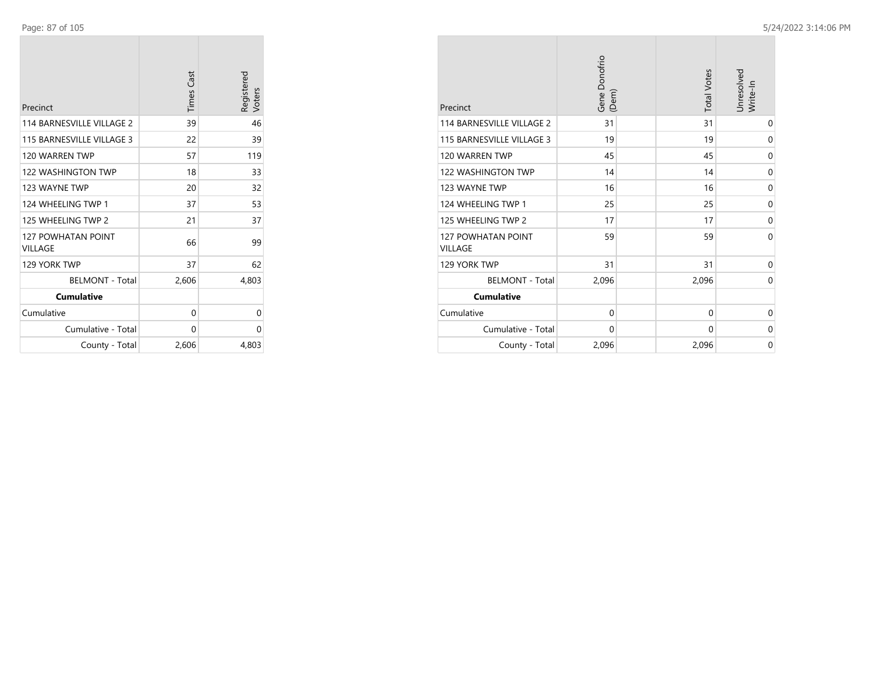| Precinct                             | <b>Times Cast</b> | Registered<br>Voters |
|--------------------------------------|-------------------|----------------------|
| 114 BARNESVILLE VILLAGE 2            | 39                | 46                   |
| 115 BARNESVILLE VILLAGE 3            | 22                | 39                   |
| 120 WARREN TWP                       | 57                | 119                  |
| 122 WASHINGTON TWP                   | 18                | 33                   |
| 123 WAYNE TWP                        | 20                | 32                   |
| 124 WHEELING TWP 1                   | 37                | 53                   |
| 125 WHEELING TWP 2                   | 21                | 37                   |
| <b>127 POWHATAN POINT</b><br>VILLAGE | 66                | 99                   |
| 129 YORK TWP                         | 37                | 62                   |
| <b>BELMONT - Total</b>               | 2,606             | 4,803                |
| <b>Cumulative</b>                    |                   |                      |
| Cumulative                           | 0                 | 0                    |
| Cumulative - Total                   | 0                 | 0                    |
| County - Total                       | 2,606             | 4,803                |

| Precinct                                    | Gene Donofrio<br>(Dem) | <b>Total Votes</b> | Unresolved<br>Write-In |
|---------------------------------------------|------------------------|--------------------|------------------------|
| 114 BARNESVILLE VILLAGE 2                   | 31                     | 31                 | $\mathbf 0$            |
| 115 BARNESVILLE VILLAGE 3                   | 19                     | 19                 | 0                      |
| 120 WARREN TWP                              | 45                     | 45                 | 0                      |
| <b>122 WASHINGTON TWP</b>                   | 14                     | 14                 | 0                      |
| 123 WAYNE TWP                               | 16                     | 16                 | $\mathbf 0$            |
| 124 WHEELING TWP 1                          | 25                     | 25                 | 0                      |
| 125 WHEELING TWP 2                          | 17                     | 17                 | 0                      |
| <b>127 POWHATAN POINT</b><br><b>VILLAGE</b> | 59                     | 59                 | $\Omega$               |
| 129 YORK TWP                                | 31                     | 31                 | 0                      |
| <b>BELMONT - Total</b>                      | 2,096                  | 2,096              | $\Omega$               |
| <b>Cumulative</b>                           |                        |                    |                        |
| Cumulative                                  | $\mathbf 0$            | $\mathbf 0$        | 0                      |
| Cumulative - Total                          | 0                      | 0                  | 0                      |
| County - Total                              | 2,096                  | 2,096              | 0                      |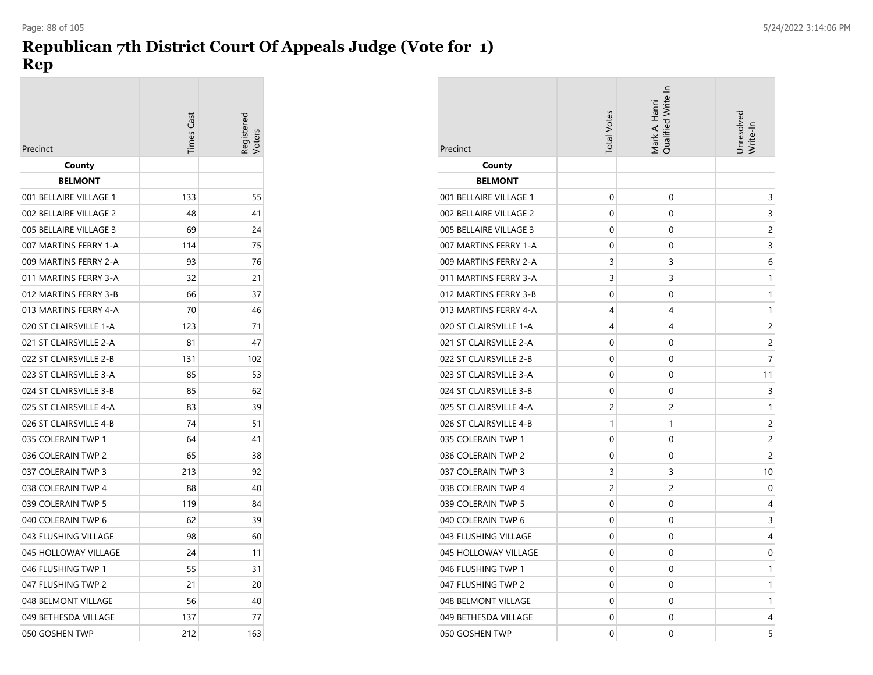# **Republican 7th District Court Of Appeals Judge (Vote for 1) Rep**

| Precinct               | imes Cas | eqistered |
|------------------------|----------|-----------|
| County                 |          |           |
| <b>BELMONT</b>         |          |           |
| 001 BELLAIRE VILLAGE 1 | 133      | 55        |
| 002 BELLAIRE VILLAGE 2 | 48       | 41        |
| 005 BELLAIRE VILLAGE 3 | 69       | 24        |
| 007 MARTINS FERRY 1-A  | 114      | 75        |
| 009 MARTINS FERRY 2-A  | 93       | 76        |
| 011 MARTINS FERRY 3-A  | 32       | 21        |
| 012 MARTINS FERRY 3-B  | 66       | 37        |
| 013 MARTINS FERRY 4-A  | 70       | 46        |
| 020 ST CLAIRSVILLE 1-A | 123      | 71        |
| 021 ST CLAIRSVILLE 2-A | 81       | 47        |
| 022 ST CLAIRSVILLE 2-B | 131      | 102       |
| 023 ST CLAIRSVILLE 3-A | 85       | 53        |
| 024 ST CLAIRSVILLE 3-B | 85       | 62        |
| 025 ST CLAIRSVILLE 4-A | 83       | 39        |
| 026 ST CLAIRSVILLE 4-B | 74       | 51        |
| 035 COLERAIN TWP 1     | 64       | 41        |
| 036 COLERAIN TWP 2     | 65       | 38        |
| 037 COLERAIN TWP 3     | 213      | 92        |
| 038 COLERAIN TWP 4     | 88       | 40        |
| 039 COLERAIN TWP 5     | 119      | 84        |
| 040 COLERAIN TWP 6     | 62       | 39        |
| 043 FLUSHING VILLAGE   | 98       | 60        |
| 045 HOLLOWAY VILLAGE   | 24       | 11        |
| 046 FLUSHING TWP 1     | 55       | 31        |
| 047 FLUSHING TWP 2     | 21       | 20        |
| 048 BELMONT VILLAGE    | 56       | 40        |
| 049 BETHESDA VILLAGE   | 137      | 77        |
| 050 GOSHEN TWP         | 212      | 163       |

| Precinct               | <b>Total Votes</b> | Qualified Write In<br>Mark A. Hanni | Unresolved<br>Write-In |
|------------------------|--------------------|-------------------------------------|------------------------|
| County                 |                    |                                     |                        |
| <b>BELMONT</b>         |                    |                                     |                        |
| 001 BELLAIRE VILLAGE 1 | 0                  | 0                                   | 3                      |
| 002 BELLAIRE VILLAGE 2 | 0                  | 0                                   | 3                      |
| 005 BELLAIRE VILLAGE 3 | 0                  | 0                                   | $\overline{c}$         |
| 007 MARTINS FERRY 1-A  | 0                  | 0                                   | 3                      |
| 009 MARTINS FERRY 2-A  | 3                  | 3                                   | 6                      |
| 011 MARTINS FERRY 3-A  | 3                  | 3                                   | 1                      |
| 012 MARTINS FERRY 3-B  | 0                  | 0                                   | 1                      |
| 013 MARTINS FERRY 4-A  | 4                  | 4                                   | 1                      |
| 020 ST CLAIRSVILLE 1-A | 4                  | 4                                   | 2                      |
| 021 ST CLAIRSVILLE 2-A | 0                  | 0                                   | 2                      |
| 022 ST CLAIRSVILLE 2-B | 0                  | 0                                   | 7                      |
| 023 ST CLAIRSVILLE 3-A | $\mathbf 0$        | 0                                   | 11                     |
| 024 ST CLAIRSVILLE 3-B | 0                  | 0                                   | 3                      |
| 025 ST CLAIRSVILLE 4-A | $\overline{c}$     | $\overline{c}$                      | 1                      |
| 026 ST CLAIRSVILLE 4-B | 1                  | 1                                   | 2                      |
| 035 COLERAIN TWP 1     | 0                  | 0                                   | 2                      |
| 036 COLERAIN TWP 2     | 0                  | 0                                   | 2                      |
| 037 COLERAIN TWP 3     | 3                  | 3                                   | 10                     |
| 038 COLERAIN TWP 4     | 2                  | 2                                   | 0                      |
| 039 COLERAIN TWP 5     | 0                  | 0                                   | 4                      |
| 040 COLERAIN TWP 6     | 0                  | 0                                   | 3                      |
| 043 FLUSHING VILLAGE   | 0                  | 0                                   | 4                      |
| 045 HOLLOWAY VILLAGE   | 0                  | 0                                   | 0                      |
| 046 FLUSHING TWP 1     | 0                  | 0                                   | 1                      |
| 047 FLUSHING TWP 2     | 0                  | 0                                   | 1                      |
| 048 BELMONT VILLAGE    | 0                  | 0                                   | 1                      |
| 049 BETHESDA VILLAGE   | 0                  | 0                                   | 4                      |
| 050 GOSHEN TWP         | 0                  | 0                                   | 5                      |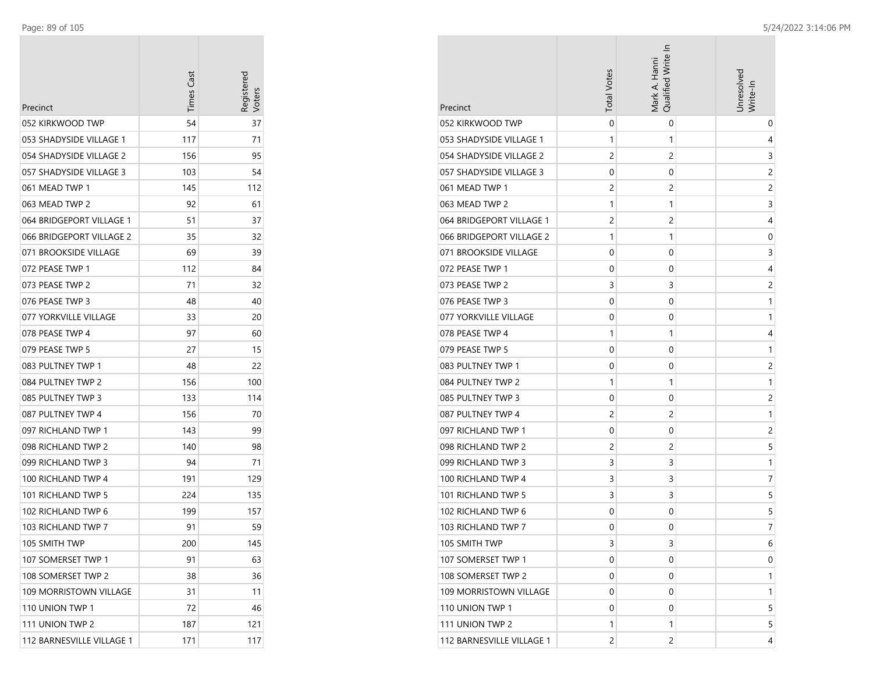÷

| Precinct                  | <b>Times Cast</b> | Registerec<br>Voters |
|---------------------------|-------------------|----------------------|
| 052 KIRKWOOD TWP          | 54                | 37                   |
| 053 SHADYSIDE VILLAGE 1   | 117               | 71                   |
| 054 SHADYSIDE VILLAGE 2   | 156               | 95                   |
| 057 SHADYSIDE VILLAGE 3   | 103               | 54                   |
| 061 MEAD TWP 1            | 145               | 112                  |
| 063 MEAD TWP 2            | 92                | 61                   |
| 064 BRIDGEPORT VILLAGE 1  | 51                | 37                   |
| 066 BRIDGEPORT VILLAGE 2  | 35                | 32                   |
| 071 BROOKSIDE VILLAGE     | 69                | 39                   |
| 072 PEASE TWP 1           | 112               | 84                   |
| 073 PEASE TWP 2           | 71                | 32                   |
| 076 PEASE TWP 3           | 48                | 40                   |
| 077 YORKVILLE VILLAGE     | 33                | 20                   |
| 078 PEASE TWP 4           | 97                | 60                   |
| 079 PEASE TWP 5           | 27                | 15                   |
| 083 PULTNEY TWP 1         | 48                | 22                   |
| 084 PULTNEY TWP 2         | 156               | 100                  |
| 085 PULTNEY TWP 3         | 133               | 114                  |
| 087 PULTNEY TWP 4         | 156               | 70                   |
| 097 RICHLAND TWP 1        | 143               | 99                   |
| 098 RICHLAND TWP 2        | 140               | 98                   |
| 099 RICHLAND TWP 3        | 94                | 71                   |
| 100 RICHLAND TWP 4        | 191               | 129                  |
| 101 RICHLAND TWP 5        | 224               | 135                  |
| 102 RICHLAND TWP 6        | 199               | 157                  |
| 103 RICHLAND TWP 7        | 91                | 59                   |
| 105 SMITH TWP             | 200               | 145                  |
| 107 SOMERSET TWP 1        | 91                | 63                   |
| 108 SOMERSET TWP 2        | 38                | 36                   |
| 109 MORRISTOWN VILLAGE    | 31                | 11                   |
| 110 UNION TWP 1           | 72                | 46                   |
| 111 UNION TWP 2           | 187               | 121                  |
| 112 BARNESVILLE VILLAGE 1 | 171               | 117                  |

| Precinct                  | <b>Total Votes</b> | Qualified Write In<br>Mark A. Hanni | Unresolved<br>Write-In |
|---------------------------|--------------------|-------------------------------------|------------------------|
| 052 KIRKWOOD TWP          | $\mathbf 0$        | 0                                   | 0                      |
| 053 SHADYSIDE VILLAGE 1   | 1                  | 1                                   | 4                      |
| 054 SHADYSIDE VILLAGE 2   | 2                  | 2                                   | 3                      |
| 057 SHADYSIDE VILLAGE 3   | 0                  | 0                                   | 2                      |
| 061 MEAD TWP 1            | 2                  | 2                                   | 2                      |
| 063 MEAD TWP 2            | 1                  | 1                                   | 3                      |
| 064 BRIDGEPORT VILLAGE 1  | 2                  | 2                                   | 4                      |
| 066 BRIDGEPORT VILLAGE 2  | 1                  | 1                                   | 0                      |
| 071 BROOKSIDE VILLAGE     | 0                  | 0                                   | 3                      |
| 072 PEASE TWP 1           | 0                  | 0                                   | 4                      |
| 073 PEASE TWP 2           | 3                  | 3                                   | $\overline{c}$         |
| 076 PEASE TWP 3           | 0                  | 0                                   | 1                      |
| 077 YORKVILLE VILLAGE     | 0                  | 0                                   | 1                      |
| 078 PEASE TWP 4           | 1                  | 1                                   | 4                      |
| 079 PEASE TWP 5           | 0                  | 0                                   | 1                      |
| 083 PULTNEY TWP 1         | 0                  | 0                                   | $\overline{c}$         |
| 084 PULTNEY TWP 2         | 1                  | 1                                   | 1                      |
| 085 PULTNEY TWP 3         | 0                  | 0                                   | 2                      |
| 087 PULTNEY TWP 4         | $\overline{c}$     | 2                                   | 1                      |
| 097 RICHLAND TWP 1        | 0                  | 0                                   | 2                      |
| 098 RICHLAND TWP 2        | 2                  | $\overline{c}$                      | 5                      |
| 099 RICHLAND TWP 3        | 3                  | 3                                   | 1                      |
| 100 RICHLAND TWP 4        | 3                  | 3                                   | 7                      |
| 101 RICHLAND TWP 5        | 3                  | 3                                   | 5                      |
| 102 RICHLAND TWP 6        | 0                  | 0                                   | 5                      |
| 103 RICHLAND TWP 7        | 0                  | 0                                   | 7                      |
| 105 SMITH TWP             | 3                  | 3                                   | 6                      |
| 107 SOMERSET TWP 1        | 0                  | 0                                   | 0                      |
| 108 SOMERSET TWP 2        | 0                  | 0                                   | 1                      |
| 109 MORRISTOWN VILLAGE    | 0                  | 0                                   | 1                      |
| 110 UNION TWP 1           | 0                  | 0                                   | 5                      |
| 111 UNION TWP 2           | 1                  | 1                                   | 5                      |
| 112 BARNESVILLE VILLAGE 1 | 2                  | $\overline{c}$                      | 4                      |

**COL**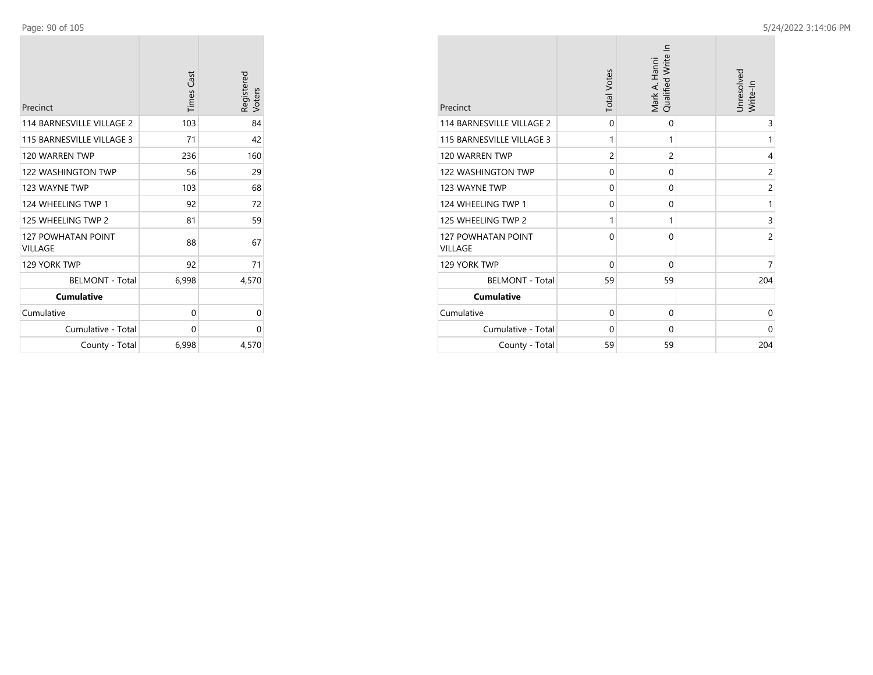| Precinct                                    | <b>Times Cast</b> | Registered<br>Voters |
|---------------------------------------------|-------------------|----------------------|
| 114 BARNESVILLE VILLAGE 2                   | 103               | 84                   |
| 115 BARNESVILLE VILLAGE 3                   | 71                | 42                   |
| 120 WARREN TWP                              | 236               | 160                  |
| <b>122 WASHINGTON TWP</b>                   | 56                | 29                   |
| 123 WAYNE TWP                               | 103               | 68                   |
| 124 WHEELING TWP 1                          | 92                | 72                   |
| 125 WHEELING TWP 2                          | 81                | 59                   |
| <b>127 POWHATAN POINT</b><br><b>VILLAGE</b> | 88                | 67                   |
| 129 YORK TWP                                | 92                | 71                   |
| <b>BELMONT - Total</b>                      | 6,998             | 4,570                |
| <b>Cumulative</b>                           |                   |                      |
| Cumulative                                  | 0                 | 0                    |
| Cumulative - Total                          | 0                 | 0                    |
| County - Total                              | 6,998             | 4,570                |

| Precinct                                    | <b>Total Votes</b> | Qualified Write In<br>Mark A. Hanni | Unresolved<br>Write-In |
|---------------------------------------------|--------------------|-------------------------------------|------------------------|
| 114 BARNESVILLE VILLAGE 2                   | $\Omega$           | $\mathbf 0$                         | 3                      |
| 115 BARNESVILLE VILLAGE 3                   | 1                  | 1                                   | 1                      |
| 120 WARREN TWP                              | $\overline{2}$     | $\overline{2}$                      | 4                      |
| <b>122 WASHINGTON TWP</b>                   | $\mathbf 0$        | $\Omega$                            | $\overline{2}$         |
| 123 WAYNE TWP                               | $\mathbf 0$        | 0                                   | 2                      |
| 124 WHEELING TWP 1                          | $\mathbf 0$        | $\mathbf 0$                         | 1                      |
| 125 WHEELING TWP 2                          | 1                  | 1                                   | 3                      |
| <b>127 POWHATAN POINT</b><br><b>VILLAGE</b> | 0                  | $\Omega$                            | $\overline{c}$         |
| 129 YORK TWP                                | $\mathbf 0$        | $\Omega$                            | 7                      |
| <b>BELMONT - Total</b>                      | 59                 | 59                                  | 204                    |
| <b>Cumulative</b>                           |                    |                                     |                        |
| Cumulative                                  | 0                  | 0                                   | 0                      |
| Cumulative - Total                          | $\Omega$           | $\Omega$                            | $\Omega$               |
| County - Total                              | 59                 | 59                                  | 204                    |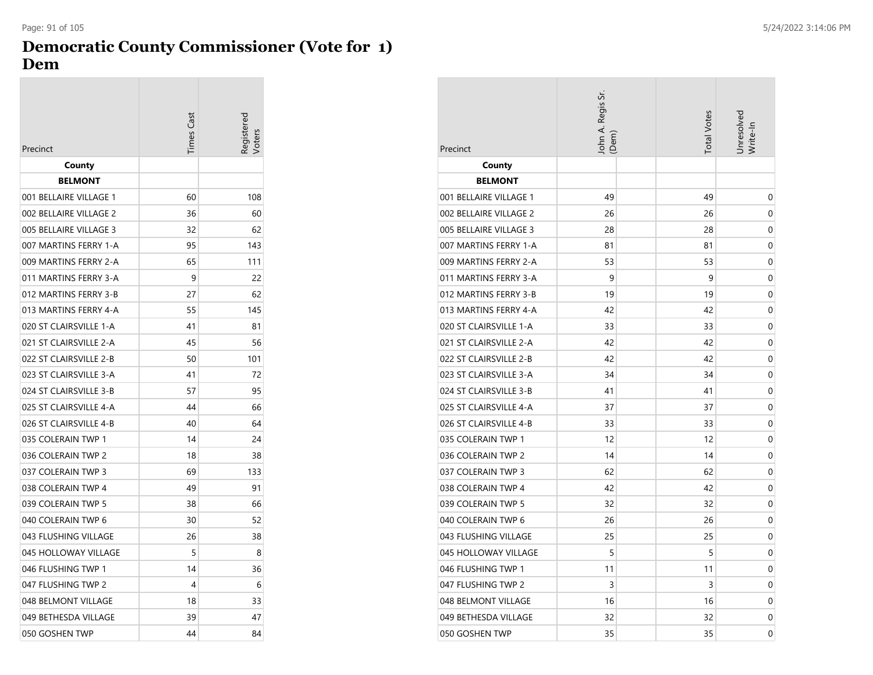# **Democratic County Commissioner (Vote for 1) Dem**

| <b>Times Cast</b><br>Precinct | eqistere |
|-------------------------------|----------|
|                               |          |
| County<br><b>BELMONT</b>      |          |
| 001 BELLAIRE VILLAGE 1<br>60  | 108      |
| 002 BELLAIRE VILLAGE 2<br>36  | 60       |
| 005 BELLAIRE VILLAGE 3<br>32  | 62       |
| 007 MARTINS FERRY 1-A<br>95   | 143      |
| 65<br>009 MARTINS FERRY 2-A   | 111      |
| 011 MARTINS FERRY 3-A<br>9    | 22       |
| 012 MARTINS FERRY 3-B<br>27   | 62       |
| 013 MARTINS FERRY 4-A<br>55   | 145      |
| 020 ST CLAIRSVILLE 1-A<br>41  | 81       |
| 021 ST CLAIRSVILLE 2-A<br>45  | 56       |
| 022 ST CLAIRSVILLE 2-B<br>50  | 101      |
| 023 ST CLAIRSVILLE 3-A<br>41  | 72       |
| 024 ST CLAIRSVILLE 3-B<br>57  | 95       |
| 025 ST CLAIRSVILLE 4-A<br>44  | 66       |
| 026 ST CLAIRSVILLE 4-B<br>40  | 64       |
| 035 COLERAIN TWP 1<br>14      | 24       |
| 036 COLERAIN TWP 2<br>18      | 38       |
| 037 COLERAIN TWP 3<br>69      | 133      |
| 038 COLERAIN TWP 4<br>49      | 91       |
| 039 COLERAIN TWP 5<br>38      | 66       |
| 040 COLERAIN TWP 6<br>30      | 52       |
| 043 FLUSHING VILLAGE<br>26    | 38       |
| 045 HOLLOWAY VILLAGE<br>5     | 8        |
| 046 FLUSHING TWP 1<br>14      | 36       |
| 047 FLUSHING TWP 2<br>4       | 6        |
| 048 BELMONT VILLAGE<br>18     | 33       |
| 049 BETHESDA VILLAGE<br>39    | 47       |
| 050 GOSHEN TWP<br>44          | 84       |

| Precinct               | John A. Regis Sr.<br>(Dem) | <b>Total Votes</b> | Jnresolvea<br>Write-In |
|------------------------|----------------------------|--------------------|------------------------|
| County                 |                            |                    |                        |
| <b>BELMONT</b>         |                            |                    |                        |
| 001 BELLAIRE VILLAGE 1 | 49                         | 49                 | 0                      |
| 002 BELLAIRE VILLAGE 2 | 26                         | 26                 | 0                      |
| 005 BELLAIRE VILLAGE 3 | 28                         | 28                 | 0                      |
| 007 MARTINS FERRY 1-A  | 81                         | 81                 | 0                      |
| 009 MARTINS FERRY 2-A  | 53                         | 53                 | $\mathbf 0$            |
| 011 MARTINS FERRY 3-A  | 9                          | 9                  | 0                      |
| 012 MARTINS FERRY 3-B  | 19                         | 19                 | 0                      |
| 013 MARTINS FERRY 4-A  | 42                         | 42                 | 0                      |
| 020 ST CLAIRSVILLE 1-A | 33                         | 33                 | 0                      |
| 021 ST CLAIRSVILLE 2-A | 42                         | 42                 | 0                      |
| 022 ST CLAIRSVILLE 2-B | 42                         | 42                 | 0                      |
| 023 ST CLAIRSVILLE 3-A | 34                         | 34                 | 0                      |
| 024 ST CLAIRSVILLE 3-B | 41                         | 41                 | 0                      |
| 025 ST CLAIRSVILLE 4-A | 37                         | 37                 | 0                      |
| 026 ST CLAIRSVILLE 4-B | 33                         | 33                 | 0                      |
| 035 COLERAIN TWP 1     | 12                         | 12                 | 0                      |
| 036 COLERAIN TWP 2     | 14                         | 14                 | 0                      |
| 037 COLERAIN TWP 3     | 62                         | 62                 | 0                      |
| 038 COLERAIN TWP 4     | 42                         | 42                 | 0                      |
| 039 COLERAIN TWP 5     | 32                         | 32                 | 0                      |
| 040 COLERAIN TWP 6     | 26                         | 26                 | 0                      |
| 043 FLUSHING VILLAGE   | 25                         | 25                 | 0                      |
| 045 HOLLOWAY VILLAGE   | 5                          | 5                  | 0                      |
| 046 FLUSHING TWP 1     | 11                         | 11                 | 0                      |
| 047 FLUSHING TWP 2     | 3                          | 3                  | 0                      |
| 048 BELMONT VILLAGE    | 16                         | 16                 | 0                      |
| 049 BETHESDA VILLAGE   | 32                         | 32                 | 0                      |
| 050 GOSHEN TWP         | 35                         | 35                 | 0                      |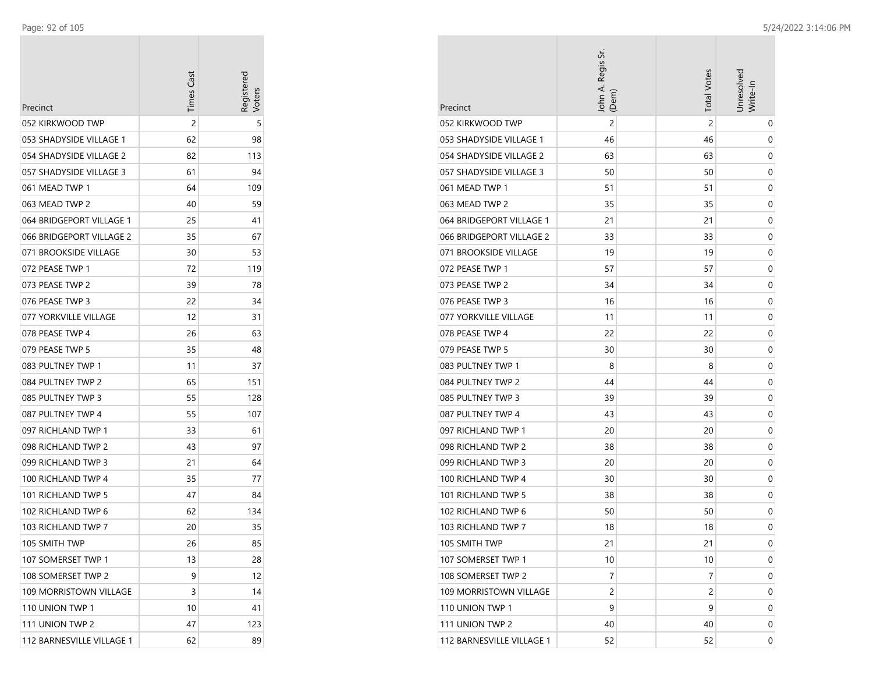| Precinct                  | <b>Times Cast</b> | Registered<br>/oters |
|---------------------------|-------------------|----------------------|
| 052 KIRKWOOD TWP          | 2                 | 5                    |
| 053 SHADYSIDE VILLAGE 1   | 62                | 98                   |
| 054 SHADYSIDE VILLAGE 2   | 82                | 113                  |
| 057 SHADYSIDE VILLAGE 3   | 61                | 94                   |
| 061 MEAD TWP 1            | 64                | 109                  |
| 063 MEAD TWP 2            | 40                | 59                   |
| 064 BRIDGEPORT VILLAGE 1  | 25                | 41                   |
| 066 BRIDGEPORT VILLAGE 2  | 35                | 67                   |
| 071 BROOKSIDE VILLAGE     | 30                | 53                   |
| 072 PEASE TWP 1           | 72                | 119                  |
| 073 PEASE TWP 2           | 39                | 78                   |
| 076 PEASE TWP 3           | 22                | 34                   |
| 077 YORKVILLE VILLAGE     | 12                | 31                   |
| 078 PEASE TWP 4           | 26                | 63                   |
| 079 PEASE TWP 5           | 35                | 48                   |
| 083 PULTNEY TWP 1         | 11                | 37                   |
| 084 PULTNEY TWP 2         | 65                | 151                  |
| 085 PULTNEY TWP 3         | 55                | 128                  |
| 087 PULTNEY TWP 4         | 55                | 107                  |
| 097 RICHLAND TWP 1        | 33                | 61                   |
| 098 RICHLAND TWP 2        | 43                | 97                   |
| 099 RICHLAND TWP 3        | 21                | 64                   |
| 100 RICHLAND TWP 4        | 35                | 77                   |
| 101 RICHLAND TWP 5        | 47                | 84                   |
| 102 RICHLAND TWP 6        | 62                | 134                  |
| 103 RICHLAND TWP 7        | 20                | 35                   |
| 105 SMITH TWP             | 26                | 85                   |
| 107 SOMERSET TWP 1        | 13                | 28                   |
| 108 SOMERSET TWP 2        | 9                 | 12                   |
| 109 MORRISTOWN VILLAGE    | 3                 | 14                   |
| 110 UNION TWP 1           | 10                | 41                   |
| 111 UNION TWP 2           | 47                | 123                  |
| 112 BARNESVILLE VILLAGE 1 | 62                | 89                   |

| Precinct                  | John A. Regis Sr.<br>(Dem) | <b>Total Votes</b> | Jnresolved<br>Write-In |
|---------------------------|----------------------------|--------------------|------------------------|
| 052 KIRKWOOD TWP          | $\overline{c}$             | 2                  | 0                      |
| 053 SHADYSIDE VILLAGE 1   | 46                         | 46                 | 0                      |
| 054 SHADYSIDE VILLAGE 2   | 63                         | 63                 | 0                      |
| 057 SHADYSIDE VILLAGE 3   | 50                         | 50                 | 0                      |
| 061 MEAD TWP 1            | 51                         | 51                 | 0                      |
| 063 MEAD TWP 2            | 35                         | 35                 | 0                      |
| 064 BRIDGEPORT VILLAGE 1  | 21                         | 21                 | 0                      |
| 066 BRIDGEPORT VILLAGE 2  | 33                         | 33                 | 0                      |
| 071 BROOKSIDE VILLAGE     | 19                         | 19                 | 0                      |
| 072 PEASE TWP 1           | 57                         | 57                 | 0                      |
| 073 PEASE TWP 2           | 34                         | 34                 | 0                      |
| 076 PEASE TWP 3           | 16                         | 16                 | 0                      |
| 077 YORKVILLE VILLAGE     | 11                         | 11                 | 0                      |
| 078 PEASE TWP 4           | 22                         | 22                 | 0                      |
| 079 PEASE TWP 5           | 30                         | 30                 | 0                      |
| 083 PULTNEY TWP 1         | 8                          | 8                  | 0                      |
| 084 PULTNEY TWP 2         | 44                         | 44                 | 0                      |
| 085 PULTNEY TWP 3         | 39                         | 39                 | 0                      |
| 087 PULTNEY TWP 4         | 43                         | 43                 | 0                      |
| 097 RICHLAND TWP 1        | 20                         | 20                 | 0                      |
| 098 RICHLAND TWP 2        | 38                         | 38                 | 0                      |
| 099 RICHLAND TWP 3        | 20                         | 20                 | 0                      |
| 100 RICHLAND TWP 4        | 30                         | 30                 | 0                      |
| 101 RICHLAND TWP 5        | 38                         | 38                 | 0                      |
| 102 RICHLAND TWP 6        | 50                         | 50                 | 0                      |
| 103 RICHLAND TWP 7        | 18                         | 18                 | 0                      |
| 105 SMITH TWP             | 21                         | 21                 | 0                      |
| 107 SOMERSET TWP 1        | 10                         | 10                 | 0                      |
| 108 SOMERSET TWP 2        | 7                          | 7                  | 0                      |
| 109 MORRISTOWN VILLAGE    | 2                          | $\overline{c}$     | 0                      |
| 110 UNION TWP 1           | 9                          | 9                  | 0                      |
| 111 UNION TWP 2           | 40                         | 40                 | 0                      |
| 112 BARNESVILLE VILLAGE 1 | 52                         | 52                 | 0                      |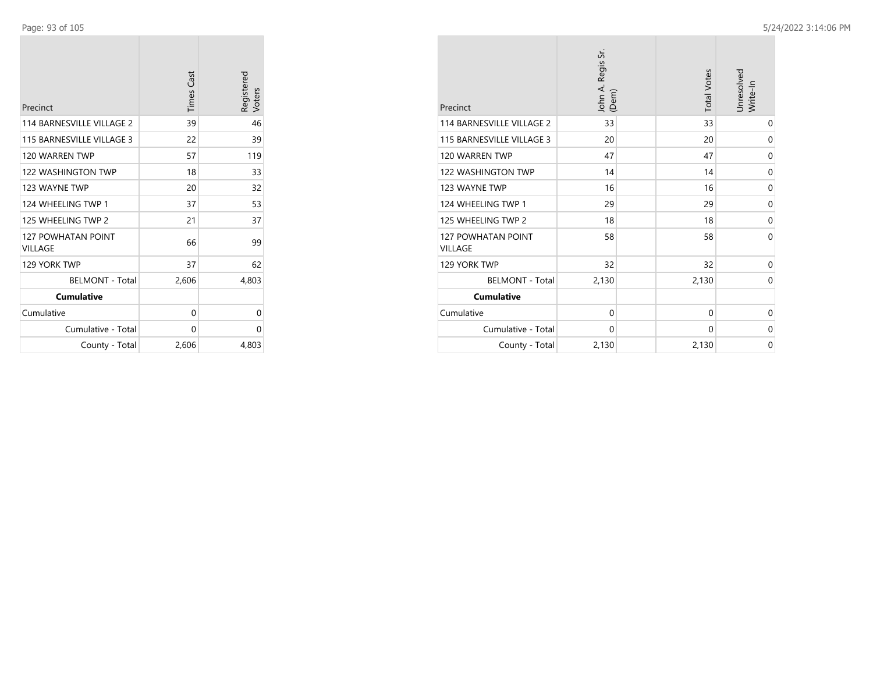| Precinct                             | <b>Times Cast</b> | Registered<br>Voters |
|--------------------------------------|-------------------|----------------------|
| 114 BARNESVILLE VILLAGE 2            | 39                | 46                   |
| 115 BARNESVILLE VILLAGE 3            | 22                | 39                   |
| 120 WARREN TWP                       | 57                | 119                  |
| 122 WASHINGTON TWP                   | 18                | 33                   |
| 123 WAYNE TWP                        | 20                | 32                   |
| 124 WHEELING TWP 1                   | 37                | 53                   |
| 125 WHEELING TWP 2                   | 21                | 37                   |
| <b>127 POWHATAN POINT</b><br>VILLAGE | 66                | 99                   |
| 129 YORK TWP                         | 37                | 62                   |
| <b>BELMONT - Total</b>               | 2,606             | 4,803                |
| <b>Cumulative</b>                    |                   |                      |
| Cumulative                           | 0                 | 0                    |
| Cumulative - Total                   | 0                 | 0                    |
| County - Total                       | 2,606             | 4,803                |

| Precinct                             | John A. Regis Sr.<br>(Dem) | <b>Total Votes</b> | Unresolved<br>Write-In |
|--------------------------------------|----------------------------|--------------------|------------------------|
| 114 BARNESVILLE VILLAGE 2            | 33                         | 33                 | 0                      |
| 115 BARNESVILLE VILLAGE 3            | 20                         | 20                 | 0                      |
| 120 WARREN TWP                       | 47                         | 47                 | 0                      |
| <b>122 WASHINGTON TWP</b>            | 14                         | 14                 | 0                      |
| 123 WAYNE TWP                        | 16                         | 16                 | $\mathbf 0$            |
| 124 WHEELING TWP 1                   | 29                         | 29                 | 0                      |
| 125 WHEELING TWP 2                   | 18                         | 18                 | 0                      |
| 127 POWHATAN POINT<br><b>VILLAGE</b> | 58                         | 58                 | $\Omega$               |
| 129 YORK TWP                         | 32                         | 32                 | 0                      |
| <b>BELMONT - Total</b>               | 2,130                      | 2,130              | $\Omega$               |
| <b>Cumulative</b>                    |                            |                    |                        |
| Cumulative                           | $\mathbf 0$                | 0                  | 0                      |
| Cumulative - Total                   | 0                          | 0                  | 0                      |
| County - Total                       | 2,130                      | 2,130              | $\mathbf 0$            |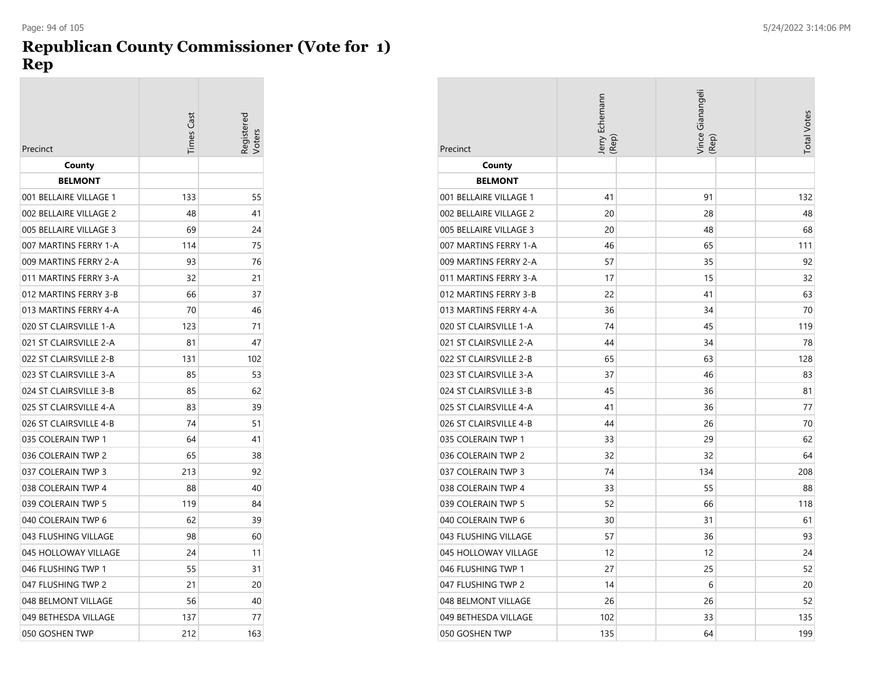### **Republican County Commissioner (Vote for 1) Rep**

|                        | imes Cast | egistere<br>'oters |
|------------------------|-----------|--------------------|
| Precinct               |           |                    |
| County                 |           |                    |
| <b>BELMONT</b>         |           |                    |
| 001 BELLAIRE VILLAGE 1 | 133       | 55                 |
| 002 BELLAIRE VILLAGE 2 | 48        | 41                 |
| 005 BELLAIRE VILLAGE 3 | 69        | 24                 |
| 007 MARTINS FERRY 1-A  | 114       | 75                 |
| 009 MARTINS FERRY 2-A  | 93        | 76                 |
| 011 MARTINS FERRY 3-A  | 32        | 21                 |
| 012 MARTINS FERRY 3-B  | 66        | 37                 |
| 013 MARTINS FERRY 4-A  | 70        | 46                 |
| 020 ST CLAIRSVILLE 1-A | 123       | 71                 |
| 021 ST CLAIRSVILLE 2-A | 81        | 47                 |
| 022 ST CLAIRSVILLE 2-B | 131       | 102                |
| 023 ST CLAIRSVILLE 3-A | 85        | 53                 |
| 024 ST CLAIRSVILLE 3-B | 85        | 62                 |
| 025 ST CLAIRSVILLE 4-A | 83        | 39                 |
| 026 ST CLAIRSVILLE 4-B | 74        | 51                 |
| 035 COLERAIN TWP 1     | 64        | 41                 |
| 036 COLERAIN TWP 2     | 65        | 38                 |
| 037 COLERAIN TWP 3     | 213       | 92                 |
| 038 COLERAIN TWP 4     | 88        | 40                 |
| 039 COLERAIN TWP 5     | 119       | 84                 |
| 040 COLERAIN TWP 6     | 62        | 39                 |
| 043 FLUSHING VILLAGE   | 98        | 60                 |
| 045 HOLLOWAY VILLAGE   | 24        | 11                 |
| 046 FLUSHING TWP 1     | 55        | 31                 |
| 047 FLUSHING TWP 2     | 21        | 20                 |
| 048 BELMONT VILLAGE    | 56        | 40                 |
| 049 BETHESDA VILLAGE   | 137       | 77                 |
| 050 GOSHEN TWP         | 212       | 163                |

| Precinct               | Jerry Echemann<br>(Rep) | Vince Gianangeli<br>(Rep) | <b>Total Votes</b> |
|------------------------|-------------------------|---------------------------|--------------------|
| County                 |                         |                           |                    |
| <b>BELMONT</b>         |                         |                           |                    |
| 001 BELLAIRE VILLAGE 1 | 41                      | 91                        | 132                |
| 002 BELLAIRE VILLAGE 2 | 20                      | 28                        | 48                 |
| 005 BELLAIRE VILLAGE 3 | 20                      | 48                        | 68                 |
| 007 MARTINS FERRY 1-A  | 46                      | 65                        | 111                |
| 009 MARTINS FERRY 2-A  | 57                      | 35                        | 92                 |
| 011 MARTINS FERRY 3-A  | 17                      | 15                        | 32                 |
| 012 MARTINS FERRY 3-B  | 22                      | 41                        | 63                 |
| 013 MARTINS FERRY 4-A  | 36                      | 34                        | 70                 |
| 020 ST CLAIRSVILLE 1-A | 74                      | 45                        | 119                |
| 021 ST CLAIRSVILLE 2-A | 44                      | 34                        | 78                 |
| 022 ST CLAIRSVILLE 2-B | 65                      | 63                        | 128                |
| 023 ST CLAIRSVILLE 3-A | 37                      | 46                        | 83                 |
| 024 ST CLAIRSVILLE 3-B | 45                      | 36                        | 81                 |
| 025 ST CLAIRSVILLE 4-A | 41                      | 36                        | 77                 |
| 026 ST CLAIRSVILLE 4-B | 44                      | 26                        | 70                 |
| 035 COLERAIN TWP 1     | 33                      | 29                        | 62                 |
| 036 COLERAIN TWP 2     | 32                      | 32                        | 64                 |
| 037 COLERAIN TWP 3     | 74                      | 134                       | 208                |
| 038 COLERAIN TWP 4     | 33                      | 55                        | 88                 |
| 039 COLERAIN TWP 5     | 52                      | 66                        | 118                |
| 040 COLERAIN TWP 6     | 30                      | 31                        | 61                 |
| 043 FLUSHING VILLAGE   | 57                      | 36                        | 93                 |
| 045 HOLLOWAY VILLAGE   | 12                      | 12                        | 24                 |
| 046 FLUSHING TWP 1     | 27                      | 25                        | 52                 |
| 047 FLUSHING TWP 2     | 14                      | 6                         | 20                 |
| 048 BELMONT VILLAGE    | 26                      | 26                        | 52                 |
| 049 BETHESDA VILLAGE   | 102                     | 33                        | 135                |
| 050 GOSHEN TWP         | 135                     | 64                        | 199                |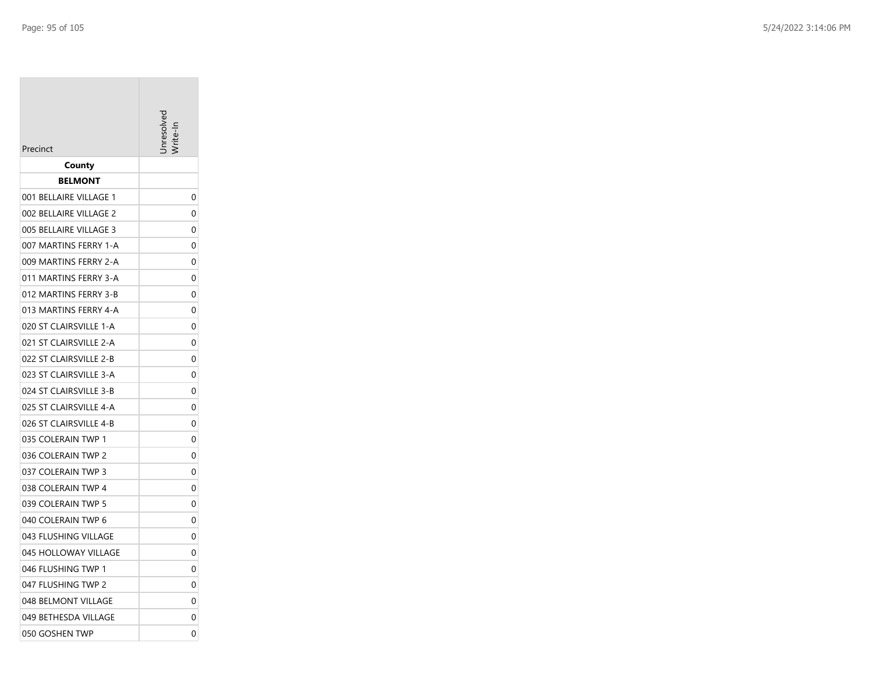|                        | Inresoly |
|------------------------|----------|
| Precinct               |          |
| County                 |          |
| BELMONT                |          |
| 001 BELLAIRE VILLAGE 1 | 0        |
| 002 BELLAIRE VILLAGE 2 | 0        |
| 005 BELLAIRE VILLAGE 3 | 0        |
| 007 MARTINS FERRY 1-A  | 0        |
| 009 MARTINS FERRY 2-A  | 0        |
| 011 MARTINS FERRY 3-A  | 0        |
| 012 MARTINS FERRY 3-B  | 0        |
| 013 MARTINS FERRY 4-A  | 0        |
| 020 ST CLAIRSVILLE 1-A | 0        |
| 021 ST CLAIRSVILLE 2-A | 0        |
| 022 ST CLAIRSVILLE 2-B | 0        |
| 023 ST CLAIRSVILLE 3-A | 0        |
| 024 ST CLAIRSVILLE 3-B | 0        |
| 025 ST CLAIRSVILLE 4-A | 0        |
| 026 ST CLAIRSVILLE 4-B | 0        |
| 035 COLERAIN TWP 1     | 0        |
| 036 COLERAIN TWP 2     | 0        |
| 037 COLERAIN TWP 3     | 0        |
| 038 COLERAIN TWP 4     | 0        |
| 039 COLERAIN TWP 5     | 0        |
| 040 COLERAIN TWP 6     | 0        |
| 043 FLUSHING VILLAGE   | 0        |
| 045 HOLLOWAY VILLAGE   | 0        |
| 046 FLUSHING TWP 1     | 0        |
| 047 FLUSHING TWP 2     | 0        |
| 048 BELMONT VILLAGE    | 0        |
| 049 BETHESDA VILLAGE   | 0        |
| 050 GOSHEN TWP         | 0        |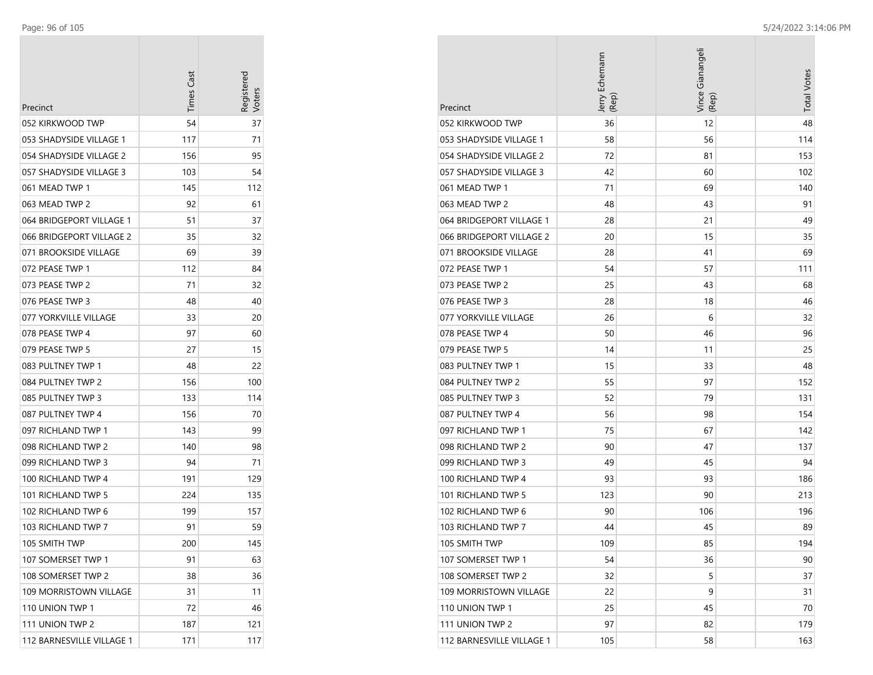| Precinct                  | <b>Times Cast</b> | Registerec<br>Voters |
|---------------------------|-------------------|----------------------|
| 052 KIRKWOOD TWP          | 54                | 37                   |
| 053 SHADYSIDE VILLAGE 1   | 117               | 71                   |
| 054 SHADYSIDE VILLAGE 2   | 156               | 95                   |
| 057 SHADYSIDE VILLAGE 3   | 103               | 54                   |
| 061 MEAD TWP 1            | 145               | 112                  |
| 063 MEAD TWP 2            | 92                | 61                   |
| 064 BRIDGEPORT VILLAGE 1  | 51                | 37                   |
| 066 BRIDGEPORT VILLAGE 2  | 35                | 32                   |
| 071 BROOKSIDE VILLAGE     | 69                | 39                   |
| 072 PEASE TWP 1           | 112               | 84                   |
| 073 PEASE TWP 2           | 71                | 32                   |
| 076 PEASE TWP 3           | 48                | 40                   |
| 077 YORKVILLE VILLAGE     | 33                | 20                   |
| 078 PEASE TWP 4           | 97                | 60                   |
| 079 PEASE TWP 5           | 27                | 15                   |
| 083 PULTNEY TWP 1         | 48                | 22                   |
| 084 PULTNEY TWP 2         | 156               | 100                  |
| 085 PULTNEY TWP 3         | 133               | 114                  |
| 087 PULTNEY TWP 4         | 156               | 70                   |
| 097 RICHLAND TWP 1        | 143               | 99                   |
| 098 RICHLAND TWP 2        | 140               | 98                   |
| 099 RICHLAND TWP 3        | 94                | 71                   |
| 100 RICHLAND TWP 4        | 191               | 129                  |
| 101 RICHLAND TWP 5        | 224               | 135                  |
| 102 RICHLAND TWP 6        | 199               | 157                  |
| 103 RICHLAND TWP 7        | 91                | 59                   |
| 105 SMITH TWP             | 200               | 145                  |
| 107 SOMERSET TWP 1        | 91                | 63                   |
| 108 SOMERSET TWP 2        | 38                | 36                   |
| 109 MORRISTOWN VILLAGE    | 31                | 11                   |
| 110 UNION TWP 1           | 72                | 46                   |
| 111 UNION TWP 2           | 187               | 121                  |
| 112 BARNESVILLE VILLAGE 1 | 171               | 117                  |

|                           | Jerry Echemann<br>(Rep) | Vince Gianangeli<br>(Rep) | <b>Total Votes</b> |
|---------------------------|-------------------------|---------------------------|--------------------|
| Precinct                  |                         |                           |                    |
| 052 KIRKWOOD TWP          | 36                      | 12                        | 48                 |
| 053 SHADYSIDE VILLAGE 1   | 58                      | 56                        | 114                |
| 054 SHADYSIDE VILLAGE 2   | 72                      | 81                        | 153                |
| 057 SHADYSIDE VILLAGE 3   | 42                      | 60                        | 102                |
| 061 MEAD TWP 1            | 71                      | 69                        | 140                |
| 063 MEAD TWP 2            | 48                      | 43                        | 91                 |
| 064 BRIDGEPORT VILLAGE 1  | 28                      | 21                        | 49                 |
| 066 BRIDGEPORT VILLAGE 2  | 20                      | 15                        | 35                 |
| 071 BROOKSIDE VILLAGE     | 28                      | 41                        | 69                 |
| 072 PEASE TWP 1           | 54                      | 57                        | 111                |
| 073 PEASE TWP 2           | 25                      | 43                        | 68                 |
| 076 PEASE TWP 3           | 28                      | 18                        | 46                 |
| 077 YORKVILLE VILLAGE     | 26                      | 6                         | 32                 |
| 078 PEASE TWP 4           | 50                      | 46                        | 96                 |
| 079 PEASE TWP 5           | 14                      | 11                        | 25                 |
| 083 PULTNEY TWP 1         | 15                      | 33                        | 48                 |
| 084 PULTNEY TWP 2         | 55                      | 97                        | 152                |
| 085 PULTNEY TWP 3         | 52                      | 79                        | 131                |
| 087 PULTNEY TWP 4         | 56                      | 98                        | 154                |
| 097 RICHLAND TWP 1        | 75                      | 67                        | 142                |
| 098 RICHLAND TWP 2        | 90                      | 47                        | 137                |
| 099 RICHLAND TWP 3        | 49                      | 45                        | 94                 |
| 100 RICHLAND TWP 4        | 93                      | 93                        | 186                |
| 101 RICHLAND TWP 5        | 123                     | 90                        | 213                |
| 102 RICHLAND TWP 6        | 90                      | 106                       | 196                |
| 103 RICHLAND TWP 7        | 44                      | 45                        | 89                 |
| 105 SMITH TWP             | 109                     | 85                        | 194                |
| 107 SOMERSET TWP 1        | 54                      | 36                        | 90                 |
| 108 SOMERSET TWP 2        | 32                      | 5                         | 37                 |
| 109 MORRISTOWN VILLAGE    | 22                      | 9                         | 31                 |
| 110 UNION TWP 1           | 25                      | 45                        | 70                 |
| 111 UNION TWP 2           | 97                      | 82                        | 179                |
| 112 BARNESVILLE VILLAGE 1 | 105                     | 58                        | 163                |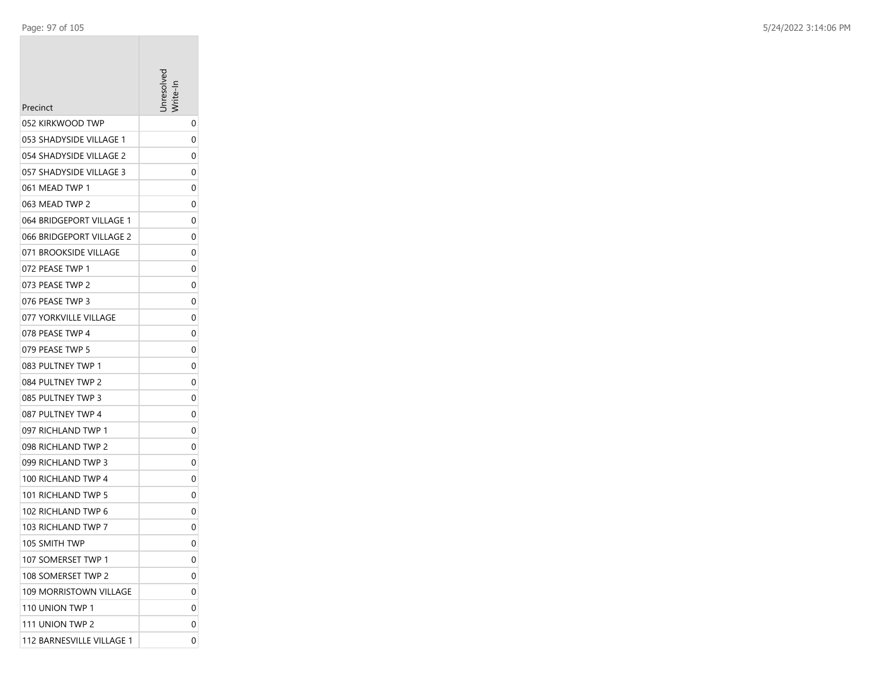| Precinct                  | nresolve |
|---------------------------|----------|
| 052 KIRKWOOD TWP          | 0        |
| 053 SHADYSIDE VILLAGE 1   | 0        |
| 054 SHADYSIDE VILLAGE 2   | 0        |
| 057 SHADYSIDE VILLAGE 3   | 0        |
| 061 MEAD TWP 1            | 0        |
| 063 MEAD TWP 2            | 0        |
| 064 BRIDGEPORT VILLAGE 1  | 0        |
| 066 BRIDGEPORT VILLAGE 2  | 0        |
| 071 BROOKSIDE VILLAGE     | 0        |
| 072 PEASE TWP 1           | 0        |
| 073 PEASE TWP 2           | 0        |
| 076 PEASE TWP 3           | 0        |
| 077 YORKVILLE VILLAGE     | 0        |
| 078 PEASE TWP 4           | 0        |
| 079 PEASE TWP 5           | 0        |
| 083 PULTNEY TWP 1         | 0        |
| 084 PULTNEY TWP 2         | 0        |
| 085 PULTNEY TWP 3         | 0        |
| 087 PULTNEY TWP 4         | 0        |
| 097 RICHLAND TWP 1        | 0        |
| 098 RICHLAND TWP 2        | 0        |
| 099 RICHLAND TWP 3        | 0        |
| 100 RICHLAND TWP 4        | 0        |
| 101 RICHLAND TWP 5        | 0        |
| 102 RICHLAND TWP 6        | 0        |
| 103 RICHLAND TWP 7        | 0        |
| 105 SMITH TWP             | 0        |
| 107 SOMERSET TWP 1        | 0        |
| 108 SOMERSET TWP 2        | 0        |
| 109 MORRISTOWN VILLAGE    | 0        |
| 110 UNION TWP 1           | 0        |
| 111 UNION TWP 2           | 0        |
| 112 BARNESVILLE VILLAGE 1 | 0        |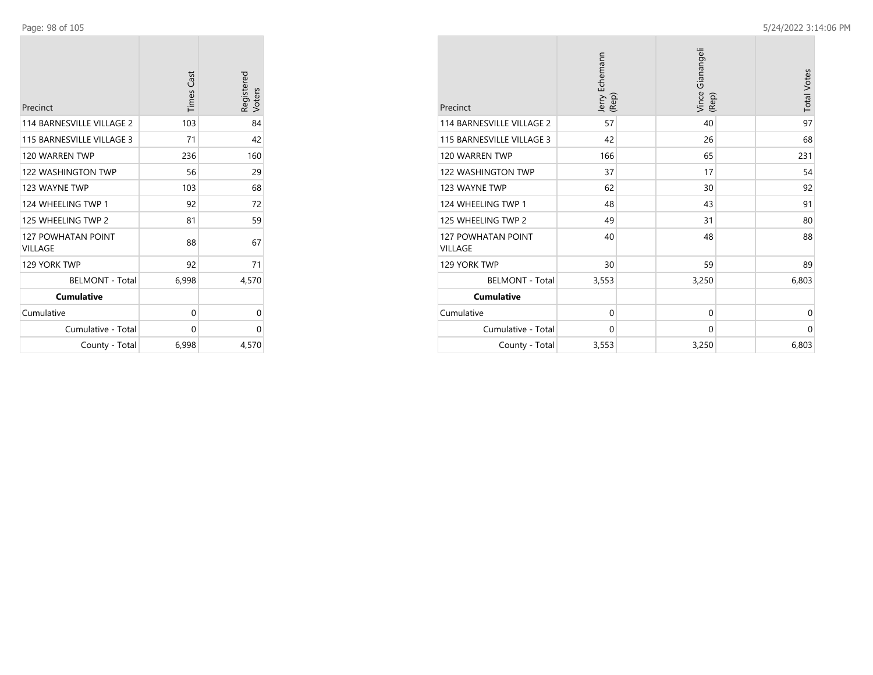| Precinct                             | <b>Times Cast</b> | Registered<br>Voters |
|--------------------------------------|-------------------|----------------------|
| 114 BARNESVILLE VILLAGE 2            | 103               | 84                   |
| 115 BARNESVILLE VILLAGE 3            | 71                | 42                   |
| 120 WARREN TWP                       | 236               | 160                  |
| 122 WASHINGTON TWP                   | 56                | 29                   |
| 123 WAYNE TWP                        | 103               | 68                   |
| 124 WHEELING TWP 1                   | 92                | 72                   |
| 125 WHEELING TWP 2                   | 81                | 59                   |
| <b>127 POWHATAN POINT</b><br>VILLAGE | 88                | 67                   |
| 129 YORK TWP                         | 92                | 71                   |
| <b>BELMONT - Total</b>               | 6,998             | 4,570                |
| <b>Cumulative</b>                    |                   |                      |
| Cumulative                           | 0                 | 0                    |
| Cumulative - Total                   | 0                 | 0                    |
| County - Total                       | 6,998             | 4,570                |

| Precinct                                    | Jerry Echemann<br>(Rep) | Vince Gianangeli<br>(Rep) | <b>Total Votes</b> |
|---------------------------------------------|-------------------------|---------------------------|--------------------|
| 114 BARNESVILLE VILLAGE 2                   | 57                      | 40                        | 97                 |
| 115 BARNESVILLE VILLAGE 3                   | 42                      | 26                        | 68                 |
| 120 WARREN TWP                              | 166                     | 65                        | 231                |
| 122 WASHINGTON TWP                          | 37                      | 17                        | 54                 |
| 123 WAYNE TWP                               | 62                      | 30                        | 92                 |
| 124 WHEELING TWP 1                          | 48                      | 43                        | 91                 |
| 125 WHEELING TWP 2                          | 49                      | 31                        | 80                 |
| <b>127 POWHATAN POINT</b><br><b>VILLAGE</b> | 40                      | 48                        | 88                 |
| 129 YORK TWP                                | 30                      | 59                        | 89                 |
| <b>BELMONT - Total</b>                      | 3,553                   | 3,250                     | 6,803              |
| <b>Cumulative</b>                           |                         |                           |                    |
| Cumulative                                  | $\mathbf 0$             | $\mathbf 0$               | 0                  |
| Cumulative - Total                          | $\mathbf 0$             | 0                         | 0                  |
| County - Total                              | 3,553                   | 3,250                     | 6,803              |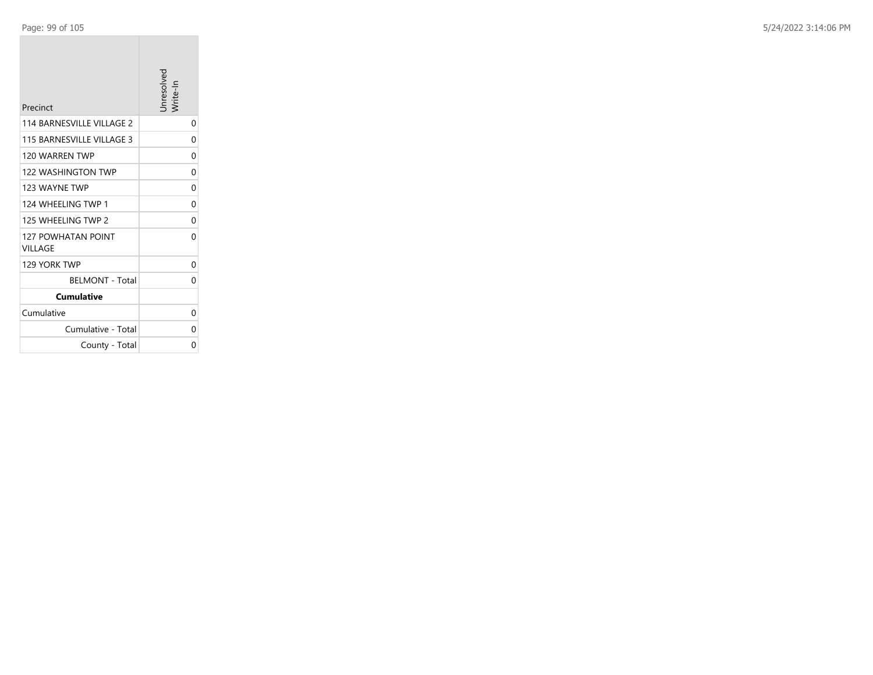| Precinct                                    | Jnresolved<br>'rite-ln |
|---------------------------------------------|------------------------|
| 114 BARNESVILLE VILLAGE 2                   | 0                      |
| 115 BARNESVILLE VILLAGE 3                   | 0                      |
| 120 WARREN TWP                              | 0                      |
| <b>122 WASHINGTON TWP</b>                   | 0                      |
| 123 WAYNF TWP                               | 0                      |
| 124 WHEELING TWP 1                          | 0                      |
| 125 WHEELING TWP 2                          | 0                      |
| <b>127 POWHATAN POINT</b><br><b>VILLAGE</b> | 0                      |
| 129 YORK TWP                                | 0                      |
| <b>BELMONT - Total</b>                      | 0                      |
| <b>Cumulative</b>                           |                        |
| Cumulative                                  | 0                      |
| Cumulative - Total                          | 0                      |
| County - Total                              | 0                      |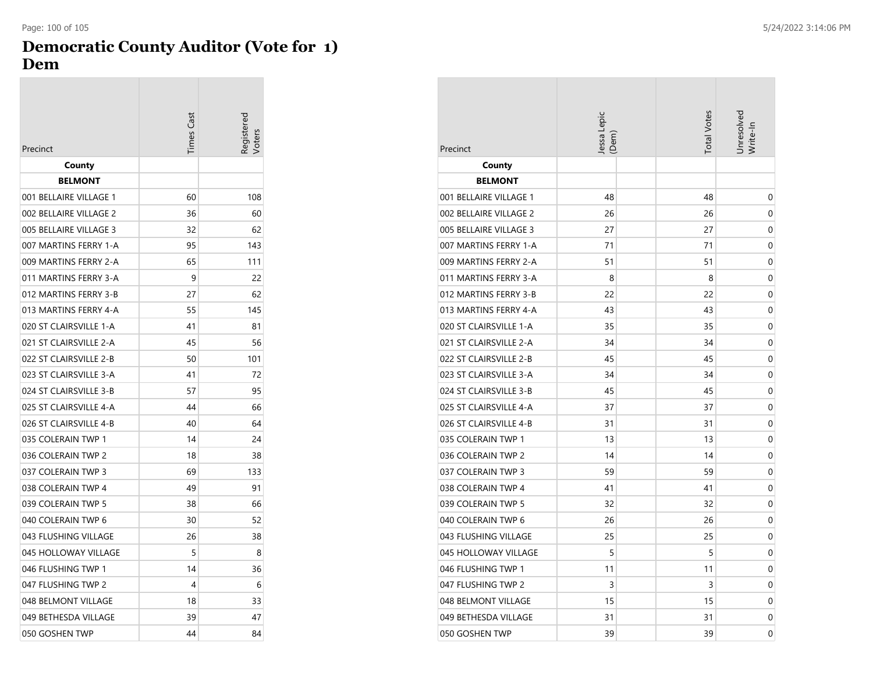# **Democratic County Auditor (Vote for 1) Dem**

|                        | <b>Times Cast</b> | egistered<br>'oters |
|------------------------|-------------------|---------------------|
| Precinct               |                   |                     |
| County                 |                   |                     |
| <b>BELMONT</b>         |                   |                     |
| 001 BELLAIRE VILLAGE 1 | 60                | 108                 |
| 002 BELLAIRE VILLAGE 2 | 36                | 60                  |
| 005 BELLAIRE VILLAGE 3 | 32                | 62                  |
| 007 MARTINS FERRY 1-A  | 95                | 143                 |
| 009 MARTINS FERRY 2-A  | 65                | 111                 |
| 011 MARTINS FERRY 3-A  | 9                 | 22                  |
| 012 MARTINS FERRY 3-B  | 27                | 62                  |
| 013 MARTINS FERRY 4-A  | 55                | 145                 |
| 020 ST CLAIRSVILLE 1-A | 41                | 81                  |
| 021 ST CLAIRSVILLE 2-A | 45                | 56                  |
| 022 ST CLAIRSVILLE 2-B | 50                | 101                 |
| 023 ST CLAIRSVILLE 3-A | 41                | 72                  |
| 024 ST CLAIRSVILLE 3-B | 57                | 95                  |
| 025 ST CLAIRSVILLE 4-A | 44                | 66                  |
| 026 ST CLAIRSVILLE 4-B | 40                | 64                  |
| 035 COLERAIN TWP 1     | 14                | 24                  |
| 036 COLERAIN TWP 2     | 18                | 38                  |
| 037 COLERAIN TWP 3     | 69                | 133                 |
| 038 COLERAIN TWP 4     | 49                | 91                  |
| 039 COLERAIN TWP 5     | 38                | 66                  |
| 040 COLERAIN TWP 6     | 30                | 52                  |
| 043 FLUSHING VILLAGE   | 26                | 38                  |
| 045 HOLLOWAY VILLAGE   | 5                 | 8                   |
| 046 FLUSHING TWP 1     | 14                | 36                  |
| 047 FLUSHING TWP 2     | 4                 | 6                   |
| 048 BELMONT VILLAGE    | 18                | 33                  |
| 049 BETHESDA VILLAGE   | 39                | 47                  |
| 050 GOSHEN TWP         | 44                | 84                  |

| Precinct               | Jessa Lepic<br>(Dem) | <b>Total Votes</b> | Jnresolved<br>Write-In |
|------------------------|----------------------|--------------------|------------------------|
| County                 |                      |                    |                        |
| <b>BELMONT</b>         |                      |                    |                        |
| 001 BELLAIRE VILLAGE 1 | 48                   | 48                 | 0                      |
| 002 BELLAIRE VILLAGE 2 | 26                   | 26                 | 0                      |
| 005 BELLAIRE VILLAGE 3 | 27                   | 27                 | 0                      |
| 007 MARTINS FERRY 1-A  | 71                   | 71                 | $\mathbf 0$            |
| 009 MARTINS FERRY 2-A  | 51                   | 51                 | 0                      |
| 011 MARTINS FERRY 3-A  | 8                    | 8                  | 0                      |
| 012 MARTINS FERRY 3-B  | 22                   | 22                 | 0                      |
| 013 MARTINS FERRY 4-A  | 43                   | 43                 | 0                      |
| 020 ST CLAIRSVILLE 1-A | 35                   | 35                 | 0                      |
| 021 ST CLAIRSVILLE 2-A | 34                   | 34                 | 0                      |
| 022 ST CLAIRSVILLE 2-B | 45                   | 45                 | 0                      |
| 023 ST CLAIRSVILLE 3-A | 34                   | 34                 | 0                      |
| 024 ST CLAIRSVILLE 3-B | 45                   | 45                 | $\mathbf 0$            |
| 025 ST CLAIRSVILLE 4-A | 37                   | 37                 | 0                      |
| 026 ST CLAIRSVILLE 4-B | 31                   | 31                 | 0                      |
| 035 COLERAIN TWP 1     | 13                   | 13                 | 0                      |
| 036 COLERAIN TWP 2     | 14                   | 14                 | 0                      |
| 037 COLERAIN TWP 3     | 59                   | 59                 | 0                      |
| 038 COLERAIN TWP 4     | 41                   | 41                 | 0                      |
| 039 COLERAIN TWP 5     | 32                   | 32                 | $\mathbf 0$            |
| 040 COLERAIN TWP 6     | 26                   | 26                 | 0                      |
| 043 FLUSHING VILLAGE   | 25                   | 25                 | 0                      |
| 045 HOLLOWAY VILLAGE   | 5                    | 5                  | 0                      |
| 046 FLUSHING TWP 1     | 11                   | 11                 | 0                      |
| 047 FLUSHING TWP 2     | 3                    | 3                  | 0                      |
| 048 BELMONT VILLAGE    | 15                   | 15                 | 0                      |
| 049 BETHESDA VILLAGE   | 31                   | 31                 | 0                      |
| 050 GOSHEN TWP         | 39                   | 39                 | 0                      |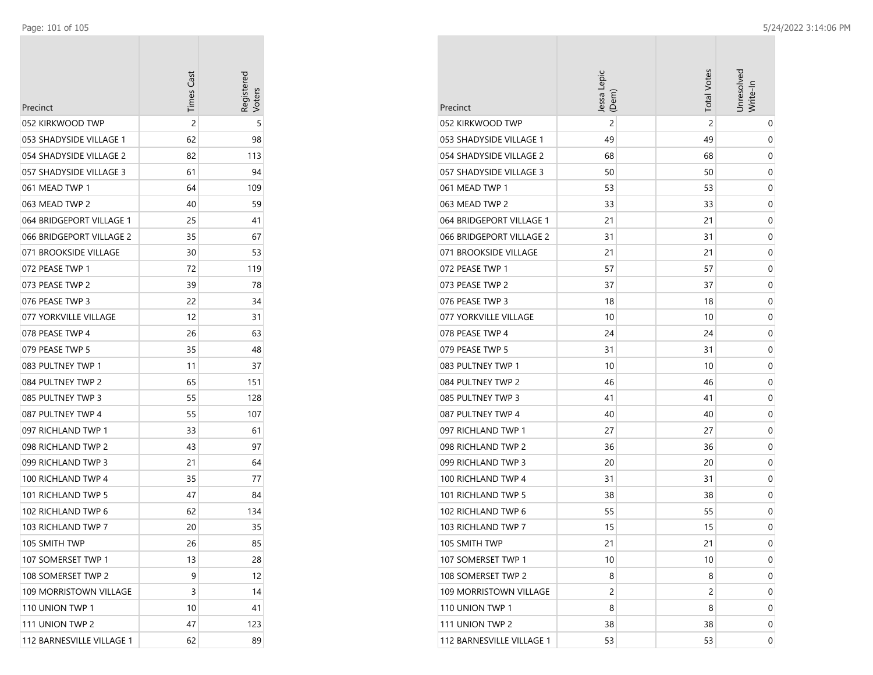÷

| Precinct                  | Times Cas | Registerec |
|---------------------------|-----------|------------|
| 052 KIRKWOOD TWP          | 2         | 5          |
| 053 SHADYSIDE VILLAGE 1   | 62        | 98         |
| 054 SHADYSIDE VILLAGE 2   | 82        | 113        |
| 057 SHADYSIDE VILLAGE 3   | 61        | 94         |
| 061 MEAD TWP 1            | 64        | 109        |
| 063 MEAD TWP 2            | 40        | 59         |
| 064 BRIDGEPORT VILLAGE 1  | 25        | 41         |
| 066 BRIDGEPORT VILLAGE 2  | 35        | 67         |
| 071 BROOKSIDE VILLAGE     | 30        | 53         |
| 072 PEASE TWP 1           | 72        | 119        |
| 073 PEASE TWP 2           | 39        | 78         |
| 076 PEASE TWP 3           | 22        | 34         |
| 077 YORKVILLE VILLAGE     | 12        | 31         |
| 078 PEASE TWP 4           | 26        | 63         |
| 079 PEASE TWP 5           | 35        | 48         |
| 083 PULTNEY TWP 1         | 11        | 37         |
| 084 PULTNEY TWP 2         | 65        | 151        |
| 085 PULTNEY TWP 3         | 55        | 128        |
| 087 PULTNEY TWP 4         | 55        | 107        |
| 097 RICHLAND TWP 1        | 33        | 61         |
| 098 RICHLAND TWP 2        | 43        | 97         |
| 099 RICHLAND TWP 3        | 21        | 64         |
| 100 RICHLAND TWP 4        | 35        | 77         |
| 101 RICHLAND TWP 5        | 47        | 84         |
| 102 RICHLAND TWP 6        | 62        | 134        |
| 103 RICHLAND TWP 7        | 20        | 35         |
| 105 SMITH TWP             | 26        | 85         |
| 107 SOMERSET TWP 1        | 13        | 28         |
| 108 SOMERSET TWP 2        | 9         | 12         |
| 109 MORRISTOWN VILLAGE    | 3         | 14         |
| 110 UNION TWP 1           | 10        | 41         |
| 111 UNION TWP 2           | 47        | 123        |
| 112 BARNESVILLE VILLAGE 1 | 62        | 89         |

| Precinct                  | Jessa Lepic<br>(Dem) | <b>Total Votes</b> | Unresolved<br>Write-In |
|---------------------------|----------------------|--------------------|------------------------|
| 052 KIRKWOOD TWP          | $\overline{c}$       | 2                  | 0                      |
| 053 SHADYSIDE VILLAGE 1   | 49                   | 49                 | 0                      |
| 054 SHADYSIDE VILLAGE 2   | 68                   | 68                 | 0                      |
| 057 SHADYSIDE VILLAGE 3   | 50                   | 50                 | 0                      |
| 061 MEAD TWP 1            | 53                   | 53                 | 0                      |
| 063 MEAD TWP 2            | 33                   | 33                 | 0                      |
| 064 BRIDGEPORT VILLAGE 1  | 21                   | 21                 | 0                      |
| 066 BRIDGEPORT VILLAGE 2  | 31                   | 31                 | 0                      |
| 071 BROOKSIDE VILLAGE     | 21                   | 21                 | 0                      |
| 072 PEASE TWP 1           | 57                   | 57                 | 0                      |
| 073 PEASE TWP 2           | 37                   | 37                 | 0                      |
| 076 PEASE TWP 3           | 18                   | 18                 | 0                      |
| 077 YORKVILLE VILLAGE     | 10                   | 10                 | 0                      |
| 078 PEASE TWP 4           | 24                   | 24                 | 0                      |
| 079 PEASE TWP 5           | 31                   | 31                 | 0                      |
| 083 PULTNEY TWP 1         | 10                   | 10                 | 0                      |
| 084 PULTNEY TWP 2         | 46                   | 46                 | 0                      |
| 085 PULTNEY TWP 3         | 41                   | 41                 | 0                      |
| 087 PULTNEY TWP 4         | 40                   | 40                 | 0                      |
| 097 RICHLAND TWP 1        | 27                   | 27                 | 0                      |
| 098 RICHLAND TWP 2        | 36                   | 36                 | 0                      |
| 099 RICHLAND TWP 3        | 20                   | 20                 | 0                      |
| 100 RICHLAND TWP 4        | 31                   | 31                 | 0                      |
| 101 RICHLAND TWP 5        | 38                   | 38                 | 0                      |
| 102 RICHLAND TWP 6        | 55                   | 55                 | 0                      |
| 103 RICHLAND TWP 7        | 15                   | 15                 | 0                      |
| 105 SMITH TWP             | 21                   | 21                 | 0                      |
| 107 SOMERSET TWP 1        | 10                   | 10                 | 0                      |
| 108 SOMERSET TWP 2        | 8                    | 8                  | 0                      |
| 109 MORRISTOWN VILLAGE    | 2                    | 2                  | 0                      |
| 110 UNION TWP 1           | 8                    | 8                  | 0                      |
| 111 UNION TWP 2           | 38                   | 38                 | 0                      |
| 112 BARNESVILLE VILLAGE 1 | 53                   | 53                 | 0                      |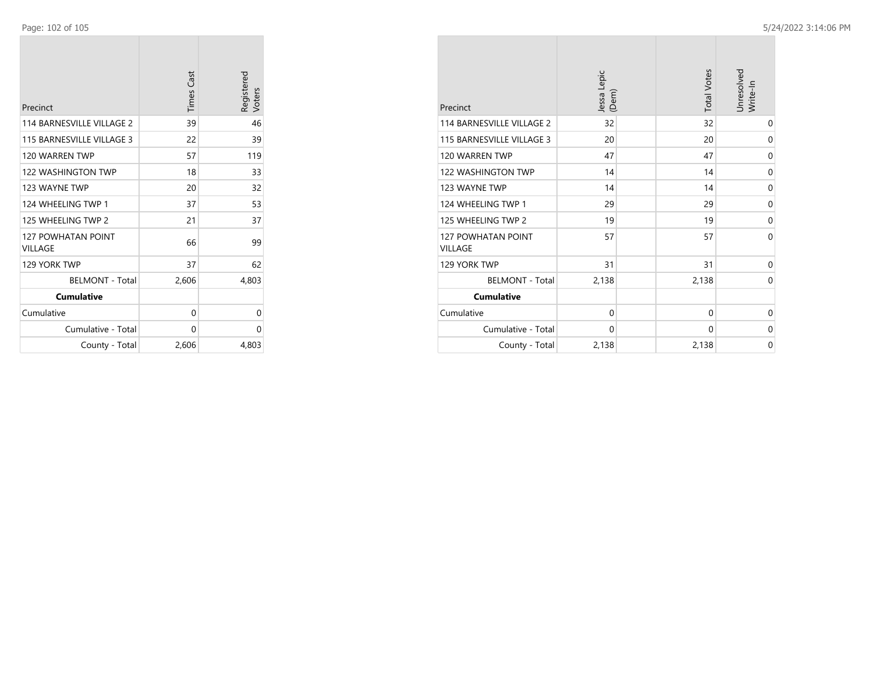$\sim$ 

| Precinct                                    | <b>Times Cast</b> | Registered<br>Voters |
|---------------------------------------------|-------------------|----------------------|
| 114 BARNESVILLE VILLAGE 2                   | 39                | 46                   |
| 115 BARNESVILLE VILLAGE 3                   | 22                | 39                   |
| 120 WARREN TWP                              | 57                | 119                  |
| <b>122 WASHINGTON TWP</b>                   | 18                | 33                   |
| 123 WAYNE TWP                               | 20                | 32                   |
| 124 WHEELING TWP 1                          | 37                | 53                   |
| 125 WHEELING TWP 2                          | 21                | 37                   |
| <b>127 POWHATAN POINT</b><br><b>VILLAGE</b> | 66                | 99                   |
| 129 YORK TWP                                | 37                | 62                   |
| <b>BELMONT - Total</b>                      | 2,606             | 4,803                |
| <b>Cumulative</b>                           |                   |                      |
| Cumulative                                  | 0                 | 0                    |
| Cumulative - Total                          | 0                 | 0                    |
| County - Total                              | 2,606             | 4,803                |

| Precinct                                    | Jessa Lepic<br>(Dem) | <b>Total Votes</b> | Unresolved<br>Write-In |
|---------------------------------------------|----------------------|--------------------|------------------------|
| 114 BARNESVILLE VILLAGE 2                   | 32                   | 32                 | 0                      |
| 115 BARNESVILLE VILLAGE 3                   | 20                   | 20                 | $\mathbf 0$            |
| 120 WARREN TWP                              | 47                   | 47                 | $\mathbf 0$            |
| <b>122 WASHINGTON TWP</b>                   | 14                   | 14                 | $\mathbf 0$            |
| 123 WAYNE TWP                               | 14                   | 14                 | 0                      |
| 124 WHEELING TWP 1                          | 29                   | 29                 | $\mathbf 0$            |
| 125 WHEELING TWP 2                          | 19                   | 19                 | 0                      |
| <b>127 POWHATAN POINT</b><br><b>VILLAGE</b> | 57                   | 57                 | $\Omega$               |
| 129 YORK TWP                                | 31                   | 31                 | $\mathbf 0$            |
| <b>BELMONT - Total</b>                      | 2,138                | 2,138              | $\mathbf 0$            |
| <b>Cumulative</b>                           |                      |                    |                        |
| Cumulative                                  | $\mathbf 0$          | $\mathbf 0$        | 0                      |
| Cumulative - Total                          | $\mathbf 0$          | $\Omega$           | $\mathbf 0$            |
| County - Total                              | 2,138                | 2,138              | $\mathbf 0$            |

**COL**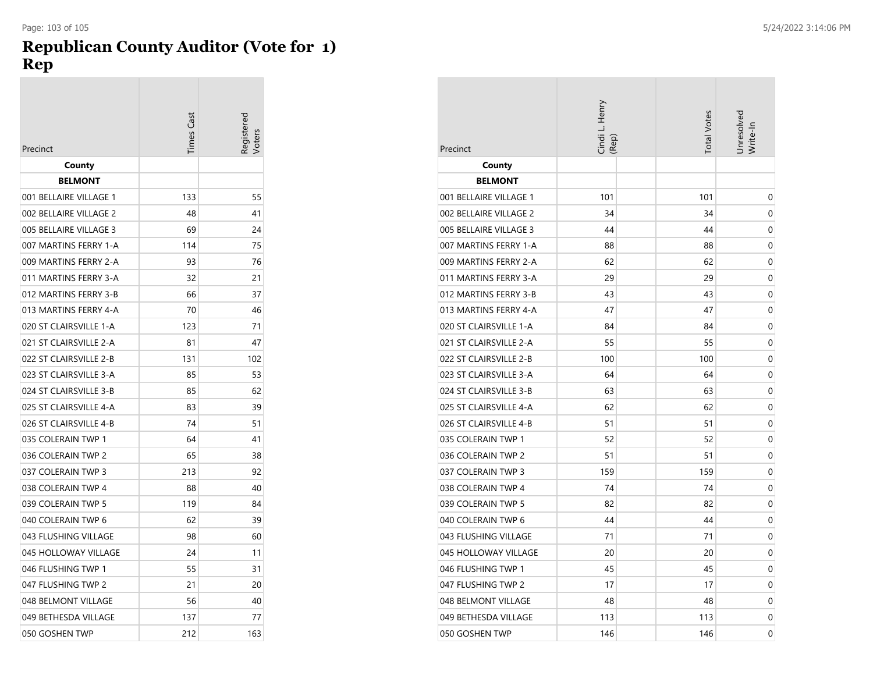## **Republican County Auditor (Vote for 1) Rep**

| Precinct               | imes Cast | 'oters |
|------------------------|-----------|--------|
| County                 |           |        |
| <b>BELMONT</b>         |           |        |
| 001 BELLAIRE VILLAGE 1 | 133       | 55     |
| 002 BELLAIRE VILLAGE 2 | 48        | 41     |
| 005 BELLAIRE VILLAGE 3 | 69        | 24     |
| 007 MARTINS FERRY 1-A  | 114       | 75     |
| 009 MARTINS FERRY 2-A  | 93        | 76     |
| 011 MARTINS FERRY 3-A  | 32        | 21     |
| 012 MARTINS FERRY 3-B  | 66        | 37     |
| 013 MARTINS FERRY 4-A  | 70        | 46     |
| 020 ST CLAIRSVILLE 1-A | 123       | 71     |
| 021 ST CLAIRSVILLE 2-A | 81        | 47     |
| 022 ST CLAIRSVILLE 2-B | 131       | 102    |
| 023 ST CLAIRSVILLE 3-A | 85        | 53     |
| 024 ST CLAIRSVILLE 3-B | 85        | 62     |
| 025 ST CLAIRSVILLE 4-A | 83        | 39     |
| 026 ST CLAIRSVILLE 4-B | 74        | 51     |
| 035 COLERAIN TWP 1     | 64        | 41     |
| 036 COLERAIN TWP 2     | 65        | 38     |
| 037 COLERAIN TWP 3     | 213       | 92     |
| 038 COLERAIN TWP 4     | 88        | 40     |
| 039 COLERAIN TWP 5     | 119       | 84     |
| 040 COLERAIN TWP 6     | 62        | 39     |
| 043 FLUSHING VILLAGE   | 98        | 60     |
| 045 HOLLOWAY VILLAGE   | 24        | 11     |
| 046 FLUSHING TWP 1     | 55        | 31     |
| 047 FLUSHING TWP 2     | 21        | 20     |
| 048 BELMONT VILLAGE    | 56        | 40     |
| 049 BETHESDA VILLAGE   | 137       | 77     |
| 050 GOSHEN TWP         | 212       | 163    |

| Precinct               | Cindi L. Henry<br>(Rep) | <b>Total Votes</b> | Unresolved<br>Write-In |
|------------------------|-------------------------|--------------------|------------------------|
| County                 |                         |                    |                        |
| <b>BELMONT</b>         |                         |                    |                        |
| 001 BELLAIRE VILLAGE 1 | 101                     | 101                | 0                      |
| 002 BELLAIRE VILLAGE 2 | 34                      | 34                 | 0                      |
| 005 BELLAIRE VILLAGE 3 | 44                      | 44                 | 0                      |
| 007 MARTINS FERRY 1-A  | 88                      | 88                 | 0                      |
| 009 MARTINS FERRY 2-A  | 62                      | 62                 | 0                      |
| 011 MARTINS FERRY 3-A  | 29                      | 29                 | 0                      |
| 012 MARTINS FERRY 3-B  | 43                      | 43                 | 0                      |
| 013 MARTINS FERRY 4-A  | 47                      | 47                 | 0                      |
| 020 ST CLAIRSVILLE 1-A | 84                      | 84                 | 0                      |
| 021 ST CLAIRSVILLE 2-A | 55                      | 55                 | 0                      |
| 022 ST CLAIRSVILLE 2-B | 100                     | 100                | 0                      |
| 023 ST CLAIRSVILLE 3-A | 64                      | 64                 | 0                      |
| 024 ST CLAIRSVILLE 3-B | 63                      | 63                 | 0                      |
| 025 ST CLAIRSVILLE 4-A | 62                      | 62                 | 0                      |
| 026 ST CLAIRSVILLE 4-B | 51                      | 51                 | 0                      |
| 035 COLERAIN TWP 1     | 52                      | 52                 | 0                      |
| 036 COLERAIN TWP 2     | 51                      | 51                 | 0                      |
| 037 COLERAIN TWP 3     | 159                     | 159                | 0                      |
| 038 COLERAIN TWP 4     | 74                      | 74                 | $\mathbf 0$            |
| 039 COLERAIN TWP 5     | 82                      | 82                 | 0                      |
| 040 COLERAIN TWP 6     | 44                      | 44                 | 0                      |
| 043 FLUSHING VILLAGE   | 71                      | 71                 | 0                      |
| 045 HOLLOWAY VILLAGE   | 20                      | 20                 | 0                      |
| 046 FLUSHING TWP 1     | 45                      | 45                 | 0                      |
| 047 FLUSHING TWP 2     | 17                      | 17                 | 0                      |
| 048 BELMONT VILLAGE    | 48                      | 48                 | 0                      |
| 049 BETHESDA VILLAGE   | 113                     | 113                | 0                      |
| 050 GOSHEN TWP         | 146                     | 146                | 0                      |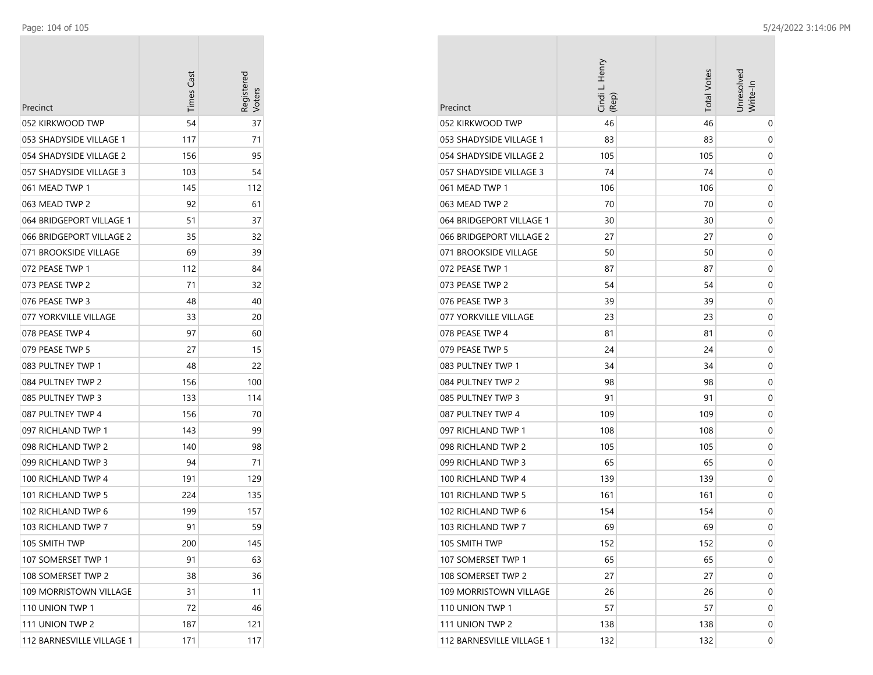| Precinct                  | Times Cast | Registerec<br><b>Voters</b> |
|---------------------------|------------|-----------------------------|
| 052 KIRKWOOD TWP          | 54         | 37                          |
| 053 SHADYSIDE VILLAGE 1   | 117        | 71                          |
| 054 SHADYSIDE VILLAGE 2   | 156        | 95                          |
| 057 SHADYSIDE VILLAGE 3   | 103        | 54                          |
| 061 MEAD TWP 1            | 145        | 112                         |
| 063 MEAD TWP 2            | 92         | 61                          |
| 064 BRIDGEPORT VILLAGE 1  | 51         | 37                          |
| 066 BRIDGEPORT VILLAGE 2  | 35         | 32                          |
| 071 BROOKSIDE VILLAGE     | 69         | 39                          |
| 072 PEASE TWP 1           | 112        | 84                          |
| 073 PEASE TWP 2           | 71         | 32                          |
| 076 PEASE TWP 3           | 48         | 40                          |
| 077 YORKVILLE VILLAGE     | 33         | 20                          |
| 078 PEASE TWP 4           | 97         | 60                          |
| 079 PEASE TWP 5           | 27         | 15                          |
| 083 PULTNEY TWP 1         | 48         | 22                          |
| 084 PULTNEY TWP 2         | 156        | 100                         |
| 085 PULTNEY TWP 3         | 133        | 114                         |
| 087 PULTNEY TWP 4         | 156        | 70                          |
| 097 RICHLAND TWP 1        | 143        | 99                          |
| 098 RICHLAND TWP 2        | 140        | 98                          |
| 099 RICHLAND TWP 3        | 94         | 71                          |
| 100 RICHLAND TWP 4        | 191        | 129                         |
| 101 RICHLAND TWP 5        | 224        | 135                         |
| 102 RICHLAND TWP 6        | 199        | 157                         |
| 103 RICHLAND TWP 7        | 91         | 59                          |
| 105 SMITH TWP             | 200        | 145                         |
| 107 SOMERSET TWP 1        | 91         | 63                          |
| 108 SOMERSET TWP 2        | 38         | 36                          |
| 109 MORRISTOWN VILLAGE    | 31         | 11                          |
| 110 UNION TWP 1           | 72         | 46                          |
| 111 UNION TWP 2           | 187        | 121                         |
| 112 BARNESVILLE VILLAGE 1 | 171        | 117                         |

| Precinct                      | Cindi L. Henry<br>(Rep) | <b>Total Votes</b> | Jnresolved<br>Write-In |
|-------------------------------|-------------------------|--------------------|------------------------|
| 052 KIRKWOOD TWP              | 46                      | 46                 | 0                      |
| 053 SHADYSIDE VILLAGE 1       | 83                      | 83                 | 0                      |
| 054 SHADYSIDE VILLAGE 2       | 105                     | 105                | 0                      |
| 057 SHADYSIDE VILLAGE 3       | 74                      | 74                 | 0                      |
| 061 MEAD TWP 1                | 106                     | 106                | 0                      |
| 063 MEAD TWP 2                | 70                      | 70                 | 0                      |
| 064 BRIDGEPORT VILLAGE 1      | 30                      | 30                 | 0                      |
| 066 BRIDGEPORT VILLAGE 2      | 27                      | 27                 | 0                      |
| 071 BROOKSIDE VILLAGE         | 50                      | 50                 | 0                      |
| 072 PEASE TWP 1               | 87                      | 87                 | 0                      |
| 073 PEASE TWP 2               | 54                      | 54                 | 0                      |
| 076 PEASE TWP 3               | 39                      | 39                 | 0                      |
| 077 YORKVILLE VILLAGE         | 23                      | 23                 | 0                      |
| 078 PEASE TWP 4               | 81                      | 81                 | 0                      |
| 079 PEASE TWP 5               | 24                      | 24                 | 0                      |
| 083 PULTNEY TWP 1             | 34                      | 34                 | 0                      |
| 084 PULTNEY TWP 2             | 98                      | 98                 | 0                      |
| 085 PULTNEY TWP 3             | 91                      | 91                 | 0                      |
| 087 PULTNEY TWP 4             | 109                     | 109                | 0                      |
| 097 RICHLAND TWP 1            | 108                     | 108                | 0                      |
| 098 RICHLAND TWP 2            | 105                     | 105                | 0                      |
| 099 RICHLAND TWP 3            | 65                      | 65                 | 0                      |
| 100 RICHLAND TWP 4            | 139                     | 139                | 0                      |
| 101 RICHLAND TWP 5            | 161                     | 161                | 0                      |
| 102 RICHLAND TWP 6            | 154                     | 154                | 0                      |
| 103 RICHLAND TWP 7            | 69                      | 69                 | 0                      |
| 105 SMITH TWP                 | 152                     | 152                | 0                      |
| 107 SOMERSET TWP 1            | 65                      | 65                 | 0                      |
| 108 SOMERSET TWP 2            | 27                      | 27                 | 0                      |
| <b>109 MORRISTOWN VILLAGE</b> | 26                      | 26                 | 0                      |
| 110 UNION TWP 1               | 57                      | 57                 | 0                      |
| 111 UNION TWP 2               | 138                     | 138                | 0                      |
| 112 BARNESVILLE VILLAGE 1     | 132                     | 132                | 0                      |